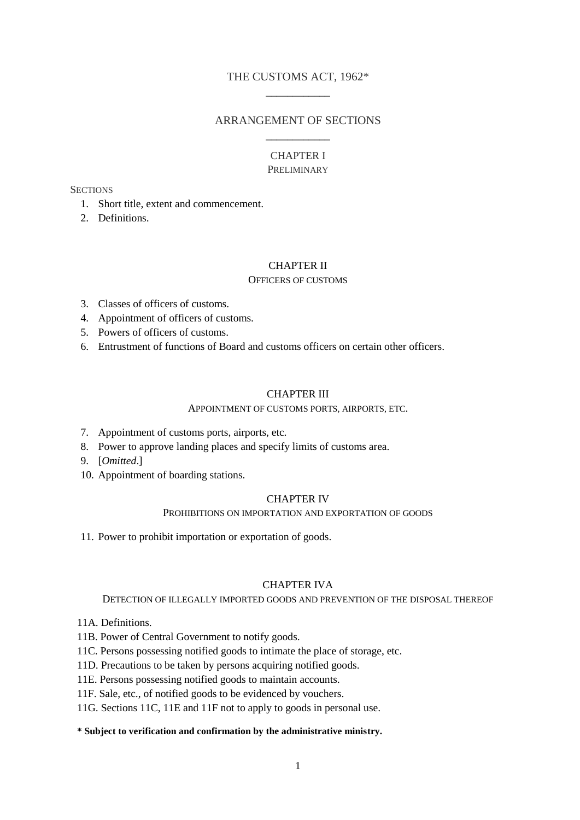## THE CUSTOMS ACT, 1962\* \_\_\_\_\_\_\_\_\_\_\_\_

## ARRANGEMENT OF SECTIONS \_\_\_\_\_\_\_\_\_\_\_\_

## CHAPTER I PRELIMINARY

#### **SECTIONS**

- 1. Short title, extent and commencement.
- 2. Definitions.

## CHAPTER II

#### OFFICERS OF CUSTOMS

- 3. Classes of officers of customs.
- 4. Appointment of officers of customs.
- 5. Powers of officers of customs.
- 6. Entrustment of functions of Board and customs officers on certain other officers.

## CHAPTER III

#### APPOINTMENT OF CUSTOMS PORTS, AIRPORTS, ETC.

- 7. Appointment of customs ports, airports, etc.
- 8. Power to approve landing places and specify limits of customs area.
- 9. [*Omitted*.]
- 10. Appointment of boarding stations.

## CHAPTER IV

#### PROHIBITIONS ON IMPORTATION AND EXPORTATION OF GOODS

11. Power to prohibit importation or exportation of goods.

## CHAPTER IVA

DETECTION OF ILLEGALLY IMPORTED GOODS AND PREVENTION OF THE DISPOSAL THEREOF

- 11A. Definitions.
- 11B. Power of Central Government to notify goods.
- 11C. Persons possessing notified goods to intimate the place of storage, etc.
- 11D. Precautions to be taken by persons acquiring notified goods.
- 11E. Persons possessing notified goods to maintain accounts.
- 11F. Sale, etc., of notified goods to be evidenced by vouchers.
- 11G. Sections 11C, 11E and 11F not to apply to goods in personal use.

### **\* Subject to verification and confirmation by the administrative ministry.**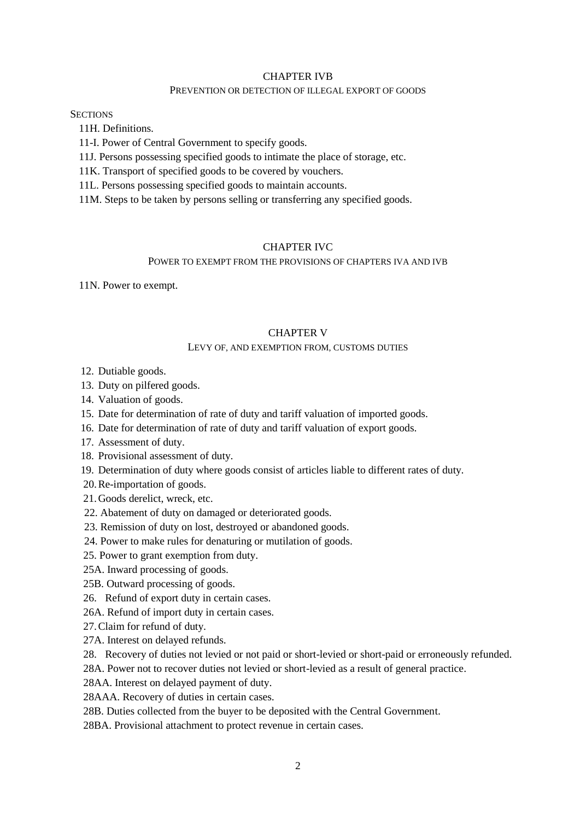#### CHAPTER IVB

#### PREVENTION OR DETECTION OF ILLEGAL EXPORT OF GOODS

**SECTIONS** 

11H. Definitions.

11-I. Power of Central Government to specify goods.

11J. Persons possessing specified goods to intimate the place of storage, etc.

11K. Transport of specified goods to be covered by vouchers.

11L. Persons possessing specified goods to maintain accounts.

11M. Steps to be taken by persons selling or transferring any specified goods.

## CHAPTER IVC

### POWER TO EXEMPT FROM THE PROVISIONS OF CHAPTERS IVA AND IVB

11N. Power to exempt.

#### CHAPTER V

#### LEVY OF, AND EXEMPTION FROM, CUSTOMS DUTIES

12. Dutiable goods.

13. Duty on pilfered goods.

14. Valuation of goods.

15. Date for determination of rate of duty and tariff valuation of imported goods.

- 16. Date for determination of rate of duty and tariff valuation of export goods.
- 17. Assessment of duty.
- 18. Provisional assessment of duty.

19. Determination of duty where goods consist of articles liable to different rates of duty.

20.Re-importation of goods.

21.Goods derelict, wreck, etc.

22. Abatement of duty on damaged or deteriorated goods.

23. Remission of duty on lost, destroyed or abandoned goods.

24. Power to make rules for denaturing or mutilation of goods.

25. Power to grant exemption from duty.

25A. Inward processing of goods.

25B. Outward processing of goods.

26. Refund of export duty in certain cases.

26A. Refund of import duty in certain cases.

27.Claim for refund of duty.

27A. Interest on delayed refunds.

28. Recovery of duties not levied or not paid or short-levied or short-paid or erroneously refunded.

28A. Power not to recover duties not levied or short-levied as a result of general practice.

28AA. Interest on delayed payment of duty.

28AAA. Recovery of duties in certain cases.

28B. Duties collected from the buyer to be deposited with the Central Government.

28BA. Provisional attachment to protect revenue in certain cases.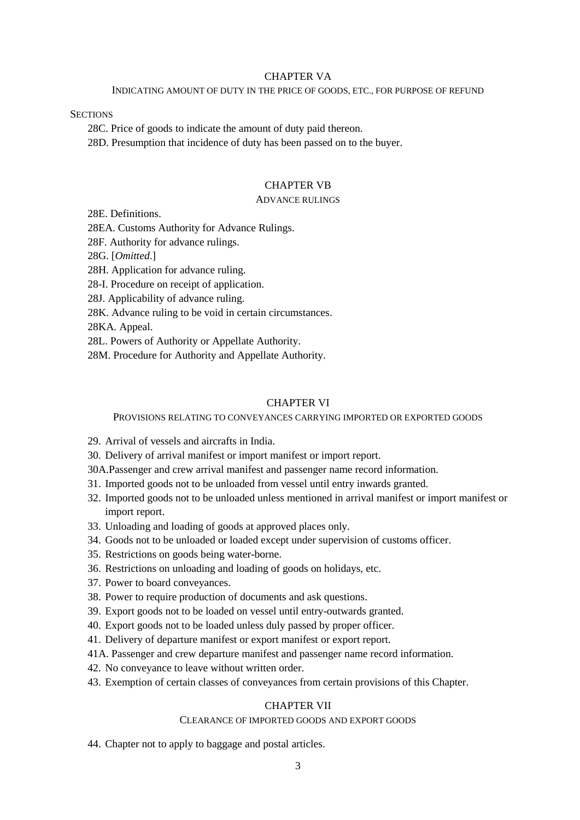#### CHAPTER VA

#### INDICATING AMOUNT OF DUTY IN THE PRICE OF GOODS, ETC., FOR PURPOSE OF REFUND

**SECTIONS** 

28C. Price of goods to indicate the amount of duty paid thereon.

28D. Presumption that incidence of duty has been passed on to the buyer.

## CHAPTER VB

#### ADVANCE RULINGS

28E. Definitions.

28EA. Customs Authority for Advance Rulings.

28F. Authority for advance rulings.

28G. [*Omitted*.]

28H. Application for advance ruling.

28-I. Procedure on receipt of application.

28J. Applicability of advance ruling.

28K. Advance ruling to be void in certain circumstances.

28KA. Appeal.

28L. Powers of Authority or Appellate Authority.

28M. Procedure for Authority and Appellate Authority.

### CHAPTER VI

PROVISIONS RELATING TO CONVEYANCES CARRYING IMPORTED OR EXPORTED GOODS

- 29. Arrival of vessels and aircrafts in India.
- 30. Delivery of arrival manifest or import manifest or import report.
- 30A.Passenger and crew arrival manifest and passenger name record information.
- 31. Imported goods not to be unloaded from vessel until entry inwards granted.
- 32. Imported goods not to be unloaded unless mentioned in arrival manifest or import manifest or import report.
- 33. Unloading and loading of goods at approved places only.
- 34. Goods not to be unloaded or loaded except under supervision of customs officer.
- 35. Restrictions on goods being water-borne.
- 36. Restrictions on unloading and loading of goods on holidays, etc.
- 37. Power to board conveyances.
- 38. Power to require production of documents and ask questions.
- 39. Export goods not to be loaded on vessel until entry-outwards granted.
- 40. Export goods not to be loaded unless duly passed by proper officer.
- 41. Delivery of departure manifest or export manifest or export report.
- 41A. Passenger and crew departure manifest and passenger name record information.
- 42. No conveyance to leave without written order.
- 43. Exemption of certain classes of conveyances from certain provisions of this Chapter.

## CHAPTER VII

## CLEARANCE OF IMPORTED GOODS AND EXPORT GOODS

44. Chapter not to apply to baggage and postal articles.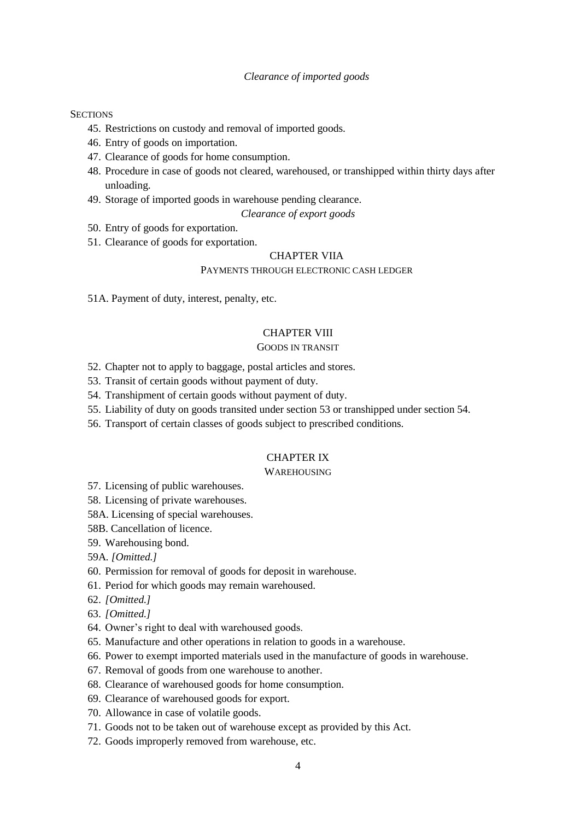#### *Clearance of imported goods*

#### **SECTIONS**

- 45. Restrictions on custody and removal of imported goods.
- 46. Entry of goods on importation.
- 47. Clearance of goods for home consumption.
- 48. Procedure in case of goods not cleared, warehoused, or transhipped within thirty days after unloading.
- 49. Storage of imported goods in warehouse pending clearance.

## *Clearance of export goods*

- 50. Entry of goods for exportation.
- 51. Clearance of goods for exportation.

#### CHAPTER VIIA

### PAYMENTS THROUGH ELECTRONIC CASH LEDGER

51A. Payment of duty, interest, penalty, etc.

#### CHAPTER VIII

## GOODS IN TRANSIT

- 52. Chapter not to apply to baggage, postal articles and stores.
- 53. Transit of certain goods without payment of duty.
- 54. Transhipment of certain goods without payment of duty.
- 55. Liability of duty on goods transited under section 53 or transhipped under section 54.
- 56. Transport of certain classes of goods subject to prescribed conditions.

## CHAPTER IX

#### WAREHOUSING

- 57. Licensing of public warehouses.
- 58. Licensing of private warehouses.
- 58A. Licensing of special warehouses.
- 58B. Cancellation of licence.
- 59. Warehousing bond.

59A*. [Omitted.]*

- 60. Permission for removal of goods for deposit in warehouse.
- 61. Period for which goods may remain warehoused.
- 62. *[Omitted.]*
- 63. *[Omitted.]*
- 64. Owner's right to deal with warehoused goods.
- 65. Manufacture and other operations in relation to goods in a warehouse.
- 66. Power to exempt imported materials used in the manufacture of goods in warehouse.
- 67. Removal of goods from one warehouse to another.
- 68. Clearance of warehoused goods for home consumption.
- 69. Clearance of warehoused goods for export.
- 70. Allowance in case of volatile goods.
- 71. Goods not to be taken out of warehouse except as provided by this Act.
- 72. Goods improperly removed from warehouse, etc.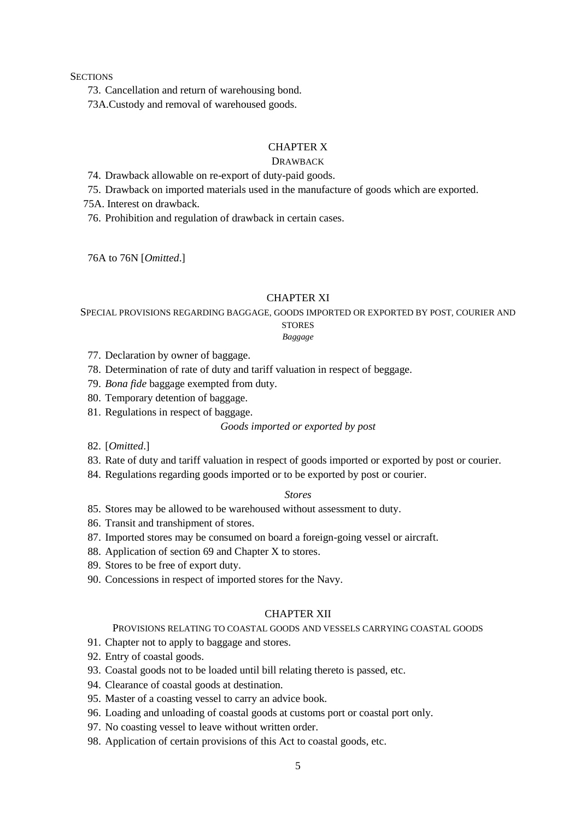73. Cancellation and return of warehousing bond.

73A.Custody and removal of warehoused goods.

## CHAPTER X

## DRAWBACK

74. Drawback allowable on re-export of duty-paid goods.

75. Drawback on imported materials used in the manufacture of goods which are exported.

75A. Interest on drawback.

76. Prohibition and regulation of drawback in certain cases.

76A to 76N [*Omitted*.]

#### CHAPTER XI

SPECIAL PROVISIONS REGARDING BAGGAGE, GOODS IMPORTED OR EXPORTED BY POST, COURIER AND

## **STORES**

*Baggage*

- 77. Declaration by owner of baggage.
- 78. Determination of rate of duty and tariff valuation in respect of beggage.
- 79. *Bona fide* baggage exempted from duty.
- 80. Temporary detention of baggage.
- 81. Regulations in respect of baggage.

#### *Goods imported or exported by post*

- 82. [*Omitted*.]
- 83. Rate of duty and tariff valuation in respect of goods imported or exported by post or courier.
- 84. Regulations regarding goods imported or to be exported by post or courier.

## *Stores*

- 85. Stores may be allowed to be warehoused without assessment to duty.
- 86. Transit and transhipment of stores.
- 87. Imported stores may be consumed on board a foreign-going vessel or aircraft.
- 88. Application of section 69 and Chapter X to stores.
- 89. Stores to be free of export duty.
- 90. Concessions in respect of imported stores for the Navy.

## CHAPTER XII

## PROVISIONS RELATING TO COASTAL GOODS AND VESSELS CARRYING COASTAL GOODS

- 91. Chapter not to apply to baggage and stores.
- 92. Entry of coastal goods.
- 93. Coastal goods not to be loaded until bill relating thereto is passed, etc.
- 94. Clearance of coastal goods at destination.
- 95. Master of a coasting vessel to carry an advice book.
- 96. Loading and unloading of coastal goods at customs port or coastal port only.
- 97. No coasting vessel to leave without written order.
- 98. Application of certain provisions of this Act to coastal goods, etc.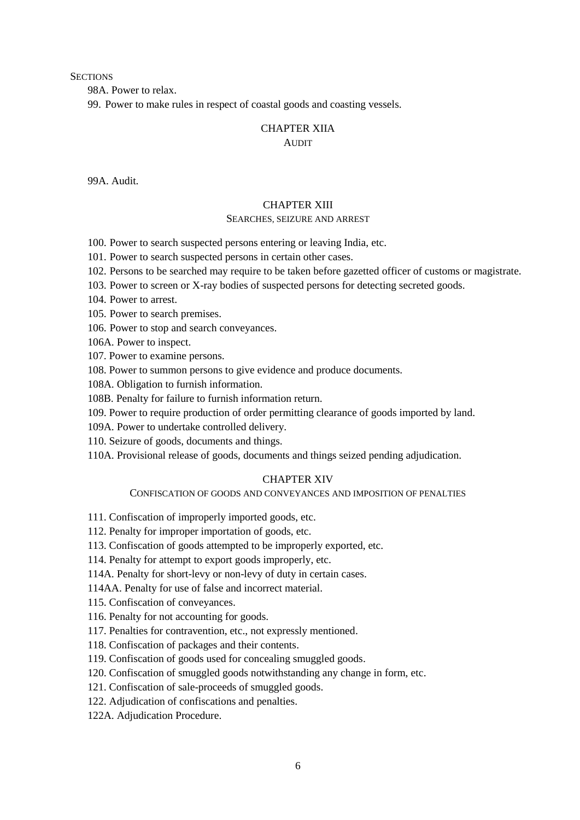98A. Power to relax.

99. Power to make rules in respect of coastal goods and coasting vessels.

# CHAPTER XIIA

## AUDIT

99A. Audit.

#### CHAPTER XIII

#### SEARCHES, SEIZURE AND ARREST

100. Power to search suspected persons entering or leaving India, etc.

101. Power to search suspected persons in certain other cases.

- 102. Persons to be searched may require to be taken before gazetted officer of customs or magistrate.
- 103. Power to screen or X-ray bodies of suspected persons for detecting secreted goods.
- 104. Power to arrest.
- 105. Power to search premises.
- 106. Power to stop and search conveyances.

106A. Power to inspect.

107. Power to examine persons.

108. Power to summon persons to give evidence and produce documents.

108A. Obligation to furnish information.

108B. Penalty for failure to furnish information return.

109. Power to require production of order permitting clearance of goods imported by land.

109A. Power to undertake controlled delivery.

110. Seizure of goods, documents and things.

110A. Provisional release of goods, documents and things seized pending adjudication.

## CHAPTER XIV

### CONFISCATION OF GOODS AND CONVEYANCES AND IMPOSITION OF PENALTIES

- 111. Confiscation of improperly imported goods, etc.
- 112. Penalty for improper importation of goods, etc.
- 113. Confiscation of goods attempted to be improperly exported, etc.

114. Penalty for attempt to export goods improperly, etc.

114A. Penalty for short-levy or non-levy of duty in certain cases.

114AA. Penalty for use of false and incorrect material.

115. Confiscation of conveyances.

- 116. Penalty for not accounting for goods.
- 117. Penalties for contravention, etc., not expressly mentioned.
- 118. Confiscation of packages and their contents.
- 119. Confiscation of goods used for concealing smuggled goods.
- 120. Confiscation of smuggled goods notwithstanding any change in form, etc.
- 121. Confiscation of sale-proceeds of smuggled goods.

122. Adjudication of confiscations and penalties.

122A. Adjudication Procedure.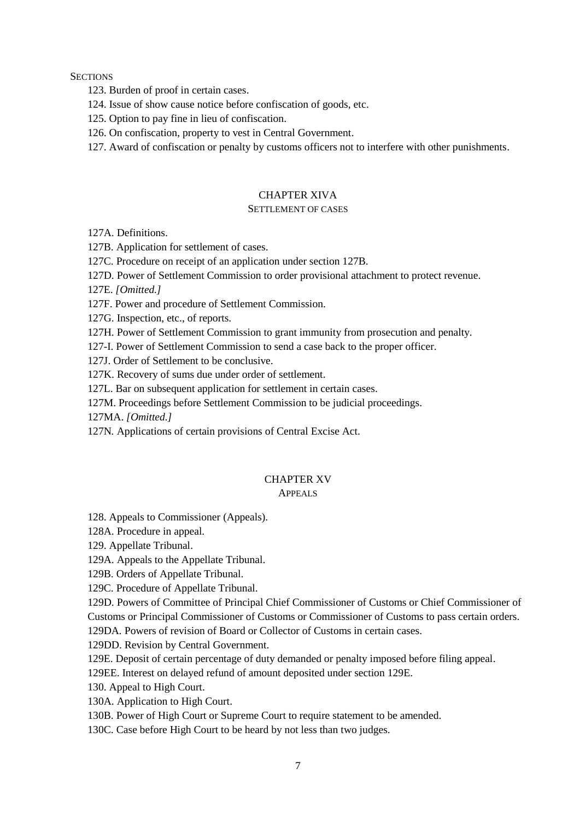123. Burden of proof in certain cases.

124. Issue of show cause notice before confiscation of goods, etc.

125. Option to pay fine in lieu of confiscation.

126. On confiscation, property to vest in Central Government.

127. Award of confiscation or penalty by customs officers not to interfere with other punishments.

## CHAPTER XIVA

## SETTLEMENT OF CASES

127A. Definitions.

127B. Application for settlement of cases.

127C. Procedure on receipt of an application under section 127B.

127D. Power of Settlement Commission to order provisional attachment to protect revenue.

127E. *[Omitted.]*

127F. Power and procedure of Settlement Commission.

127G. Inspection, etc., of reports.

127H. Power of Settlement Commission to grant immunity from prosecution and penalty.

127-I. Power of Settlement Commission to send a case back to the proper officer.

127J. Order of Settlement to be conclusive.

127K. Recovery of sums due under order of settlement.

127L. Bar on subsequent application for settlement in certain cases.

127M. Proceedings before Settlement Commission to be judicial proceedings.

127MA. *[Omitted.]*

127N*.* Applications of certain provisions of Central Excise Act.

## CHAPTER XV

## APPEALS

128. Appeals to Commissioner (Appeals).

128A. Procedure in appeal.

129. Appellate Tribunal.

129A. Appeals to the Appellate Tribunal.

129B. Orders of Appellate Tribunal.

129C. Procedure of Appellate Tribunal.

129D. Powers of Committee of Principal Chief Commissioner of Customs or Chief Commissioner of Customs or Principal Commissioner of Customs or Commissioner of Customs to pass certain orders.

129DA*.* Powers of revision of Board or Collector of Customs in certain cases.

129DD. Revision by Central Government.

129E. Deposit of certain percentage of duty demanded or penalty imposed before filing appeal.

129EE. Interest on delayed refund of amount deposited under section 129E.

130. Appeal to High Court.

130A. Application to High Court.

130B. Power of High Court or Supreme Court to require statement to be amended.

130C. Case before High Court to be heard by not less than two judges.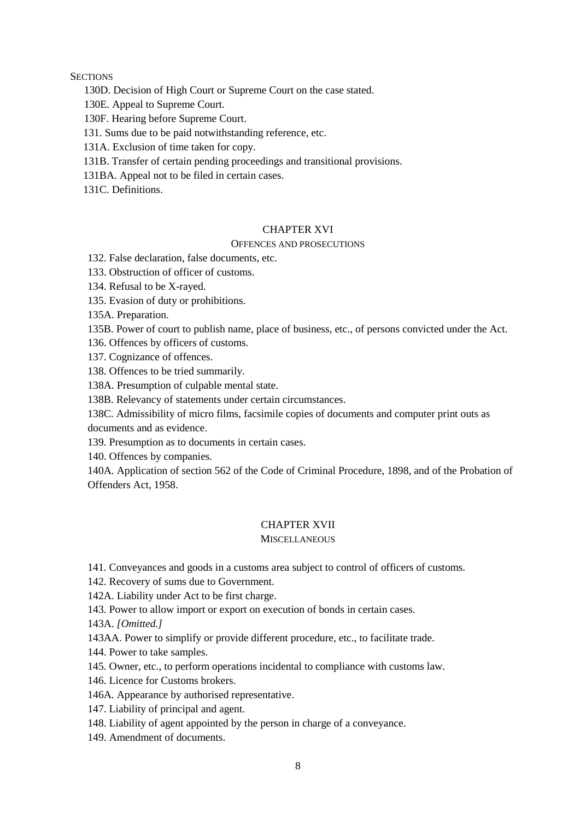130D. Decision of High Court or Supreme Court on the case stated.

130E. Appeal to Supreme Court.

130F. Hearing before Supreme Court.

131. Sums due to be paid notwithstanding reference, etc.

131A. Exclusion of time taken for copy.

131B. Transfer of certain pending proceedings and transitional provisions.

131BA. Appeal not to be filed in certain cases.

131C. Definitions.

## CHAPTER XVI

## OFFENCES AND PROSECUTIONS

132. False declaration, false documents, etc.

133. Obstruction of officer of customs.

134. Refusal to be X-rayed.

135. Evasion of duty or prohibitions.

135A. Preparation.

135B. Power of court to publish name, place of business, etc., of persons convicted under the Act.

136. Offences by officers of customs.

137. Cognizance of offences.

138. Offences to be tried summarily.

138A. Presumption of culpable mental state.

138B. Relevancy of statements under certain circumstances.

138C. Admissibility of micro films, facsimile copies of documents and computer print outs as documents and as evidence.

139. Presumption as to documents in certain cases.

140. Offences by companies.

140A. Application of section 562 of the Code of Criminal Procedure, 1898, and of the Probation of Offenders Act, 1958.

## CHAPTER XVII

## **MISCELLANEOUS**

141. Conveyances and goods in a customs area subject to control of officers of customs.

142. Recovery of sums due to Government.

142A. Liability under Act to be first charge.

143. Power to allow import or export on execution of bonds in certain cases.

143A. *[Omitted.]*

143AA. Power to simplify or provide different procedure, etc., to facilitate trade.

144. Power to take samples.

145. Owner, etc., to perform operations incidental to compliance with customs law.

146. Licence for Customs brokers.

146A. Appearance by authorised representative.

147. Liability of principal and agent.

148. Liability of agent appointed by the person in charge of a conveyance.

149. Amendment of documents.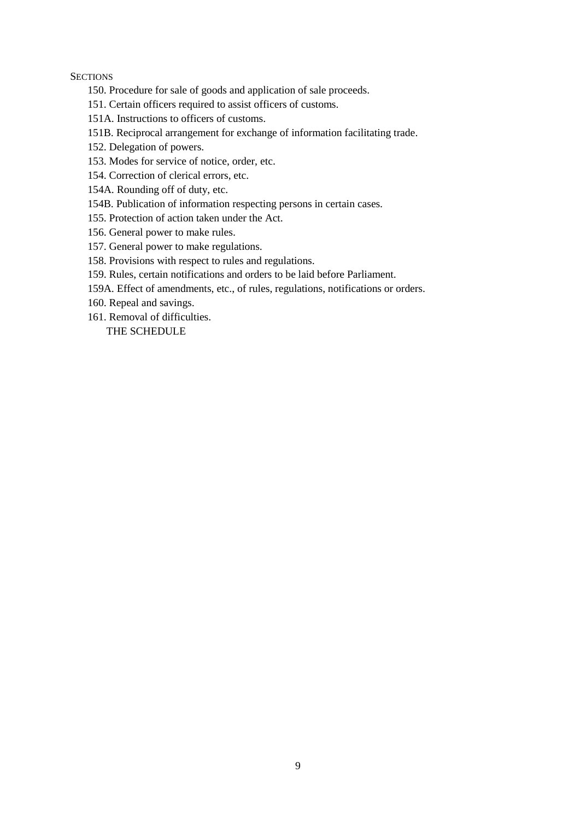- 150. Procedure for sale of goods and application of sale proceeds.
- 151. Certain officers required to assist officers of customs.
- 151A. Instructions to officers of customs.
- 151B. Reciprocal arrangement for exchange of information facilitating trade.
- 152. Delegation of powers.
- 153. Modes for service of notice, order, etc.
- 154. Correction of clerical errors, etc.
- 154A. Rounding off of duty, etc.
- 154B. Publication of information respecting persons in certain cases.
- 155. Protection of action taken under the Act.
- 156. General power to make rules.
- 157. General power to make regulations.
- 158. Provisions with respect to rules and regulations.
- 159. Rules, certain notifications and orders to be laid before Parliament.
- 159A. Effect of amendments, etc., of rules, regulations, notifications or orders.
- 160. Repeal and savings.
- 161. Removal of difficulties.

THE SCHEDULE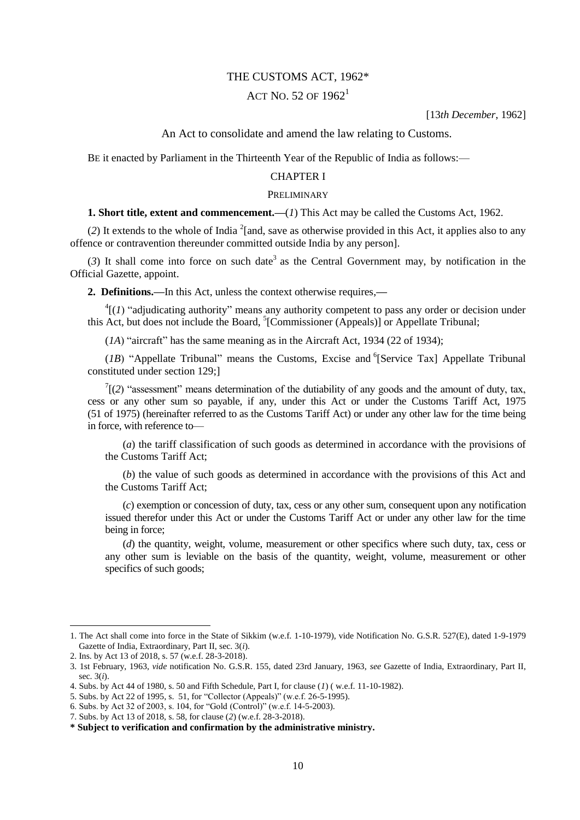## THE CUSTOMS ACT, 1962\*

## ACT NO. 52 OF  $1962^1$

[13*th December*, 1962]

#### An Act to consolidate and amend the law relating to Customs.

BE it enacted by Parliament in the Thirteenth Year of the Republic of India as follows:—

## CHAPTER I

#### PRELIMINARY

#### **1. Short title, extent and commencement.—(***1***) This Act may be called the Customs Act, 1962.**

(2) It extends to the whole of India  $^{2}$ [and, save as otherwise provided in this Act, it applies also to any offence or contravention thereunder committed outside India by any person].

 $(3)$  It shall come into force on such date<sup>3</sup> as the Central Government may, by notification in the Official Gazette, appoint.

**2. Definitions.—**In this Act, unless the context otherwise requires,**—**

 ${}^{4}$ [(*1*) "adjudicating authority" means any authority competent to pass any order or decision under this Act, but does not include the Board, <sup>5</sup>[Commissioner (Appeals)] or Appellate Tribunal;

 $(1A)$  "aircraft" has the same meaning as in the Aircraft Act, 1934 (22 of 1934);

 $(1B)$  "Appellate Tribunal" means the Customs, Excise and <sup>6</sup>[Service Tax] Appellate Tribunal constituted under section 129;]

 $T(2)$  "assessment" means determination of the dutiability of any goods and the amount of duty, tax, cess or any other sum so payable, if any, under this Act or under the Customs Tariff Act, 1975 (51 of 1975) (hereinafter referred to as the Customs Tariff Act) or under any other law for the time being in force, with reference to—

(*a*) the tariff classification of such goods as determined in accordance with the provisions of the Customs Tariff Act;

(*b*) the value of such goods as determined in accordance with the provisions of this Act and the Customs Tariff Act;

(*c*) exemption or concession of duty, tax, cess or any other sum, consequent upon any notification issued therefor under this Act or under the Customs Tariff Act or under any other law for the time being in force;

(*d*) the quantity, weight, volume, measurement or other specifics where such duty, tax, cess or any other sum is leviable on the basis of the quantity, weight, volume, measurement or other specifics of such goods;

 $\overline{a}$ 

<sup>1.</sup> The Act shall come into force in the State of Sikkim (w.e.f. 1-10-1979), vide Notification No. G.S.R. 527(E), dated 1-9-1979 Gazette of India, Extraordinary, Part II, sec. 3(*i*).

<sup>2.</sup> Ins. by Act 13 of 2018, s. 57 (w.e.f. 28-3-2018).

<sup>3. 1</sup>st February, 1963, *vide* notification No. G.S.R. 155, dated 23rd January, 1963, *see* Gazette of India, Extraordinary, Part II, sec. 3(*i*).

<sup>4.</sup> Subs. by Act 44 of 1980, s. 50 and Fifth Schedule, Part I, for clause (*1*) ( w.e.f. 11-10-1982).

<sup>5.</sup> Subs. by Act 22 of 1995, s. 51, for "Collector (Appeals)" (w.e.f. 26-5-1995).

<sup>6.</sup> Subs. by Act 32 of 2003, s. 104, for "Gold (Control)" (w.e.f. 14-5-2003).

<sup>7.</sup> Subs. by Act 13 of 2018, s. 58, for clause (*2*) (w.e.f. 28-3-2018).

**<sup>\*</sup> Subject to verification and confirmation by the administrative ministry.**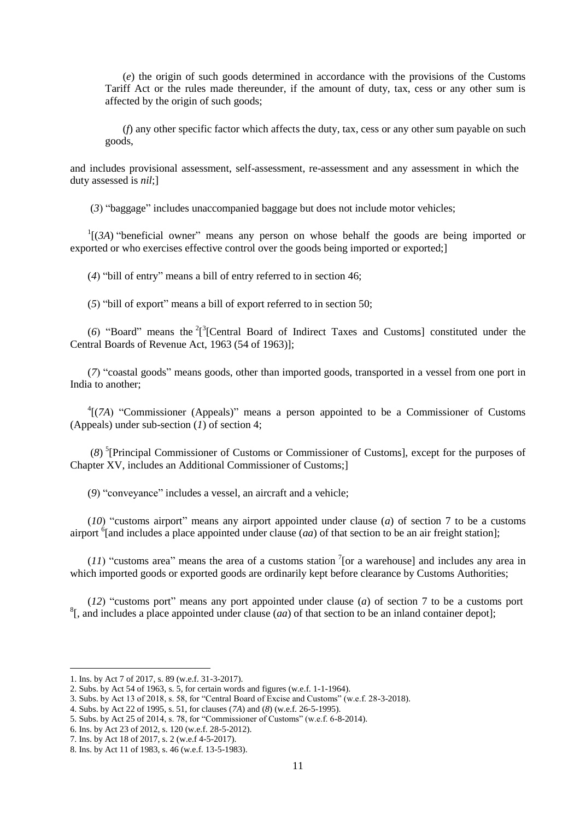(*e*) the origin of such goods determined in accordance with the provisions of the Customs Tariff Act or the rules made thereunder, if the amount of duty, tax, cess or any other sum is affected by the origin of such goods;

(*f*) any other specific factor which affects the duty, tax, cess or any other sum payable on such goods,

and includes provisional assessment, self-assessment, re-assessment and any assessment in which the duty assessed is *nil*;]

(3) "baggage" includes unaccompanied baggage but does not include motor vehicles;

 $\Gamma$ [(*3A*) "beneficial owner" means any person on whose behalf the goods are being imported or exported or who exercises effective control over the goods being imported or exported;

 $(4)$  "bill of entry" means a bill of entry referred to in section 46;

 $(5)$  "bill of export" means a bill of export referred to in section 50;

(6) "Board" means the  $2^{3}$ [Central Board of Indirect Taxes and Customs] constituted under the Central Boards of Revenue Act, 1963 (54 of 1963)];

(7) "coastal goods" means goods, other than imported goods, transported in a vessel from one port in India to another;

<sup>4</sup>[(7A) "Commissioner (Appeals)" means a person appointed to be a Commissioner of Customs (Appeals) under sub-section (*1*) of section 4;

(*8*) 5 [Principal Commissioner of Customs or Commissioner of Customs], except for the purposes of Chapter XV, includes an Additional Commissioner of Customs;]

(9) "conveyance" includes a vessel, an aircraft and a vehicle;

( $10$ ) "customs airport" means any airport appointed under clause ( $a$ ) of section 7 to be a customs airport  $\delta$ [and includes a place appointed under clause (*aa*) of that section to be an air freight station];

 $(11)$  "customs area" means the area of a customs station <sup>7</sup>[or a warehouse] and includes any area in which imported goods or exported goods are ordinarily kept before clearance by Customs Authorities;

 $(12)$  "customs port" means any port appointed under clause (*a*) of section 7 to be a customs port 8 [, and includes a place appointed under clause (*aa*) of that section to be an inland container depot];

<sup>1.</sup> Ins. by Act 7 of 2017, s. 89 (w.e.f. 31-3-2017).

<sup>2.</sup> Subs. by Act 54 of 1963, s. 5, for certain words and figures (w.e.f. 1-1-1964).

<sup>3.</sup> Subs. by Act 13 of 2018, s. 58, for "Central Board of Excise and Customs" (w.e.f. 28-3-2018).

<sup>4.</sup> Subs. by Act 22 of 1995, s. 51, for clauses (*7A*) and (*8*) (w.e.f. 26-5-1995).

<sup>5.</sup> Subs. by Act 25 of 2014, s. 78, for "Commissioner of Customs" (w.e.f.  $6-8-2014$ ).

<sup>6.</sup> Ins. by Act 23 of 2012, s. 120 (w.e.f. 28-5-2012).

<sup>7.</sup> Ins. by Act 18 of 2017, s. 2 (w.e.f 4-5-2017).

<sup>8.</sup> Ins. by Act 11 of 1983, s. 46 (w.e.f. 13-5-1983).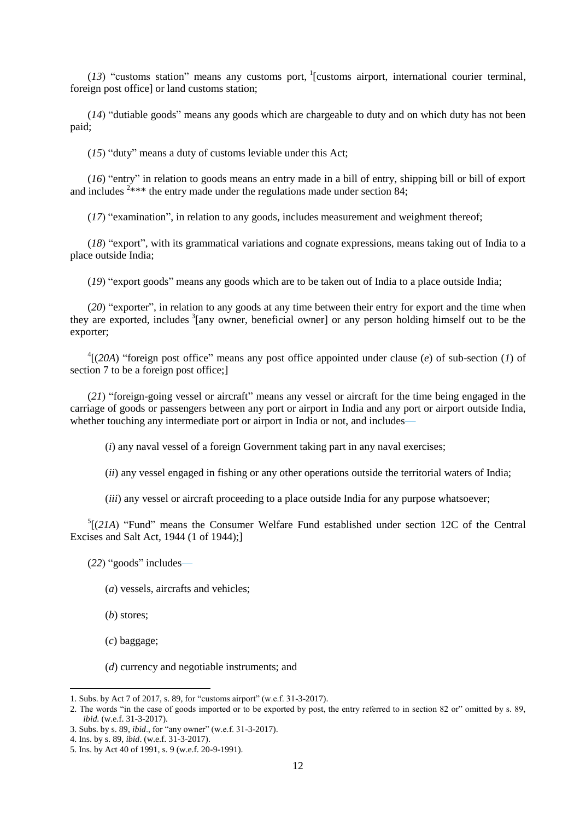$(13)$  "customs station" means any customs port, <sup>1</sup>[customs airport, international courier terminal, foreign post office] or land customs station;

 $(14)$  "dutiable goods" means any goods which are chargeable to duty and on which duty has not been paid;

 $(15)$  "duty" means a duty of customs leviable under this Act;

(*16*) "entry" in relation to goods means an entry made in a bill of entry, shipping bill or bill of export and includes  $2$ \*\*\* the entry made under the regulations made under section 84;

 $(17)$  "examination", in relation to any goods, includes measurement and weighment thereof;

 $(18)$  "export", with its grammatical variations and cognate expressions, means taking out of India to a place outside India;

(19) "export goods" means any goods which are to be taken out of India to a place outside India;

(20) "exporter", in relation to any goods at any time between their entry for export and the time when they are exported, includes <sup>3</sup>[any owner, beneficial owner] or any person holding himself out to be the exporter;

 $^{4}$ [(20A) "foreign post office" means any post office appointed under clause (*e*) of sub-section (*1*) of section 7 to be a foreign post office;

(21) "foreign-going vessel or aircraft" means any vessel or aircraft for the time being engaged in the carriage of goods or passengers between any port or airport in India and any port or airport outside India, whether touching any intermediate port or airport in India or not, and includes—

(*i*) any naval vessel of a foreign Government taking part in any naval exercises;

(*ii*) any vessel engaged in fishing or any other operations outside the territorial waters of India;

(*iii*) any vessel or aircraft proceeding to a place outside India for any purpose whatsoever;

 $<sup>5</sup>$ [(21A) "Fund" means the Consumer Welfare Fund established under section 12C of the Central</sup> Excises and Salt Act, 1944 (1 of 1944);]

(22) "goods" includes—

(*a*) vessels, aircrafts and vehicles;

(*b*) stores;

(*c*) baggage;

**.** 

(*d*) currency and negotiable instruments; and

<sup>1.</sup> Subs. by Act 7 of 2017, s. 89, for "customs airport" (w.e.f. 31-3-2017).

<sup>2.</sup> The words "in the case of goods imported or to be exported by post, the entry referred to in section 82 or" omitted by s. 89, *ibid*. (w.e.f. 31-3-2017).

<sup>3.</sup> Subs. by s. 89, *ibid.*, for "any owner" (w.e.f. 31-3-2017).

<sup>4.</sup> Ins. by s. 89, *ibid*. (w.e.f. 31-3-2017).

<sup>5.</sup> Ins. by Act 40 of 1991, s. 9 (w.e.f. 20-9-1991).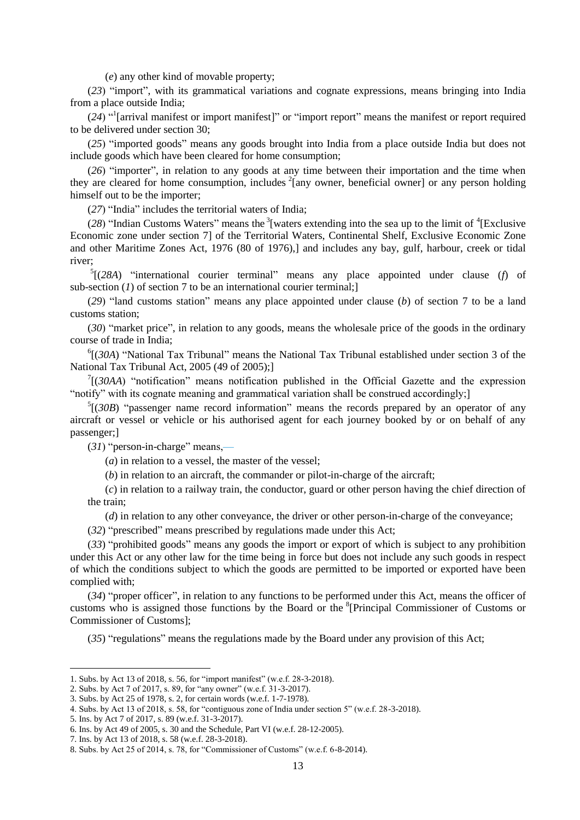(*e*) any other kind of movable property;

(23) "import", with its grammatical variations and cognate expressions, means bringing into India from a place outside India;

(24) <sup>"I</sup>[arrival manifest or import manifest]" or "import report" means the manifest or report required to be delivered under section 30;

(25) "imported goods" means any goods brought into India from a place outside India but does not include goods which have been cleared for home consumption;

(26) "importer", in relation to any goods at any time between their importation and the time when they are cleared for home consumption, includes  $2$ [any owner, beneficial owner] or any person holding himself out to be the importer;

 $(27)$  "India" includes the territorial waters of India;

(28) "Indian Customs Waters" means the  $3$ [waters extending into the sea up to the limit of  $4$ [Exclusive Economic zone under section 7] of the Territorial Waters, Continental Shelf, Exclusive Economic Zone and other Maritime Zones Act, 1976 (80 of 1976),] and includes any bay, gulf, harbour, creek or tidal river;

 $5$ [(28A) "international courier terminal" means any place appointed under clause (*f*) of sub-section (*1*) of section 7 to be an international courier terminal;

 $(29)$  "land customs station" means any place appointed under clause (*b*) of section 7 to be a land customs station;

(30) "market price", in relation to any goods, means the wholesale price of the goods in the ordinary course of trade in India;

 ${}^{6}$ [(*30A*) "National Tax Tribunal" means the National Tax Tribunal established under section 3 of the National Tax Tribunal Act, 2005 (49 of 2005);]

 $7$ [(30AA) "notification" means notification published in the Official Gazette and the expression "notify" with its cognate meaning and grammatical variation shall be construed accordingly;

 $<sup>5</sup>$ [(30B) "passenger name record information" means the records prepared by an operator of any</sup> aircraft or vessel or vehicle or his authorised agent for each journey booked by or on behalf of any passenger;]

 $(31)$  "person-in-charge" means,—

(*a*) in relation to a vessel, the master of the vessel;

(*b*) in relation to an aircraft, the commander or pilot-in-charge of the aircraft;

(*c*) in relation to a railway train, the conductor, guard or other person having the chief direction of the train;

(*d*) in relation to any other conveyance, the driver or other person-in-charge of the conveyance;

(32) "prescribed" means prescribed by regulations made under this Act;

(33) "prohibited goods" means any goods the import or export of which is subject to any prohibition under this Act or any other law for the time being in force but does not include any such goods in respect of which the conditions subject to which the goods are permitted to be imported or exported have been complied with;

(34) "proper officer", in relation to any functions to be performed under this Act, means the officer of customs who is assigned those functions by the Board or the <sup>8</sup>[Principal Commissioner of Customs or Commissioner of Customs];

 $(35)$  "regulations" means the regulations made by the Board under any provision of this Act;

<sup>1.</sup> Subs. by Act 13 of 2018, s. 56, for "import manifest" (w.e.f. 28-3-2018).

<sup>2.</sup> Subs. by Act 7 of 2017, s. 89, for "any owner" (w.e.f. 31-3-2017).

<sup>3.</sup> Subs. by Act 25 of 1978, s. 2, for certain words (w.e.f. 1-7-1978).

<sup>4.</sup> Subs. by Act 13 of 2018, s. 58, for "contiguous zone of India under section 5" (w.e.f. 28-3-2018).

<sup>5.</sup> Ins. by Act 7 of 2017, s. 89 (w.e.f. 31-3-2017).

<sup>6.</sup> Ins. by Act 49 of 2005, s. 30 and the Schedule, Part VI (w.e.f. 28-12-2005).

<sup>7.</sup> Ins. by Act 13 of 2018, s. 58 (w.e.f. 28-3-2018).

<sup>8.</sup> Subs. by Act 25 of 2014, s. 78, for "Commissioner of Customs" (w.e.f.  $6-8-2014$ ).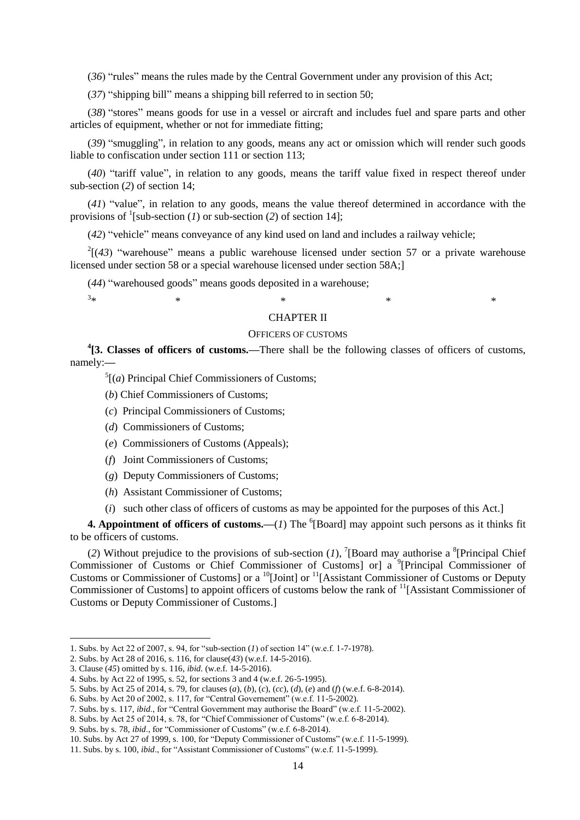(36) "rules" means the rules made by the Central Government under any provision of this Act;

 $(37)$  "shipping bill" means a shipping bill referred to in section 50;

(38) "stores" means goods for use in a vessel or aircraft and includes fuel and spare parts and other articles of equipment, whether or not for immediate fitting;

(39) "smuggling", in relation to any goods, means any act or omission which will render such goods liable to confiscation under section 111 or section 113;

(40) "tariff value", in relation to any goods, means the tariff value fixed in respect thereof under sub-section (*2*) of section 14;

 $(41)$  "value", in relation to any goods, means the value thereof determined in accordance with the provisions of  $\frac{1}{2}$ [sub-section (*1*) or sub-section (*2*) of section 14];

(42) "vehicle" means conveyance of any kind used on land and includes a railway vehicle;

 $2[(43)$  "warehouse" means a public warehouse licensed under section 57 or a private warehouse licensed under section 58 or a special warehouse licensed under section 58A;]

(44) "warehoused goods" means goods deposited in a warehouse;

#### $3*$  $*$   $*$   $*$   $*$   $*$   $*$

**.** 

#### CHAPTER II

#### OFFICERS OF CUSTOMS

<sup>4</sup>[3. Classes of officers of customs.—There shall be the following classes of officers of customs, namely:**—**

 $<sup>5</sup>$ [(*a*) Principal Chief Commissioners of Customs;</sup>

- (*b*) Chief Commissioners of Customs;
- (*c*) Principal Commissioners of Customs;
- (*d*) Commissioners of Customs;
- (*e*) Commissioners of Customs (Appeals);
- (*f*) Joint Commissioners of Customs;
- (*g*) Deputy Commissioners of Customs;
- (*h*) Assistant Commissioner of Customs;
- (*i*) such other class of officers of customs as may be appointed for the purposes of this Act.]

**4. Appointment of officers of customs.—(1) The <sup>6</sup>[Board] may appoint such persons as it thinks fit** to be officers of customs.

(2) Without prejudice to the provisions of sub-section  $(I)$ , [Board may authorise a <sup>8</sup>[Principal Chief Commissioner of Customs or Chief Commissioner of Customs] or] a <sup>9</sup>[Principal Commissioner of Customs or Commissioner of Customs] or a <sup>10</sup>[Joint] or <sup>11</sup>[Assistant Commissioner of Customs or Deputy] Commissioner of Customs] to appoint officers of customs below the rank of <sup>11</sup>[Assistant Commissioner of Customs or Deputy Commissioner of Customs.]

2. Subs. by Act 28 of 2016, s. 116, for clause(*43*) (w.e.f. 14-5-2016).

<sup>1.</sup> Subs. by Act 22 of 2007, s. 94, for "sub-section  $(I)$  of section  $14$ " (w.e.f. 1-7-1978).

<sup>3.</sup> Clause (*45*) omitted by s. 116, *ibid.* (w.e.f. 14-5-2016).

<sup>4.</sup> Subs. by Act 22 of 1995, s. 52, for sections 3 and 4 (w.e.f. 26-5-1995).

<sup>5.</sup> Subs. by Act 25 of 2014, s. 79, for clauses (*a*), (*b*), (*c*), (*cc*), (*d*), (*e*) and (*f*) (w.e.f. 6-8-2014).

<sup>6.</sup> Subs. by Act 20 of 2002, s. 117, for "Central Governement" (w.e.f. 11-5-2002).

<sup>7.</sup> Subs. by s. 117, *ibid.*, for "Central Government may authorise the Board" (w.e.f. 11-5-2002).

<sup>8.</sup> Subs. by Act 25 of 2014, s. 78, for "Chief Commissioner of Customs" (w.e.f.  $6-8-2014$ ).

<sup>9.</sup> Subs. by s. 78, *ibid.*, for "Commissioner of Customs" (w.e.f. 6-8-2014).

<sup>10.</sup> Subs. by Act 27 of 1999, s. 100, for "Deputy Commissioner of Customs" (w.e.f. 11-5-1999).

<sup>11.</sup> Subs. by s. 100, *ibid.*, for "Assistant Commissioner of Customs" (w.e.f. 11-5-1999).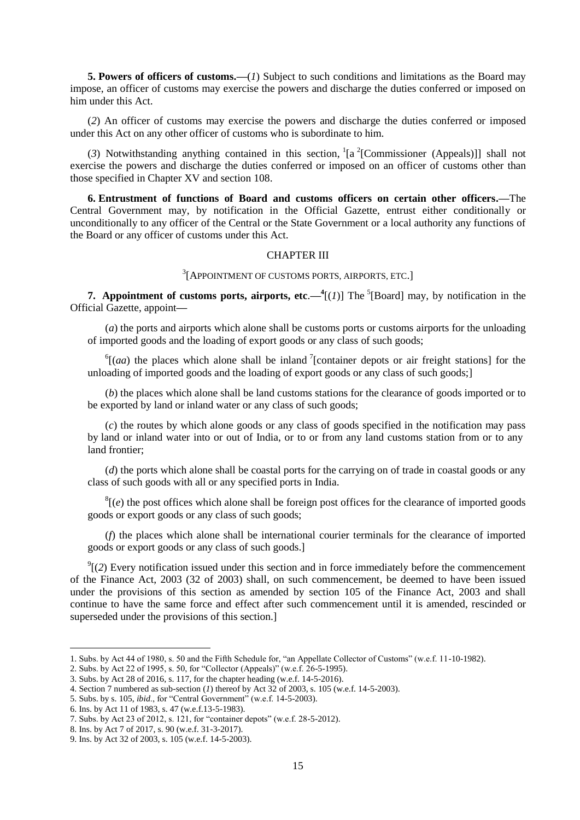**5. Powers of officers of customs.—**(*1*) Subject to such conditions and limitations as the Board may impose, an officer of customs may exercise the powers and discharge the duties conferred or imposed on him under this Act.

(*2*) An officer of customs may exercise the powers and discharge the duties conferred or imposed under this Act on any other officer of customs who is subordinate to him.

(3) Notwithstanding anything contained in this section,  ${}^{1}[a^2$ [Commissioner (Appeals)]] shall not exercise the powers and discharge the duties conferred or imposed on an officer of customs other than those specified in Chapter XV and section 108.

**6. Entrustment of functions of Board and customs officers on certain other officers.—**The Central Government may, by notification in the Official Gazette, entrust either conditionally or unconditionally to any officer of the Central or the State Government or a local authority any functions of the Board or any officer of customs under this Act.

#### CHAPTER III

3 [APPOINTMENT OF CUSTOMS PORTS, AIRPORTS, ETC.]

**7. Appointment of customs ports, airports, etc.**— $\frac{4}{I}(I)$ ] The <sup>5</sup>[Board] may, by notification in the Official Gazette, appoint**—**

(*a*) the ports and airports which alone shall be customs ports or customs airports for the unloading of imported goods and the loading of export goods or any class of such goods;

 $^{6}$ [(*aa*) the places which alone shall be inland <sup>7</sup>[container depots or air freight stations] for the unloading of imported goods and the loading of export goods or any class of such goods;]

(*b*) the places which alone shall be land customs stations for the clearance of goods imported or to be exported by land or inland water or any class of such goods;

(*c*) the routes by which alone goods or any class of goods specified in the notification may pass by land or inland water into or out of India, or to or from any land customs station from or to any land frontier;

(*d*) the ports which alone shall be coastal ports for the carrying on of trade in coastal goods or any class of such goods with all or any specified ports in India.

 ${}^{8}$ [(*e*) the post offices which alone shall be foreign post offices for the clearance of imported goods goods or export goods or any class of such goods;

(*f*) the places which alone shall be international courier terminals for the clearance of imported goods or export goods or any class of such goods.]

 $\mathcal{O}(2)$  Every notification issued under this section and in force immediately before the commencement of the Finance Act, 2003 (32 of 2003) shall, on such commencement, be deemed to have been issued under the provisions of this section as amended by section 105 of the Finance Act, 2003 and shall continue to have the same force and effect after such commencement until it is amended, rescinded or superseded under the provisions of this section.]

<sup>1.</sup> Subs. by Act 44 of 1980, s. 50 and the Fifth Schedule for, "an Appellate Collector of Customs" (w.e.f. 11-10-1982).

<sup>2.</sup> Subs. by Act 22 of 1995, s. 50, for "Collector (Appeals)" (w.e.f. 26-5-1995).

<sup>3.</sup> Subs. by Act 28 of 2016, s. 117, for the chapter heading (w.e.f. 14-5-2016).

<sup>4.</sup> Section 7 numbered as sub-section (*1*) thereof by Act 32 of 2003, s. 105 (w.e.f. 14-5-2003).

<sup>5.</sup> Subs. by s. 105, *ibid.*, for "Central Government" (w.e.f. 14-5-2003).

<sup>6.</sup> Ins. by Act 11 of 1983, s. 47 (w.e.f.13-5-1983).

<sup>7.</sup> Subs. by Act 23 of 2012, s. 121, for "container depots" (w.e.f. 28-5-2012).

<sup>8.</sup> Ins. by Act 7 of 2017, s. 90 (w.e.f. 31-3-2017).

<sup>9.</sup> Ins. by Act 32 of 2003, s. 105 (w.e.f. 14-5-2003).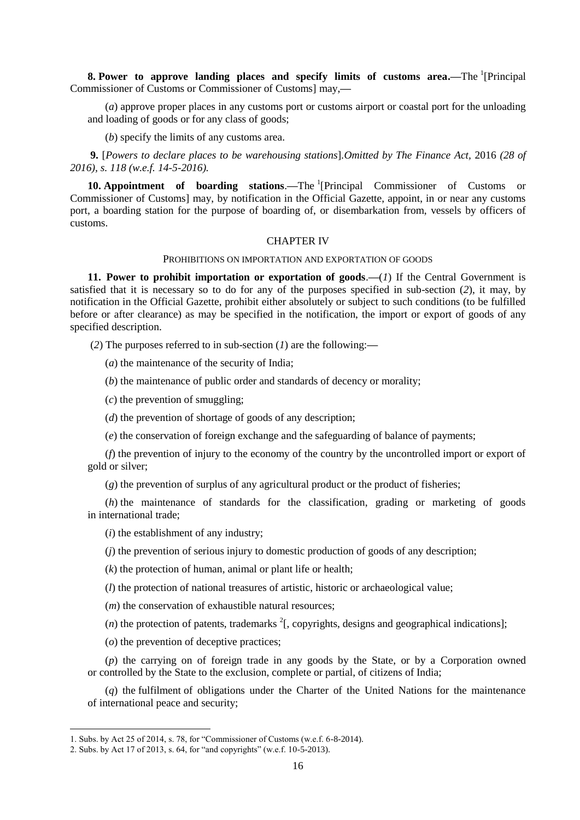**8.** Power to approve landing places and specify limits of customs area.—The <sup>1</sup>[Principal Commissioner of Customs or Commissioner of Customs] may,**—**

(*a*) approve proper places in any customs port or customs airport or coastal port for the unloading and loading of goods or for any class of goods;

(*b*) specify the limits of any customs area.

**9.** [*Powers to declare places to be warehousing stations*]*.Omitted by The Finance Act,* 2016 *(28 of 2016), s. 118 (w.e.f. 14-5-2016).*

**10. Appointment of boarding stations.—The <sup>1</sup>[Principal Commissioner of Customs or** Commissioner of Customs] may, by notification in the Official Gazette, appoint, in or near any customs port, a boarding station for the purpose of boarding of, or disembarkation from, vessels by officers of customs.

#### CHAPTER IV

#### PROHIBITIONS ON IMPORTATION AND EXPORTATION OF GOODS

**11. Power to prohibit importation or exportation of goods**.**—**(*1*) If the Central Government is satisfied that it is necessary so to do for any of the purposes specified in sub-section (*2*), it may, by notification in the Official Gazette, prohibit either absolutely or subject to such conditions (to be fulfilled before or after clearance) as may be specified in the notification, the import or export of goods of any specified description.

(*2*) The purposes referred to in sub-section (*1*) are the following:**—**

(*a*) the maintenance of the security of India;

(*b*) the maintenance of public order and standards of decency or morality;

(*c*) the prevention of smuggling;

(*d*) the prevention of shortage of goods of any description;

(*e*) the conservation of foreign exchange and the safeguarding of balance of payments;

(*f*) the prevention of injury to the economy of the country by the uncontrolled import or export of gold or silver;

(*g*) the prevention of surplus of any agricultural product or the product of fisheries;

(*h*) the maintenance of standards for the classification, grading or marketing of goods in international trade;

(*i*) the establishment of any industry;

(*j*) the prevention of serious injury to domestic production of goods of any description;

(*k*) the protection of human, animal or plant life or health;

(*l*) the protection of national treasures of artistic, historic or archaeological value;

(*m*) the conservation of exhaustible natural resources;

 $(n)$  the protection of patents, trademarks  $2$ [, copyrights, designs and geographical indications];

(*o*) the prevention of deceptive practices;

(*p*) the carrying on of foreign trade in any goods by the State, or by a Corporation owned or controlled by the State to the exclusion, complete or partial, of citizens of India;

(*q*) the fulfilment of obligations under the Charter of the United Nations for the maintenance of international peace and security;

<sup>1.</sup> Subs. by Act 25 of 2014, s. 78, for "Commissioner of Customs (w.e.f.  $6-8-2014$ ).

<sup>2.</sup> Subs. by Act 17 of 2013, s. 64, for "and copyrights" (w.e.f. 10-5-2013).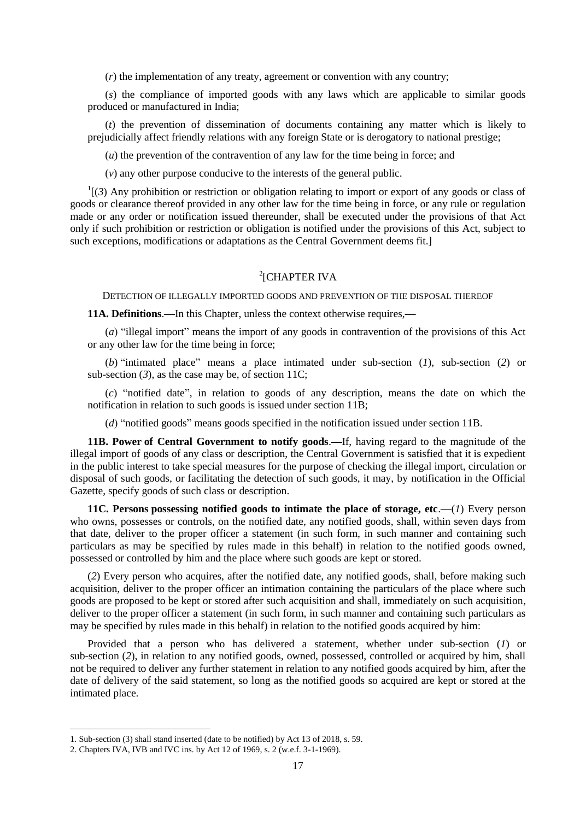(*r*) the implementation of any treaty, agreement or convention with any country;

(*s*) the compliance of imported goods with any laws which are applicable to similar goods produced or manufactured in India;

(*t*) the prevention of dissemination of documents containing any matter which is likely to prejudicially affect friendly relations with any foreign State or is derogatory to national prestige;

(*u*) the prevention of the contravention of any law for the time being in force; and

(*v*) any other purpose conducive to the interests of the general public.

 $\frac{1}{3}$  (3) Any prohibition or restriction or obligation relating to import or export of any goods or class of goods or clearance thereof provided in any other law for the time being in force, or any rule or regulation made or any order or notification issued thereunder, shall be executed under the provisions of that Act only if such prohibition or restriction or obligation is notified under the provisions of this Act, subject to such exceptions, modifications or adaptations as the Central Government deems fit.]

## 2 [CHAPTER IVA

DETECTION OF ILLEGALLY IMPORTED GOODS AND PREVENTION OF THE DISPOSAL THEREOF

**11A. Definitions**.**—**In this Chapter, unless the context otherwise requires,**—**

 $(a)$  "illegal import" means the import of any goods in contravention of the provisions of this Act or any other law for the time being in force;

(*b*) "intimated place" means a place intimated under sub-section (*1*), sub-section (2) or sub-section  $(3)$ , as the case may be, of section 11C;

 $(c)$  "notified date", in relation to goods of any description, means the date on which the notification in relation to such goods is issued under section 11B;

 $(d)$  "notified goods" means goods specified in the notification issued under section 11B.

**11B. Power of Central Government to notify goods**.**—**If, having regard to the magnitude of the illegal import of goods of any class or description, the Central Government is satisfied that it is expedient in the public interest to take special measures for the purpose of checking the illegal import, circulation or disposal of such goods, or facilitating the detection of such goods, it may, by notification in the Official Gazette, specify goods of such class or description.

**11C. Persons possessing notified goods to intimate the place of storage, etc**.**—**(*1*) Every person who owns, possesses or controls, on the notified date, any notified goods, shall, within seven days from that date, deliver to the proper officer a statement (in such form, in such manner and containing such particulars as may be specified by rules made in this behalf) in relation to the notified goods owned, possessed or controlled by him and the place where such goods are kept or stored.

(*2*) Every person who acquires, after the notified date, any notified goods, shall, before making such acquisition, deliver to the proper officer an intimation containing the particulars of the place where such goods are proposed to be kept or stored after such acquisition and shall, immediately on such acquisition, deliver to the proper officer a statement (in such form, in such manner and containing such particulars as may be specified by rules made in this behalf) in relation to the notified goods acquired by him:

Provided that a person who has delivered a statement, whether under sub-section (*1*) or sub-section (*2*), in relation to any notified goods, owned, possessed, controlled or acquired by him, shall not be required to deliver any further statement in relation to any notified goods acquired by him, after the date of delivery of the said statement, so long as the notified goods so acquired are kept or stored at the intimated place.

<sup>1.</sup> Sub-section (3) shall stand inserted (date to be notified) by Act 13 of 2018, s. 59.

<sup>2.</sup> Chapters IVA, IVB and IVC ins. by Act 12 of 1969, s. 2 (w.e.f. 3-1-1969).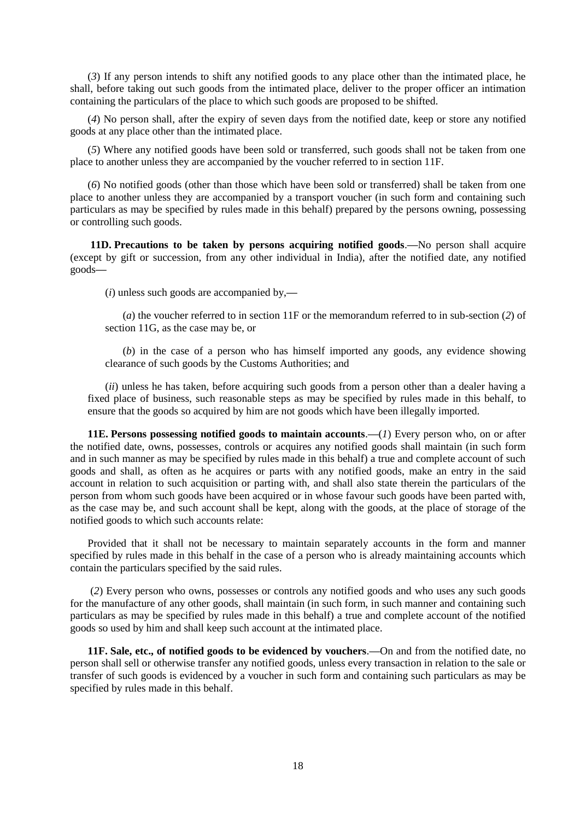(*3*) If any person intends to shift any notified goods to any place other than the intimated place, he shall, before taking out such goods from the intimated place, deliver to the proper officer an intimation containing the particulars of the place to which such goods are proposed to be shifted.

(*4*) No person shall, after the expiry of seven days from the notified date, keep or store any notified goods at any place other than the intimated place.

(*5*) Where any notified goods have been sold or transferred, such goods shall not be taken from one place to another unless they are accompanied by the voucher referred to in section 11F.

(*6*) No notified goods (other than those which have been sold or transferred) shall be taken from one place to another unless they are accompanied by a transport voucher (in such form and containing such particulars as may be specified by rules made in this behalf) prepared by the persons owning, possessing or controlling such goods.

**11D. Precautions to be taken by persons acquiring notified goods**.**—**No person shall acquire (except by gift or succession, from any other individual in India), after the notified date, any notified goods**—**

(*i*) unless such goods are accompanied by,**—**

(*a*) the voucher referred to in section 11F or the memorandum referred to in sub-section (*2*) of section 11G, as the case may be, or

(*b*) in the case of a person who has himself imported any goods, any evidence showing clearance of such goods by the Customs Authorities; and

(*ii*) unless he has taken, before acquiring such goods from a person other than a dealer having a fixed place of business, such reasonable steps as may be specified by rules made in this behalf, to ensure that the goods so acquired by him are not goods which have been illegally imported.

**11E. Persons possessing notified goods to maintain accounts**.**—**(*1*) Every person who, on or after the notified date, owns, possesses, controls or acquires any notified goods shall maintain (in such form and in such manner as may be specified by rules made in this behalf) a true and complete account of such goods and shall, as often as he acquires or parts with any notified goods, make an entry in the said account in relation to such acquisition or parting with, and shall also state therein the particulars of the person from whom such goods have been acquired or in whose favour such goods have been parted with, as the case may be, and such account shall be kept, along with the goods, at the place of storage of the notified goods to which such accounts relate:

Provided that it shall not be necessary to maintain separately accounts in the form and manner specified by rules made in this behalf in the case of a person who is already maintaining accounts which contain the particulars specified by the said rules.

(*2*) Every person who owns, possesses or controls any notified goods and who uses any such goods for the manufacture of any other goods, shall maintain (in such form, in such manner and containing such particulars as may be specified by rules made in this behalf) a true and complete account of the notified goods so used by him and shall keep such account at the intimated place.

**11F. Sale, etc., of notified goods to be evidenced by vouchers**.**—**On and from the notified date, no person shall sell or otherwise transfer any notified goods, unless every transaction in relation to the sale or transfer of such goods is evidenced by a voucher in such form and containing such particulars as may be specified by rules made in this behalf.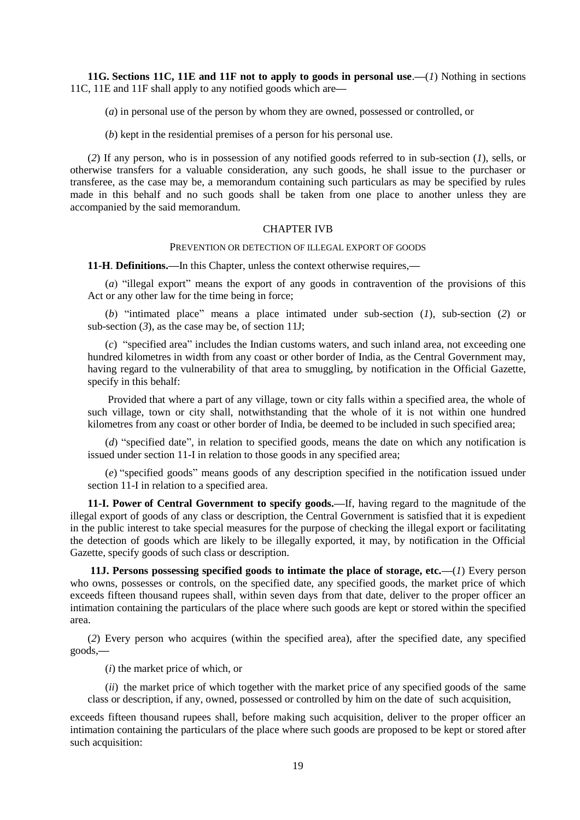**11G. Sections 11C, 11E and 11F not to apply to goods in personal use**.**—**(*1*) Nothing in sections 11C, 11E and 11F shall apply to any notified goods which are**—**

(*a*) in personal use of the person by whom they are owned, possessed or controlled, or

(*b*) kept in the residential premises of a person for his personal use.

(*2*) If any person, who is in possession of any notified goods referred to in sub-section (*1*), sells, or otherwise transfers for a valuable consideration, any such goods, he shall issue to the purchaser or transferee, as the case may be, a memorandum containing such particulars as may be specified by rules made in this behalf and no such goods shall be taken from one place to another unless they are accompanied by the said memorandum.

#### CHAPTER IVB

#### PREVENTION OR DETECTION OF ILLEGAL EXPORT OF GOODS

**11-H**. **Definitions.—**In this Chapter, unless the context otherwise requires,**—**

(*a*) "illegal export" means the export of any goods in contravention of the provisions of this Act or any other law for the time being in force;

(*b*) "intimated place" means a place intimated under sub-section (*1*), sub-section (2) or sub-section  $(3)$ , as the case may be, of section 11J;

(*c*) "specified area" includes the Indian customs waters, and such inland area, not exceeding one hundred kilometres in width from any coast or other border of India, as the Central Government may, having regard to the vulnerability of that area to smuggling, by notification in the Official Gazette, specify in this behalf:

Provided that where a part of any village, town or city falls within a specified area, the whole of such village, town or city shall, notwithstanding that the whole of it is not within one hundred kilometres from any coast or other border of India, be deemed to be included in such specified area;

 $(d)$  "specified date", in relation to specified goods, means the date on which any notification is issued under section 11-I in relation to those goods in any specified area;

(e) "specified goods" means goods of any description specified in the notification issued under section 11-I in relation to a specified area.

**11-I. Power of Central Government to specify goods.—**If, having regard to the magnitude of the illegal export of goods of any class or description, the Central Government is satisfied that it is expedient in the public interest to take special measures for the purpose of checking the illegal export or facilitating the detection of goods which are likely to be illegally exported, it may, by notification in the Official Gazette, specify goods of such class or description.

**11J. Persons possessing specified goods to intimate the place of storage, etc.—**(*1*) Every person who owns, possesses or controls, on the specified date, any specified goods, the market price of which exceeds fifteen thousand rupees shall, within seven days from that date, deliver to the proper officer an intimation containing the particulars of the place where such goods are kept or stored within the specified area.

(*2*) Every person who acquires (within the specified area), after the specified date, any specified goods,**—**

(*i*) the market price of which, or

(*ii*) the market price of which together with the market price of any specified goods of the same class or description, if any, owned, possessed or controlled by him on the date of such acquisition,

exceeds fifteen thousand rupees shall, before making such acquisition, deliver to the proper officer an intimation containing the particulars of the place where such goods are proposed to be kept or stored after such acquisition: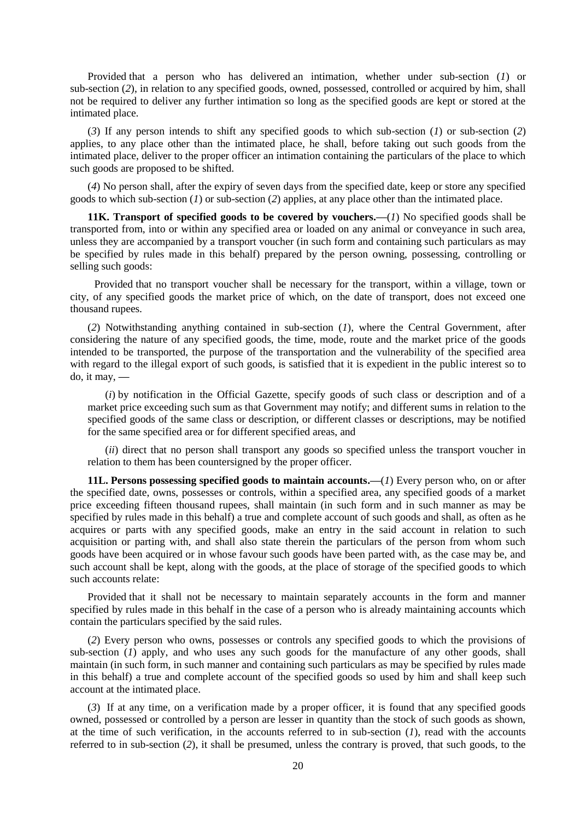Provided that a person who has delivered an intimation, whether under sub-section (*1*) or sub-section (*2*), in relation to any specified goods, owned, possessed, controlled or acquired by him, shall not be required to deliver any further intimation so long as the specified goods are kept or stored at the intimated place.

(*3*) If any person intends to shift any specified goods to which sub-section (*1*) or sub-section (*2*) applies, to any place other than the intimated place, he shall, before taking out such goods from the intimated place, deliver to the proper officer an intimation containing the particulars of the place to which such goods are proposed to be shifted.

(*4*) No person shall, after the expiry of seven days from the specified date, keep or store any specified goods to which sub-section (*1*) or sub-section (*2*) applies, at any place other than the intimated place.

**11K. Transport of specified goods to be covered by vouchers.—**(*1*) No specified goods shall be transported from, into or within any specified area or loaded on any animal or conveyance in such area, unless they are accompanied by a transport voucher (in such form and containing such particulars as may be specified by rules made in this behalf) prepared by the person owning, possessing, controlling or selling such goods:

Provided that no transport voucher shall be necessary for the transport, within a village, town or city, of any specified goods the market price of which, on the date of transport, does not exceed one thousand rupees.

(*2*) Notwithstanding anything contained in sub-section (*1*), where the Central Government, after considering the nature of any specified goods, the time, mode, route and the market price of the goods intended to be transported, the purpose of the transportation and the vulnerability of the specified area with regard to the illegal export of such goods, is satisfied that it is expedient in the public interest so to do, it may, **—**

(*i*) by notification in the Official Gazette, specify goods of such class or description and of a market price exceeding such sum as that Government may notify; and different sums in relation to the specified goods of the same class or description, or different classes or descriptions, may be notified for the same specified area or for different specified areas, and

(*ii*) direct that no person shall transport any goods so specified unless the transport voucher in relation to them has been countersigned by the proper officer.

**11L. Persons possessing specified goods to maintain accounts.—**(*1*) Every person who, on or after the specified date, owns, possesses or controls, within a specified area, any specified goods of a market price exceeding fifteen thousand rupees, shall maintain (in such form and in such manner as may be specified by rules made in this behalf) a true and complete account of such goods and shall, as often as he acquires or parts with any specified goods, make an entry in the said account in relation to such acquisition or parting with, and shall also state therein the particulars of the person from whom such goods have been acquired or in whose favour such goods have been parted with, as the case may be, and such account shall be kept, along with the goods, at the place of storage of the specified goods to which such accounts relate:

Provided that it shall not be necessary to maintain separately accounts in the form and manner specified by rules made in this behalf in the case of a person who is already maintaining accounts which contain the particulars specified by the said rules.

(*2*) Every person who owns, possesses or controls any specified goods to which the provisions of sub-section (*I*) apply, and who uses any such goods for the manufacture of any other goods, shall maintain (in such form, in such manner and containing such particulars as may be specified by rules made in this behalf) a true and complete account of the specified goods so used by him and shall keep such account at the intimated place.

(*3*) If at any time, on a verification made by a proper officer, it is found that any specified goods owned, possessed or controlled by a person are lesser in quantity than the stock of such goods as shown, at the time of such verification, in the accounts referred to in sub-section  $(I)$ , read with the accounts referred to in sub-section (*2*), it shall be presumed, unless the contrary is proved, that such goods, to the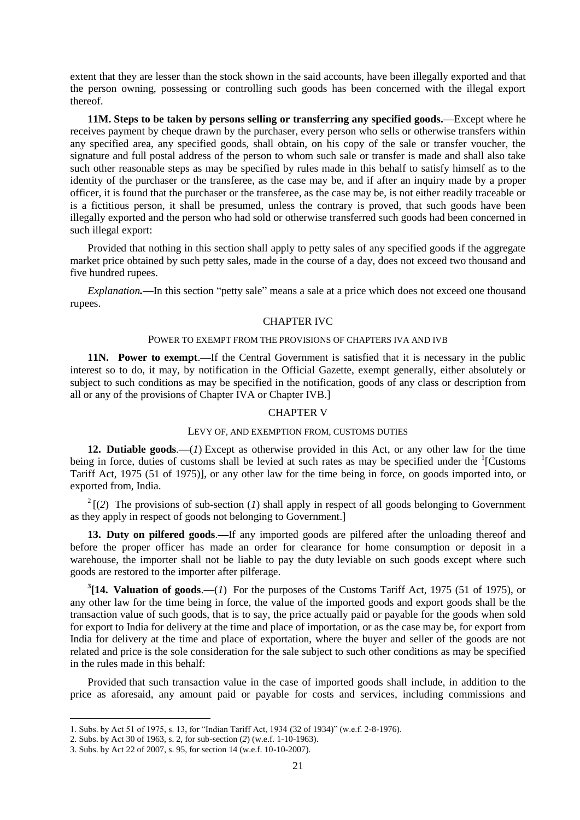extent that they are lesser than the stock shown in the said accounts, have been illegally exported and that the person owning, possessing or controlling such goods has been concerned with the illegal export thereof.

**11M. Steps to be taken by persons selling or transferring any specified goods.—**Except where he receives payment by cheque drawn by the purchaser, every person who sells or otherwise transfers within any specified area, any specified goods, shall obtain, on his copy of the sale or transfer voucher, the signature and full postal address of the person to whom such sale or transfer is made and shall also take such other reasonable steps as may be specified by rules made in this behalf to satisfy himself as to the identity of the purchaser or the transferee, as the case may be, and if after an inquiry made by a proper officer, it is found that the purchaser or the transferee, as the case may be, is not either readily traceable or is a fictitious person, it shall be presumed, unless the contrary is proved, that such goods have been illegally exported and the person who had sold or otherwise transferred such goods had been concerned in such illegal export:

Provided that nothing in this section shall apply to petty sales of any specified goods if the aggregate market price obtained by such petty sales, made in the course of a day, does not exceed two thousand and five hundred rupees.

*Explanation*.—In this section "petty sale" means a sale at a price which does not exceed one thousand rupees.

#### CHAPTER IVC

#### POWER TO EXEMPT FROM THE PROVISIONS OF CHAPTERS IVA AND IVB

**11N. Power to exempt**.**—**If the Central Government is satisfied that it is necessary in the public interest so to do, it may, by notification in the Official Gazette, exempt generally, either absolutely or subject to such conditions as may be specified in the notification, goods of any class or description from all or any of the provisions of Chapter IVA or Chapter IVB.]

## CHAPTER V

#### LEVY OF, AND EXEMPTION FROM, CUSTOMS DUTIES

**12. Dutiable goods**.**—**(*1*) Except as otherwise provided in this Act, or any other law for the time being in force, duties of customs shall be levied at such rates as may be specified under the <sup>1</sup>[Customs Tariff Act, 1975 (51 of 1975)], or any other law for the time being in force, on goods imported into, or exported from, India.

 $2(2)$  The provisions of sub-section (*1*) shall apply in respect of all goods belonging to Government as they apply in respect of goods not belonging to Government.]

**13. Duty on pilfered goods**.**—**If any imported goods are pilfered after the unloading thereof and before the proper officer has made an order for clearance for home consumption or deposit in a warehouse, the importer shall not be liable to pay the duty leviable on such goods except where such goods are restored to the importer after pilferage.

**3 [14. Valuation of goods**.**—**(*1*) For the purposes of the Customs Tariff Act, 1975 (51 of 1975), or any other law for the time being in force, the value of the imported goods and export goods shall be the transaction value of such goods, that is to say, the price actually paid or payable for the goods when sold for export to India for delivery at the time and place of importation, or as the case may be, for export from India for delivery at the time and place of exportation, where the buyer and seller of the goods are not related and price is the sole consideration for the sale subject to such other conditions as may be specified in the rules made in this behalf:

Provided that such transaction value in the case of imported goods shall include, in addition to the price as aforesaid, any amount paid or payable for costs and services, including commissions and

<sup>1.</sup> Subs. by Act 51 of 1975, s. 13, for "Indian Tariff Act, 1934 (32 of 1934)" (w.e.f. 2-8-1976).

<sup>2.</sup> Subs. by Act 30 of 1963, s. 2, for sub-section (*2*) (w.e.f. 1-10-1963).

<sup>3.</sup> Subs. by Act 22 of 2007, s. 95, for section 14 (w.e.f. 10-10-2007).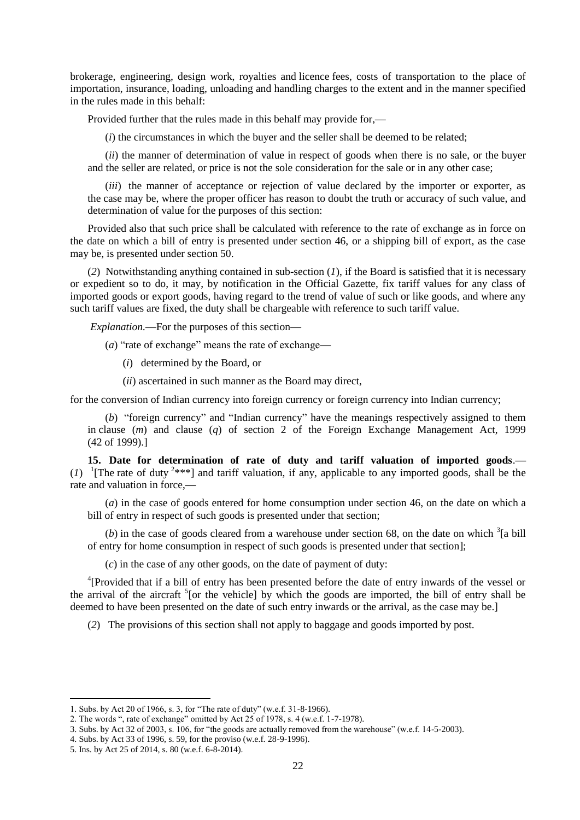brokerage, engineering, design work, royalties and licence fees, costs of transportation to the place of importation, insurance, loading, unloading and handling charges to the extent and in the manner specified in the rules made in this behalf:

Provided further that the rules made in this behalf may provide for,**—**

(*i*) the circumstances in which the buyer and the seller shall be deemed to be related;

(*ii*) the manner of determination of value in respect of goods when there is no sale, or the buyer and the seller are related, or price is not the sole consideration for the sale or in any other case;

(*iii*) the manner of acceptance or rejection of value declared by the importer or exporter, as the case may be, where the proper officer has reason to doubt the truth or accuracy of such value, and determination of value for the purposes of this section:

Provided also that such price shall be calculated with reference to the rate of exchange as in force on the date on which a bill of entry is presented under section 46, or a shipping bill of export, as the case may be, is presented under section 50.

(*2*) Notwithstanding anything contained in sub-section (*1*), if the Board is satisfied that it is necessary or expedient so to do, it may, by notification in the Official Gazette, fix tariff values for any class of imported goods or export goods, having regard to the trend of value of such or like goods, and where any such tariff values are fixed, the duty shall be chargeable with reference to such tariff value.

*Explanation.***—**For the purposes of this section**—**

(*a*) "rate of exchange" means the rate of exchange—

- (*i*) determined by the Board, or
- (*ii*) ascertained in such manner as the Board may direct,

for the conversion of Indian currency into foreign currency or foreign currency into Indian currency;

(*b*) "foreign currency" and "Indian currency" have the meanings respectively assigned to them in clause (*m*) and clause (*q*) of section 2 of the Foreign Exchange Management Act, 1999 (42 of 1999).]

**15. Date for determination of rate of duty and tariff valuation of imported goods**.**—**  $(1)$  <sup>1</sup>[The rate of duty <sup>2\*\*\*</sup>] and tariff valuation, if any, applicable to any imported goods, shall be the rate and valuation in force,**—**

(*a*) in the case of goods entered for home consumption under section 46, on the date on which a bill of entry in respect of such goods is presented under that section;

(b) in the case of goods cleared from a warehouse under section 68, on the date on which  $\frac{3}{2}$ [a bill] of entry for home consumption in respect of such goods is presented under that section];

(*c*) in the case of any other goods, on the date of payment of duty:

<sup>4</sup>[Provided that if a bill of entry has been presented before the date of entry inwards of the vessel or the arrival of the aircraft <sup>5</sup>[or the vehicle] by which the goods are imported, the bill of entry shall be deemed to have been presented on the date of such entry inwards or the arrival, as the case may be.]

(*2*) The provisions of this section shall not apply to baggage and goods imported by post.

<sup>1.</sup> Subs. by Act 20 of 1966, s. 3, for "The rate of duty" (w.e.f. 31-8-1966).

<sup>2.</sup> The words ", rate of exchange" omitted by Act  $25$  of  $1978$ , s. 4 (w.e.f. 1-7-1978).

<sup>3.</sup> Subs. by Act 32 of 2003, s. 106, for "the goods are actually removed from the warehouse" (w.e.f. 14-5-2003).

<sup>4.</sup> Subs. by Act 33 of 1996, s. 59, for the proviso (w.e.f. 28-9-1996).

<sup>5.</sup> Ins. by Act 25 of 2014, s. 80 (w.e.f. 6-8-2014).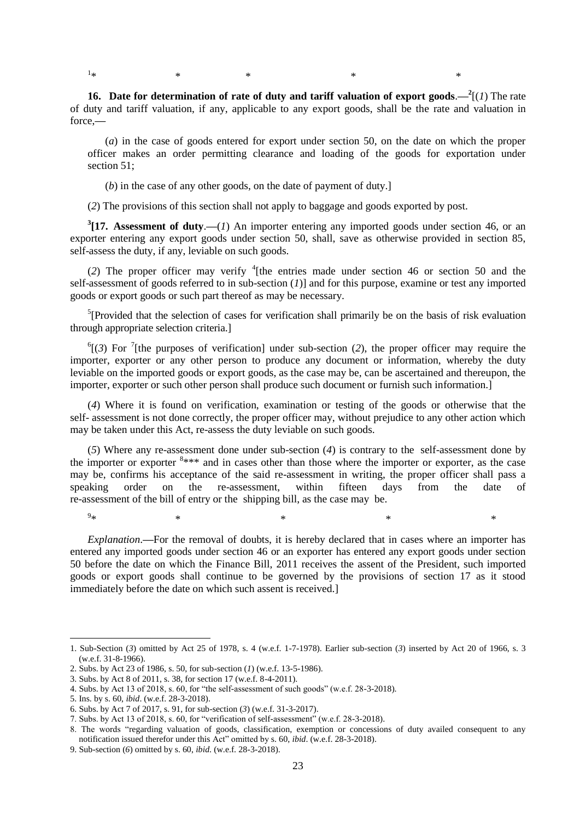$1_{\ast}$  $*$   $*$   $*$   $*$   $*$   $*$ 

force,**—**

**16.** Date for determination of rate of duty and tariff valuation of export goods.  $\frac{2}{1}$  The rate of duty and tariff valuation, if any, applicable to any export goods, shall be the rate and valuation in

(*a*) in the case of goods entered for export under section 50, on the date on which the proper officer makes an order permitting clearance and loading of the goods for exportation under section 51;

(*b*) in the case of any other goods, on the date of payment of duty.]

(*2*) The provisions of this section shall not apply to baggage and goods exported by post.

<sup>3</sup>[17. Assessment of duty.—(*1*) An importer entering any imported goods under section 46, or an exporter entering any export goods under section 50, shall, save as otherwise provided in section 85, self-assess the duty, if any, leviable on such goods.

(2) The proper officer may verify  ${}^{4}$ [the entries made under section 46 or section 50 and the self-assessment of goods referred to in sub-section (*1*)] and for this purpose, examine or test any imported goods or export goods or such part thereof as may be necessary.

<sup>5</sup>[Provided that the selection of cases for verification shall primarily be on the basis of risk evaluation through appropriate selection criteria.]

 ${}^6$ [(3) For <sup>7</sup>[the purposes of verification] under sub-section (2), the proper officer may require the importer, exporter or any other person to produce any document or information, whereby the duty leviable on the imported goods or export goods, as the case may be, can be ascertained and thereupon, the importer, exporter or such other person shall produce such document or furnish such information.]

(*4*) Where it is found on verification, examination or testing of the goods or otherwise that the self- assessment is not done correctly, the proper officer may, without prejudice to any other action which may be taken under this Act, re-assess the duty leviable on such goods.

(*5*) Where any re-assessment done under sub-section (*4*) is contrary to the self-assessment done by the importer or exporter  $8***$  and in cases other than those where the importer or exporter, as the case may be, confirms his acceptance of the said re-assessment in writing, the proper officer shall pass a speaking order on the re-assessment, within fifteen days from the date of re-assessment of the bill of entry or the shipping bill, as the case may be.

 $9_{\text{sk}}$  $*$   $*$   $*$   $*$   $*$   $*$   $*$ 

**.** 

*Explanation*.**—**For the removal of doubts, it is hereby declared that in cases where an importer has entered any imported goods under section 46 or an exporter has entered any export goods under section 50 before the date on which the Finance Bill, 2011 receives the assent of the President, such imported goods or export goods shall continue to be governed by the provisions of section 17 as it stood immediately before the date on which such assent is received.]

<sup>1.</sup> Sub-Section (*3*) omitted by Act 25 of 1978, s. 4 (w.e.f. 1-7-1978). Earlier sub-section (*3*) inserted by Act 20 of 1966, s. 3 (w.e.f. 31-8-1966).

<sup>2.</sup> Subs. by Act 23 of 1986, s. 50, for sub-section (*1*) (w.e.f. 13-5-1986).

<sup>3.</sup> Subs. by Act 8 of 2011, s. 38, for section 17 (w.e.f. 8-4-2011).

<sup>4.</sup> Subs. by Act 13 of 2018, s. 60, for "the self-assessment of such goods" (w.e.f.  $28-3-2018$ ).

<sup>5.</sup> Ins. by s. 60, *ibid*. (w.e.f. 28-3-2018).

<sup>6.</sup> Subs. by Act 7 of 2017, s. 91, for sub-section (*3*) (w.e.f. 31-3-2017).

<sup>7.</sup> Subs. by Act 13 of 2018, s. 60, for "verification of self-assessment" (w.e.f.  $28-3-2018$ ).

<sup>8.</sup> The words "regarding valuation of goods, classification, exemption or concessions of duty availed consequent to any notification issued therefor under this Act" omitted by s. 60, *ibid.* (w.e.f. 28-3-2018).

<sup>9.</sup> Sub-section (*6*) omitted by s. 60, *ibid*. (w.e.f. 28-3-2018).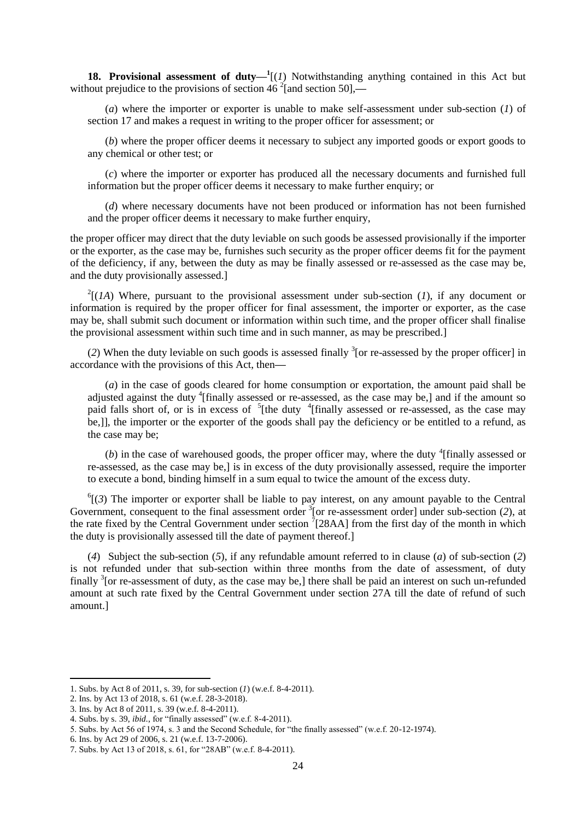**18. Provisional assessment of duty—** $^1$ **[(***1***) Notwithstanding anything contained in this Act but** without prejudice to the provisions of section 46<sup>2</sup> [and section 50],—

(*a*) where the importer or exporter is unable to make self-assessment under sub-section (*1*) of section 17 and makes a request in writing to the proper officer for assessment; or

(*b*) where the proper officer deems it necessary to subject any imported goods or export goods to any chemical or other test; or

(*c*) where the importer or exporter has produced all the necessary documents and furnished full information but the proper officer deems it necessary to make further enquiry; or

(*d*) where necessary documents have not been produced or information has not been furnished and the proper officer deems it necessary to make further enquiry,

the proper officer may direct that the duty leviable on such goods be assessed provisionally if the importer or the exporter, as the case may be, furnishes such security as the proper officer deems fit for the payment of the deficiency, if any, between the duty as may be finally assessed or re-assessed as the case may be, and the duty provisionally assessed.]

 $2[(1A)$  Where, pursuant to the provisional assessment under sub-section (1), if any document or information is required by the proper officer for final assessment, the importer or exporter, as the case may be, shall submit such document or information within such time, and the proper officer shall finalise the provisional assessment within such time and in such manner, as may be prescribed.]

(2) When the duty leviable on such goods is assessed finally  $\frac{3}{2}$  [or re-assessed by the proper officer] in accordance with the provisions of this Act, then**—**

(*a*) in the case of goods cleared for home consumption or exportation, the amount paid shall be adjusted against the duty <sup>4</sup>[finally assessed or re-assessed, as the case may be,] and if the amount so paid falls short of, or is in excess of  $5$ [the duty  $4$ [finally assessed or re-assessed, as the case may be,]], the importer or the exporter of the goods shall pay the deficiency or be entitled to a refund, as the case may be;

 $(b)$  in the case of warehoused goods, the proper officer may, where the duty <sup>4</sup>[finally assessed or re-assessed, as the case may be,] is in excess of the duty provisionally assessed, require the importer to execute a bond, binding himself in a sum equal to twice the amount of the excess duty.

 $^{6}$ [(3) The importer or exporter shall be liable to pay interest, on any amount payable to the Central Government, consequent to the final assessment order  $\frac{3}{3}$  [or re-assessment order] under sub-section (2), at the rate fixed by the Central Government under section  $7$ [28AA] from the first day of the month in which the duty is provisionally assessed till the date of payment thereof.]

(*4*) Subject the sub-section (*5*), if any refundable amount referred to in clause (*a*) of sub-section (*2*) is not refunded under that sub-section within three months from the date of assessment, of duty finally  $3$  [or re-assessment of duty, as the case may be,] there shall be paid an interest on such un-refunded amount at such rate fixed by the Central Government under section 27A till the date of refund of such amount.]

<sup>1.</sup> Subs. by Act 8 of 2011, s. 39, for sub-section (*1*) (w.e.f. 8-4-2011).

<sup>2.</sup> Ins. by Act 13 of 2018, s. 61 (w.e.f. 28-3-2018).

<sup>3.</sup> Ins. by Act 8 of 2011, s. 39 (w.e.f. 8-4-2011).

<sup>4.</sup> Subs. by s. 39, *ibid.*, for "finally assessed" (w.e.f. 8-4-2011).

<sup>5.</sup> Subs. by Act 56 of 1974, s. 3 and the Second Schedule, for "the finally assessed" (w.e.f. 20-12-1974).

<sup>6.</sup> Ins. by Act 29 of 2006, s. 21 (w.e.f. 13-7-2006).

<sup>7.</sup> Subs. by Act 13 of 2018, s. 61, for "28AB" (w.e.f. 8-4-2011).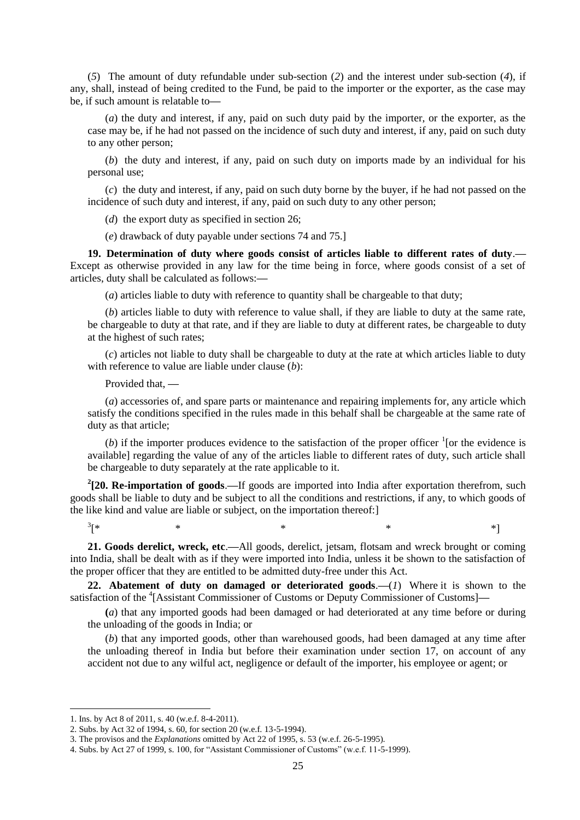(*5*) The amount of duty refundable under sub-section (*2*) and the interest under sub-section (*4*), if any, shall, instead of being credited to the Fund, be paid to the importer or the exporter, as the case may be, if such amount is relatable to**—**

(*a*) the duty and interest, if any, paid on such duty paid by the importer, or the exporter, as the case may be, if he had not passed on the incidence of such duty and interest, if any, paid on such duty to any other person;

(*b*) the duty and interest, if any, paid on such duty on imports made by an individual for his personal use;

(*c*) the duty and interest, if any, paid on such duty borne by the buyer, if he had not passed on the incidence of such duty and interest, if any, paid on such duty to any other person;

(*d*) the export duty as specified in section 26;

(*e*) drawback of duty payable under sections 74 and 75.]

**19. Determination of duty where goods consist of articles liable to different rates of duty**.**—** Except as otherwise provided in any law for the time being in force, where goods consist of a set of articles, duty shall be calculated as follows:**—**

(*a*) articles liable to duty with reference to quantity shall be chargeable to that duty;

(*b*) articles liable to duty with reference to value shall, if they are liable to duty at the same rate, be chargeable to duty at that rate, and if they are liable to duty at different rates, be chargeable to duty at the highest of such rates;

(*c*) articles not liable to duty shall be chargeable to duty at the rate at which articles liable to duty with reference to value are liable under clause (*b*):

Provided that, **—**

(*a*) accessories of, and spare parts or maintenance and repairing implements for, any article which satisfy the conditions specified in the rules made in this behalf shall be chargeable at the same rate of duty as that article;

(b) if the importer produces evidence to the satisfaction of the proper officer  $\frac{1}{1}$  [or the evidence is available] regarding the value of any of the articles liable to different rates of duty, such article shall be chargeable to duty separately at the rate applicable to it.

**2 [20. Re-importation of goods**.**—**If goods are imported into India after exportation therefrom, such goods shall be liable to duty and be subject to all the conditions and restrictions, if any, to which goods of the like kind and value are liable or subject, on the importation thereof:]

 $3$ [\* [\* \* \* \* \*]

**21. Goods derelict, wreck, etc**.**—**All goods, derelict, jetsam, flotsam and wreck brought or coming into India, shall be dealt with as if they were imported into India, unless it be shown to the satisfaction of the proper officer that they are entitled to be admitted duty-free under this Act.

**22. Abatement of duty on damaged or deteriorated goods**.**—**(*1*) Where it is shown to the satisfaction of the <sup>4</sup>[Assistant Commissioner of Customs or Deputy Commissioner of Customs]—

**(***a*) that any imported goods had been damaged or had deteriorated at any time before or during the unloading of the goods in India; or

(*b*) that any imported goods, other than warehoused goods, had been damaged at any time after the unloading thereof in India but before their examination under section 17, on account of any accident not due to any wilful act, negligence or default of the importer, his employee or agent; or

<sup>1.</sup> Ins. by Act 8 of 2011, s. 40 (w.e.f. 8-4-2011).

<sup>2.</sup> Subs. by Act 32 of 1994, s. 60, for section 20 (w.e.f. 13-5-1994).

<sup>3.</sup> The provisos and the *Explanations* omitted by Act 22 of 1995, s. 53 (w.e.f. 26-5-1995).

<sup>4.</sup> Subs. by Act 27 of 1999, s. 100, for "Assistant Commissioner of Customs" (w.e.f. 11-5-1999).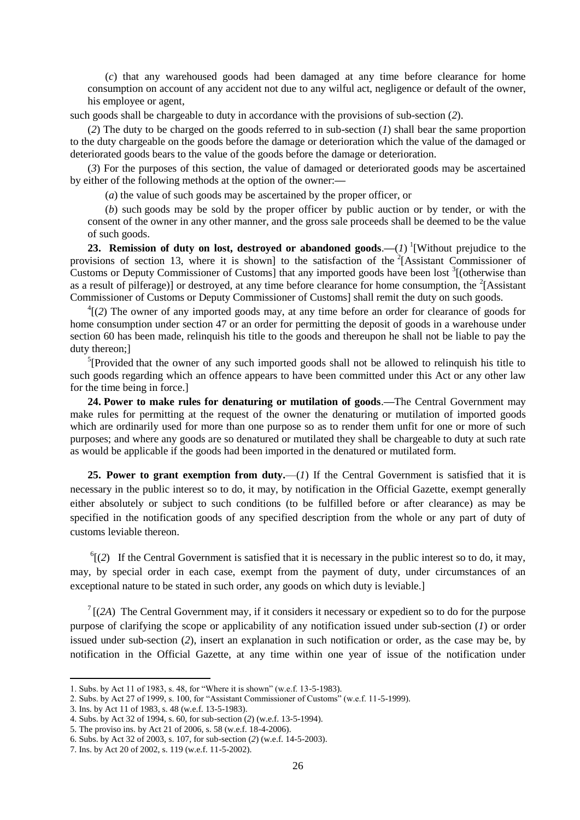(*c*) that any warehoused goods had been damaged at any time before clearance for home consumption on account of any accident not due to any wilful act, negligence or default of the owner, his employee or agent,

such goods shall be chargeable to duty in accordance with the provisions of sub-section (*2*).

(*2*) The duty to be charged on the goods referred to in sub-section (*1*) shall bear the same proportion to the duty chargeable on the goods before the damage or deterioration which the value of the damaged or deteriorated goods bears to the value of the goods before the damage or deterioration.

(*3*) For the purposes of this section, the value of damaged or deteriorated goods may be ascertained by either of the following methods at the option of the owner:**—**

(*a*) the value of such goods may be ascertained by the proper officer, or

(*b*) such goods may be sold by the proper officer by public auction or by tender, or with the consent of the owner in any other manner, and the gross sale proceeds shall be deemed to be the value of such goods.

**23. Remission of duty on lost, destroyed or abandoned goods.—** $(I)$  **<sup>1</sup>[Without prejudice to the** provisions of section 13, where it is shown] to the satisfaction of the  $2$ [Assistant Commissioner of Customs or Deputy Commissioner of Customs] that any imported goods have been lost  $\frac{3}{2}$  (otherwise than as a result of pilferage)] or destroyed, at any time before clearance for home consumption, the  ${}^{2}$ [Assistant Commissioner of Customs or Deputy Commissioner of Customs] shall remit the duty on such goods.

 $^{4}$ [(2) The owner of any imported goods may, at any time before an order for clearance of goods for home consumption under section 47 or an order for permitting the deposit of goods in a warehouse under section 60 has been made, relinquish his title to the goods and thereupon he shall not be liable to pay the duty thereon;]

<sup>5</sup>[Provided that the owner of any such imported goods shall not be allowed to relinquish his title to such goods regarding which an offence appears to have been committed under this Act or any other law for the time being in force.]

**24. Power to make rules for denaturing or mutilation of goods**.**—**The Central Government may make rules for permitting at the request of the owner the denaturing or mutilation of imported goods which are ordinarily used for more than one purpose so as to render them unfit for one or more of such purposes; and where any goods are so denatured or mutilated they shall be chargeable to duty at such rate as would be applicable if the goods had been imported in the denatured or mutilated form.

**25. Power to grant exemption from duty.**—(*1*) If the Central Government is satisfied that it is necessary in the public interest so to do, it may, by notification in the Official Gazette, exempt generally either absolutely or subject to such conditions (to be fulfilled before or after clearance) as may be specified in the notification goods of any specified description from the whole or any part of duty of customs leviable thereon.

 $^{6}$ [(2) If the Central Government is satisfied that it is necessary in the public interest so to do, it may, may, by special order in each case, exempt from the payment of duty, under circumstances of an exceptional nature to be stated in such order, any goods on which duty is leviable.]

 $7$  [(2A) The Central Government may, if it considers it necessary or expedient so to do for the purpose purpose of clarifying the scope or applicability of any notification issued under sub-section (*1*) or order issued under sub-section (*2*), insert an explanation in such notification or order, as the case may be, by notification in the Official Gazette, at any time within one year of issue of the notification under

<sup>1.</sup> Subs. by Act 11 of 1983, s. 48, for "Where it is shown" (w.e.f. 13-5-1983).

<sup>2.</sup> Subs. by Act 27 of 1999, s. 100, for "Assistant Commissioner of Customs" (w.e.f. 11-5-1999).

<sup>3.</sup> Ins. by Act 11 of 1983, s. 48 (w.e.f. 13-5-1983).

<sup>4.</sup> Subs. by Act 32 of 1994, s. 60, for sub-section (*2*) (w.e.f. 13-5-1994).

<sup>5.</sup> The proviso ins. by Act 21 of 2006, s. 58 (w.e.f. 18-4-2006).

<sup>6.</sup> Subs. by Act 32 of 2003, s. 107, for sub-section (*2*) (w.e.f. 14-5-2003).

<sup>7.</sup> Ins. by Act 20 of 2002, s. 119 (w.e.f. 11-5-2002).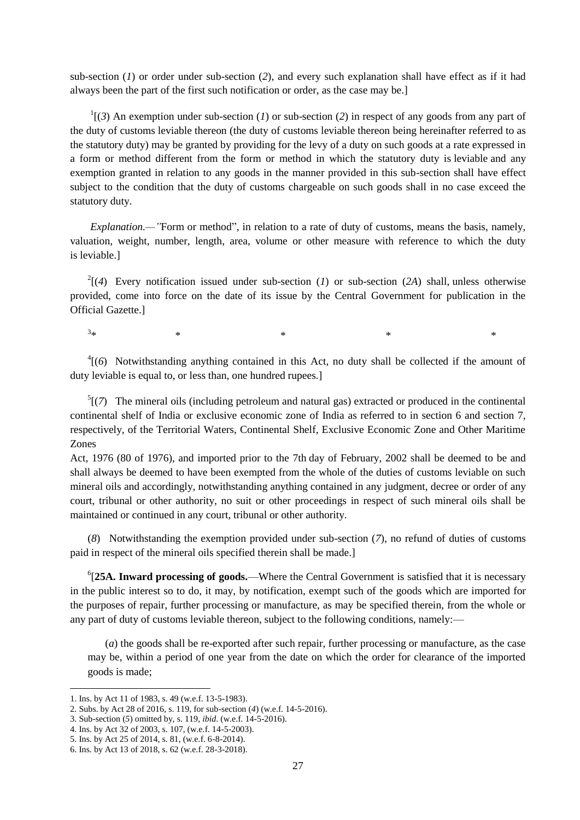sub-section (*1*) or order under sub-section (*2*), and every such explanation shall have effect as if it had always been the part of the first such notification or order, as the case may be.]

 $\binom{1}{3}$  An exemption under sub-section (*1*) or sub-section (*2*) in respect of any goods from any part of the duty of customs leviable thereon (the duty of customs leviable thereon being hereinafter referred to as the statutory duty) may be granted by providing for the levy of a duty on such goods at a rate expressed in a form or method different from the form or method in which the statutory duty is leviable and any exemption granted in relation to any goods in the manner provided in this sub-section shall have effect subject to the condition that the duty of customs chargeable on such goods shall in no case exceed the statutory duty.

*Explanation.—"Form or method"*, in relation to a rate of duty of customs, means the basis, namely, valuation, weight, number, length, area, volume or other measure with reference to which the duty is leviable.]

 $2(4)$  Every notification issued under sub-section (*1*) or sub-section (*2A*) shall, unless otherwise provided, come into force on the date of its issue by the Central Government for publication in the Official Gazette.]

 $3*$  $*$   $*$   $*$   $*$   $*$   $*$ 

 ${}^{4}$ [(6) Notwithstanding anything contained in this Act, no duty shall be collected if the amount of duty leviable is equal to, or less than, one hundred rupees.]

 ${}^5$ [(7) The mineral oils (including petroleum and natural gas) extracted or produced in the continental continental shelf of India or exclusive economic zone of India as referred to in section 6 and section 7, respectively, of the Territorial Waters, Continental Shelf, Exclusive Economic Zone and Other Maritime Zones

Act, 1976 (80 of 1976), and imported prior to the 7th day of February, 2002 shall be deemed to be and shall always be deemed to have been exempted from the whole of the duties of customs leviable on such mineral oils and accordingly, notwithstanding anything contained in any judgment, decree or order of any court, tribunal or other authority, no suit or other proceedings in respect of such mineral oils shall be maintained or continued in any court, tribunal or other authority.

(*8*) Notwithstanding the exemption provided under sub-section (*7*), no refund of duties of customs paid in respect of the mineral oils specified therein shall be made.]

6 [**25A. Inward processing of goods.**—Where the Central Government is satisfied that it is necessary in the public interest so to do, it may, by notification, exempt such of the goods which are imported for the purposes of repair, further processing or manufacture, as may be specified therein, from the whole or any part of duty of customs leviable thereon, subject to the following conditions, namely:—

(*a*) the goods shall be re-exported after such repair, further processing or manufacture, as the case may be, within a period of one year from the date on which the order for clearance of the imported goods is made;

<sup>1.</sup> Ins. by Act 11 of 1983, s. 49 (w.e.f. 13-5-1983).

<sup>2.</sup> Subs. by Act 28 of 2016, s. 119, for sub-section (*4*) (w.e.f. 14-5-2016).

<sup>3.</sup> Sub-section (*5*) omitted by, s. 119, *ibid*. (w.e.f. 14-5-2016).

<sup>4.</sup> Ins. by Act 32 of 2003, s. 107, (w.e.f. 14-5-2003).

<sup>5.</sup> Ins. by Act 25 of 2014, s. 81, (w.e.f. 6-8-2014).

<sup>6.</sup> Ins. by Act 13 of 2018, s. 62 (w.e.f. 28-3-2018).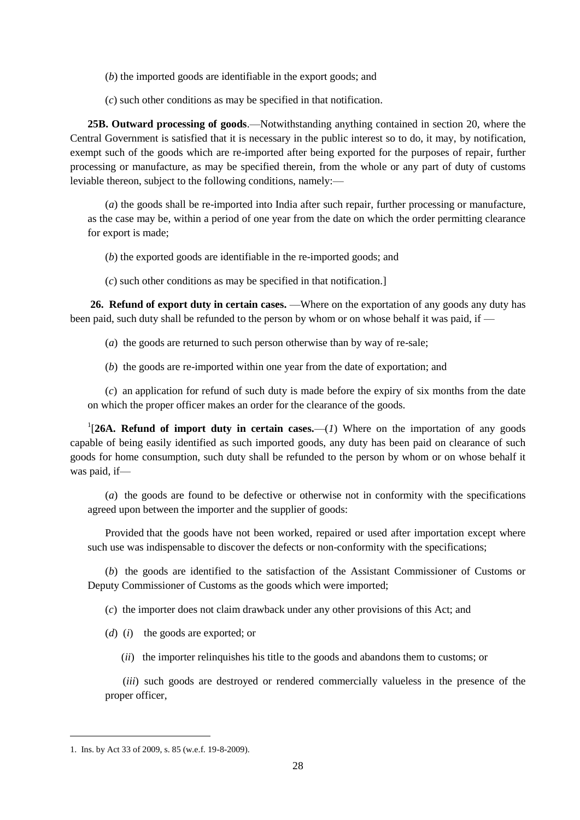(*b*) the imported goods are identifiable in the export goods; and

(*c*) such other conditions as may be specified in that notification.

**25B. Outward processing of goods**.—Notwithstanding anything contained in section 20, where the Central Government is satisfied that it is necessary in the public interest so to do, it may, by notification, exempt such of the goods which are re-imported after being exported for the purposes of repair, further processing or manufacture, as may be specified therein, from the whole or any part of duty of customs leviable thereon, subject to the following conditions, namely:—

(*a*) the goods shall be re-imported into India after such repair, further processing or manufacture, as the case may be, within a period of one year from the date on which the order permitting clearance for export is made;

(*b*) the exported goods are identifiable in the re-imported goods; and

(*c*) such other conditions as may be specified in that notification.]

**26. Refund of export duty in certain cases.** —Where on the exportation of any goods any duty has been paid, such duty shall be refunded to the person by whom or on whose behalf it was paid, if —

(*a*) the goods are returned to such person otherwise than by way of re-sale;

(*b*) the goods are re-imported within one year from the date of exportation; and

(*c*) an application for refund of such duty is made before the expiry of six months from the date on which the proper officer makes an order for the clearance of the goods.

<sup>1</sup>[26A. Refund of import duty in certain cases.—(*1*) Where on the importation of any goods capable of being easily identified as such imported goods, any duty has been paid on clearance of such goods for home consumption, such duty shall be refunded to the person by whom or on whose behalf it was paid, if—

(*a*) the goods are found to be defective or otherwise not in conformity with the specifications agreed upon between the importer and the supplier of goods:

Provided that the goods have not been worked, repaired or used after importation except where such use was indispensable to discover the defects or non-conformity with the specifications;

(*b*) the goods are identified to the satisfaction of the Assistant Commissioner of Customs or Deputy Commissioner of Customs as the goods which were imported;

(*c*) the importer does not claim drawback under any other provisions of this Act; and

(*d*) (*i*) the goods are exported; or

(*ii*) the importer relinquishes his title to the goods and abandons them to customs; or

(*iii*) such goods are destroyed or rendered commercially valueless in the presence of the proper officer,

<sup>1.</sup> Ins. by Act 33 of 2009, s. 85 (w.e.f. 19-8-2009).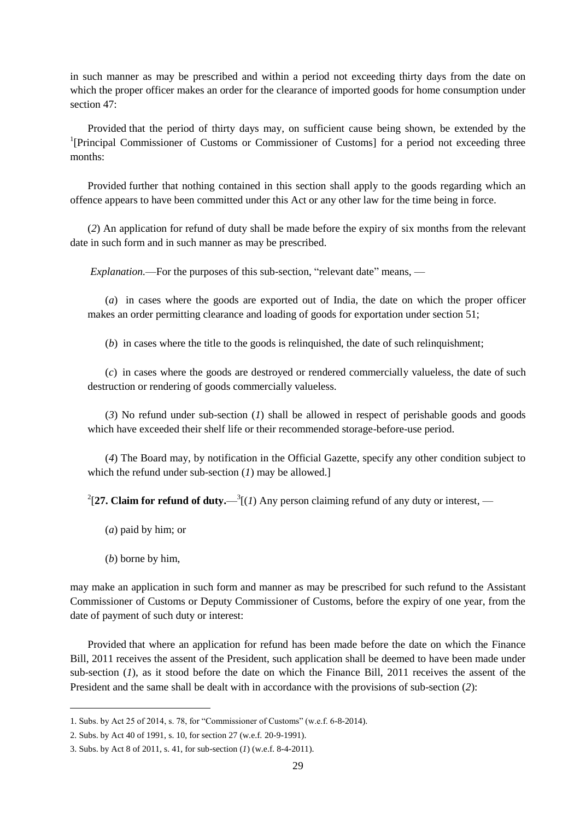in such manner as may be prescribed and within a period not exceeding thirty days from the date on which the proper officer makes an order for the clearance of imported goods for home consumption under section 47.

Provided that the period of thirty days may, on sufficient cause being shown, be extended by the <sup>1</sup>[Principal Commissioner of Customs or Commissioner of Customs] for a period not exceeding three months:

Provided further that nothing contained in this section shall apply to the goods regarding which an offence appears to have been committed under this Act or any other law for the time being in force.

(*2*) An application for refund of duty shall be made before the expiry of six months from the relevant date in such form and in such manner as may be prescribed.

*Explanation.*—For the purposes of this sub-section, "relevant date" means, —

(*a*) in cases where the goods are exported out of India, the date on which the proper officer makes an order permitting clearance and loading of goods for exportation under section 51;

(*b*) in cases where the title to the goods is relinquished, the date of such relinquishment;

(*c*) in cases where the goods are destroyed or rendered commercially valueless, the date of such destruction or rendering of goods commercially valueless.

(*3*) No refund under sub-section (*1*) shall be allowed in respect of perishable goods and goods which have exceeded their shelf life or their recommended storage-before-use period.

(*4*) The Board may, by notification in the Official Gazette, specify any other condition subject to which the refund under sub-section (*1*) may be allowed.]

<sup>2</sup>[27. Claim for refund of duty.— $^{3}$ [(*1*) Any person claiming refund of any duty or interest, —

- (*a*) paid by him; or
- (*b*) borne by him,

1

may make an application in such form and manner as may be prescribed for such refund to the Assistant Commissioner of Customs or Deputy Commissioner of Customs, before the expiry of one year, from the date of payment of such duty or interest:

Provided that where an application for refund has been made before the date on which the Finance Bill, 2011 receives the assent of the President, such application shall be deemed to have been made under sub-section (*1*), as it stood before the date on which the Finance Bill, 2011 receives the assent of the President and the same shall be dealt with in accordance with the provisions of sub-section (*2*):

<sup>1.</sup> Subs. by Act  $25$  of  $2014$ , s. 78, for "Commissioner of Customs" (w.e.f. 6-8-2014).

<sup>2.</sup> Subs. by Act 40 of 1991, s. 10, for section 27 (w.e.f. 20-9-1991).

<sup>3.</sup> Subs. by Act 8 of 2011, s. 41, for sub-section (*1*) (w.e.f. 8-4-2011).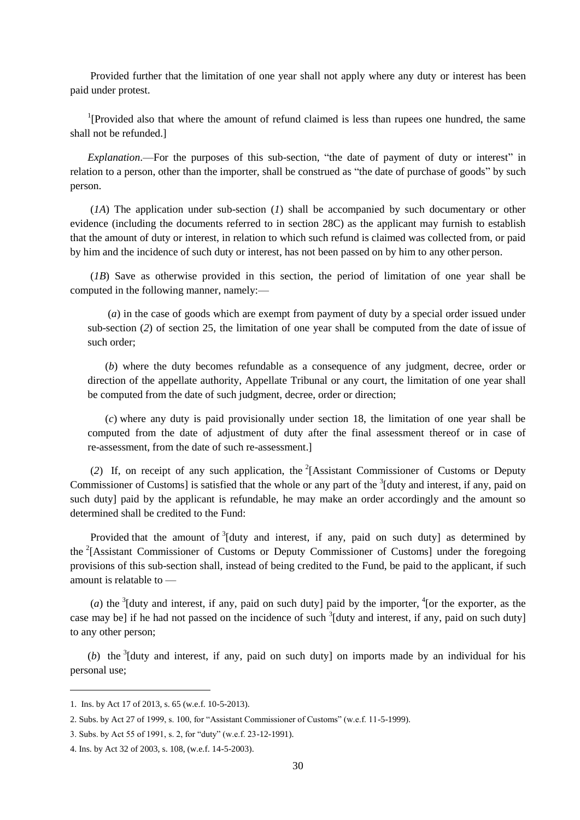Provided further that the limitation of one year shall not apply where any duty or interest has been paid under protest.

<sup>1</sup>[Provided also that where the amount of refund claimed is less than rupees one hundred, the same shall not be refunded.]

*Explanation*.—For the purposes of this sub-section, "the date of payment of duty or interest" in relation to a person, other than the importer, shall be construed as "the date of purchase of goods" by such person.

(*1A*) The application under sub-section (*1*) shall be accompanied by such documentary or other evidence (including the documents referred to in section 28C) as the applicant may furnish to establish that the amount of duty or interest, in relation to which such refund is claimed was collected from, or paid by him and the incidence of such duty or interest, has not been passed on by him to any other person.

(*1B*) Save as otherwise provided in this section, the period of limitation of one year shall be computed in the following manner, namely:—

(*a*) in the case of goods which are exempt from payment of duty by a special order issued under sub-section (*2*) of section 25, the limitation of one year shall be computed from the date of issue of such order;

(*b*) where the duty becomes refundable as a consequence of any judgment, decree, order or direction of the appellate authority, Appellate Tribunal or any court, the limitation of one year shall be computed from the date of such judgment, decree, order or direction;

(*c*) where any duty is paid provisionally under section 18, the limitation of one year shall be computed from the date of adjustment of duty after the final assessment thereof or in case of re-assessment, from the date of such re-assessment.]

(*2*) If, on receipt of any such application, the <sup>2</sup> [Assistant Commissioner of Customs or Deputy Commissioner of Customs] is satisfied that the whole or any part of the  $3$ [duty and interest, if any, paid on such duty] paid by the applicant is refundable, he may make an order accordingly and the amount so determined shall be credited to the Fund:

Provided that the amount of  $3$ [duty and interest, if any, paid on such duty] as determined by the <sup>2</sup>[Assistant Commissioner of Customs or Deputy Commissioner of Customs] under the foregoing provisions of this sub-section shall, instead of being credited to the Fund, be paid to the applicant, if such amount is relatable to —

(*a*) the  $3$ [duty and interest, if any, paid on such duty] paid by the importer,  $4$ [or the exporter, as the case may be] if he had not passed on the incidence of such  $3$ [duty and interest, if any, paid on such duty] to any other person;

(b) the  $3$ [duty and interest, if any, paid on such duty] on imports made by an individual for his personal use;

 $\overline{a}$ 

<sup>1.</sup> Ins. by Act 17 of 2013, s. 65 (w.e.f. 10-5-2013).

<sup>2.</sup> Subs. by Act 27 of 1999, s. 100, for "Assistant Commissioner of Customs" (w.e.f. 11-5-1999).

<sup>3.</sup> Subs. by Act 55 of 1991, s. 2, for "duty" (w.e.f. 23-12-1991).

<sup>4.</sup> Ins. by Act 32 of 2003, s. 108, (w.e.f. 14-5-2003).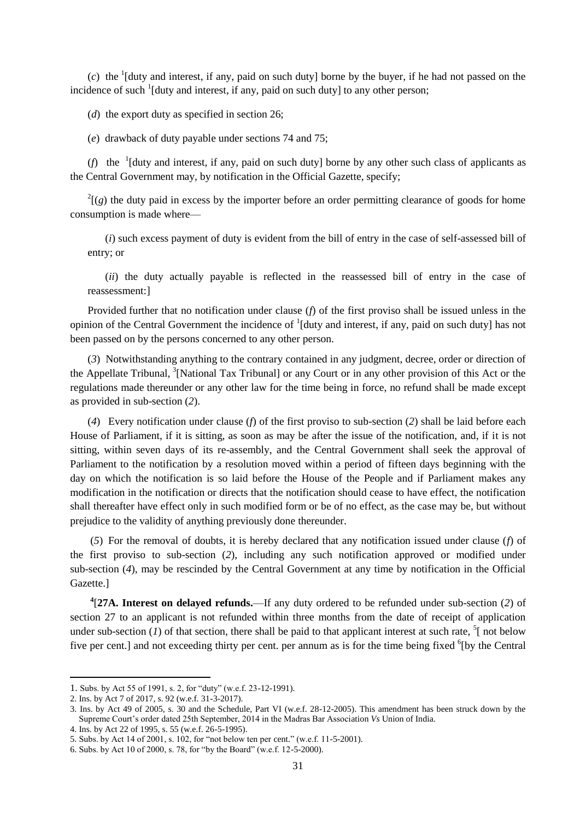$(c)$  the <sup>1</sup>[duty and interest, if any, paid on such duty] borne by the buyer, if he had not passed on the incidence of such <sup>1</sup>[duty and interest, if any, paid on such duty] to any other person;

(*d*) the export duty as specified in section 26:

(*e*) drawback of duty payable under sections 74 and 75;

( $f$ ) the <sup>1</sup>[duty and interest, if any, paid on such duty] borne by any other such class of applicants as the Central Government may, by notification in the Official Gazette, specify;

 $2^{2}$ [(g) the duty paid in excess by the importer before an order permitting clearance of goods for home consumption is made where—

(*i*) such excess payment of duty is evident from the bill of entry in the case of self-assessed bill of entry; or

(*ii*) the duty actually payable is reflected in the reassessed bill of entry in the case of reassessment:]

Provided further that no notification under clause (*f*) of the first proviso shall be issued unless in the opinion of the Central Government the incidence of <sup>1</sup>[duty and interest, if any, paid on such duty] has not been passed on by the persons concerned to any other person.

(*3*) Notwithstanding anything to the contrary contained in any judgment, decree, order or direction of the Appellate Tribunal, <sup>3</sup>[National Tax Tribunal] or any Court or in any other provision of this Act or the regulations made thereunder or any other law for the time being in force, no refund shall be made except as provided in sub-section (*2*).

(*4*) Every notification under clause (*f*) of the first proviso to sub-section (*2*) shall be laid before each House of Parliament, if it is sitting, as soon as may be after the issue of the notification, and, if it is not sitting, within seven days of its re-assembly, and the Central Government shall seek the approval of Parliament to the notification by a resolution moved within a period of fifteen days beginning with the day on which the notification is so laid before the House of the People and if Parliament makes any modification in the notification or directs that the notification should cease to have effect, the notification shall thereafter have effect only in such modified form or be of no effect, as the case may be, but without prejudice to the validity of anything previously done thereunder.

(*5*) For the removal of doubts, it is hereby declared that any notification issued under clause (*f*) of the first proviso to sub-section (*2*), including any such notification approved or modified under sub-section (*4*), may be rescinded by the Central Government at any time by notification in the Official Gazette.]

**4** [**27A. Interest on delayed refunds.**—If any duty ordered to be refunded under sub-section (*2*) of section 27 to an applicant is not refunded within three months from the date of receipt of application under sub-section (*1*) of that section, there shall be paid to that applicant interest at such rate,  $\frac{5}{1}$  not below five per cent.] and not exceeding thirty per cent. per annum as is for the time being fixed <sup>6</sup>[by the Central

<sup>1.</sup> Subs. by Act 55 of 1991, s. 2, for "duty" (w.e.f. 23-12-1991).

<sup>2.</sup> Ins. by Act 7 of 2017, s. 92 (w.e.f. 31-3-2017).

<sup>3.</sup> Ins. by Act 49 of 2005, s. 30 and the Schedule, Part VI (w.e.f. 28-12-2005). This amendment has been struck down by the Supreme Court's order dated 25th September, 2014 in the Madras Bar Association *Vs* Union of India.

<sup>4.</sup> Ins. by Act 22 of 1995, s. 55 (w.e.f. 26-5-1995).

<sup>5.</sup> Subs. by Act 14 of 2001, s. 102, for "not below ten per cent." (w.e.f. 11-5-2001).

<sup>6.</sup> Subs. by Act 10 of 2000, s. 78, for "by the Board" (w.e.f. 12-5-2000).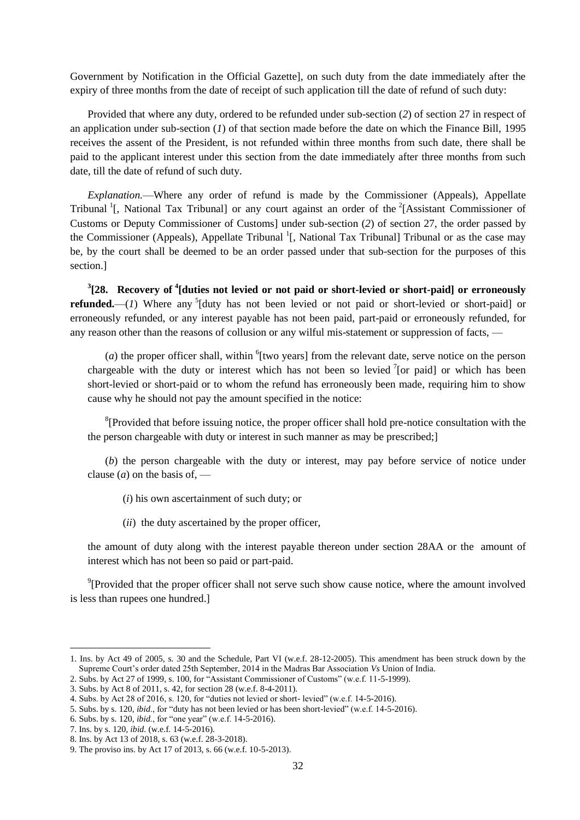Government by Notification in the Official Gazette], on such duty from the date immediately after the expiry of three months from the date of receipt of such application till the date of refund of such duty:

Provided that where any duty, ordered to be refunded under sub-section (*2*) of section 27 in respect of an application under sub-section (*1*) of that section made before the date on which the Finance Bill, 1995 receives the assent of the President, is not refunded within three months from such date, there shall be paid to the applicant interest under this section from the date immediately after three months from such date, till the date of refund of such duty.

*Explanation.*—Where any order of refund is made by the Commissioner (Appeals), Appellate Tribunal<sup>1</sup>[, National Tax Tribunal] or any court against an order of the <sup>2</sup>[Assistant Commissioner of Customs or Deputy Commissioner of Customs] under sub-section (*2*) of section 27, the order passed by the Commissioner (Appeals), Appellate Tribunal <sup>1</sup>[, National Tax Tribunal] Tribunal or as the case may be, by the court shall be deemed to be an order passed under that sub-section for the purposes of this section.]

**3 [28. Recovery of <sup>4</sup> [duties not levied or not paid or short-levied or short-paid] or erroneously refunded.**—(*1*) Where any <sup>5</sup>[duty has not been levied or not paid or short-levied or short-paid] or erroneously refunded, or any interest payable has not been paid, part-paid or erroneously refunded, for any reason other than the reasons of collusion or any wilful mis-statement or suppression of facts, —

 $(a)$  the proper officer shall, within  $^{6}$ [two years] from the relevant date, serve notice on the person chargeable with the duty or interest which has not been so levied  $\ell$  [or paid] or which has been short-levied or short-paid or to whom the refund has erroneously been made, requiring him to show cause why he should not pay the amount specified in the notice:

<sup>8</sup>[Provided that before issuing notice, the proper officer shall hold pre-notice consultation with the the person chargeable with duty or interest in such manner as may be prescribed;]

(*b*) the person chargeable with the duty or interest, may pay before service of notice under clause  $(a)$  on the basis of, —

(*i*) his own ascertainment of such duty; or

(*ii*) the duty ascertained by the proper officer,

the amount of duty along with the interest payable thereon under section 28AA or the amount of interest which has not been so paid or part-paid.

 $\rm{P}$ [Provided that the proper officer shall not serve such show cause notice, where the amount involved is less than rupees one hundred.]

- 6. Subs. by s. 120, *ibid.*, for "one year" (w.e.f. 14-5-2016).
- 7. Ins. by s. 120, *ibid*. (w.e.f. 14-5-2016).

<sup>1.</sup> Ins. by Act 49 of 2005, s. 30 and the Schedule, Part VI (w.e.f. 28-12-2005). This amendment has been struck down by the Supreme Court's order dated 25th September, 2014 in the Madras Bar Association *Vs* Union of India.

<sup>2.</sup> Subs. by Act 27 of 1999, s. 100, for "Assistant Commissioner of Customs" (w.e.f. 11-5-1999).

<sup>3.</sup> Subs. by Act 8 of 2011, s. 42, for section 28 (w.e.f. 8-4-2011).

<sup>4.</sup> Subs. by Act 28 of 2016, s. 120, for "duties not levied or short- levied" (w.e.f.  $14-5-2016$ ).

<sup>5.</sup> Subs. by s. 120, *ibid.*, for "duty has not been levied or has been short-levied" (w.e.f. 14-5-2016).

<sup>8.</sup> Ins. by Act 13 of 2018, s. 63 (w.e.f. 28-3-2018).

<sup>9.</sup> The proviso ins. by Act 17 of 2013, s. 66 (w.e.f. 10-5-2013).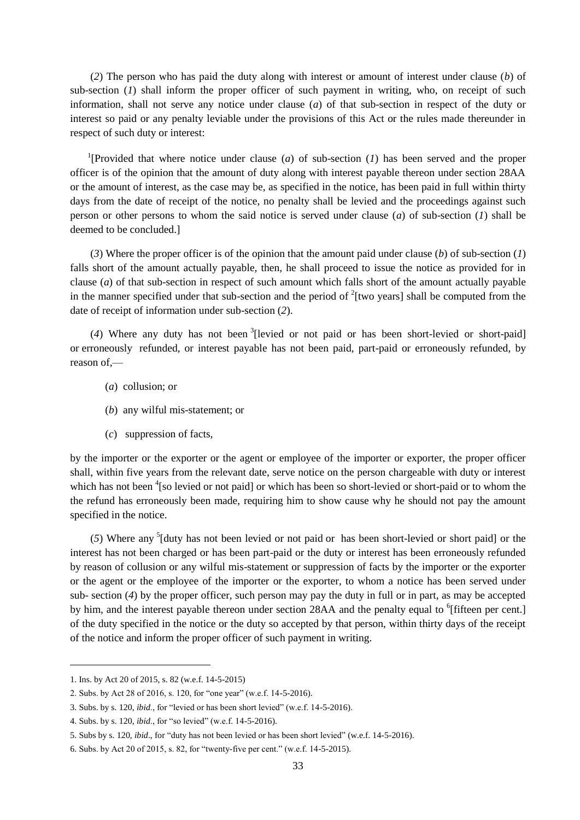(*2*) The person who has paid the duty along with interest or amount of interest under clause (*b*) of sub-section (*1*) shall inform the proper officer of such payment in writing, who, on receipt of such information, shall not serve any notice under clause (*a*) of that sub-section in respect of the duty or interest so paid or any penalty leviable under the provisions of this Act or the rules made thereunder in respect of such duty or interest:

<sup>1</sup>[Provided that where notice under clause (*a*) of sub-section (*1*) has been served and the proper officer is of the opinion that the amount of duty along with interest payable thereon under section 28AA or the amount of interest, as the case may be, as specified in the notice, has been paid in full within thirty days from the date of receipt of the notice, no penalty shall be levied and the proceedings against such person or other persons to whom the said notice is served under clause (*a*) of sub-section (*1*) shall be deemed to be concluded.]

(*3*) Where the proper officer is of the opinion that the amount paid under clause (*b*) of sub-section (*1*) falls short of the amount actually payable, then, he shall proceed to issue the notice as provided for in clause (*a*) of that sub-section in respect of such amount which falls short of the amount actually payable in the manner specified under that sub-section and the period of  $2$ [two years] shall be computed from the date of receipt of information under sub-section (*2*).

(*4*) Where any duty has not been <sup>3</sup> [levied or not paid or has been short-levied or short-paid] or erroneously refunded, or interest payable has not been paid, part-paid or erroneously refunded, by reason of —

- (*a*) collusion; or
- (*b*) any wilful mis-statement; or
- (*c*) suppression of facts,

by the importer or the exporter or the agent or employee of the importer or exporter, the proper officer shall, within five years from the relevant date, serve notice on the person chargeable with duty or interest which has not been <sup>4</sup>[so levied or not paid] or which has been so short-levied or short-paid or to whom the the refund has erroneously been made, requiring him to show cause why he should not pay the amount specified in the notice.

(*5*) Where any <sup>5</sup> [duty has not been levied or not paid or has been short-levied or short paid] or the interest has not been charged or has been part-paid or the duty or interest has been erroneously refunded by reason of collusion or any wilful mis-statement or suppression of facts by the importer or the exporter or the agent or the employee of the importer or the exporter, to whom a notice has been served under sub- section (*4*) by the proper officer, such person may pay the duty in full or in part, as may be accepted by him, and the interest payable thereon under section 28AA and the penalty equal to <sup>6</sup>[fifteen per cent.] of the duty specified in the notice or the duty so accepted by that person, within thirty days of the receipt of the notice and inform the proper officer of such payment in writing.

<sup>1.</sup> Ins. by Act 20 of 2015, s. 82 (w.e.f. 14-5-2015)

<sup>2.</sup> Subs. by Act 28 of 2016, s. 120, for "one year" (w.e.f. 14-5-2016).

<sup>3.</sup> Subs. by s. 120, *ibid.*, for "levied or has been short levied" (w.e.f. 14-5-2016).

<sup>4.</sup> Subs. by s. 120, *ibid.*, for "so levied" (w.e.f. 14-5-2016).

<sup>5.</sup> Subs by s. 120, *ibid.*, for "duty has not been levied or has been short levied" (w.e.f. 14-5-2016).

<sup>6.</sup> Subs. by Act 20 of 2015, s. 82, for "twenty-five per cent." (w.e.f.  $14-5-2015$ ).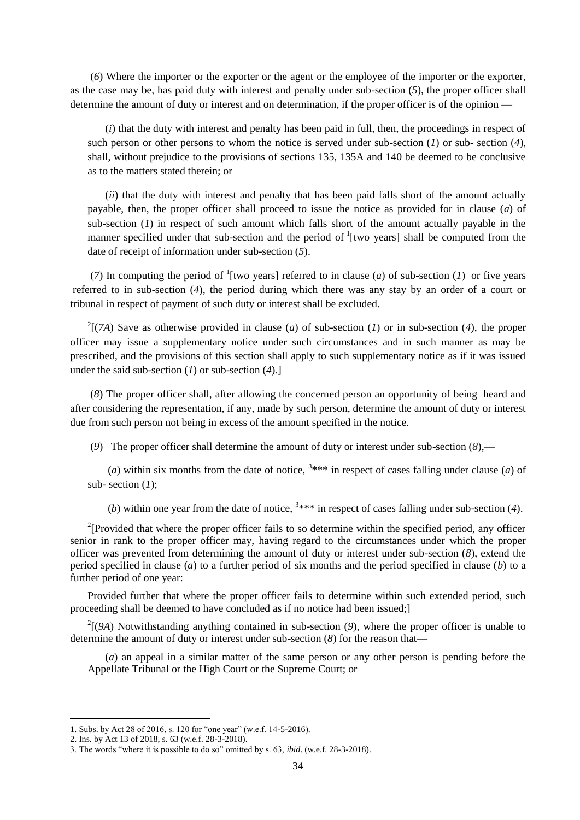(*6*) Where the importer or the exporter or the agent or the employee of the importer or the exporter, as the case may be, has paid duty with interest and penalty under sub-section (*5*), the proper officer shall determine the amount of duty or interest and on determination, if the proper officer is of the opinion —

(*i*) that the duty with interest and penalty has been paid in full, then, the proceedings in respect of such person or other persons to whom the notice is served under sub-section (*1*) or sub- section (*4*), shall, without prejudice to the provisions of sections 135, 135A and 140 be deemed to be conclusive as to the matters stated therein; or

(*ii*) that the duty with interest and penalty that has been paid falls short of the amount actually payable, then, the proper officer shall proceed to issue the notice as provided for in clause (*a*) of sub-section (*1*) in respect of such amount which falls short of the amount actually payable in the manner specified under that sub-section and the period of  $\frac{1}{1}$  [two years] shall be computed from the date of receipt of information under sub-section (*5*).

(7) In computing the period of <sup>1</sup>[two years] referred to in clause (*a*) of sub-section (*1*) or five years referred to in sub-section (*4*), the period during which there was any stay by an order of a court or tribunal in respect of payment of such duty or interest shall be excluded.

 $2[(7A)$  Save as otherwise provided in clause (*a*) of sub-section (*1*) or in sub-section (*4*), the proper officer may issue a supplementary notice under such circumstances and in such manner as may be prescribed, and the provisions of this section shall apply to such supplementary notice as if it was issued under the said sub-section (*1*) or sub-section (*4*).]

(*8*) The proper officer shall, after allowing the concerned person an opportunity of being heard and after considering the representation, if any, made by such person, determine the amount of duty or interest due from such person not being in excess of the amount specified in the notice.

(*9*) The proper officer shall determine the amount of duty or interest under sub-section (*8*),—

(*a*) within six months from the date of notice,  $3***$  in respect of cases falling under clause (*a*) of sub- section (*1*);

(*b*) within one year from the date of notice,  $3***$  in respect of cases falling under sub-section (4).

<sup>2</sup>[Provided that where the proper officer fails to so determine within the specified period, any officer senior in rank to the proper officer may, having regard to the circumstances under which the proper officer was prevented from determining the amount of duty or interest under sub-section (*8*), extend the period specified in clause (*a*) to a further period of six months and the period specified in clause (*b*) to a further period of one year:

Provided further that where the proper officer fails to determine within such extended period, such proceeding shall be deemed to have concluded as if no notice had been issued;]

2 [(*9A*) Notwithstanding anything contained in sub-section (*9*), where the proper officer is unable to determine the amount of duty or interest under sub-section (*8*) for the reason that—

(*a*) an appeal in a similar matter of the same person or any other person is pending before the Appellate Tribunal or the High Court or the Supreme Court; or

<sup>1.</sup> Subs. by Act 28 of 2016, s. 120 for "one year" (w.e.f. 14-5-2016).

<sup>2.</sup> Ins. by Act 13 of 2018, s. 63 (w.e.f. 28-3-2018).

<sup>3.</sup> The words "where it is possible to do so" omitted by s. 63, *ibid.* (w.e.f. 28-3-2018).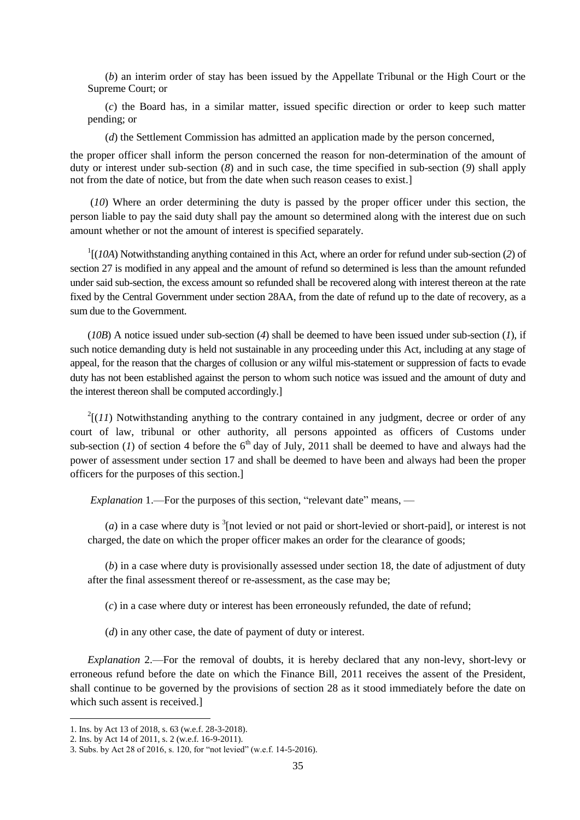(*b*) an interim order of stay has been issued by the Appellate Tribunal or the High Court or the Supreme Court; or

(*c*) the Board has, in a similar matter, issued specific direction or order to keep such matter pending; or

(*d*) the Settlement Commission has admitted an application made by the person concerned,

the proper officer shall inform the person concerned the reason for non-determination of the amount of duty or interest under sub-section (*8*) and in such case, the time specified in sub-section (*9*) shall apply not from the date of notice, but from the date when such reason ceases to exist.]

(*10*) Where an order determining the duty is passed by the proper officer under this section, the person liable to pay the said duty shall pay the amount so determined along with the interest due on such amount whether or not the amount of interest is specified separately.

1 [(*10A*) Notwithstanding anything contained in this Act, where an order for refund under sub-section (*2*) of section 27 is modified in any appeal and the amount of refund so determined is less than the amount refunded under said sub-section, the excess amount so refunded shall be recovered along with interest thereon at the rate fixed by the Central Government under section 28AA, from the date of refund up to the date of recovery, as a sum due to the Government.

(*10B*) A notice issued under sub-section (*4*) shall be deemed to have been issued under sub-section (*1*), if such notice demanding duty is held not sustainable in any proceeding under this Act, including at any stage of appeal, for the reason that the charges of collusion or any wilful mis-statement or suppression of facts to evade duty has not been established against the person to whom such notice was issued and the amount of duty and the interest thereon shall be computed accordingly.]

 $2[(11)$  Notwithstanding anything to the contrary contained in any judgment, decree or order of any court of law, tribunal or other authority, all persons appointed as officers of Customs under sub-section (*1*) of section 4 before the  $6<sup>th</sup>$  day of July, 2011 shall be deemed to have and always had the power of assessment under section 17 and shall be deemed to have been and always had been the proper officers for the purposes of this section.]

*Explanation 1.*—For the purposes of this section, "relevant date" means, —

 $(a)$  in a case where duty is  $\frac{3}{2}$  [not levied or not paid or short-levied or short-paid], or interest is not charged, the date on which the proper officer makes an order for the clearance of goods;

(*b*) in a case where duty is provisionally assessed under section 18, the date of adjustment of duty after the final assessment thereof or re-assessment, as the case may be;

(*c*) in a case where duty or interest has been erroneously refunded, the date of refund;

(*d*) in any other case, the date of payment of duty or interest.

*Explanation* 2.—For the removal of doubts, it is hereby declared that any non-levy, short-levy or erroneous refund before the date on which the Finance Bill, 2011 receives the assent of the President, shall continue to be governed by the provisions of section 28 as it stood immediately before the date on which such assent is received.

<sup>1.</sup> Ins. by Act 13 of 2018, s. 63 (w.e.f. 28-3-2018).

<sup>2.</sup> Ins. by Act 14 of 2011, s. 2 (w.e.f. 16-9-2011).

<sup>3.</sup> Subs. by Act 28 of 2016, s. 120, for "not levied" (w.e.f. 14-5-2016).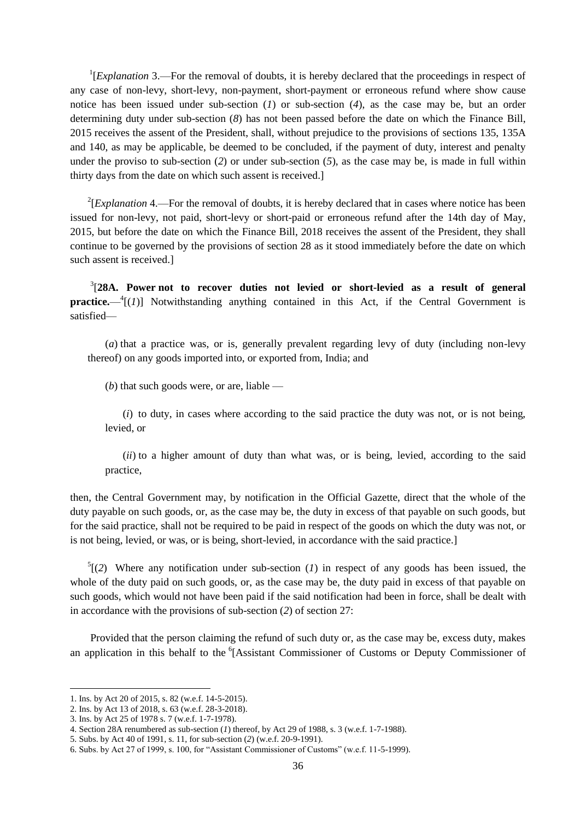<sup>1</sup>[*Explanation* 3.—For the removal of doubts, it is hereby declared that the proceedings in respect of any case of non-levy, short-levy, non-payment, short-payment or erroneous refund where show cause notice has been issued under sub-section (*1*) or sub-section (*4*), as the case may be, but an order determining duty under sub-section (*8*) has not been passed before the date on which the Finance Bill, 2015 receives the assent of the President, shall, without prejudice to the provisions of sections 135, 135A and 140, as may be applicable, be deemed to be concluded, if the payment of duty, interest and penalty under the proviso to sub-section (*2*) or under sub-section (*5*), as the case may be, is made in full within thirty days from the date on which such assent is received.]

 $2$ [*Explanation* 4.—For the removal of doubts, it is hereby declared that in cases where notice has been issued for non-levy, not paid, short-levy or short-paid or erroneous refund after the 14th day of May, 2015, but before the date on which the Finance Bill, 2018 receives the assent of the President, they shall continue to be governed by the provisions of section 28 as it stood immediately before the date on which such assent is received.]

3 [**28A. Power not to recover duties not levied or short-levied as a result of general practice.**— $^{4}$ [(*1*)] Notwithstanding anything contained in this Act, if the Central Government is satisfied—

(*a*) that a practice was, or is, generally prevalent regarding levy of duty (including non-levy thereof) on any goods imported into, or exported from, India; and

(*b*) that such goods were, or are, liable —

(*i*) to duty, in cases where according to the said practice the duty was not, or is not being, levied, or

(*ii*) to a higher amount of duty than what was, or is being, levied, according to the said practice,

then, the Central Government may, by notification in the Official Gazette, direct that the whole of the duty payable on such goods, or, as the case may be, the duty in excess of that payable on such goods, but for the said practice, shall not be required to be paid in respect of the goods on which the duty was not, or is not being, levied, or was, or is being, short-levied, in accordance with the said practice.]

 $5(2)$  Where any notification under sub-section (*1*) in respect of any goods has been issued, the whole of the duty paid on such goods, or, as the case may be, the duty paid in excess of that payable on such goods, which would not have been paid if the said notification had been in force, shall be dealt with in accordance with the provisions of sub-section (*2*) of section 27:

Provided that the person claiming the refund of such duty or, as the case may be, excess duty, makes an application in this behalf to the <sup>6</sup>[Assistant Commissioner of Customs or Deputy Commissioner of

<sup>1.</sup> Ins. by Act 20 of 2015, s. 82 (w.e.f. 14-5-2015).

<sup>2.</sup> Ins. by Act 13 of 2018, s. 63 (w.e.f. 28-3-2018).

<sup>3.</sup> Ins. by Act 25 of 1978 s. 7 (w.e.f. 1-7-1978).

<sup>4.</sup> Section 28A renumbered as sub-section (*1*) thereof, by Act 29 of 1988, s. 3 (w.e.f. 1-7-1988).

<sup>5.</sup> Subs. by Act 40 of 1991, s. 11, for sub-section (*2*) (w.e.f. 20-9-1991).

<sup>6.</sup> Subs. by Act 27 of 1999, s. 100, for "Assistant Commissioner of Customs" (w.e.f. 11-5-1999).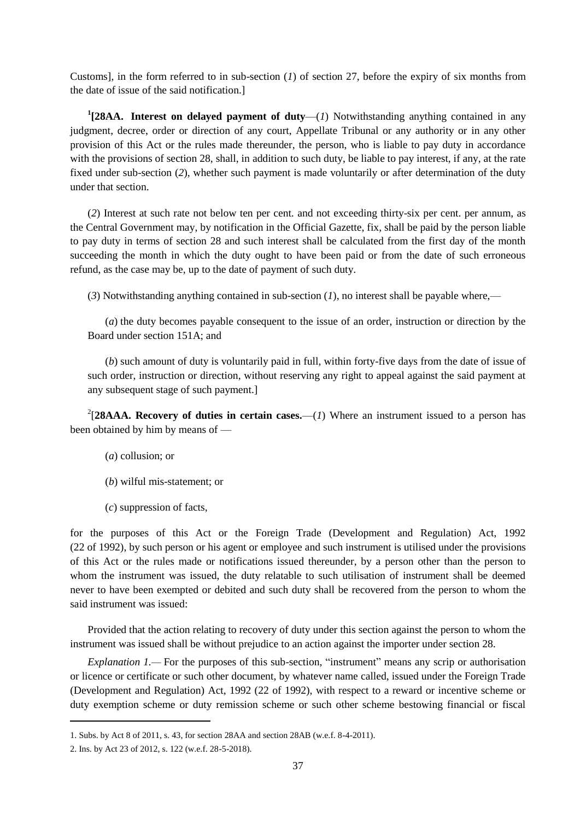Customs], in the form referred to in sub-section (*1*) of section 27, before the expiry of six months from the date of issue of the said notification.]

<sup>1</sup>[28AA. Interest on delayed payment of duty-(*1*) Notwithstanding anything contained in any judgment, decree, order or direction of any court, Appellate Tribunal or any authority or in any other provision of this Act or the rules made thereunder, the person, who is liable to pay duty in accordance with the provisions of section 28, shall, in addition to such duty, be liable to pay interest, if any, at the rate fixed under sub-section (*2*), whether such payment is made voluntarily or after determination of the duty under that section.

(*2*) Interest at such rate not below ten per cent. and not exceeding thirty-six per cent. per annum, as the Central Government may, by notification in the Official Gazette, fix, shall be paid by the person liable to pay duty in terms of section 28 and such interest shall be calculated from the first day of the month succeeding the month in which the duty ought to have been paid or from the date of such erroneous refund, as the case may be, up to the date of payment of such duty.

(*3*) Notwithstanding anything contained in sub-section (*1*), no interest shall be payable where,—

(*a*) the duty becomes payable consequent to the issue of an order, instruction or direction by the Board under section 151A; and

(*b*) such amount of duty is voluntarily paid in full, within forty-five days from the date of issue of such order, instruction or direction, without reserving any right to appeal against the said payment at any subsequent stage of such payment.]

 $2$ [28AAA. Recovery of duties in certain cases.—(*1*) Where an instrument issued to a person has been obtained by him by means of —

- (*a*) collusion; or
- (*b*) wilful mis-statement; or
- (*c*) suppression of facts,

for the purposes of this Act or the Foreign Trade (Development and Regulation) Act, 1992 (22 of 1992), by such person or his agent or employee and such instrument is utilised under the provisions of this Act or the rules made or notifications issued thereunder, by a person other than the person to whom the instrument was issued, the duty relatable to such utilisation of instrument shall be deemed never to have been exempted or debited and such duty shall be recovered from the person to whom the said instrument was issued:

Provided that the action relating to recovery of duty under this section against the person to whom the instrument was issued shall be without prejudice to an action against the importer under section 28.

*Explanation 1.*— For the purposes of this sub-section, "instrument" means any scrip or authorisation or licence or certificate or such other document, by whatever name called, issued under the Foreign Trade (Development and Regulation) Act, 1992 (22 of 1992), with respect to a reward or incentive scheme or duty exemption scheme or duty remission scheme or such other scheme bestowing financial or fiscal

<sup>1.</sup> Subs. by Act 8 of 2011, s. 43, for section 28AA and section 28AB (w.e.f. 8-4-2011).

<sup>2.</sup> Ins. by Act 23 of 2012, s. 122 (w.e.f. 28-5-2018).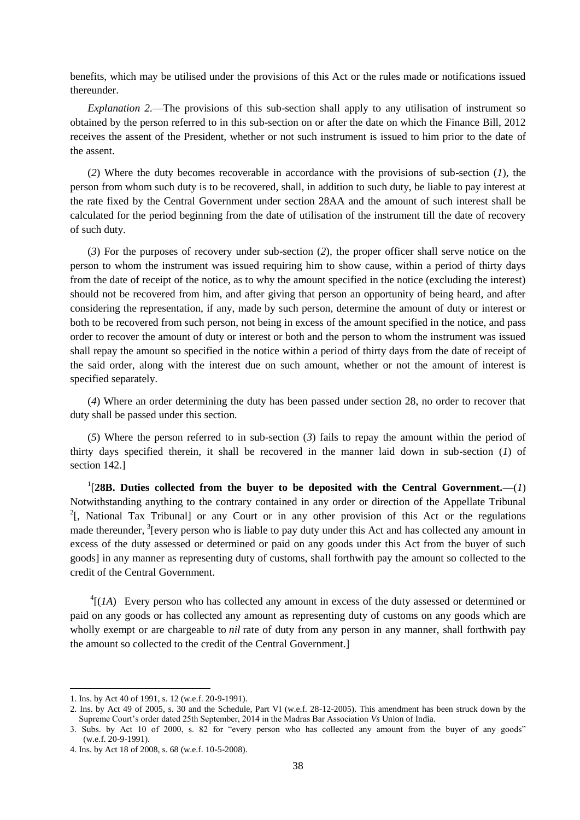benefits, which may be utilised under the provisions of this Act or the rules made or notifications issued thereunder.

*Explanation 2.*—The provisions of this sub-section shall apply to any utilisation of instrument so obtained by the person referred to in this sub-section on or after the date on which the Finance Bill, 2012 receives the assent of the President, whether or not such instrument is issued to him prior to the date of the assent.

(*2*) Where the duty becomes recoverable in accordance with the provisions of sub-section (*1*), the person from whom such duty is to be recovered, shall, in addition to such duty, be liable to pay interest at the rate fixed by the Central Government under section 28AA and the amount of such interest shall be calculated for the period beginning from the date of utilisation of the instrument till the date of recovery of such duty.

(*3*) For the purposes of recovery under sub-section (*2*), the proper officer shall serve notice on the person to whom the instrument was issued requiring him to show cause, within a period of thirty days from the date of receipt of the notice, as to why the amount specified in the notice (excluding the interest) should not be recovered from him, and after giving that person an opportunity of being heard, and after considering the representation, if any, made by such person, determine the amount of duty or interest or both to be recovered from such person, not being in excess of the amount specified in the notice, and pass order to recover the amount of duty or interest or both and the person to whom the instrument was issued shall repay the amount so specified in the notice within a period of thirty days from the date of receipt of the said order, along with the interest due on such amount, whether or not the amount of interest is specified separately.

(*4*) Where an order determining the duty has been passed under section 28, no order to recover that duty shall be passed under this section.

(*5*) Where the person referred to in sub-section (*3*) fails to repay the amount within the period of thirty days specified therein, it shall be recovered in the manner laid down in sub-section (*1*) of section 142.]

<sup>1</sup>[28B. Duties collected from the buyer to be deposited with the Central Government.— $(1)$ Notwithstanding anything to the contrary contained in any order or direction of the Appellate Tribunal <sup>2</sup>[, National Tax Tribunal] or any Court or in any other provision of this Act or the regulations made thereunder, <sup>3</sup> [every person who is liable to pay duty under this Act and has collected any amount in excess of the duty assessed or determined or paid on any goods under this Act from the buyer of such goods] in any manner as representing duty of customs, shall forthwith pay the amount so collected to the credit of the Central Government.

 ${}^{4}$ [(*1A*) Every person who has collected any amount in excess of the duty assessed or determined or paid on any goods or has collected any amount as representing duty of customs on any goods which are wholly exempt or are chargeable to *nil* rate of duty from any person in any manner, shall forthwith pay the amount so collected to the credit of the Central Government.]

<sup>1.</sup> Ins. by Act 40 of 1991, s. 12 (w.e.f. 20-9-1991).

<sup>2.</sup> Ins. by Act 49 of 2005, s. 30 and the Schedule, Part VI (w.e.f. 28-12-2005). This amendment has been struck down by the Supreme Court's order dated 25th September, 2014 in the Madras Bar Association *Vs* Union of India.

<sup>3.</sup> Subs. by Act 10 of 2000, s. 82 for "every person who has collected any amount from the buyer of any goods" (w.e.f. 20-9-1991).

<sup>4.</sup> Ins. by Act 18 of 2008, s. 68 (w.e.f. 10-5-2008).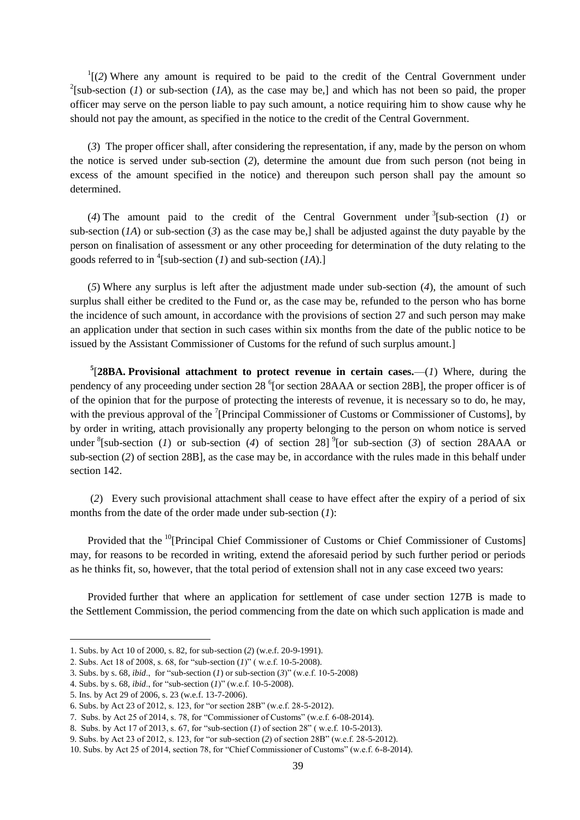$I(2)$  Where any amount is required to be paid to the credit of the Central Government under <sup>2</sup>[sub-section (*1*) or sub-section (*1A*), as the case may be,] and which has not been so paid, the proper officer may serve on the person liable to pay such amount, a notice requiring him to show cause why he should not pay the amount, as specified in the notice to the credit of the Central Government.

(*3*) The proper officer shall, after considering the representation, if any, made by the person on whom the notice is served under sub-section (*2*), determine the amount due from such person (not being in excess of the amount specified in the notice) and thereupon such person shall pay the amount so determined.

(4) The amount paid to the credit of the Central Government under  $\frac{3}{5}$ [sub-section (1) or sub-section (*1A*) or sub-section (*3*) as the case may be,] shall be adjusted against the duty payable by the person on finalisation of assessment or any other proceeding for determination of the duty relating to the goods referred to in <sup>4</sup> [sub-section (*1*) and sub-section (*1A*).]

(*5*) Where any surplus is left after the adjustment made under sub-section (*4*), the amount of such surplus shall either be credited to the Fund or, as the case may be, refunded to the person who has borne the incidence of such amount, in accordance with the provisions of section 27 and such person may make an application under that section in such cases within six months from the date of the public notice to be issued by the Assistant Commissioner of Customs for the refund of such surplus amount.]

 $5$ [28BA. Provisional attachment to protect revenue in certain cases.—(*1*) Where, during the pendency of any proceeding under section 28<sup>6</sup> [or section 28AAA or section 28B], the proper officer is of of the opinion that for the purpose of protecting the interests of revenue, it is necessary so to do, he may, with the previous approval of the  $7$ [Principal Commissioner of Customs or Commissioner of Customs], by by order in writing, attach provisionally any property belonging to the person on whom notice is served under  ${}^{8}$ [sub-section (*1*) or sub-section (*4*) of section 28] <sup>9</sup>[or sub-section (*3*) of section 28AAA or sub-section (*2*) of section 28B], as the case may be, in accordance with the rules made in this behalf under section 142.

(*2*) Every such provisional attachment shall cease to have effect after the expiry of a period of six months from the date of the order made under sub-section (*1*):

Provided that the <sup>10</sup>[Principal Chief Commissioner of Customs or Chief Commissioner of Customs] may, for reasons to be recorded in writing, extend the aforesaid period by such further period or periods as he thinks fit, so, however, that the total period of extension shall not in any case exceed two years:

Provided further that where an application for settlement of case under section 127B is made to the Settlement Commission, the period commencing from the date on which such application is made and

<sup>1.</sup> Subs. by Act 10 of 2000, s. 82, for sub-section (*2*) (w.e.f. 20-9-1991).

<sup>2.</sup> Subs. Act 18 of 2008, s. 68, for "sub-section (*1*)" (w.e.f. 10-5-2008).

<sup>3.</sup> Subs. by s. 68, *ibid.*, for "sub-section (*1*) or sub-section (*3*)" (w.e.f. 10-5-2008)

<sup>4.</sup> Subs. by s. 68, *ibid.*, for "sub-section (*1*)" (w.e.f. 10-5-2008).

<sup>5.</sup> Ins. by Act 29 of 2006, s. 23 (w.e.f. 13-7-2006).

<sup>6.</sup> Subs. by Act 23 of 2012, s. 123, for "or section 28B" (w.e.f. 28-5-2012).

<sup>7.</sup> Subs. by Act 25 of 2014, s. 78, for "Commissioner of Customs" (w.e.f.  $6-08-2014$ ).

<sup>8.</sup> Subs. by Act 17 of 2013, s. 67, for "sub-section (*1*) of section 28" (w.e.f. 10-5-2013).

<sup>9.</sup> Subs. by Act 23 of 2012, s. 123, for "or sub-section (2) of section 28B" (w.e.f. 28-5-2012).

<sup>10.</sup> Subs. by Act 25 of 2014, section 78, for "Chief Commissioner of Customs" (w.e.f. 6-8-2014).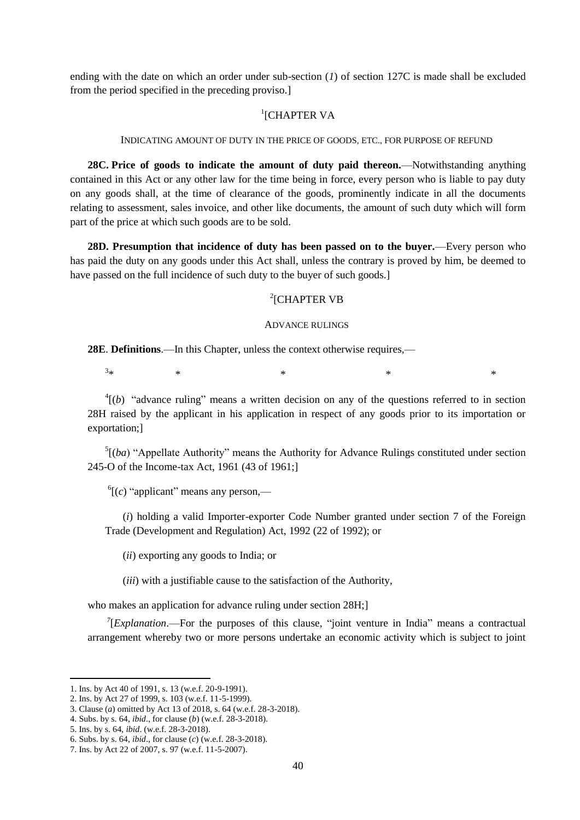ending with the date on which an order under sub-section (*1*) of section 127C is made shall be excluded from the period specified in the preceding proviso.]

# <sup>1</sup>[CHAPTER VA

#### INDICATING AMOUNT OF DUTY IN THE PRICE OF GOODS, ETC., FOR PURPOSE OF REFUND

**28C. Price of goods to indicate the amount of duty paid thereon.**—Notwithstanding anything contained in this Act or any other law for the time being in force, every person who is liable to pay duty on any goods shall, at the time of clearance of the goods, prominently indicate in all the documents relating to assessment, sales invoice, and other like documents, the amount of such duty which will form part of the price at which such goods are to be sold.

**28D. Presumption that incidence of duty has been passed on to the buyer.**—Every person who has paid the duty on any goods under this Act shall, unless the contrary is proved by him, be deemed to have passed on the full incidence of such duty to the buyer of such goods.]

# <sup>2</sup>[CHAPTER VB

## ADVANCE RULINGS

**28E**. **Definitions**.—In this Chapter, unless the context otherwise requires,—

 $3*$  $*$   $*$   $*$   $*$   $*$   $*$ 

 $^{4}$ [(*b*) "advance ruling" means a written decision on any of the questions referred to in section 28H raised by the applicant in his application in respect of any goods prior to its importation or exportation;]

 $<sup>5</sup>[(ba)$  "Appellate Authority" means the Authority for Advance Rulings constituted under section</sup> 245-O of the Income-tax Act, 1961 (43 of 1961;]

 $^{6}$ [ $(c)$  "applicant" means any person,—

(*i*) holding a valid Importer-exporter Code Number granted under section 7 of the Foreign Trade (Development and Regulation) Act, 1992 (22 of 1992); or

(*ii*) exporting any goods to India; or

(*iii*) with a justifiable cause to the satisfaction of the Authority,

who makes an application for advance ruling under section 28H;

 $7$ [*Explanation*.—For the purposes of this clause, "joint venture in India" means a contractual arrangement whereby two or more persons undertake an economic activity which is subject to joint

<sup>1.</sup> Ins. by Act 40 of 1991, s. 13 (w.e.f. 20-9-1991).

<sup>2.</sup> Ins. by Act 27 of 1999, s. 103 (w.e.f. 11-5-1999).

<sup>3.</sup> Clause (*a*) omitted by Act 13 of 2018, s. 64 (w.e.f. 28-3-2018).

<sup>4.</sup> Subs. by s. 64, *ibid*., for clause (*b*) (w.e.f. 28-3-2018).

<sup>5.</sup> Ins. by s. 64, *ibid*. (w.e.f. 28-3-2018).

<sup>6.</sup> Subs. by s. 64, *ibid*., for clause (*c*) (w.e.f. 28-3-2018).

<sup>7.</sup> Ins. by Act 22 of 2007, s. 97 (w.e.f. 11-5-2007).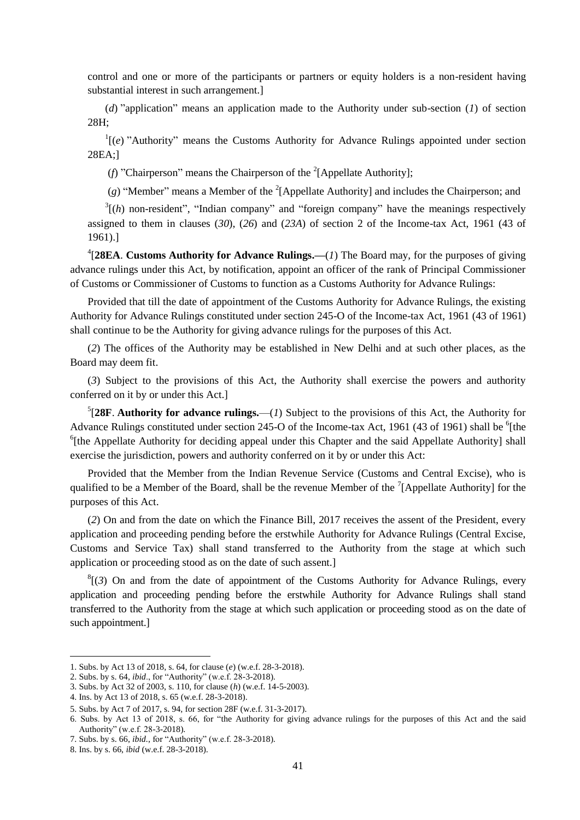control and one or more of the participants or partners or equity holders is a non-resident having substantial interest in such arrangement.]

(*d*) "application" means an application made to the Authority under sub-section (*1*) of section 28H;

 $\Gamma$ <sup>1</sup>[(*e*) "Authority" means the Customs Authority for Advance Rulings appointed under section 28EA;]

(f) "Chairperson" means the Chairperson of the <sup>2</sup>[Appellate Authority];

 $(g)$  "Member" means a Member of the <sup>2</sup>[Appellate Authority] and includes the Chairperson; and

 $3\vert (h)$  non-resident", "Indian company" and "foreign company" have the meanings respectively assigned to them in clauses (*30*), (*26*) and (*23A*) of section 2 of the Income-tax Act, 1961 (43 of 1961).]

4 [**28EA**. **Customs Authority for Advance Rulings.—**(*1*) The Board may, for the purposes of giving advance rulings under this Act, by notification, appoint an officer of the rank of Principal Commissioner of Customs or Commissioner of Customs to function as a Customs Authority for Advance Rulings:

Provided that till the date of appointment of the Customs Authority for Advance Rulings, the existing Authority for Advance Rulings constituted under section 245-O of the Income-tax Act, 1961 (43 of 1961) shall continue to be the Authority for giving advance rulings for the purposes of this Act.

(*2*) The offices of the Authority may be established in New Delhi and at such other places, as the Board may deem fit.

(*3*) Subject to the provisions of this Act, the Authority shall exercise the powers and authority conferred on it by or under this Act.]

 ${}^{5}[28F$ . **Authority for advance rulings.**—(*1*) Subject to the provisions of this Act, the Authority for Advance Rulings constituted under section 245-O of the Income-tax Act, 1961 (43 of 1961) shall be <sup>6</sup>[the <sup>6</sup>[the Appellate Authority for deciding appeal under this Chapter and the said Appellate Authority] shall exercise the jurisdiction, powers and authority conferred on it by or under this Act:

Provided that the Member from the Indian Revenue Service (Customs and Central Excise), who is qualified to be a Member of the Board, shall be the revenue Member of the  $\frac{7}{2}$ [Appellate Authority] for the purposes of this Act.

(*2*) On and from the date on which the Finance Bill, 2017 receives the assent of the President, every application and proceeding pending before the erstwhile Authority for Advance Rulings (Central Excise, Customs and Service Tax) shall stand transferred to the Authority from the stage at which such application or proceeding stood as on the date of such assent.]

 ${}^{8}$ [(3) On and from the date of appointment of the Customs Authority for Advance Rulings, every application and proceeding pending before the erstwhile Authority for Advance Rulings shall stand transferred to the Authority from the stage at which such application or proceeding stood as on the date of such appointment.]

<sup>1.</sup> Subs. by Act 13 of 2018, s. 64, for clause (*e*) (w.e.f. 28-3-2018).

<sup>2.</sup> Subs. by s. 64, *ibid.*, for "Authority" (w.e.f. 28-3-2018).

<sup>3.</sup> Subs. by Act 32 of 2003, s. 110, for clause (*h*) (w.e.f. 14-5-2003).

<sup>4.</sup> Ins. by Act 13 of 2018, s. 65 (w.e.f. 28-3-2018).

<sup>5.</sup> Subs. by Act 7 of 2017, s. 94, for section 28F (w.e.f. 31-3-2017).

<sup>6.</sup> Subs. by Act 13 of 2018, s. 66, for "the Authority for giving advance rulings for the purposes of this Act and the said Authority" (w.e.f. 28-3-2018).

<sup>7.</sup> Subs. by s. 66, *ibid.*, for "Authority" (w.e.f. 28-3-2018).

<sup>8.</sup> Ins. by s. 66, *ibid* (w.e.f. 28-3-2018).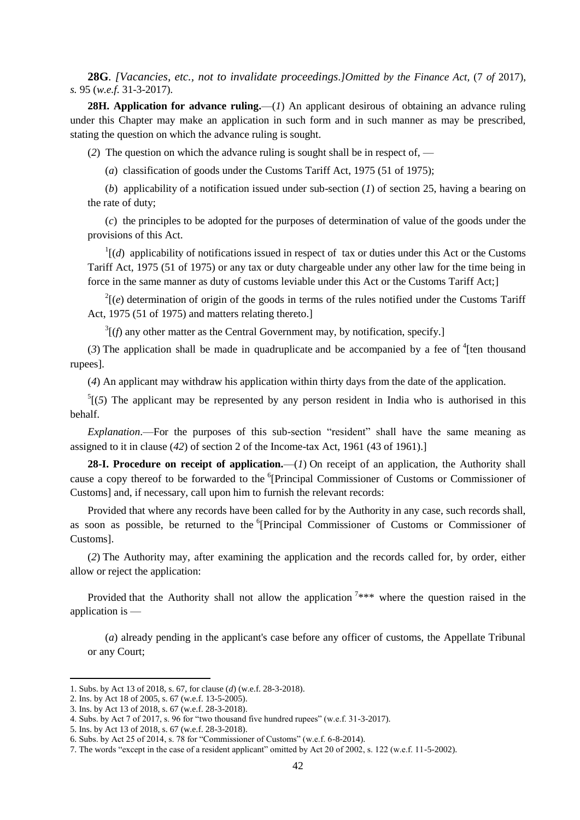**28G**. *[Vacancies, etc., not to invalidate proceedings.]Omitted by the Finance Act,* (7 *of* 2017), *s.* 95 (*w.e.f.* 31-3-2017)*.*

**28H. Application for advance ruling.**—(*1*) An applicant desirous of obtaining an advance ruling under this Chapter may make an application in such form and in such manner as may be prescribed, stating the question on which the advance ruling is sought.

(*2*) The question on which the advance ruling is sought shall be in respect of, —

(*a*) classification of goods under the Customs Tariff Act, 1975 (51 of 1975);

(*b*) applicability of a notification issued under sub-section (*1*) of section 25, having a bearing on the rate of duty;

(*c*) the principles to be adopted for the purposes of determination of value of the goods under the provisions of this Act.

 $\frac{1}{d}$  (*d*) applicability of notifications issued in respect of tax or duties under this Act or the Customs Tariff Act, 1975 (51 of 1975) or any tax or duty chargeable under any other law for the time being in force in the same manner as duty of customs leviable under this Act or the Customs Tariff Act;]

 $2\mu$  (*e*) determination of origin of the goods in terms of the rules notified under the Customs Tariff Act, 1975 (51 of 1975) and matters relating thereto.]

 $3(f)$  any other matter as the Central Government may, by notification, specify.]

 $(3)$  The application shall be made in quadruplicate and be accompanied by a fee of  $(4)$  ten thousand rupees].

(*4*) An applicant may withdraw his application within thirty days from the date of the application.

 $<sup>5</sup>$ [(5) The applicant may be represented by any person resident in India who is authorised in this</sup> behalf.

*Explanation*.—For the purposes of this sub-section "resident" shall have the same meaning as assigned to it in clause (*42*) of section 2 of the Income-tax Act, 1961 (43 of 1961).]

28-I. Procedure on receipt of application.—(*1*) On receipt of an application, the Authority shall cause a copy thereof to be forwarded to the <sup>6</sup>[Principal Commissioner of Customs or Commissioner of Customs] and, if necessary, call upon him to furnish the relevant records:

Provided that where any records have been called for by the Authority in any case, such records shall, as soon as possible, be returned to the <sup>6</sup>[Principal Commissioner of Customs or Commissioner of Customs].

(*2*) The Authority may, after examining the application and the records called for, by order, either allow or reject the application:

Provided that the Authority shall not allow the application  $7***$  where the question raised in the application is —

(*a*) already pending in the applicant's case before any officer of customs, the Appellate Tribunal or any Court;

<sup>1.</sup> Subs. by Act 13 of 2018, s. 67, for clause (*d*) (w.e.f. 28-3-2018).

<sup>2.</sup> Ins. by Act 18 of 2005, s. 67 (w.e.f. 13-5-2005).

<sup>3.</sup> Ins. by Act 13 of 2018, s. 67 (w.e.f. 28-3-2018).

<sup>4.</sup> Subs. by Act 7 of 2017, s. 96 for "two thousand five hundred rupees" (w.e.f. 31-3-2017).

<sup>5.</sup> Ins. by Act 13 of 2018, s. 67 (w.e.f. 28-3-2018).

<sup>6.</sup> Subs. by Act 25 of 2014, s. 78 for "Commissioner of Customs" (w.e.f.  $6-8-2014$ ).

<sup>7.</sup> The words "except in the case of a resident applicant" omitted by Act 20 of 2002, s. 122 (w.e.f. 11-5-2002).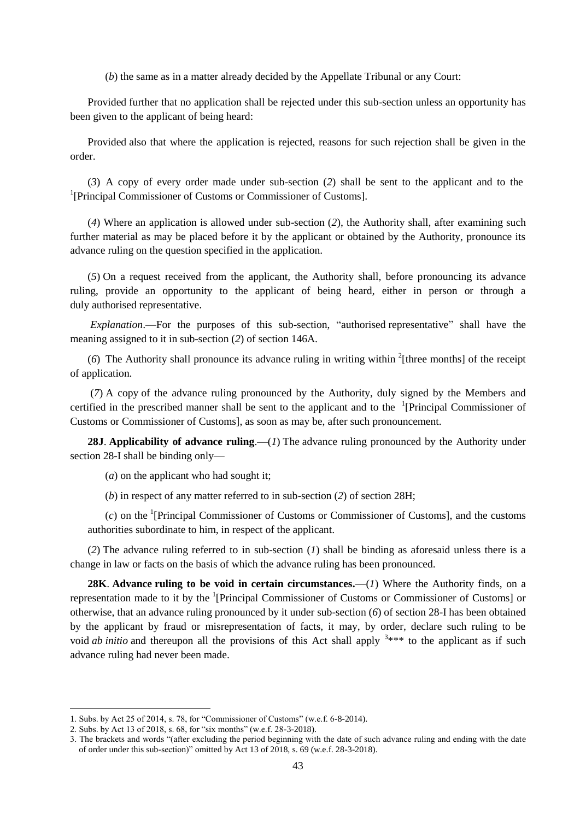(*b*) the same as in a matter already decided by the Appellate Tribunal or any Court:

Provided further that no application shall be rejected under this sub-section unless an opportunity has been given to the applicant of being heard:

Provided also that where the application is rejected, reasons for such rejection shall be given in the order.

(*3*) A copy of every order made under sub-section (*2*) shall be sent to the applicant and to the <sup>1</sup>[Principal Commissioner of Customs or Commissioner of Customs].

(*4*) Where an application is allowed under sub-section (*2*), the Authority shall, after examining such further material as may be placed before it by the applicant or obtained by the Authority, pronounce its advance ruling on the question specified in the application.

(*5*) On a request received from the applicant, the Authority shall, before pronouncing its advance ruling, provide an opportunity to the applicant of being heard, either in person or through a duly authorised representative.

*Explanation*.—For the purposes of this sub-section, "authorised representative" shall have the meaning assigned to it in sub-section (*2*) of section 146A.

(6) The Authority shall pronounce its advance ruling in writing within  $2$ <sup>[three months] of the receipt</sup> of application.

(*7*) A copy of the advance ruling pronounced by the Authority, duly signed by the Members and certified in the prescribed manner shall be sent to the applicant and to the  $1$ [Principal Commissioner of Customs or Commissioner of Customs], as soon as may be, after such pronouncement.

**28J. Applicability of advance ruling.**—(*1*) The advance ruling pronounced by the Authority under section 28-I shall be binding only—

(*a*) on the applicant who had sought it;

(*b*) in respect of any matter referred to in sub-section (*2*) of section 28H;

 $(c)$  on the <sup>1</sup>[Principal Commissioner of Customs or Commissioner of Customs], and the customs authorities subordinate to him, in respect of the applicant.

(*2*) The advance ruling referred to in sub-section (*1*) shall be binding as aforesaid unless there is a change in law or facts on the basis of which the advance ruling has been pronounced.

**28K**. **Advance ruling to be void in certain circumstances.**—(*1*) Where the Authority finds, on a representation made to it by the <sup>1</sup>[Principal Commissioner of Customs or Commissioner of Customs] or otherwise, that an advance ruling pronounced by it under sub-section (*6*) of section 28-I has been obtained by the applicant by fraud or misrepresentation of facts, it may, by order, declare such ruling to be void *ab initio* and thereupon all the provisions of this Act shall apply  $3***$  to the applicant as if such advance ruling had never been made.

<sup>1.</sup> Subs. by Act  $25$  of  $2014$ , s. 78, for "Commissioner of Customs" (w.e.f. 6-8-2014).

<sup>2.</sup> Subs. by Act 13 of 2018, s. 68, for "six months" (w.e.f. 28-3-2018).

<sup>3.</sup> The brackets and words "(after excluding the period beginning with the date of such advance ruling and ending with the date of order under this sub-section)" omitted by Act 13 of 2018, s.  $69$  (w.e.f.  $28-3-2018$ ).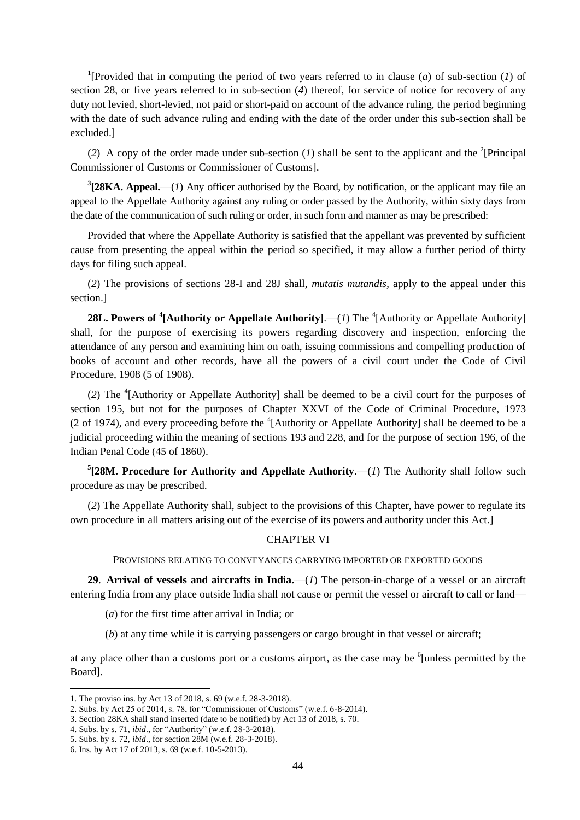<sup>1</sup>[Provided that in computing the period of two years referred to in clause (*a*) of sub-section (*1*) of section 28, or five years referred to in sub-section (*4*) thereof, for service of notice for recovery of any duty not levied, short-levied, not paid or short-paid on account of the advance ruling, the period beginning with the date of such advance ruling and ending with the date of the order under this sub-section shall be excluded.]

(2) A copy of the order made under sub-section (*l*) shall be sent to the applicant and the <sup>2</sup>[Principal Commissioner of Customs or Commissioner of Customs].

**3 [28KA. Appeal.**—(*1*) Any officer authorised by the Board, by notification, or the applicant may file an appeal to the Appellate Authority against any ruling or order passed by the Authority, within sixty days from the date of the communication of such ruling or order, in such form and manner as may be prescribed:

Provided that where the Appellate Authority is satisfied that the appellant was prevented by sufficient cause from presenting the appeal within the period so specified, it may allow a further period of thirty days for filing such appeal.

(*2*) The provisions of sections 28-I and 28J shall, *mutatis mutandis,* apply to the appeal under this section.]

**28L. Powers of <sup>4</sup>[Authority or Appellate Authority].—(1) The <sup>4</sup>[Authority or Appellate Authority]** shall, for the purpose of exercising its powers regarding discovery and inspection, enforcing the attendance of any person and examining him on oath, issuing commissions and compelling production of books of account and other records, have all the powers of a civil court under the Code of Civil Procedure, 1908 (5 of 1908).

(2) The <sup>4</sup>[Authority or Appellate Authority] shall be deemed to be a civil court for the purposes of section 195, but not for the purposes of Chapter XXVI of the Code of Criminal Procedure, 1973 (2 of 1974), and every proceeding before the  ${}^{4}$ [Authority or Appellate Authority] shall be deemed to be a judicial proceeding within the meaning of sections 193 and 228, and for the purpose of section 196, of the Indian Penal Code (45 of 1860).

 $5$ [28M. Procedure for Authority and Appellate Authority.—(*1*) The Authority shall follow such procedure as may be prescribed.

(*2*) The Appellate Authority shall, subject to the provisions of this Chapter, have power to regulate its own procedure in all matters arising out of the exercise of its powers and authority under this Act.]

# CHAPTER VI

PROVISIONS RELATING TO CONVEYANCES CARRYING IMPORTED OR EXPORTED GOODS

**29**. **Arrival of vessels and aircrafts in India.**—(*1*) The person-in-charge of a vessel or an aircraft entering India from any place outside India shall not cause or permit the vessel or aircraft to call or land—

- (*a*) for the first time after arrival in India; or
- (*b*) at any time while it is carrying passengers or cargo brought in that vessel or aircraft;

at any place other than a customs port or a customs airport, as the case may be <sup>6</sup>[unless permitted by the Board].

<sup>1.</sup> The proviso ins. by Act 13 of 2018, s. 69 (w.e.f. 28-3-2018).

<sup>2.</sup> Subs. by Act 25 of 2014, s. 78, for "Commissioner of Customs" (w.e.f. 6-8-2014).

<sup>3.</sup> Section 28KA shall stand inserted (date to be notified) by Act 13 of 2018, s. 70.

<sup>4.</sup> Subs. by s. 71, *ibid.*, for "Authority" (w.e.f. 28-3-2018).

<sup>5.</sup> Subs. by s. 72, *ibid*., for section 28M (w.e.f. 28-3-2018).

<sup>6.</sup> Ins. by Act 17 of 2013, s. 69 (w.e.f. 10-5-2013).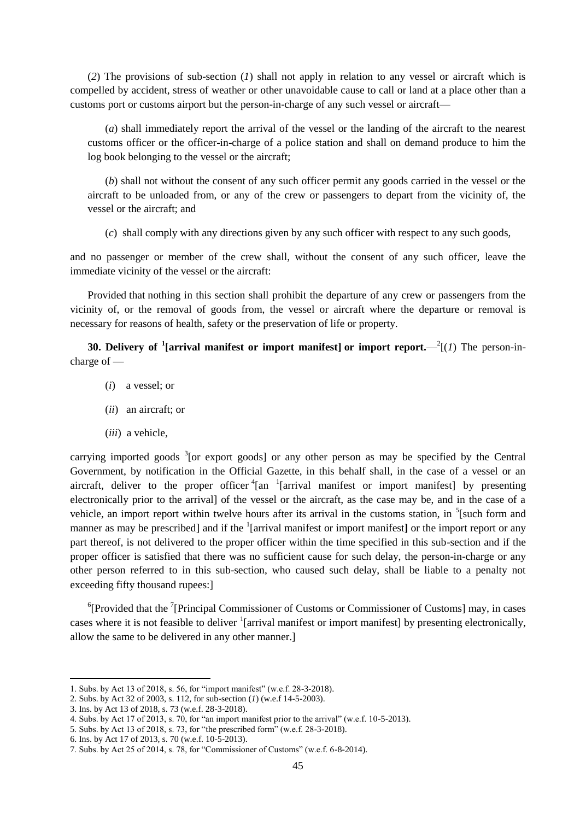(*2*) The provisions of sub-section (*1*) shall not apply in relation to any vessel or aircraft which is compelled by accident, stress of weather or other unavoidable cause to call or land at a place other than a customs port or customs airport but the person-in-charge of any such vessel or aircraft—

(*a*) shall immediately report the arrival of the vessel or the landing of the aircraft to the nearest customs officer or the officer-in-charge of a police station and shall on demand produce to him the log book belonging to the vessel or the aircraft;

(*b*) shall not without the consent of any such officer permit any goods carried in the vessel or the aircraft to be unloaded from, or any of the crew or passengers to depart from the vicinity of, the vessel or the aircraft; and

(*c*) shall comply with any directions given by any such officer with respect to any such goods,

and no passenger or member of the crew shall, without the consent of any such officer, leave the immediate vicinity of the vessel or the aircraft:

Provided that nothing in this section shall prohibit the departure of any crew or passengers from the vicinity of, or the removal of goods from, the vessel or aircraft where the departure or removal is necessary for reasons of health, safety or the preservation of life or property.

**30. Delivery of <sup>1</sup>**[arrival manifest or import manifest] or import report.— $^2(1)$  The person-incharge of —

- (*i*) a vessel; or
- (*ii*) an aircraft; or
- (*iii*) a vehicle,

carrying imported goods <sup>3</sup>[or export goods] or any other person as may be specified by the Central Government, by notification in the Official Gazette, in this behalf shall, in the case of a vessel or an aircraft, deliver to the proper officer  ${}^{4}$ [an  ${}^{1}$ [arrival manifest or import manifest] by presenting electronically prior to the arrival] of the vessel or the aircraft, as the case may be, and in the case of a vehicle, an import report within twelve hours after its arrival in the customs station, in  $<sup>5</sup>$ [such form and</sup> manner as may be prescribed] and if the <sup>1</sup>[arrival manifest or import manifest] or the import report or any part thereof, is not delivered to the proper officer within the time specified in this sub-section and if the proper officer is satisfied that there was no sufficient cause for such delay, the person-in-charge or any other person referred to in this sub-section, who caused such delay, shall be liable to a penalty not exceeding fifty thousand rupees:]

<sup>6</sup>[Provided that the <sup>7</sup>[Principal Commissioner of Customs or Commissioner of Customs] may, in cases cases where it is not feasible to deliver <sup>1</sup>[arrival manifest or import manifest] by presenting electronically, allow the same to be delivered in any other manner.]

<sup>1.</sup> Subs. by Act 13 of 2018, s. 56, for "import manifest" (w.e.f. 28-3-2018).

<sup>2.</sup> Subs. by Act 32 of 2003, s. 112, for sub-section (*1*) (w.e.f 14-5-2003).

<sup>3.</sup> Ins. by Act 13 of 2018, s. 73 (w.e.f. 28-3-2018).

<sup>4.</sup> Subs. by Act 17 of 2013, s. 70, for "an import manifest prior to the arrival" (w.e.f. 10-5-2013).

<sup>5.</sup> Subs. by Act 13 of 2018, s. 73, for "the prescribed form" (w.e.f. 28-3-2018).

<sup>6.</sup> Ins. by Act 17 of 2013, s. 70 (w.e.f. 10-5-2013).

<sup>7.</sup> Subs. by Act 25 of 2014, s. 78, for "Commissioner of Customs" (w.e.f. 6-8-2014).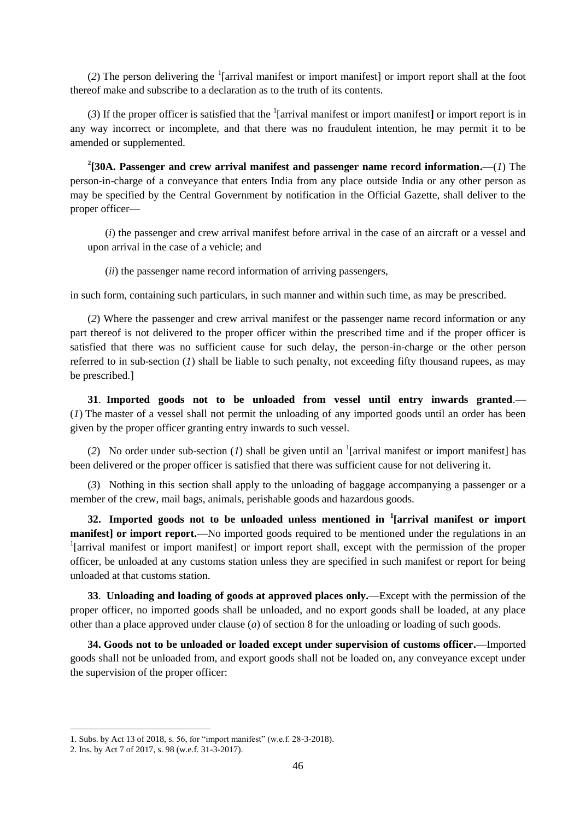$(2)$  The person delivering the <sup>1</sup>[arrival manifest or import manifest] or import report shall at the foot thereof make and subscribe to a declaration as to the truth of its contents.

(3) If the proper officer is satisfied that the  $\frac{1}{2}$  [arrival manifest or import manifest] or import report is in any way incorrect or incomplete, and that there was no fraudulent intention, he may permit it to be amended or supplemented.

**2 [30A. Passenger and crew arrival manifest and passenger name record information.**—(*1*) The person-in-charge of a conveyance that enters India from any place outside India or any other person as may be specified by the Central Government by notification in the Official Gazette, shall deliver to the proper officer—

(*i*) the passenger and crew arrival manifest before arrival in the case of an aircraft or a vessel and upon arrival in the case of a vehicle; and

(*ii*) the passenger name record information of arriving passengers,

in such form, containing such particulars, in such manner and within such time, as may be prescribed.

(*2*) Where the passenger and crew arrival manifest or the passenger name record information or any part thereof is not delivered to the proper officer within the prescribed time and if the proper officer is satisfied that there was no sufficient cause for such delay, the person-in-charge or the other person referred to in sub-section (*1*) shall be liable to such penalty, not exceeding fifty thousand rupees, as may be prescribed.]

**31**. **Imported goods not to be unloaded from vessel until entry inwards granted**.— (*1*) The master of a vessel shall not permit the unloading of any imported goods until an order has been given by the proper officer granting entry inwards to such vessel.

(2) No order under sub-section (*1*) shall be given until an <sup>1</sup>[arrival manifest or import manifest] has been delivered or the proper officer is satisfied that there was sufficient cause for not delivering it.

(*3*) Nothing in this section shall apply to the unloading of baggage accompanying a passenger or a member of the crew, mail bags, animals, perishable goods and hazardous goods.

**32. Imported goods not to be unloaded unless mentioned in <sup>1</sup> [arrival manifest or import manifest] or import report.**—No imported goods required to be mentioned under the regulations in an <sup>1</sup>[arrival manifest or import manifest] or import report shall, except with the permission of the proper officer, be unloaded at any customs station unless they are specified in such manifest or report for being unloaded at that customs station.

**33**. **Unloading and loading of goods at approved places only.**—Except with the permission of the proper officer, no imported goods shall be unloaded, and no export goods shall be loaded, at any place other than a place approved under clause (*a*) of section 8 for the unloading or loading of such goods.

**34. Goods not to be unloaded or loaded except under supervision of customs officer.**—Imported goods shall not be unloaded from, and export goods shall not be loaded on, any conveyance except under the supervision of the proper officer:

<sup>1.</sup> Subs. by Act 13 of 2018, s. 56, for "import manifest" (w.e.f. 28-3-2018).

<sup>2.</sup> Ins. by Act 7 of 2017, s. 98 (w.e.f. 31-3-2017).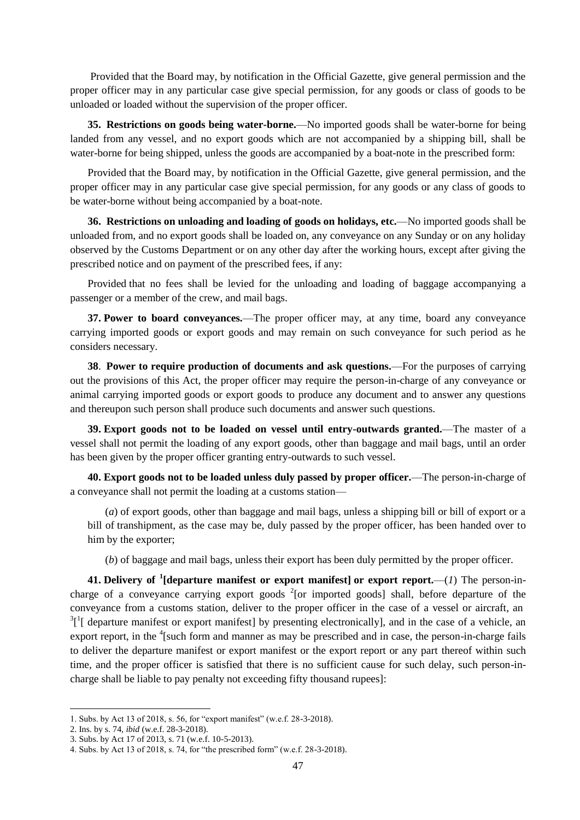Provided that the Board may, by notification in the Official Gazette, give general permission and the proper officer may in any particular case give special permission, for any goods or class of goods to be unloaded or loaded without the supervision of the proper officer.

**35. Restrictions on goods being water-borne.**—No imported goods shall be water-borne for being landed from any vessel, and no export goods which are not accompanied by a shipping bill, shall be water-borne for being shipped, unless the goods are accompanied by a boat-note in the prescribed form:

Provided that the Board may, by notification in the Official Gazette, give general permission, and the proper officer may in any particular case give special permission, for any goods or any class of goods to be water-borne without being accompanied by a boat-note.

**36. Restrictions on unloading and loading of goods on holidays, etc.**—No imported goods shall be unloaded from, and no export goods shall be loaded on, any conveyance on any Sunday or on any holiday observed by the Customs Department or on any other day after the working hours, except after giving the prescribed notice and on payment of the prescribed fees, if any:

Provided that no fees shall be levied for the unloading and loading of baggage accompanying a passenger or a member of the crew, and mail bags.

**37. Power to board conveyances.**—The proper officer may, at any time, board any conveyance carrying imported goods or export goods and may remain on such conveyance for such period as he considers necessary.

**38**. **Power to require production of documents and ask questions.**—For the purposes of carrying out the provisions of this Act, the proper officer may require the person-in-charge of any conveyance or animal carrying imported goods or export goods to produce any document and to answer any questions and thereupon such person shall produce such documents and answer such questions.

**39. Export goods not to be loaded on vessel until entry-outwards granted.**—The master of a vessel shall not permit the loading of any export goods, other than baggage and mail bags, until an order has been given by the proper officer granting entry-outwards to such vessel.

**40. Export goods not to be loaded unless duly passed by proper officer.**—The person-in-charge of a conveyance shall not permit the loading at a customs station—

(*a*) of export goods, other than baggage and mail bags, unless a shipping bill or bill of export or a bill of transhipment, as the case may be, duly passed by the proper officer, has been handed over to him by the exporter;

(*b*) of baggage and mail bags, unless their export has been duly permitted by the proper officer.

**41. Delivery of <sup>1</sup> [departure manifest or export manifest] or export report.**—(*1*) The person-incharge of a conveyance carrying export goods  $2$ [or imported goods] shall, before departure of the conveyance from a customs station, deliver to the proper officer in the case of a vessel or aircraft, an  $3<sup>1</sup>$ [ departure manifest or export manifest] by presenting electronically], and in the case of a vehicle, an export report, in the <sup>4</sup>[such form and manner as may be prescribed and in case, the person-in-charge fails to deliver the departure manifest or export manifest or the export report or any part thereof within such time, and the proper officer is satisfied that there is no sufficient cause for such delay, such person-incharge shall be liable to pay penalty not exceeding fifty thousand rupees]:

<sup>1.</sup> Subs. by Act 13 of 2018, s. 56, for "export manifest" (w.e.f. 28-3-2018).

<sup>2.</sup> Ins. by s. 74, *ibid* (w.e.f. 28-3-2018).

<sup>3.</sup> Subs. by Act 17 of 2013, s. 71 (w.e.f. 10-5-2013).

<sup>4.</sup> Subs. by Act 13 of 2018, s. 74, for "the prescribed form" (w.e.f.  $28-3-2018$ ).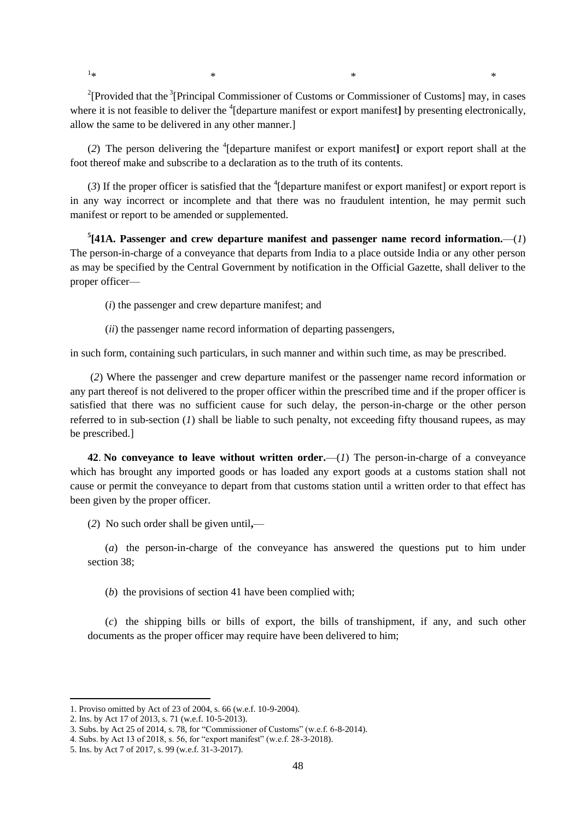$1_{\ast}$  $*$   $*$   $*$   $*$   $*$   $*$   $*$ 

<sup>2</sup>[Provided that the <sup>3</sup>[Principal Commissioner of Customs or Commissioner of Customs] may, in cases where it is not feasible to deliver the <sup>4</sup>[departure manifest or export manifest] by presenting electronically, allow the same to be delivered in any other manner.]

(*2*) The person delivering the <sup>4</sup> [departure manifest or export manifest**]** or export report shall at the foot thereof make and subscribe to a declaration as to the truth of its contents.

 $(3)$  If the proper officer is satisfied that the <sup>4</sup> [departure manifest or export manifest] or export report is in any way incorrect or incomplete and that there was no fraudulent intention, he may permit such manifest or report to be amended or supplemented.

 $5$ [41A. Passenger and crew departure manifest and passenger name record information.— $(1)$ The person-in-charge of a conveyance that departs from India to a place outside India or any other person as may be specified by the Central Government by notification in the Official Gazette, shall deliver to the proper officer—

(*i*) the passenger and crew departure manifest; and

(*ii*) the passenger name record information of departing passengers,

in such form, containing such particulars, in such manner and within such time, as may be prescribed.

(*2*) Where the passenger and crew departure manifest or the passenger name record information or any part thereof is not delivered to the proper officer within the prescribed time and if the proper officer is satisfied that there was no sufficient cause for such delay, the person-in-charge or the other person referred to in sub-section (*1*) shall be liable to such penalty, not exceeding fifty thousand rupees, as may be prescribed.]

**42**. **No conveyance to leave without written order.**—(*1*) The person-in-charge of a conveyance which has brought any imported goods or has loaded any export goods at a customs station shall not cause or permit the conveyance to depart from that customs station until a written order to that effect has been given by the proper officer.

(*2*) No such order shall be given until**,**—

(*a*) the person-in-charge of the conveyance has answered the questions put to him under section 38;

(*b*) the provisions of section 41 have been complied with;

(*c*) the shipping bills or bills of export, the bills of transhipment, if any, and such other documents as the proper officer may require have been delivered to him;

<sup>1.</sup> Proviso omitted by Act of 23 of 2004, s. 66 (w.e.f. 10-9-2004).

<sup>2.</sup> Ins. by Act 17 of 2013, s. 71 (w.e.f. 10-5-2013).

<sup>3.</sup> Subs. by Act 25 of 2014, s. 78, for "Commissioner of Customs" (w.e.f. 6-8-2014).

<sup>4.</sup> Subs. by Act 13 of 2018, s. 56, for "export manifest" (w.e.f. 28-3-2018).

<sup>5.</sup> Ins. by Act 7 of 2017, s. 99 (w.e.f. 31-3-2017).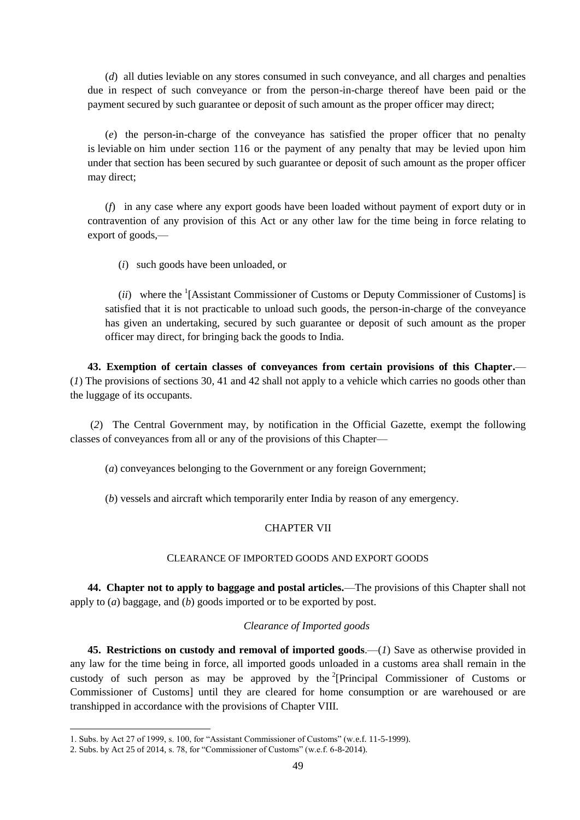(*d*) all duties leviable on any stores consumed in such conveyance, and all charges and penalties due in respect of such conveyance or from the person-in-charge thereof have been paid or the payment secured by such guarantee or deposit of such amount as the proper officer may direct;

(*e*) the person-in-charge of the conveyance has satisfied the proper officer that no penalty is leviable on him under section 116 or the payment of any penalty that may be levied upon him under that section has been secured by such guarantee or deposit of such amount as the proper officer may direct;

(*f*) in any case where any export goods have been loaded without payment of export duty or in contravention of any provision of this Act or any other law for the time being in force relating to export of goods,—

(*i*) such goods have been unloaded, or

(*ii*) where the <sup>1</sup>[Assistant Commissioner of Customs or Deputy Commissioner of Customs] is satisfied that it is not practicable to unload such goods, the person-in-charge of the conveyance has given an undertaking, secured by such guarantee or deposit of such amount as the proper officer may direct, for bringing back the goods to India.

**43. Exemption of certain classes of conveyances from certain provisions of this Chapter.**— (*1*) The provisions of sections 30, 41 and 42 shall not apply to a vehicle which carries no goods other than the luggage of its occupants.

(*2*) The Central Government may, by notification in the Official Gazette, exempt the following classes of conveyances from all or any of the provisions of this Chapter—

(*a*) conveyances belonging to the Government or any foreign Government;

(*b*) vessels and aircraft which temporarily enter India by reason of any emergency.

# CHAPTER VII

### CLEARANCE OF IMPORTED GOODS AND EXPORT GOODS

**44. Chapter not to apply to baggage and postal articles.**—The provisions of this Chapter shall not apply to (*a*) baggage, and (*b*) goods imported or to be exported by post.

### *Clearance of Imported goods*

**45. Restrictions on custody and removal of imported goods**.—(*1*) Save as otherwise provided in any law for the time being in force, all imported goods unloaded in a customs area shall remain in the custody of such person as may be approved by the <sup>2</sup>[Principal Commissioner of Customs or Commissioner of Customs] until they are cleared for home consumption or are warehoused or are transhipped in accordance with the provisions of Chapter VIII.

<sup>1.</sup> Subs. by Act 27 of 1999, s. 100, for "Assistant Commissioner of Customs" (w.e.f. 11-5-1999).

<sup>2.</sup> Subs. by Act 25 of 2014, s. 78, for "Commissioner of Customs" (w.e.f.  $6-8-2014$ ).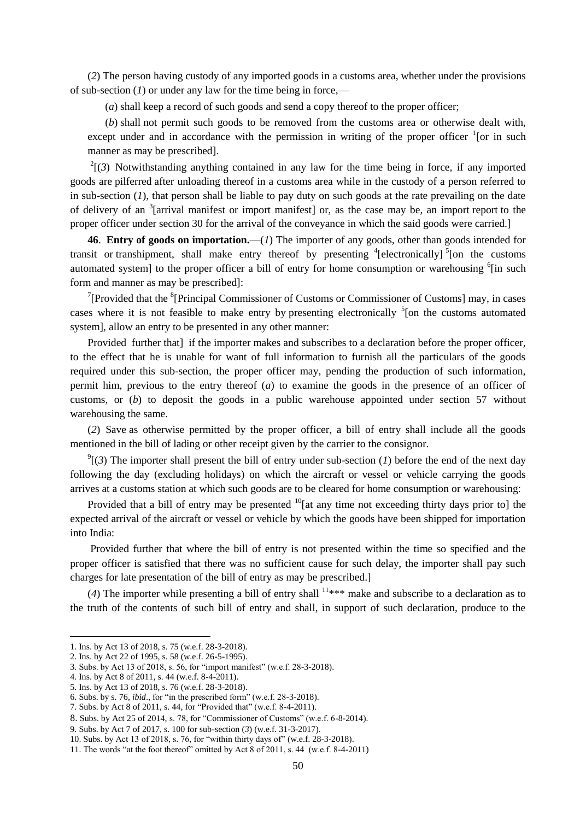(*2*) The person having custody of any imported goods in a customs area, whether under the provisions of sub-section (*1*) or under any law for the time being in force,—

(*a*) shall keep a record of such goods and send a copy thereof to the proper officer;

(*b*) shall not permit such goods to be removed from the customs area or otherwise dealt with, except under and in accordance with the permission in writing of the proper officer  $\frac{1}{1}$  [or in such manner as may be prescribed].

 $2^{2}$ [(3) Notwithstanding anything contained in any law for the time being in force, if any imported goods are pilferred after unloading thereof in a customs area while in the custody of a person referred to in sub-section (*1*), that person shall be liable to pay duty on such goods at the rate prevailing on the date of delivery of an <sup>3</sup>[arrival manifest or import manifest] or, as the case may be, an import report to the proper officer under section 30 for the arrival of the conveyance in which the said goods were carried.]

**46**. **Entry of goods on importation.**—(*1*) The importer of any goods, other than goods intended for transit or transhipment, shall make entry thereof by presenting  $\frac{4}{3}$  [electronically]  $\frac{5}{3}$  [on the customs automated system] to the proper officer a bill of entry for home consumption or warehousing <sup>6</sup>[in such form and manner as may be prescribed]:

<sup>7</sup> [Provided that the  ${}^{8}$ [Principal Commissioner of Customs or Commissioner of Customs] may, in cases cases where it is not feasible to make entry by presenting electronically  $5$ [on the customs automated system], allow an entry to be presented in any other manner:

Provided further that] if the importer makes and subscribes to a declaration before the proper officer, to the effect that he is unable for want of full information to furnish all the particulars of the goods required under this sub-section, the proper officer may, pending the production of such information, permit him, previous to the entry thereof (*a*) to examine the goods in the presence of an officer of customs, or (*b*) to deposit the goods in a public warehouse appointed under section 57 without warehousing the same.

(*2*) Save as otherwise permitted by the proper officer, a bill of entry shall include all the goods mentioned in the bill of lading or other receipt given by the carrier to the consignor.

 $\mathcal{O}^9$ [(3) The importer shall present the bill of entry under sub-section (*1*) before the end of the next day following the day (excluding holidays) on which the aircraft or vessel or vehicle carrying the goods arrives at a customs station at which such goods are to be cleared for home consumption or warehousing:

Provided that a bill of entry may be presented  $^{10}$ [at any time not exceeding thirty days prior to] the expected arrival of the aircraft or vessel or vehicle by which the goods have been shipped for importation into India:

Provided further that where the bill of entry is not presented within the time so specified and the proper officer is satisfied that there was no sufficient cause for such delay, the importer shall pay such charges for late presentation of the bill of entry as may be prescribed.]

(4) The importer while presenting a bill of entry shall  $11***$  make and subscribe to a declaration as to the truth of the contents of such bill of entry and shall, in support of such declaration, produce to the

<sup>1.</sup> Ins. by Act 13 of 2018, s. 75 (w.e.f. 28-3-2018).

<sup>2.</sup> Ins. by Act 22 of 1995, s. 58 (w.e.f. 26-5-1995).

<sup>3.</sup> Subs. by Act 13 of 2018, s. 56, for "import manifest" (w.e.f. 28-3-2018).

<sup>4.</sup> Ins. by Act 8 of 2011, s. 44 (w.e.f. 8-4-2011).

<sup>5.</sup> Ins. by Act 13 of 2018, s. 76 (w.e.f. 28-3-2018).

<sup>6.</sup> Subs. by s. 76, *ibid.*, for "in the prescribed form" (w.e.f. 28-3-2018).

<sup>7.</sup> Subs. by Act 8 of 2011, s. 44, for "Provided that" (w.e.f. 8-4-2011).

<sup>8.</sup> Subs. by Act 25 of 2014, s. 78, for "Commissioner of Customs" (w.e.f. 6-8-2014).

<sup>9.</sup> Subs. by Act 7 of 2017, s. 100 for sub-section (*3*) (w.e.f. 31-3-2017).

<sup>10.</sup> Subs. by Act 13 of 2018, s. 76, for "within thirty days of" (w.e.f. 28-3-2018).

<sup>11.</sup> The words "at the foot thereof" omitted by Act  $8$  of  $2011$ , s. 44 (w.e.f.  $8-4-2011$ )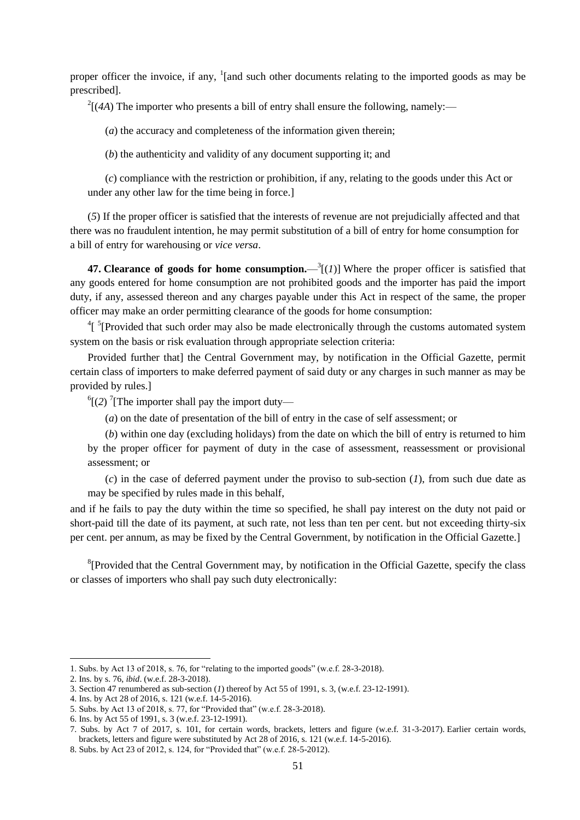proper officer the invoice, if any,  $\frac{1}{2}$  [and such other documents relating to the imported goods as may be prescribed].

 $2[(4A)$  The importer who presents a bill of entry shall ensure the following, namely:—

(*a*) the accuracy and completeness of the information given therein;

(*b*) the authenticity and validity of any document supporting it; and

(*c*) compliance with the restriction or prohibition, if any, relating to the goods under this Act or under any other law for the time being in force.]

(*5*) If the proper officer is satisfied that the interests of revenue are not prejudicially affected and that there was no fraudulent intention, he may permit substitution of a bill of entry for home consumption for a bill of entry for warehousing or *vice versa*.

**47. Clearance of goods for home consumption.**  $\int_{0}^{3}$  [(*1*)] Where the proper officer is satisfied that any goods entered for home consumption are not prohibited goods and the importer has paid the import duty, if any, assessed thereon and any charges payable under this Act in respect of the same, the proper officer may make an order permitting clearance of the goods for home consumption:

 $\frac{4}{3}$  [Provided that such order may also be made electronically through the customs automated system system on the basis or risk evaluation through appropriate selection criteria:

Provided further that] the Central Government may, by notification in the Official Gazette, permit certain class of importers to make deferred payment of said duty or any charges in such manner as may be provided by rules.]

 $^{6}$ [(2)<sup>7</sup>[The importer shall pay the import duty—

(*a*) on the date of presentation of the bill of entry in the case of self assessment; or

(*b*) within one day (excluding holidays) from the date on which the bill of entry is returned to him by the proper officer for payment of duty in the case of assessment, reassessment or provisional assessment; or

(*c*) in the case of deferred payment under the proviso to sub-section (*1*), from such due date as may be specified by rules made in this behalf,

and if he fails to pay the duty within the time so specified, he shall pay interest on the duty not paid or short-paid till the date of its payment, at such rate, not less than ten per cent. but not exceeding thirty-six per cent. per annum, as may be fixed by the Central Government, by notification in the Official Gazette.]

<sup>8</sup>[Provided that the Central Government may, by notification in the Official Gazette, specify the class or classes of importers who shall pay such duty electronically:

<sup>1.</sup> Subs. by Act 13 of 2018, s. 76, for "relating to the imported goods" (w.e.f.  $28-3-2018$ ).

<sup>2.</sup> Ins. by s. 76, *ibid*. (w.e.f. 28-3-2018).

<sup>3.</sup> Section 47 renumbered as sub-section (*1*) thereof by Act 55 of 1991, s. 3, (w.e.f. 23-12-1991).

<sup>4.</sup> Ins. by Act 28 of 2016, s. 121 (w.e.f. 14-5-2016).

<sup>5.</sup> Subs. by Act 13 of 2018, s. 77, for "Provided that" (w.e.f. 28-3-2018).

<sup>6.</sup> Ins. by Act 55 of 1991, s. 3 (w.e.f. 23-12-1991).

<sup>7.</sup> Subs. by Act 7 of 2017, s. 101, for certain words, brackets, letters and figure (w.e.f. 31-3-2017). Earlier certain words, brackets, letters and figure were substituted by Act 28 of 2016, s. 121 (w.e.f. 14-5-2016).

<sup>8.</sup> Subs. by Act 23 of 2012, s. 124, for "Provided that" (w.e.f. 28-5-2012).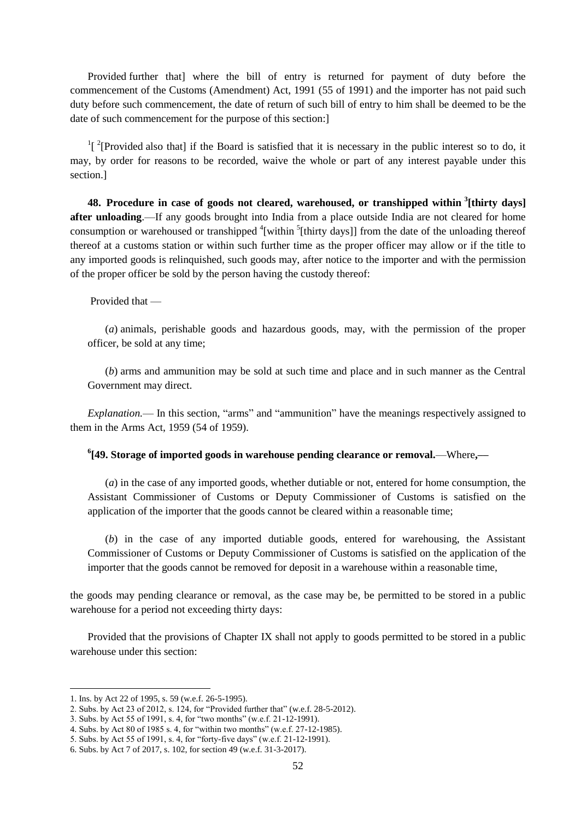Provided further that] where the bill of entry is returned for payment of duty before the commencement of the Customs (Amendment) Act, 1991 (55 of 1991) and the importer has not paid such duty before such commencement, the date of return of such bill of entry to him shall be deemed to be the date of such commencement for the purpose of this section:]

 $\frac{1}{2}$ [Provided also that] if the Board is satisfied that it is necessary in the public interest so to do, it may, by order for reasons to be recorded, waive the whole or part of any interest payable under this section.]

**48. Procedure in case of goods not cleared, warehoused, or transhipped within <sup>3</sup> [thirty days] after unloading**.—If any goods brought into India from a place outside India are not cleared for home consumption or warehoused or transhipped <sup>4</sup>[within <sup>5</sup>[thirty days]] from the date of the unloading thereof thereof at a customs station or within such further time as the proper officer may allow or if the title to any imported goods is relinquished, such goods may, after notice to the importer and with the permission of the proper officer be sold by the person having the custody thereof:

### Provided that —

(*a*) animals, perishable goods and hazardous goods, may, with the permission of the proper officer, be sold at any time;

(*b*) arms and ammunition may be sold at such time and place and in such manner as the Central Government may direct.

*Explanation.*— In this section, "arms" and "ammunition" have the meanings respectively assigned to them in the Arms Act, 1959 (54 of 1959).

# **6 [49. Storage of imported goods in warehouse pending clearance or removal.**—Where**,––**

(*a*) in the case of any imported goods, whether dutiable or not, entered for home consumption, the Assistant Commissioner of Customs or Deputy Commissioner of Customs is satisfied on the application of the importer that the goods cannot be cleared within a reasonable time;

(*b*) in the case of any imported dutiable goods, entered for warehousing, the Assistant Commissioner of Customs or Deputy Commissioner of Customs is satisfied on the application of the importer that the goods cannot be removed for deposit in a warehouse within a reasonable time,

the goods may pending clearance or removal, as the case may be, be permitted to be stored in a public warehouse for a period not exceeding thirty days:

Provided that the provisions of Chapter IX shall not apply to goods permitted to be stored in a public warehouse under this section:

<sup>1.</sup> Ins. by Act 22 of 1995, s. 59 (w.e.f. 26-5-1995).

<sup>2.</sup> Subs. by Act 23 of 2012, s. 124, for "Provided further that" (w.e.f. 28-5-2012).

<sup>3.</sup> Subs. by Act 55 of 1991, s. 4, for "two months" (w.e.f. 21-12-1991).

<sup>4.</sup> Subs. by Act 80 of 1985 s. 4, for "within two months" (w.e.f. 27-12-1985).

<sup>5.</sup> Subs. by Act 55 of 1991, s. 4, for "forty-five days" (w.e.f. 21-12-1991).

<sup>6.</sup> Subs. by Act 7 of 2017, s. 102, for section 49 (w.e.f. 31-3-2017).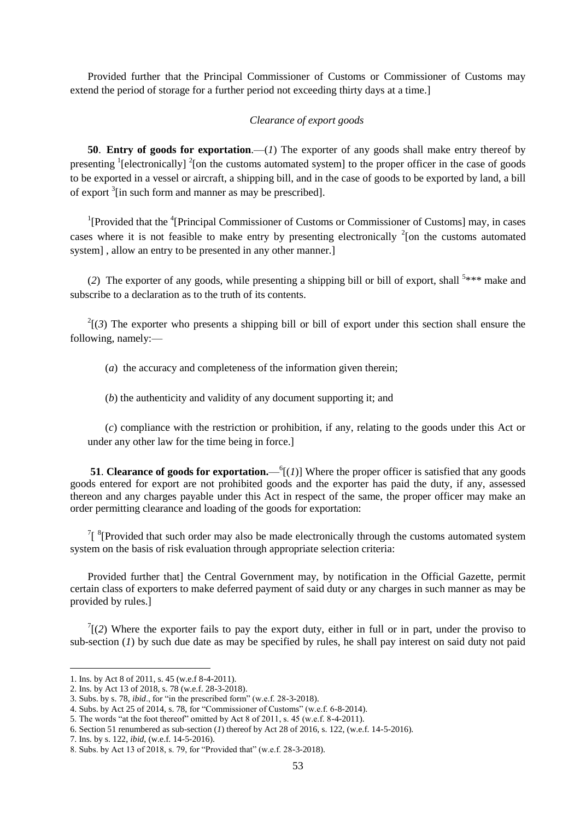Provided further that the Principal Commissioner of Customs or Commissioner of Customs may extend the period of storage for a further period not exceeding thirty days at a time.]

### *Clearance of export goods*

**50**. **Entry of goods for exportation**.—(*1*) The exporter of any goods shall make entry thereof by presenting <sup>1</sup>[electronically] <sup>2</sup>[on the customs automated system] to the proper officer in the case of goods to be exported in a vessel or aircraft, a shipping bill, and in the case of goods to be exported by land, a bill of export  $\frac{3}{1}$  in such form and manner as may be prescribed].

<sup>1</sup>[Provided that the <sup>4</sup>[Principal Commissioner of Customs or Commissioner of Customs] may, in cases cases where it is not feasible to make entry by presenting electronically  $2$ [on the customs automated system], allow an entry to be presented in any other manner.]

(2) The exporter of any goods, while presenting a shipping bill or bill of export, shall <sup>5\*\*\*</sup> make and subscribe to a declaration as to the truth of its contents.

 $2^{2}$ [(3) The exporter who presents a shipping bill or bill of export under this section shall ensure the following, namely:—

(*a*) the accuracy and completeness of the information given therein;

(*b*) the authenticity and validity of any document supporting it; and

(*c*) compliance with the restriction or prohibition, if any, relating to the goods under this Act or under any other law for the time being in force.]

**51. Clearance of goods for exportation.**— $^{6}$ [(*1*)] Where the proper officer is satisfied that any goods goods entered for export are not prohibited goods and the exporter has paid the duty, if any, assessed thereon and any charges payable under this Act in respect of the same, the proper officer may make an order permitting clearance and loading of the goods for exportation:

 $1$ <sup>8</sup>[Provided that such order may also be made electronically through the customs automated system system on the basis of risk evaluation through appropriate selection criteria:

Provided further that] the Central Government may, by notification in the Official Gazette, permit certain class of exporters to make deferred payment of said duty or any charges in such manner as may be provided by rules.]

 $T(2)$  Where the exporter fails to pay the export duty, either in full or in part, under the proviso to sub-section (*1*) by such due date as may be specified by rules, he shall pay interest on said duty not paid

<sup>1.</sup> Ins. by Act 8 of 2011, s. 45 (w.e.f 8-4-2011).

<sup>2.</sup> Ins. by Act 13 of 2018, s. 78 (w.e.f. 28-3-2018).

<sup>3.</sup> Subs. by s. 78, *ibid.*, for "in the prescribed form" (w.e.f.  $28-3-2018$ ).

<sup>4.</sup> Subs. by Act 25 of 2014, s. 78, for "Commissioner of Customs" (w.e.f. 6-8-2014).

<sup>5.</sup> The words "at the foot thereof" omitted by Act 8 of 2011, s.  $45$  (w.e.f. 8-4-2011).

<sup>6.</sup> Section 51 renumbered as sub-section (*1*) thereof by Act 28 of 2016, s. 122, (w.e.f. 14-5-2016).

<sup>7.</sup> Ins. by s. 122, *ibid*, (w.e.f. 14-5-2016).

<sup>8.</sup> Subs. by Act 13 of 2018, s. 79, for "Provided that" (w.e.f. 28-3-2018).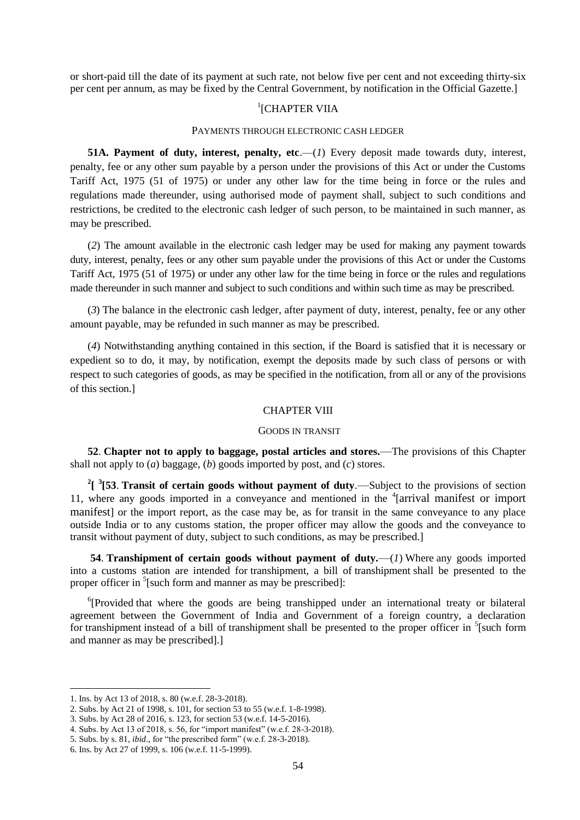or short-paid till the date of its payment at such rate, not below five per cent and not exceeding thirty-six per cent per annum, as may be fixed by the Central Government, by notification in the Official Gazette.]

# <sup>1</sup>[CHAPTER VIIA

#### PAYMENTS THROUGH ELECTRONIC CASH LEDGER

**51A.** Payment of duty, interest, penalty, etc.—(*1*) Every deposit made towards duty, interest, penalty, fee or any other sum payable by a person under the provisions of this Act or under the Customs Tariff Act, 1975 (51 of 1975) or under any other law for the time being in force or the rules and regulations made thereunder, using authorised mode of payment shall, subject to such conditions and restrictions, be credited to the electronic cash ledger of such person, to be maintained in such manner, as may be prescribed.

(*2*) The amount available in the electronic cash ledger may be used for making any payment towards duty, interest, penalty, fees or any other sum payable under the provisions of this Act or under the Customs Tariff Act, 1975 (51 of 1975) or under any other law for the time being in force or the rules and regulations made thereunder in such manner and subject to such conditions and within such time as may be prescribed.

(*3*) The balance in the electronic cash ledger, after payment of duty, interest, penalty, fee or any other amount payable, may be refunded in such manner as may be prescribed.

(*4*) Notwithstanding anything contained in this section, if the Board is satisfied that it is necessary or expedient so to do, it may, by notification, exempt the deposits made by such class of persons or with respect to such categories of goods, as may be specified in the notification, from all or any of the provisions of this section.]

## CHAPTER VIII

#### GOODS IN TRANSIT

**52**. **Chapter not to apply to baggage, postal articles and stores.**—The provisions of this Chapter shall not apply to (*a*) baggage, (*b*) goods imported by post, and (*c*) stores.

<sup>2</sup>[<sup>3</sup>[53. **Transit of certain goods without payment of duty.—Subject to the provisions of section** 11, where any goods imported in a conveyance and mentioned in the <sup>4</sup>[arrival manifest or import manifest] or the import report, as the case may be, as for transit in the same conveyance to any place outside India or to any customs station, the proper officer may allow the goods and the conveyance to transit without payment of duty, subject to such conditions, as may be prescribed.]

**54**. **Transhipment of certain goods without payment of duty.**—(*1*) Where any goods imported into a customs station are intended for transhipment, a bill of transhipment shall be presented to the proper officer in <sup>5</sup>[such form and manner as may be prescribed]:

<sup>6</sup>[Provided that where the goods are being transhipped under an international treaty or bilateral agreement between the Government of India and Government of a foreign country, a declaration for transhipment instead of a bill of transhipment shall be presented to the proper officer in  $\frac{5}{3}$ [such form and manner as may be prescribed].]

<sup>1.</sup> Ins. by Act 13 of 2018, s. 80 (w.e.f. 28-3-2018).

<sup>2.</sup> Subs. by Act 21 of 1998, s. 101, for section 53 to 55 (w.e.f. 1-8-1998).

<sup>3.</sup> Subs. by Act 28 of 2016, s. 123, for section 53 (w.e.f. 14-5-2016).

<sup>4.</sup> Subs. by Act 13 of 2018, s. 56, for "import manifest" (w.e.f. 28-3-2018).

<sup>5.</sup> Subs. by s. 81, *ibid.*, for "the prescribed form" (w.e.f. 28-3-2018).

<sup>6.</sup> Ins. by Act 27 of 1999, s. 106 (w.e.f. 11-5-1999).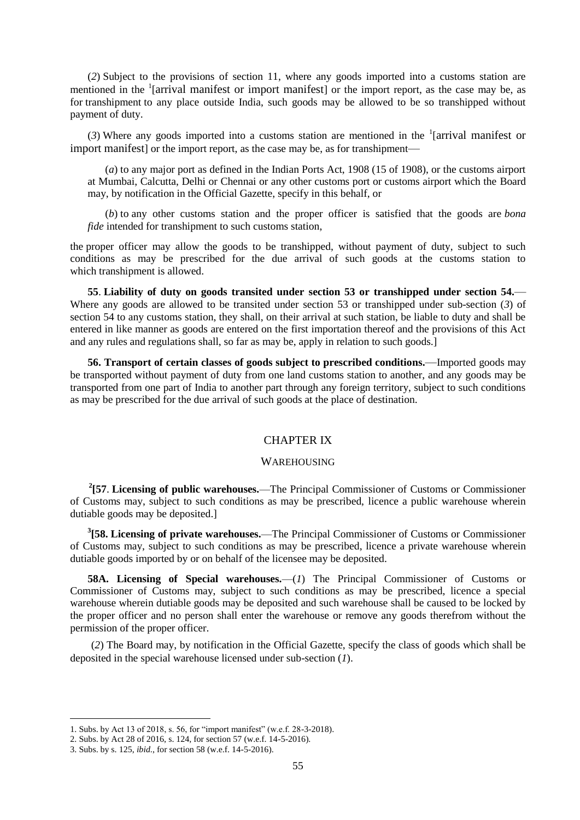(*2*) Subject to the provisions of section 11, where any goods imported into a customs station are mentioned in the <sup>1</sup>[arrival manifest or import manifest] or the import report, as the case may be, as for transhipment to any place outside India, such goods may be allowed to be so transhipped without payment of duty.

(3) Where any goods imported into a customs station are mentioned in the  $\frac{1}{2}$  [arrival manifest or import manifest] or the import report, as the case may be, as for transhipment—

(*a*) to any major port as defined in the Indian Ports Act, 1908 (15 of 1908), or the customs airport at Mumbai, Calcutta, Delhi or Chennai or any other customs port or customs airport which the Board may, by notification in the Official Gazette, specify in this behalf, or

(*b*) to any other customs station and the proper officer is satisfied that the goods are *bona fide* intended for transhipment to such customs station,

the proper officer may allow the goods to be transhipped, without payment of duty, subject to such conditions as may be prescribed for the due arrival of such goods at the customs station to which transhipment is allowed.

**55**. **Liability of duty on goods transited under section 53 or transhipped under section 54.**— Where any goods are allowed to be transited under section 53 or transhipped under sub-section (*3*) of section 54 to any customs station, they shall, on their arrival at such station, be liable to duty and shall be entered in like manner as goods are entered on the first importation thereof and the provisions of this Act and any rules and regulations shall, so far as may be, apply in relation to such goods.]

**56. Transport of certain classes of goods subject to prescribed conditions.**—Imported goods may be transported without payment of duty from one land customs station to another, and any goods may be transported from one part of India to another part through any foreign territory, subject to such conditions as may be prescribed for the due arrival of such goods at the place of destination.

### CHAPTER IX

#### WAREHOUSING

**2 [57**. **Licensing of public warehouses.**—The Principal Commissioner of Customs or Commissioner of Customs may, subject to such conditions as may be prescribed, licence a public warehouse wherein dutiable goods may be deposited.]

**3 [58. Licensing of private warehouses.**—The Principal Commissioner of Customs or Commissioner of Customs may, subject to such conditions as may be prescribed, licence a private warehouse wherein dutiable goods imported by or on behalf of the licensee may be deposited.

**58A. Licensing of Special warehouses.**—(*1*) The Principal Commissioner of Customs or Commissioner of Customs may, subject to such conditions as may be prescribed, licence a special warehouse wherein dutiable goods may be deposited and such warehouse shall be caused to be locked by the proper officer and no person shall enter the warehouse or remove any goods therefrom without the permission of the proper officer.

(*2*) The Board may, by notification in the Official Gazette, specify the class of goods which shall be deposited in the special warehouse licensed under sub-section (*1*).

<sup>1.</sup> Subs. by Act 13 of 2018, s. 56, for "import manifest" (w.e.f. 28-3-2018).

<sup>2.</sup> Subs. by Act 28 of 2016, s. 124, for section 57 (w.e.f. 14-5-2016).

<sup>3.</sup> Subs. by s. 125, *ibid*., for section 58 (w.e.f. 14-5-2016).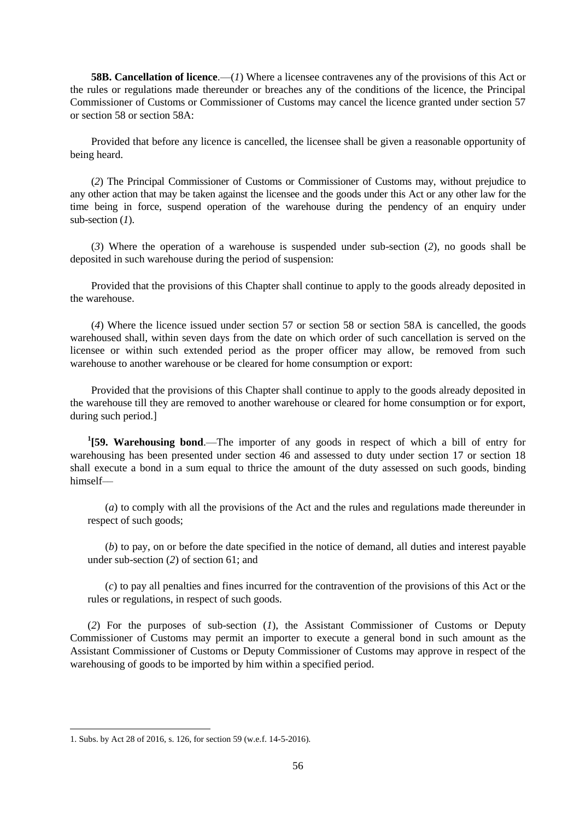**58B. Cancellation of licence**.—(*1*) Where a licensee contravenes any of the provisions of this Act or the rules or regulations made thereunder or breaches any of the conditions of the licence, the Principal Commissioner of Customs or Commissioner of Customs may cancel the licence granted under section 57 or section 58 or section 58A:

Provided that before any licence is cancelled, the licensee shall be given a reasonable opportunity of being heard.

(*2*) The Principal Commissioner of Customs or Commissioner of Customs may, without prejudice to any other action that may be taken against the licensee and the goods under this Act or any other law for the time being in force, suspend operation of the warehouse during the pendency of an enquiry under sub-section (*1*).

(*3*) Where the operation of a warehouse is suspended under sub-section (*2*), no goods shall be deposited in such warehouse during the period of suspension:

Provided that the provisions of this Chapter shall continue to apply to the goods already deposited in the warehouse.

(*4*) Where the licence issued under section 57 or section 58 or section 58A is cancelled, the goods warehoused shall, within seven days from the date on which order of such cancellation is served on the licensee or within such extended period as the proper officer may allow, be removed from such warehouse to another warehouse or be cleared for home consumption or export:

Provided that the provisions of this Chapter shall continue to apply to the goods already deposited in the warehouse till they are removed to another warehouse or cleared for home consumption or for export, during such period.]

**1 [59. Warehousing bond**.—The importer of any goods in respect of which a bill of entry for warehousing has been presented under section 46 and assessed to duty under section 17 or section 18 shall execute a bond in a sum equal to thrice the amount of the duty assessed on such goods, binding himself––

(*a*) to comply with all the provisions of the Act and the rules and regulations made thereunder in respect of such goods;

(*b*) to pay, on or before the date specified in the notice of demand, all duties and interest payable under sub-section (*2*) of section 61; and

(*c*) to pay all penalties and fines incurred for the contravention of the provisions of this Act or the rules or regulations, in respect of such goods.

(*2*) For the purposes of sub-section (*1*), the Assistant Commissioner of Customs or Deputy Commissioner of Customs may permit an importer to execute a general bond in such amount as the Assistant Commissioner of Customs or Deputy Commissioner of Customs may approve in respect of the warehousing of goods to be imported by him within a specified period.

<sup>1.</sup> Subs. by Act 28 of 2016, s. 126, for section 59 (w.e.f. 14-5-2016).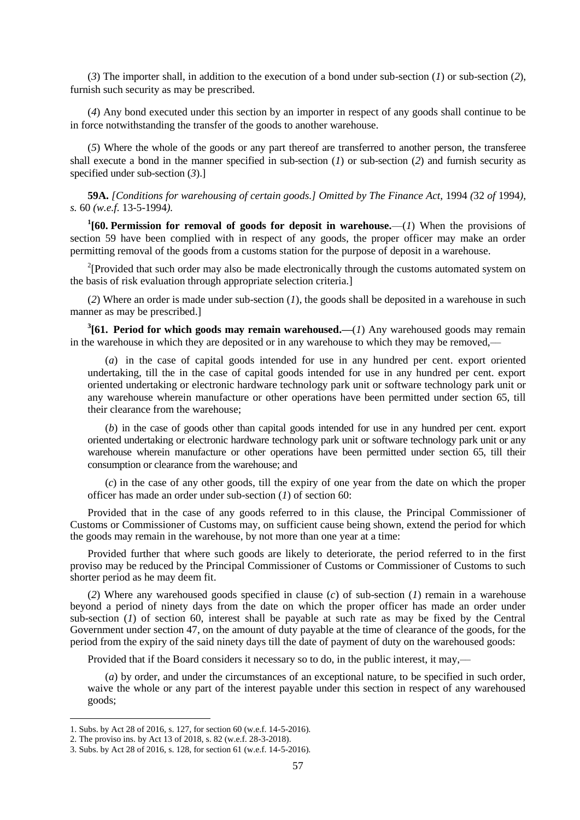(*3*) The importer shall, in addition to the execution of a bond under sub-section (*1*) or sub-section (*2*), furnish such security as may be prescribed.

(*4*) Any bond executed under this section by an importer in respect of any goods shall continue to be in force notwithstanding the transfer of the goods to another warehouse.

(*5*) Where the whole of the goods or any part thereof are transferred to another person, the transferee shall execute a bond in the manner specified in sub-section (*1*) or sub-section (*2*) and furnish security as specified under sub-section (*3*).]

**59A.** *[Conditions for warehousing of certain goods.] Omitted by The Finance Act,* 1994 *(*32 *of* 1994*), s.* 60 *(w.e.f.* 13-5-1994*).*

<sup>1</sup>[60. Permission for removal of goods for deposit in warehouse.—(*1*) When the provisions of section 59 have been complied with in respect of any goods, the proper officer may make an order permitting removal of the goods from a customs station for the purpose of deposit in a warehouse.

<sup>2</sup>[Provided that such order may also be made electronically through the customs automated system on the basis of risk evaluation through appropriate selection criteria.]

(*2*) Where an order is made under sub-section (*1*), the goods shall be deposited in a warehouse in such manner as may be prescribed.]

**3 [61. Period for which goods may remain warehoused.—**(*1*) Any warehoused goods may remain in the warehouse in which they are deposited or in any warehouse to which they may be removed,—

(*a*) in the case of capital goods intended for use in any hundred per cent. export oriented undertaking, till the in the case of capital goods intended for use in any hundred per cent. export oriented undertaking or electronic hardware technology park unit or software technology park unit or any warehouse wherein manufacture or other operations have been permitted under section 65, till their clearance from the warehouse;

(*b*) in the case of goods other than capital goods intended for use in any hundred per cent. export oriented undertaking or electronic hardware technology park unit or software technology park unit or any warehouse wherein manufacture or other operations have been permitted under section 65, till their consumption or clearance from the warehouse; and

(*c*) in the case of any other goods, till the expiry of one year from the date on which the proper officer has made an order under sub-section (*1*) of section 60:

Provided that in the case of any goods referred to in this clause, the Principal Commissioner of Customs or Commissioner of Customs may, on sufficient cause being shown, extend the period for which the goods may remain in the warehouse, by not more than one year at a time:

Provided further that where such goods are likely to deteriorate, the period referred to in the first proviso may be reduced by the Principal Commissioner of Customs or Commissioner of Customs to such shorter period as he may deem fit.

(*2*) Where any warehoused goods specified in clause (*c*) of sub-section (*1*) remain in a warehouse beyond a period of ninety days from the date on which the proper officer has made an order under sub-section (*1*) of section 60, interest shall be payable at such rate as may be fixed by the Central Government under section 47, on the amount of duty payable at the time of clearance of the goods, for the period from the expiry of the said ninety days till the date of payment of duty on the warehoused goods:

Provided that if the Board considers it necessary so to do, in the public interest, it may,––

(*a*) by order, and under the circumstances of an exceptional nature, to be specified in such order, waive the whole or any part of the interest payable under this section in respect of any warehoused goods;

<sup>1.</sup> Subs. by Act 28 of 2016, s. 127, for section 60 (w.e.f. 14-5-2016).

<sup>2.</sup> The proviso ins. by Act 13 of 2018, s. 82 (w.e.f. 28-3-2018).

<sup>3.</sup> Subs. by Act 28 of 2016, s. 128, for section 61 (w.e.f. 14-5-2016).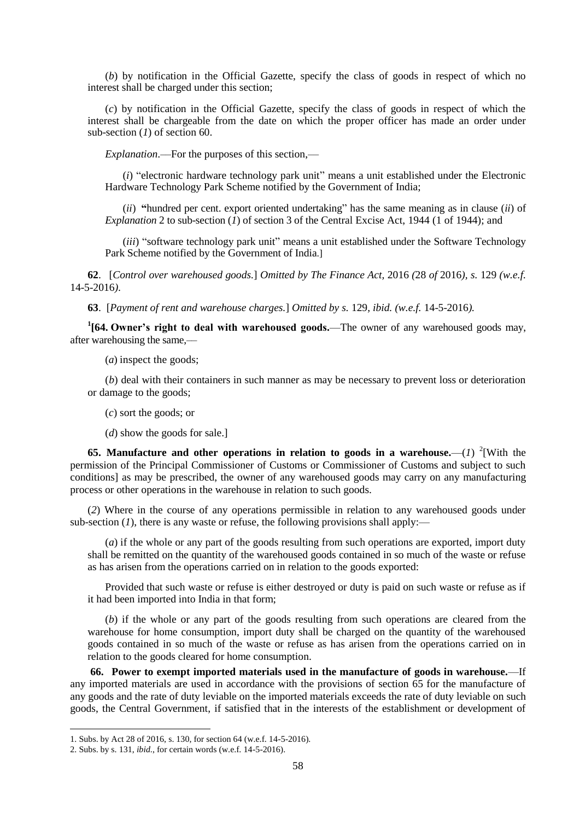(*b*) by notification in the Official Gazette, specify the class of goods in respect of which no interest shall be charged under this section;

(*c*) by notification in the Official Gazette, specify the class of goods in respect of which the interest shall be chargeable from the date on which the proper officer has made an order under sub-section (*1*) of section 60.

*Explanation*.––For the purposes of this section,––

 $(i)$  "electronic hardware technology park unit" means a unit established under the Electronic Hardware Technology Park Scheme notified by the Government of India;

 $(ii)$  "hundred per cent. export oriented undertaking" has the same meaning as in clause  $(ii)$  of *Explanation* 2 to sub-section  $(\tilde{l})$  of section 3 of the Central Excise Act, 1944 (1 of 1944); and

(*iii*) "software technology park unit" means a unit established under the Software Technology Park Scheme notified by the Government of India.]

**62**. [*Control over warehoused goods.*] *Omitted by The Finance Act,* 2016 *(*28 *of* 2016*), s.* 129 *(w.e.f.*  14-5-2016*)*.

**63**. [*Payment of rent and warehouse charges.*] *Omitted by s.* 129*, ibid. (w.e.f.* 14-5-2016*).*

**1 [64. Owner's right to deal with warehoused goods.**—The owner of any warehoused goods may, after warehousing the same,––

(*a*) inspect the goods;

(*b*) deal with their containers in such manner as may be necessary to prevent loss or deterioration or damage to the goods;

(*c*) sort the goods; or

(*d*) show the goods for sale.]

**65.** Manufacture and other operations in relation to goods in a warehouse.— $(I)$  <sup>2</sup>[With the permission of the Principal Commissioner of Customs or Commissioner of Customs and subject to such conditions] as may be prescribed, the owner of any warehoused goods may carry on any manufacturing process or other operations in the warehouse in relation to such goods.

(*2*) Where in the course of any operations permissible in relation to any warehoused goods under sub-section  $(I)$ , there is any waste or refuse, the following provisions shall apply:—

(*a*) if the whole or any part of the goods resulting from such operations are exported, import duty shall be remitted on the quantity of the warehoused goods contained in so much of the waste or refuse as has arisen from the operations carried on in relation to the goods exported:

Provided that such waste or refuse is either destroyed or duty is paid on such waste or refuse as if it had been imported into India in that form;

(*b*) if the whole or any part of the goods resulting from such operations are cleared from the warehouse for home consumption, import duty shall be charged on the quantity of the warehoused goods contained in so much of the waste or refuse as has arisen from the operations carried on in relation to the goods cleared for home consumption.

**66. Power to exempt imported materials used in the manufacture of goods in warehouse.**—If any imported materials are used in accordance with the provisions of section 65 for the manufacture of any goods and the rate of duty leviable on the imported materials exceeds the rate of duty leviable on such goods, the Central Government, if satisfied that in the interests of the establishment or development of

<sup>1.</sup> Subs. by Act 28 of 2016, s. 130, for section 64 (w.e.f. 14-5-2016).

<sup>2.</sup> Subs. by s. 131, *ibid*., for certain words (w.e.f. 14-5-2016).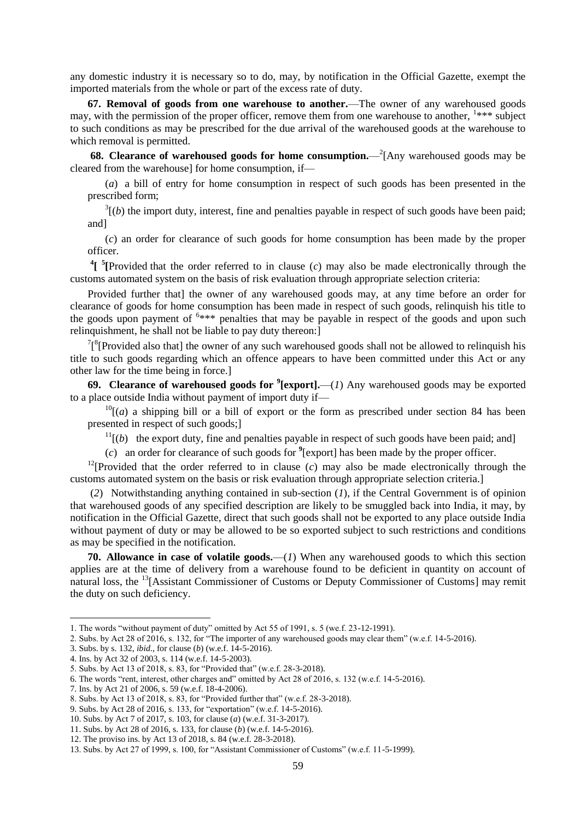any domestic industry it is necessary so to do, may, by notification in the Official Gazette, exempt the imported materials from the whole or part of the excess rate of duty.

**67. Removal of goods from one warehouse to another.**—The owner of any warehoused goods may, with the permission of the proper officer, remove them from one warehouse to another, <sup>1\*\*\*</sup> subject to such conditions as may be prescribed for the due arrival of the warehoused goods at the warehouse to which removal is permitted.

**68. Clearance of warehoused goods for home consumption.** -2<sup>2</sup>[Any warehoused goods may be cleared from the warehouse] for home consumption, if—

(*a*) a bill of entry for home consumption in respect of such goods has been presented in the prescribed form;

 $3(1b)$  the import duty, interest, fine and penalties payable in respect of such goods have been paid; and]

(*c*) an order for clearance of such goods for home consumption has been made by the proper officer.

<sup>4</sup>[<sup>5</sup>[Provided that the order referred to in clause (*c*) may also be made electronically through the customs automated system on the basis of risk evaluation through appropriate selection criteria:

Provided further that] the owner of any warehoused goods may, at any time before an order for clearance of goods for home consumption has been made in respect of such goods, relinquish his title to the goods upon payment of  $6***$  penalties that may be payable in respect of the goods and upon such relinquishment, he shall not be liable to pay duty thereon:]

 $7\binom{8}{1}$  Provided also that] the owner of any such warehoused goods shall not be allowed to relinquish his title to such goods regarding which an offence appears to have been committed under this Act or any other law for the time being in force.]

**69. Clearance of warehoused goods for <sup>9</sup> [export].**—(*1*) Any warehoused goods may be exported to a place outside India without payment of import duty if—

 $^{10}$ [(*a*) a shipping bill or a bill of export or the form as prescribed under section 84 has been presented in respect of such goods;]

 $11($ *b*) the export duty, fine and penalties payable in respect of such goods have been paid; and]

(*c*) an order for clearance of such goods for **<sup>9</sup>** [export] has been made by the proper officer.

<sup>12</sup>[Provided that the order referred to in clause  $(c)$  may also be made electronically through the customs automated system on the basis or risk evaluation through appropriate selection criteria.]

(*2*) Notwithstanding anything contained in sub-section (*1*), if the Central Government is of opinion that warehoused goods of any specified description are likely to be smuggled back into India, it may, by notification in the Official Gazette, direct that such goods shall not be exported to any place outside India without payment of duty or may be allowed to be so exported subject to such restrictions and conditions as may be specified in the notification.

**70. Allowance in case of volatile goods.**—(*1*) When any warehoused goods to which this section applies are at the time of delivery from a warehouse found to be deficient in quantity on account of natural loss, the <sup>13</sup>[Assistant Commissioner of Customs or Deputy Commissioner of Customs] may remit the duty on such deficiency.

<sup>1.</sup> The words "without payment of duty" omitted by Act 55 of 1991, s. 5 (we.f. 23-12-1991).

<sup>2.</sup> Subs. by Act 28 of 2016, s. 132, for "The importer of any warehoused goods may clear them" (w.e.f. 14-5-2016).

<sup>3.</sup> Subs. by s. 132, *ibid*., for clause (*b*) (w.e.f. 14-5-2016).

<sup>4.</sup> Ins. by Act 32 of 2003, s. 114 (w.e.f. 14-5-2003).

<sup>5.</sup> Subs. by Act 13 of 2018, s. 83, for "Provided that" (w.e.f. 28-3-2018).

<sup>6.</sup> The words "rent, interest, other charges and" omitted by Act 28 of 2016, s. 132 (w.e.f. 14-5-2016).

<sup>7.</sup> Ins. by Act 21 of 2006, s. 59 (w.e.f. 18-4-2006).

<sup>8.</sup> Subs. by Act 13 of 2018, s. 83, for "Provided further that" (w.e.f. 28-3-2018).

<sup>9.</sup> Subs. by Act 28 of 2016, s. 133, for "exportation" (w.e.f. 14-5-2016).

<sup>10.</sup> Subs. by Act 7 of 2017, s. 103, for clause (*a*) (w.e.f. 31-3-2017).

<sup>11.</sup> Subs. by Act 28 of 2016, s. 133, for clause (*b*) (w.e.f. 14-5-2016).

<sup>12.</sup> The proviso ins. by Act 13 of 2018, s. 84 (w.e.f. 28-3-2018).

<sup>13.</sup> Subs. by Act 27 of 1999, s. 100, for "Assistant Commissioner of Customs" (w.e.f. 11-5-1999).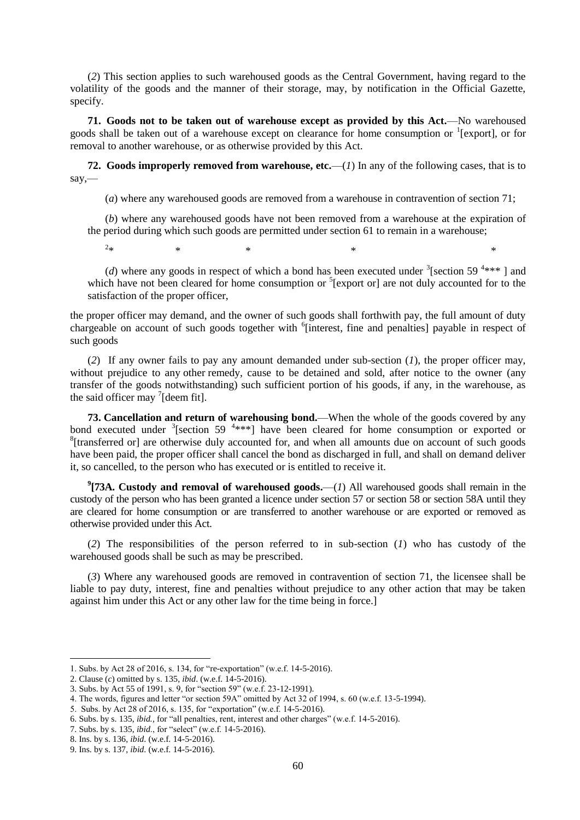(*2*) This section applies to such warehoused goods as the Central Government, having regard to the volatility of the goods and the manner of their storage, may, by notification in the Official Gazette, specify.

**71. Goods not to be taken out of warehouse except as provided by this Act.**—No warehoused goods shall be taken out of a warehouse except on clearance for home consumption or <sup>1</sup>[export], or for removal to another warehouse, or as otherwise provided by this Act.

**72. Goods improperly removed from warehouse, etc.**—(*1*) In any of the following cases, that is to say,—

(*a*) where any warehoused goods are removed from a warehouse in contravention of section 71;

(*b*) where any warehoused goods have not been removed from a warehouse at the expiration of the period during which such goods are permitted under section 61 to remain in a warehouse;

 $2.1.$  $*$   $*$   $*$   $*$   $*$   $*$   $*$ 

(*d*) where any goods in respect of which a bond has been executed under  $\frac{3}{5}$  [section 59<sup>4\*\*\*</sup>] and which have not been cleared for home consumption or <sup>5</sup>[export or] are not duly accounted for to the satisfaction of the proper officer,

the proper officer may demand, and the owner of such goods shall forthwith pay, the full amount of duty chargeable on account of such goods together with <sup>6</sup>[interest, fine and penalties] payable in respect of such goods

(*2*) If any owner fails to pay any amount demanded under sub-section (*1*), the proper officer may, without prejudice to any other remedy, cause to be detained and sold, after notice to the owner (any transfer of the goods notwithstanding) such sufficient portion of his goods, if any, in the warehouse, as the said officer may  $\frac{7}{1}$  [deem fit].

**73. Cancellation and return of warehousing bond.**—When the whole of the goods covered by any bond executed under  $\frac{3}{5}$ [section 59  $\frac{4***}{5}$ ] have been cleared for home consumption or exported or <sup>8</sup>[transferred or] are otherwise duly accounted for, and when all amounts due on account of such goods have been paid, the proper officer shall cancel the bond as discharged in full, and shall on demand deliver it, so cancelled, to the person who has executed or is entitled to receive it.

**9 [73A. Custody and removal of warehoused goods.**—(*1*) All warehoused goods shall remain in the custody of the person who has been granted a licence under section 57 or section 58 or section 58A until they are cleared for home consumption or are transferred to another warehouse or are exported or removed as otherwise provided under this Act.

(*2*) The responsibilities of the person referred to in sub-section (*1*) who has custody of the warehoused goods shall be such as may be prescribed.

(*3*) Where any warehoused goods are removed in contravention of section 71, the licensee shall be liable to pay duty, interest, fine and penalties without prejudice to any other action that may be taken against him under this Act or any other law for the time being in force.]

<sup>1.</sup> Subs. by Act 28 of 2016, s. 134, for "re-exportation" (w.e.f. 14-5-2016).

<sup>2.</sup> Clause (*c*) omitted by s. 135, *ibid*. (w.e.f. 14-5-2016).

<sup>3.</sup> Subs. by Act 55 of 1991, s. 9, for "section 59" (w.e.f. 23-12-1991).

<sup>4.</sup> The words, figures and letter "or section 59A" omitted by Act 32 of 1994, s. 60 (w.e.f. 13-5-1994).

<sup>5.</sup> Subs. by Act 28 of 2016, s. 135, for "exportation" (w.e.f. 14-5-2016).

<sup>6.</sup> Subs. by s. 135, *ibid.*, for "all penalties, rent, interest and other charges" (w.e.f. 14-5-2016).

<sup>7.</sup> Subs. by s. 135, *ibid.*, for "select" (w.e.f. 14-5-2016).

<sup>8.</sup> Ins. by s. 136, *ibid*. (w.e.f. 14-5-2016).

<sup>9.</sup> Ins. by s. 137, *ibid*. (w.e.f. 14-5-2016).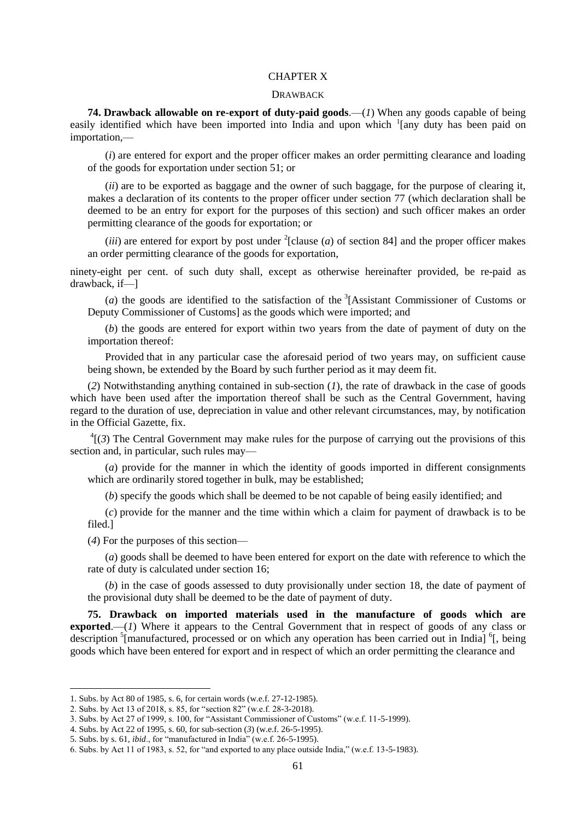## CHAPTER X

#### DRAWBACK

**74. Drawback allowable on re-export of duty-paid goods**.—(*1*) When any goods capable of being easily identified which have been imported into India and upon which <sup>1</sup>[any duty has been paid on importation,—

(*i*) are entered for export and the proper officer makes an order permitting clearance and loading of the goods for exportation under section 51; or

(*ii*) are to be exported as baggage and the owner of such baggage, for the purpose of clearing it, makes a declaration of its contents to the proper officer under section 77 (which declaration shall be deemed to be an entry for export for the purposes of this section) and such officer makes an order permitting clearance of the goods for exportation; or

(*iii*) are entered for export by post under  $^{2}$ [clause (*a*) of section 84] and the proper officer makes an order permitting clearance of the goods for exportation,

ninety-eight per cent. of such duty shall, except as otherwise hereinafter provided, be re-paid as drawback, if—]

(*a*) the goods are identified to the satisfaction of the  ${}^{3}$ [Assistant Commissioner of Customs or Deputy Commissioner of Customs] as the goods which were imported; and

(*b*) the goods are entered for export within two years from the date of payment of duty on the importation thereof:

Provided that in any particular case the aforesaid period of two years may, on sufficient cause being shown, be extended by the Board by such further period as it may deem fit.

(*2*) Notwithstanding anything contained in sub-section (*1*), the rate of drawback in the case of goods which have been used after the importation thereof shall be such as the Central Government, having regard to the duration of use, depreciation in value and other relevant circumstances, may, by notification in the Official Gazette, fix.

 ${}^{4}$ [(3) The Central Government may make rules for the purpose of carrying out the provisions of this section and, in particular, such rules may—

(*a*) provide for the manner in which the identity of goods imported in different consignments which are ordinarily stored together in bulk, may be established;

(*b*) specify the goods which shall be deemed to be not capable of being easily identified; and

(*c*) provide for the manner and the time within which a claim for payment of drawback is to be filed.]

(*4*) For the purposes of this section—

(*a*) goods shall be deemed to have been entered for export on the date with reference to which the rate of duty is calculated under section 16;

(*b*) in the case of goods assessed to duty provisionally under section 18, the date of payment of the provisional duty shall be deemed to be the date of payment of duty.

**75. Drawback on imported materials used in the manufacture of goods which are exported**.—(*1*) Where it appears to the Central Government that in respect of goods of any class or description <sup>5</sup>[manufactured, processed or on which any operation has been carried out in India] <sup>6</sup>[, being goods which have been entered for export and in respect of which an order permitting the clearance and

<sup>1.</sup> Subs. by Act 80 of 1985, s. 6, for certain words (w.e.f. 27-12-1985).

<sup>2.</sup> Subs. by Act 13 of 2018, s. 85, for "section 82" (w.e.f. 28-3-2018).

<sup>3.</sup> Subs. by Act 27 of 1999, s. 100, for "Assistant Commissioner of Customs" (w.e.f. 11-5-1999).

<sup>4.</sup> Subs. by Act 22 of 1995, s. 60, for sub-section (*3*) (w.e.f. 26-5-1995). 5. Subs. by s. 61, *ibid.*, for "manufactured in India" (w.e.f. 26-5-1995).

<sup>6.</sup> Subs. by Act 11 of 1983, s. 52, for "and exported to any place outside India," (w.e.f. 13-5-1983).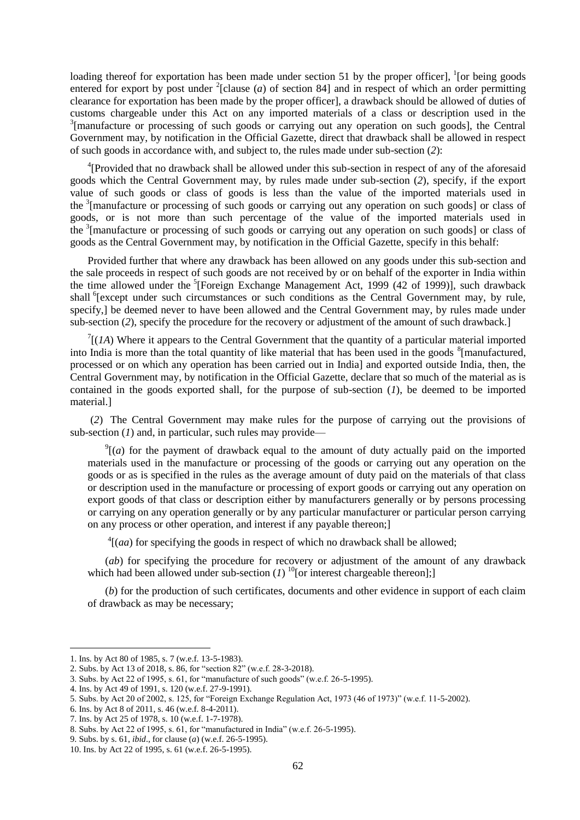loading thereof for exportation has been made under section 51 by the proper officer],  $\frac{1}{1}$  [or being goods entered for export by post under  $^{2}$ [clause (*a*) of section 84] and in respect of which an order permitting clearance for exportation has been made by the proper officer], a drawback should be allowed of duties of customs chargeable under this Act on any imported materials of a class or description used in the <sup>3</sup>[manufacture or processing of such goods or carrying out any operation on such goods], the Central Government may, by notification in the Official Gazette, direct that drawback shall be allowed in respect of such goods in accordance with, and subject to, the rules made under sub-section (*2*):

<sup>4</sup>[Provided that no drawback shall be allowed under this sub-section in respect of any of the aforesaid goods which the Central Government may, by rules made under sub-section (*2*), specify, if the export value of such goods or class of goods is less than the value of the imported materials used in the <sup>3</sup> [manufacture or processing of such goods or carrying out any operation on such goods] or class of goods, or is not more than such percentage of the value of the imported materials used in the <sup>3</sup> [manufacture or processing of such goods or carrying out any operation on such goods] or class of goods as the Central Government may, by notification in the Official Gazette, specify in this behalf:

Provided further that where any drawback has been allowed on any goods under this sub-section and the sale proceeds in respect of such goods are not received by or on behalf of the exporter in India within the time allowed under the <sup>5</sup>[Foreign Exchange Management Act, 1999 (42 of 1999)], such drawback shall <sup>6</sup>[except under such circumstances or such conditions as the Central Government may, by rule, specify,] be deemed never to have been allowed and the Central Government may, by rules made under sub-section (2), specify the procedure for the recovery or adjustment of the amount of such drawback.]

 $\int$ <sup>7</sup>[(*1A*) Where it appears to the Central Government that the quantity of a particular material imported into India is more than the total quantity of like material that has been used in the goods  $\delta$ [manufactured, processed or on which any operation has been carried out in India] and exported outside India, then, the Central Government may, by notification in the Official Gazette, declare that so much of the material as is contained in the goods exported shall, for the purpose of sub-section (*1*), be deemed to be imported material.]

(*2*) The Central Government may make rules for the purpose of carrying out the provisions of sub-section (*1*) and, in particular, such rules may provide—

 $\int_{0}^{9}$  (*a*) for the payment of drawback equal to the amount of duty actually paid on the imported materials used in the manufacture or processing of the goods or carrying out any operation on the goods or as is specified in the rules as the average amount of duty paid on the materials of that class or description used in the manufacture or processing of export goods or carrying out any operation on export goods of that class or description either by manufacturers generally or by persons processing or carrying on any operation generally or by any particular manufacturer or particular person carrying on any process or other operation, and interest if any payable thereon;]

 $^{4}$ [(*aa*) for specifying the goods in respect of which no drawback shall be allowed;

(*ab*) for specifying the procedure for recovery or adjustment of the amount of any drawback which had been allowed under sub-section  $(I)$  <sup>10</sup>[or interest chargeable thereon];]

(*b*) for the production of such certificates, documents and other evidence in support of each claim of drawback as may be necessary;

<sup>1.</sup> Ins. by Act 80 of 1985, s. 7 (w.e.f. 13-5-1983).

<sup>2.</sup> Subs. by Act 13 of 2018, s. 86, for "section 82" (w.e.f. 28-3-2018).

<sup>3.</sup> Subs. by Act 22 of 1995, s. 61, for "manufacture of such goods" (w.e.f. 26-5-1995).

<sup>4.</sup> Ins. by Act 49 of 1991, s. 120 (w.e.f. 27-9-1991).

<sup>5.</sup> Subs. by Act 20 of 2002, s. 125, for "Foreign Exchange Regulation Act, 1973 (46 of 1973)" (w.e.f. 11-5-2002).

<sup>6.</sup> Ins. by Act 8 of 2011, s. 46 (w.e.f. 8-4-2011).

<sup>7.</sup> Ins. by Act 25 of 1978, s. 10 (w.e.f. 1-7-1978).

<sup>8.</sup> Subs. by Act 22 of 1995, s. 61, for "manufactured in India" (w.e.f. 26-5-1995).

<sup>9.</sup> Subs. by s. 61, *ibid*., for clause (*a*) (w.e.f. 26-5-1995).

<sup>10.</sup> Ins. by Act 22 of 1995, s. 61 (w.e.f. 26-5-1995).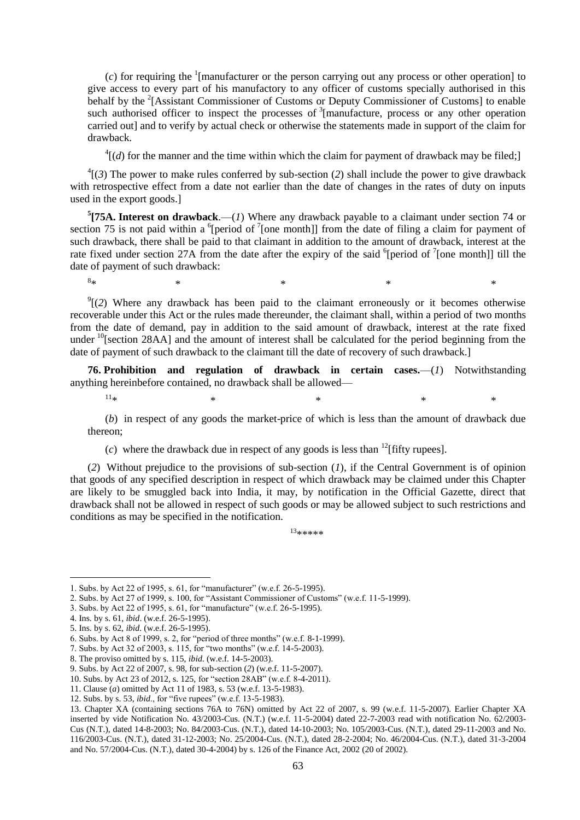$(c)$  for requiring the <sup>1</sup>[manufacturer or the person carrying out any process or other operation] to give access to every part of his manufactory to any officer of customs specially authorised in this behalf by the <sup>2</sup>[Assistant Commissioner of Customs or Deputy Commissioner of Customs] to enable such authorised officer to inspect the processes of  $\frac{3}{2}$  [manufacture, process or any other operation carried out] and to verify by actual check or otherwise the statements made in support of the claim for drawback.

 $^{4}$ [(*d*) for the manner and the time within which the claim for payment of drawback may be filed;]

 $^{4}$ [(3) The power to make rules conferred by sub-section (2) shall include the power to give drawback with retrospective effect from a date not earlier than the date of changes in the rates of duty on inputs used in the export goods.]

**5 [75A. Interest on drawback**.—(*1*) Where any drawback payable to a claimant under section 74 or section 75 is not paid within a <sup>6</sup>[period of  $\frac{7}{1}$ [one month]] from the date of filing a claim for payment of such drawback, there shall be paid to that claimant in addition to the amount of drawback, interest at the rate fixed under section 27A from the date after the expiry of the said  $6$ [period of  $7$ [one month]] till the date of payment of such drawback:

 $\mathcal{O}(2)$  Where any drawback has been paid to the claimant erroneously or it becomes otherwise recoverable under this Act or the rules made thereunder, the claimant shall, within a period of two months from the date of demand, pay in addition to the said amount of drawback, interest at the rate fixed under  $^{10}$ [section 28AA] and the amount of interest shall be calculated for the period beginning from the date of payment of such drawback to the claimant till the date of recovery of such drawback.]

 $*$   $*$   $*$   $*$   $*$   $*$   $*$ 

**76. Prohibition and regulation of drawback in certain cases.**—(*1*) Notwithstanding anything hereinbefore contained, no drawback shall be allowed—

1

 $8*$ 

 $11*$  \* \* \* \* \* \*

(*b*) in respect of any goods the market-price of which is less than the amount of drawback due thereon;

(*c*) where the drawback due in respect of any goods is less than <sup>12</sup>[fifty rupees].

(*2*) Without prejudice to the provisions of sub-section (*1*), if the Central Government is of opinion that goods of any specified description in respect of which drawback may be claimed under this Chapter are likely to be smuggled back into India, it may, by notification in the Official Gazette, direct that drawback shall not be allowed in respect of such goods or may be allowed subject to such restrictions and conditions as may be specified in the notification.

 $13******$ 

<sup>1.</sup> Subs. by Act 22 of 1995, s. 61, for "manufacturer" (w.e.f. 26-5-1995).

<sup>2.</sup> Subs. by Act 27 of 1999, s. 100, for "Assistant Commissioner of Customs" (w.e.f. 11-5-1999).

<sup>3.</sup> Subs. by Act 22 of 1995, s. 61, for "manufacture" (w.e.f. 26-5-1995).

<sup>4.</sup> Ins. by s. 61, *ibid*. (w.e.f. 26-5-1995).

<sup>5.</sup> Ins. by s. 62, *ibid.* (w.e.f. 26-5-1995).

<sup>6.</sup> Subs. by Act 8 of 1999, s. 2, for "period of three months" (w.e.f. 8-1-1999).

<sup>7.</sup> Subs. by Act 32 of 2003, s. 115, for "two months" (w.e.f. 14-5-2003).

<sup>8.</sup> The proviso omitted by s. 115, *ibid*. (w.e.f. 14-5-2003).

<sup>9.</sup> Subs. by Act 22 of 2007, s. 98, for sub-section (*2*) (w.e.f. 11-5-2007).

<sup>10.</sup> Subs. by Act 23 of 2012, s. 125, for "section 28AB" (w.e.f. 8-4-2011).

<sup>11.</sup> Clause (*a*) omitted by Act 11 of 1983, s. 53 (w.e.f. 13-5-1983).

<sup>12.</sup> Subs. by s. 53, *ibid.*, for "five rupees" (w.e.f. 13-5-1983).

<sup>13.</sup> Chapter XA (containing sections 76A to 76N) omitted by Act 22 of 2007, s. 99 (w.e.f. 11-5-2007). Earlier Chapter XA inserted by vide Notification No. 43/2003-Cus. (N.T.) (w.e.f. 11-5-2004) dated 22-7-2003 read with notification No. 62/2003- Cus (N.T.), dated 14-8-2003; No. 84/2003-Cus. (N.T.), dated 14-10-2003; No. 105/2003-Cus. (N.T.), dated 29-11-2003 and No. 116/2003-Cus. (N.T.), dated 31-12-2003; No. 25/2004-Cus. (N.T.), dated 28-2-2004; No. 46/2004-Cus. (N.T.), dated 31-3-2004 and No. 57/2004-Cus. (N.T.), dated 30-4-2004) by s. 126 of the Finance Act, 2002 (20 of 2002).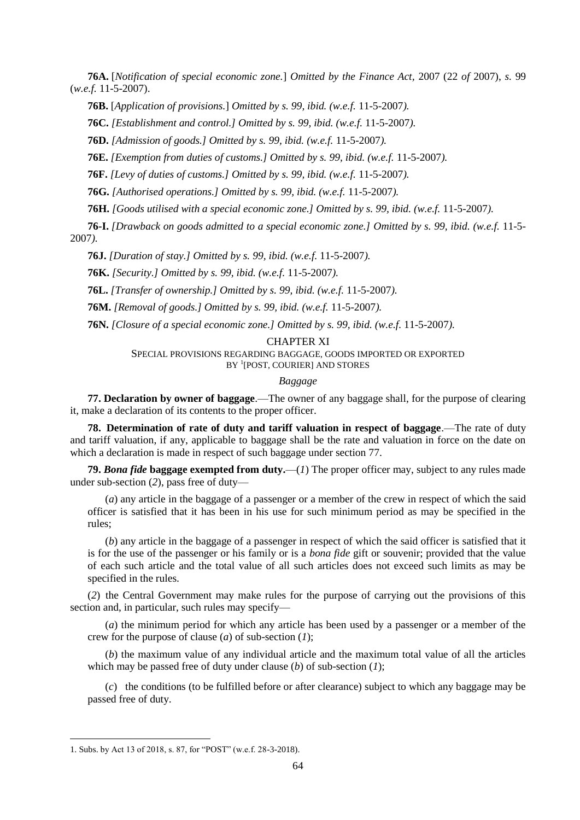**76A.** [*Notification of special economic zone.*] *Omitted by the Finance Act,* 2007 (22 *of* 2007), *s.* 99 (*w.e.f.* 11-5-2007).

**76B.** [*Application of provisions.*] *Omitted by s. 99, ibid. (w.e.f.* 11-5-2007*).*

**76C.** *[Establishment and control.] Omitted by s. 99, ibid. (w.e.f.* 11-5-2007*).*

**76D.** *[Admission of goods.] Omitted by s. 99, ibid. (w.e.f.* 11-5-2007*).*

**76E.** *[Exemption from duties of customs.] Omitted by s. 99, ibid. (w.e.f.* 11-5-2007*).*

**76F.** *[Levy of duties of customs.] Omitted by s. 99, ibid. (w.e.f.* 11-5-2007*).*

**76G.** *[Authorised operations.] Omitted by s. 99, ibid. (w.e.f.* 11-5-2007*).*

**76H.** *[Goods utilised with a special economic zone.] Omitted by s. 99, ibid. (w.e.f.* 11-5-2007*).*

**76-I.** *[Drawback on goods admitted to a special economic zone.] Omitted by s. 99, ibid. (w.e.f.* 11-5- 2007*).*

**76J.** *[Duration of stay.] Omitted by s. 99, ibid. (w.e.f.* 11-5-2007*).*

**76K.** *[Security.] Omitted by s. 99, ibid. (w.e.f.* 11-5-2007*).*

**76L.** *[Transfer of ownership.] Omitted by s. 99, ibid. (w.e.f.* 11-5-2007*).*

**76M.** *[Removal of goods.] Omitted by s. 99, ibid. (w.e.f.* 11-5-2007*).*

**76N.** *[Closure of a special economic zone.] Omitted by s. 99, ibid. (w.e.f.* 11-5-2007*).*

## CHAPTER XI

SPECIAL PROVISIONS REGARDING BAGGAGE, GOODS IMPORTED OR EXPORTED BY <sup>1</sup>[POST, COURIER] AND STORES

## *Baggage*

**77. Declaration by owner of baggage**.—The owner of any baggage shall, for the purpose of clearing it, make a declaration of its contents to the proper officer.

**78. Determination of rate of duty and tariff valuation in respect of baggage**.—The rate of duty and tariff valuation, if any, applicable to baggage shall be the rate and valuation in force on the date on which a declaration is made in respect of such baggage under section 77.

**79.** *Bona fide* **baggage exempted from duty.**—(*1*) The proper officer may, subject to any rules made under sub-section (*2*), pass free of duty—

(*a*) any article in the baggage of a passenger or a member of the crew in respect of which the said officer is satisfied that it has been in his use for such minimum period as may be specified in the rules;

(*b*) any article in the baggage of a passenger in respect of which the said officer is satisfied that it is for the use of the passenger or his family or is a *bona fide* gift or souvenir; provided that the value of each such article and the total value of all such articles does not exceed such limits as may be specified in the rules.

(*2*) the Central Government may make rules for the purpose of carrying out the provisions of this section and, in particular, such rules may specify—

(*a*) the minimum period for which any article has been used by a passenger or a member of the crew for the purpose of clause (*a*) of sub-section (*1*);

(*b*) the maximum value of any individual article and the maximum total value of all the articles which may be passed free of duty under clause (*b*) of sub-section (*1*);

(*c*) the conditions (to be fulfilled before or after clearance) subject to which any baggage may be passed free of duty.

<sup>1.</sup> Subs. by Act 13 of 2018, s. 87, for "POST" (w.e.f. 28-3-2018).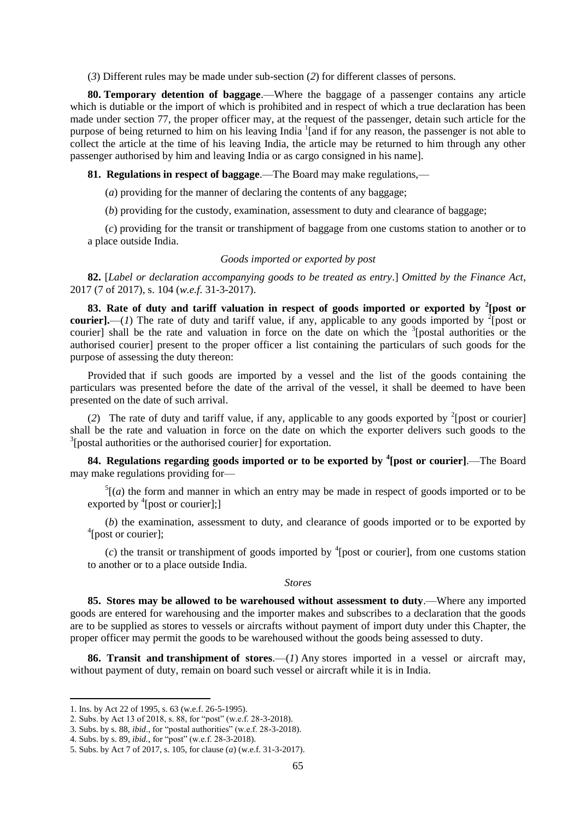(*3*) Different rules may be made under sub-section (*2*) for different classes of persons.

**80. Temporary detention of baggage**.—Where the baggage of a passenger contains any article which is dutiable or the import of which is prohibited and in respect of which a true declaration has been made under section 77, the proper officer may, at the request of the passenger, detain such article for the purpose of being returned to him on his leaving India<sup>1</sup> [and if for any reason, the passenger is not able to collect the article at the time of his leaving India, the article may be returned to him through any other passenger authorised by him and leaving India or as cargo consigned in his name].

**81. Regulations in respect of baggage**.—The Board may make regulations,—

(*a*) providing for the manner of declaring the contents of any baggage;

(*b*) providing for the custody, examination, assessment to duty and clearance of baggage;

(*c*) providing for the transit or transhipment of baggage from one customs station to another or to a place outside India.

#### *Goods imported or exported by post*

**82.** [*Label or declaration accompanying goods to be treated as entry*.] *Omitted by the Finance Act*, 2017 (7 of 2017), s. 104 (*w.e.f.* 31-3-2017).

**83. Rate of duty and tariff valuation in respect of goods imported or exported by <sup>2</sup> [post or courier**].—(*1*) The rate of duty and tariff value, if any, applicable to any goods imported by <sup>2</sup>[post or courier] shall be the rate and valuation in force on the date on which the <sup>3</sup>[postal authorities or the authorised courier] present to the proper officer a list containing the particulars of such goods for the purpose of assessing the duty thereon:

Provided that if such goods are imported by a vessel and the list of the goods containing the particulars was presented before the date of the arrival of the vessel, it shall be deemed to have been presented on the date of such arrival.

(2) The rate of duty and tariff value, if any, applicable to any goods exported by  $\frac{2}{3}$ [post or courier] shall be the rate and valuation in force on the date on which the exporter delivers such goods to the <sup>3</sup>[postal authorities or the authorised courier] for exportation.

**84. Regulations regarding goods imported or to be exported by <sup>4</sup> [post or courier]**.—The Board may make regulations providing for—

 $<sup>5</sup>$ [(*a*) the form and manner in which an entry may be made in respect of goods imported or to be</sup> exported by  $\textsuperscript{4}$  [post or courier];]

(*b*) the examination, assessment to duty, and clearance of goods imported or to be exported by <sup>4</sup>[post or courier];

 $(c)$  the transit or transhipment of goods imported by <sup>4</sup>[post or courier], from one customs station to another or to a place outside India.

#### *Stores*

**85. Stores may be allowed to be warehoused without assessment to duty**.—Where any imported goods are entered for warehousing and the importer makes and subscribes to a declaration that the goods are to be supplied as stores to vessels or aircrafts without payment of import duty under this Chapter, the proper officer may permit the goods to be warehoused without the goods being assessed to duty.

**86. Transit and transhipment of stores**.—(*1*) Any stores imported in a vessel or aircraft may, without payment of duty, remain on board such vessel or aircraft while it is in India.

<sup>1.</sup> Ins. by Act 22 of 1995, s. 63 (w.e.f. 26-5-1995).

<sup>2.</sup> Subs. by Act 13 of 2018, s. 88, for "post" (w.e.f. 28-3-2018).

<sup>3.</sup> Subs. by s. 88, *ibid.*, for "postal authorities" (w.e.f. 28-3-2018).

<sup>4.</sup> Subs. by s. 89, *ibid.*, for "post" (w.e.f. 28-3-2018).

<sup>5.</sup> Subs. by Act 7 of 2017, s. 105, for clause (*a*) (w.e.f. 31-3-2017).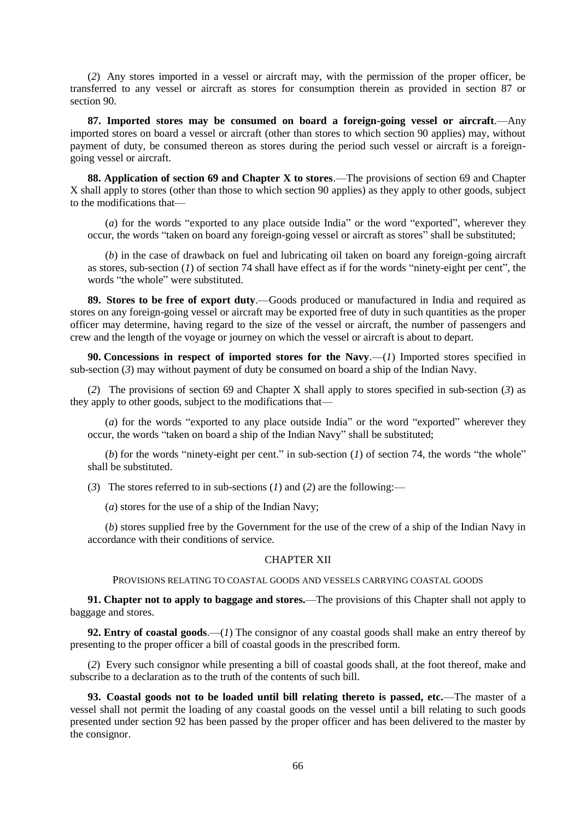(*2*) Any stores imported in a vessel or aircraft may, with the permission of the proper officer, be transferred to any vessel or aircraft as stores for consumption therein as provided in section 87 or section 90.

**87. Imported stores may be consumed on board a foreign-going vessel or aircraft**.—Any imported stores on board a vessel or aircraft (other than stores to which section 90 applies) may, without payment of duty, be consumed thereon as stores during the period such vessel or aircraft is a foreigngoing vessel or aircraft.

**88. Application of section 69 and Chapter X to stores**.—The provisions of section 69 and Chapter X shall apply to stores (other than those to which section 90 applies) as they apply to other goods, subject to the modifications that—

 $(a)$  for the words "exported to any place outside India" or the word "exported", wherever they occur, the words "taken on board any foreign-going vessel or aircraft as stores" shall be substituted;

(*b*) in the case of drawback on fuel and lubricating oil taken on board any foreign-going aircraft as stores, sub-section  $(1)$  of section 74 shall have effect as if for the words "ninety-eight per cent", the words "the whole" were substituted.

**89. Stores to be free of export duty**.—Goods produced or manufactured in India and required as stores on any foreign-going vessel or aircraft may be exported free of duty in such quantities as the proper officer may determine, having regard to the size of the vessel or aircraft, the number of passengers and crew and the length of the voyage or journey on which the vessel or aircraft is about to depart.

**90. Concessions in respect of imported stores for the Navy**.—(*1*) Imported stores specified in sub-section (*3*) may without payment of duty be consumed on board a ship of the Indian Navy.

(*2*) The provisions of section 69 and Chapter X shall apply to stores specified in sub-section (*3*) as they apply to other goods, subject to the modifications that—

 $(a)$  for the words "exported to any place outside India" or the word "exported" wherever they occur, the words "taken on board a ship of the Indian Navy" shall be substituted;

(*b*) for the words "ninety-eight per cent." in sub-section (*l*) of section 74, the words "the whole" shall be substituted.

(*3*) The stores referred to in sub-sections (*1*) and (*2*) are the following:—

(*a*) stores for the use of a ship of the Indian Navy;

(*b*) stores supplied free by the Government for the use of the crew of a ship of the Indian Navy in accordance with their conditions of service.

#### CHAPTER XII

PROVISIONS RELATING TO COASTAL GOODS AND VESSELS CARRYING COASTAL GOODS

**91. Chapter not to apply to baggage and stores.**—The provisions of this Chapter shall not apply to baggage and stores.

**92. Entry of coastal goods**.—(*1*) The consignor of any coastal goods shall make an entry thereof by presenting to the proper officer a bill of coastal goods in the prescribed form.

(*2*) Every such consignor while presenting a bill of coastal goods shall, at the foot thereof, make and subscribe to a declaration as to the truth of the contents of such bill.

**93. Coastal goods not to be loaded until bill relating thereto is passed, etc.**—The master of a vessel shall not permit the loading of any coastal goods on the vessel until a bill relating to such goods presented under section 92 has been passed by the proper officer and has been delivered to the master by the consignor.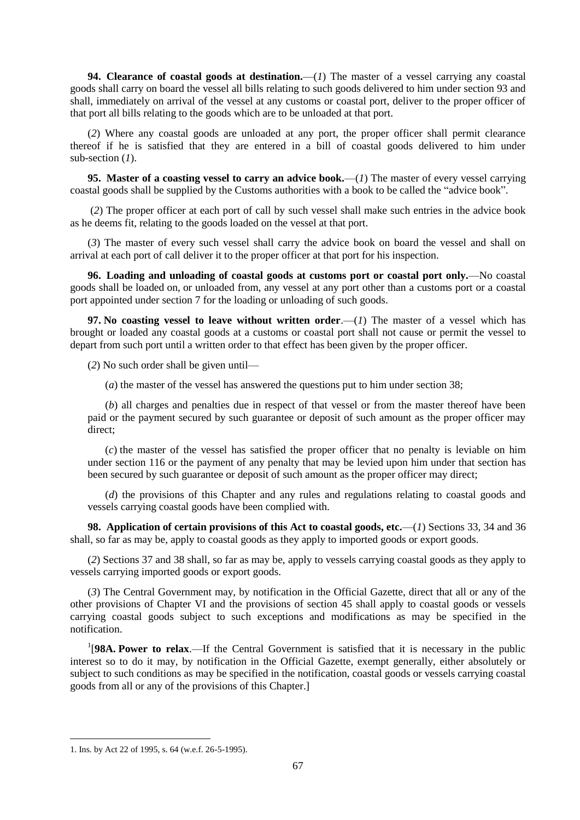**94. Clearance of coastal goods at destination.**—(*1*) The master of a vessel carrying any coastal goods shall carry on board the vessel all bills relating to such goods delivered to him under section 93 and shall, immediately on arrival of the vessel at any customs or coastal port, deliver to the proper officer of that port all bills relating to the goods which are to be unloaded at that port.

(*2*) Where any coastal goods are unloaded at any port, the proper officer shall permit clearance thereof if he is satisfied that they are entered in a bill of coastal goods delivered to him under sub-section (*1*).

**95. Master of a coasting vessel to carry an advice book.**—(*1*) The master of every vessel carrying coastal goods shall be supplied by the Customs authorities with a book to be called the "advice book".

(*2*) The proper officer at each port of call by such vessel shall make such entries in the advice book as he deems fit, relating to the goods loaded on the vessel at that port.

(*3*) The master of every such vessel shall carry the advice book on board the vessel and shall on arrival at each port of call deliver it to the proper officer at that port for his inspection.

**96. Loading and unloading of coastal goods at customs port or coastal port only.**—No coastal goods shall be loaded on, or unloaded from, any vessel at any port other than a customs port or a coastal port appointed under section 7 for the loading or unloading of such goods.

**97. No coasting vessel to leave without written order**.—(*1*) The master of a vessel which has brought or loaded any coastal goods at a customs or coastal port shall not cause or permit the vessel to depart from such port until a written order to that effect has been given by the proper officer.

(*2*) No such order shall be given until—

(*a*) the master of the vessel has answered the questions put to him under section 38;

(*b*) all charges and penalties due in respect of that vessel or from the master thereof have been paid or the payment secured by such guarantee or deposit of such amount as the proper officer may direct;

(*c*) the master of the vessel has satisfied the proper officer that no penalty is leviable on him under section 116 or the payment of any penalty that may be levied upon him under that section has been secured by such guarantee or deposit of such amount as the proper officer may direct;

(*d*) the provisions of this Chapter and any rules and regulations relating to coastal goods and vessels carrying coastal goods have been complied with.

**98. Application of certain provisions of this Act to coastal goods, etc.**—(*1*) Sections 33, 34 and 36 shall, so far as may be, apply to coastal goods as they apply to imported goods or export goods.

(*2*) Sections 37 and 38 shall, so far as may be, apply to vessels carrying coastal goods as they apply to vessels carrying imported goods or export goods.

(*3*) The Central Government may, by notification in the Official Gazette, direct that all or any of the other provisions of Chapter VI and the provisions of section 45 shall apply to coastal goods or vessels carrying coastal goods subject to such exceptions and modifications as may be specified in the notification.

<sup>1</sup>[98A. Power to relax.—If the Central Government is satisfied that it is necessary in the public interest so to do it may, by notification in the Official Gazette, exempt generally, either absolutely or subject to such conditions as may be specified in the notification, coastal goods or vessels carrying coastal goods from all or any of the provisions of this Chapter.]

<sup>1.</sup> Ins. by Act 22 of 1995, s. 64 (w.e.f. 26-5-1995).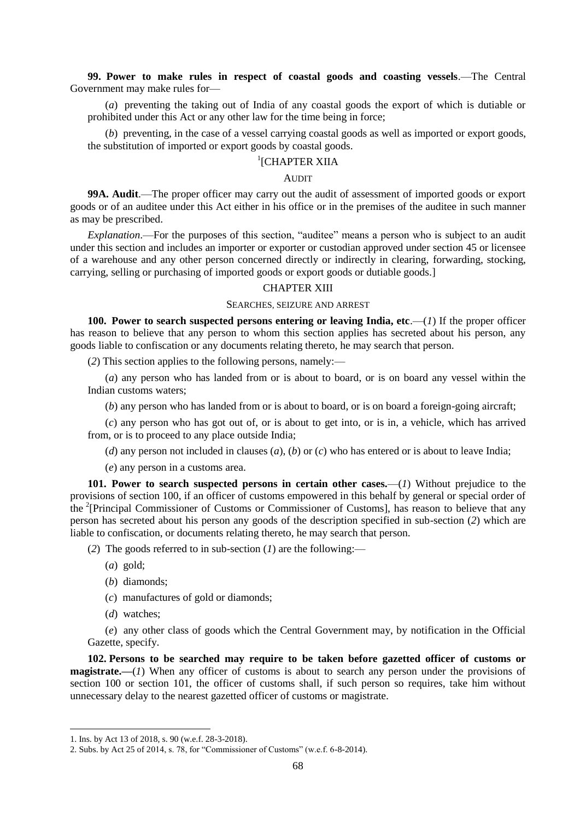**99. Power to make rules in respect of coastal goods and coasting vessels**.—The Central Government may make rules for—

(*a*) preventing the taking out of India of any coastal goods the export of which is dutiable or prohibited under this Act or any other law for the time being in force;

(*b*) preventing, in the case of a vessel carrying coastal goods as well as imported or export goods, the substitution of imported or export goods by coastal goods.

# <sup>1</sup>[CHAPTER XIIA

## **AUDIT**

**99A. Audit**.—The proper officer may carry out the audit of assessment of imported goods or export goods or of an auditee under this Act either in his office or in the premises of the auditee in such manner as may be prescribed.

*Explanation*.—For the purposes of this section, "auditee" means a person who is subject to an audit under this section and includes an importer or exporter or custodian approved under section 45 or licensee of a warehouse and any other person concerned directly or indirectly in clearing, forwarding, stocking, carrying, selling or purchasing of imported goods or export goods or dutiable goods.]

#### CHAPTER XIII

## SEARCHES, SEIZURE AND ARREST

**100. Power to search suspected persons entering or leaving India, etc.—** $(I)$  **If the proper officer** has reason to believe that any person to whom this section applies has secreted about his person, any goods liable to confiscation or any documents relating thereto, he may search that person.

(*2*) This section applies to the following persons, namely:—

(*a*) any person who has landed from or is about to board, or is on board any vessel within the Indian customs waters;

(*b*) any person who has landed from or is about to board, or is on board a foreign-going aircraft;

(*c*) any person who has got out of, or is about to get into, or is in, a vehicle, which has arrived from, or is to proceed to any place outside India;

(*d*) any person not included in clauses (*a*), (*b*) or (*c*) who has entered or is about to leave India;

(*e*) any person in a customs area.

**101. Power to search suspected persons in certain other cases.**—(*1*) Without prejudice to the provisions of section 100, if an officer of customs empowered in this behalf by general or special order of the <sup>2</sup>[Principal Commissioner of Customs or Commissioner of Customs], has reason to believe that any person has secreted about his person any goods of the description specified in sub-section (*2*) which are liable to confiscation, or documents relating thereto, he may search that person.

(*2*) The goods referred to in sub-section (*1*) are the following:—

- (*a*) gold;
- (*b*) diamonds;
- (*c*) manufactures of gold or diamonds;
- (*d*) watches;

1

(*e*) any other class of goods which the Central Government may, by notification in the Official Gazette, specify.

**102. Persons to be searched may require to be taken before gazetted officer of customs or magistrate.—**(*1*) When any officer of customs is about to search any person under the provisions of section 100 or section 101, the officer of customs shall, if such person so requires, take him without unnecessary delay to the nearest gazetted officer of customs or magistrate.

<sup>1.</sup> Ins. by Act 13 of 2018, s. 90 (w.e.f. 28-3-2018).

<sup>2.</sup> Subs. by Act 25 of 2014, s. 78, for "Commissioner of Customs" (w.e.f.  $6-8-2014$ ).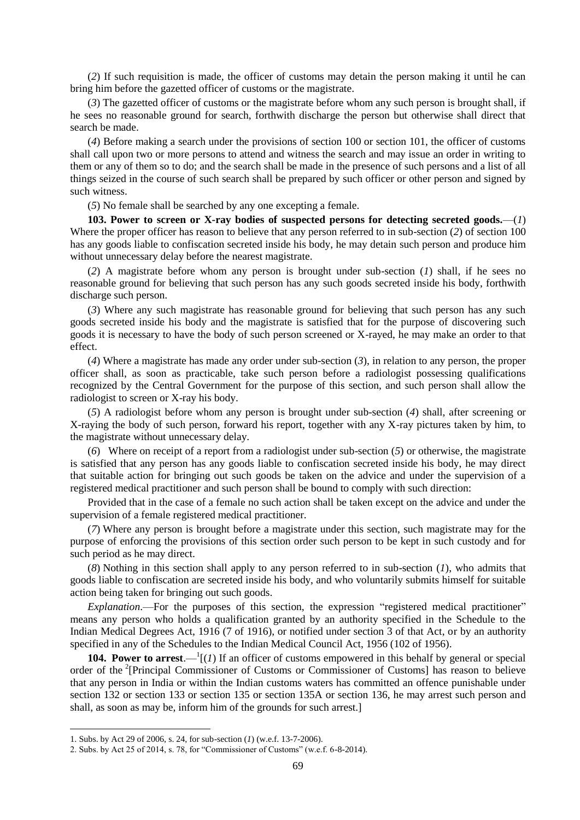(*2*) If such requisition is made, the officer of customs may detain the person making it until he can bring him before the gazetted officer of customs or the magistrate.

(*3*) The gazetted officer of customs or the magistrate before whom any such person is brought shall, if he sees no reasonable ground for search, forthwith discharge the person but otherwise shall direct that search be made.

(*4*) Before making a search under the provisions of section 100 or section 101, the officer of customs shall call upon two or more persons to attend and witness the search and may issue an order in writing to them or any of them so to do; and the search shall be made in the presence of such persons and a list of all things seized in the course of such search shall be prepared by such officer or other person and signed by such witness.

(*5*) No female shall be searched by any one excepting a female.

**103. Power to screen or X-ray bodies of suspected persons for detecting secreted goods.**—(*1*) Where the proper officer has reason to believe that any person referred to in sub-section (*2*) of section 100 has any goods liable to confiscation secreted inside his body, he may detain such person and produce him without unnecessary delay before the nearest magistrate.

(*2*) A magistrate before whom any person is brought under sub-section (*1*) shall, if he sees no reasonable ground for believing that such person has any such goods secreted inside his body, forthwith discharge such person.

(*3*) Where any such magistrate has reasonable ground for believing that such person has any such goods secreted inside his body and the magistrate is satisfied that for the purpose of discovering such goods it is necessary to have the body of such person screened or X-rayed, he may make an order to that effect.

(*4*) Where a magistrate has made any order under sub-section (*3*), in relation to any person, the proper officer shall, as soon as practicable, take such person before a radiologist possessing qualifications recognized by the Central Government for the purpose of this section, and such person shall allow the radiologist to screen or X-ray his body.

(*5*) A radiologist before whom any person is brought under sub-section (*4*) shall, after screening or X-raying the body of such person, forward his report, together with any X-ray pictures taken by him, to the magistrate without unnecessary delay.

(*6*) Where on receipt of a report from a radiologist under sub-section (*5*) or otherwise, the magistrate is satisfied that any person has any goods liable to confiscation secreted inside his body, he may direct that suitable action for bringing out such goods be taken on the advice and under the supervision of a registered medical practitioner and such person shall be bound to comply with such direction:

Provided that in the case of a female no such action shall be taken except on the advice and under the supervision of a female registered medical practitioner.

(*7*) Where any person is brought before a magistrate under this section, such magistrate may for the purpose of enforcing the provisions of this section order such person to be kept in such custody and for such period as he may direct.

(*8*) Nothing in this section shall apply to any person referred to in sub-section (*1*), who admits that goods liable to confiscation are secreted inside his body, and who voluntarily submits himself for suitable action being taken for bringing out such goods.

*Explanation*.—For the purposes of this section, the expression "registered medical practitioner" means any person who holds a qualification granted by an authority specified in the Schedule to the Indian Medical Degrees Act, 1916 (7 of 1916), or notified under section 3 of that Act, or by an authority specified in any of the Schedules to the Indian Medical Council Act, 1956 (102 of 1956).

**104. Power to arrest.**  $-1$ <sup>[</sup> $(1)$ ] If an officer of customs empowered in this behalf by general or special order of the <sup>2</sup>[Principal Commissioner of Customs or Commissioner of Customs] has reason to believe that any person in India or within the Indian customs waters has committed an offence punishable under section 132 or section 133 or section 135 or section 135A or section 136, he may arrest such person and shall, as soon as may be, inform him of the grounds for such arrest.]

<sup>1.</sup> Subs. by Act 29 of 2006, s. 24, for sub-section (*1*) (w.e.f. 13-7-2006).

<sup>2.</sup> Subs. by Act 25 of 2014, s. 78, for "Commissioner of Customs" (w.e.f.  $6-8-2014$ ).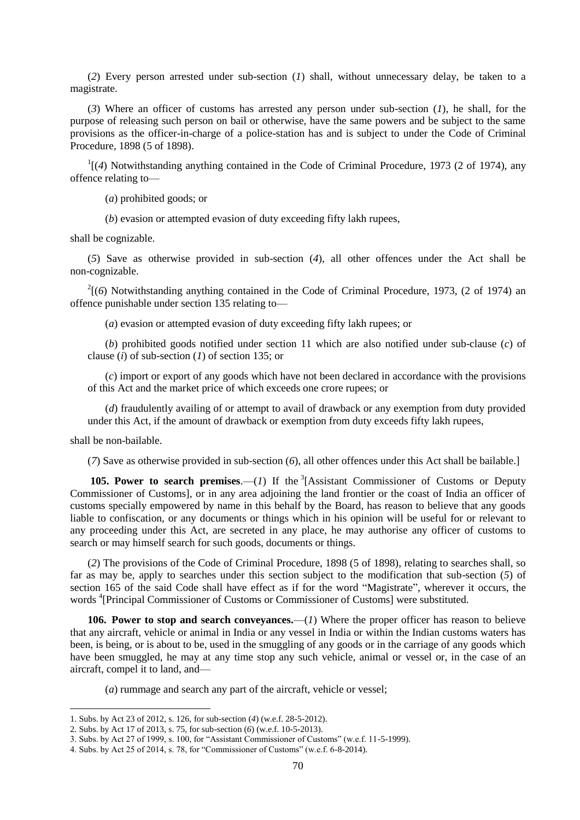(*2*) Every person arrested under sub-section (*1*) shall, without unnecessary delay, be taken to a magistrate.

(*3*) Where an officer of customs has arrested any person under sub-section (*1*), he shall, for the purpose of releasing such person on bail or otherwise, have the same powers and be subject to the same provisions as the officer-in-charge of a police-station has and is subject to under the Code of Criminal Procedure, 1898 (5 of 1898).

 $\frac{1}{4}$  (4) Notwithstanding anything contained in the Code of Criminal Procedure, 1973 (2 of 1974), any offence relating to—

(*a*) prohibited goods; or

(*b*) evasion or attempted evasion of duty exceeding fifty lakh rupees,

shall be cognizable.

(*5*) Save as otherwise provided in sub-section (*4*), all other offences under the Act shall be non-cognizable.

 $2(6)$  Notwithstanding anything contained in the Code of Criminal Procedure, 1973, (2 of 1974) an offence punishable under section 135 relating to—

(*a*) evasion or attempted evasion of duty exceeding fifty lakh rupees; or

(*b*) prohibited goods notified under section 11 which are also notified under sub-clause (*c*) of clause (*i*) of sub-section (*1*) of section 135; or

(*c*) import or export of any goods which have not been declared in accordance with the provisions of this Act and the market price of which exceeds one crore rupees; or

(*d*) fraudulently availing of or attempt to avail of drawback or any exemption from duty provided under this Act, if the amount of drawback or exemption from duty exceeds fifty lakh rupees,

shall be non-bailable.

**.** 

(*7*) Save as otherwise provided in sub-section (*6*), all other offences under this Act shall be bailable.]

**105. Power to search premises.**—(*1*) If the  ${}^{3}$ [Assistant Commissioner of Customs or Deputy Commissioner of Customs], or in any area adjoining the land frontier or the coast of India an officer of customs specially empowered by name in this behalf by the Board, has reason to believe that any goods liable to confiscation, or any documents or things which in his opinion will be useful for or relevant to any proceeding under this Act, are secreted in any place, he may authorise any officer of customs to search or may himself search for such goods, documents or things.

(*2*) The provisions of the Code of Criminal Procedure, 1898 (5 of 1898), relating to searches shall, so far as may be, apply to searches under this section subject to the modification that sub-section (*5*) of section 165 of the said Code shall have effect as if for the word "Magistrate", wherever it occurs, the words <sup>4</sup> [Principal Commissioner of Customs or Commissioner of Customs] were substituted.

**106. Power to stop and search conveyances.**—(*1*) Where the proper officer has reason to believe that any aircraft, vehicle or animal in India or any vessel in India or within the Indian customs waters has been, is being, or is about to be, used in the smuggling of any goods or in the carriage of any goods which have been smuggled, he may at any time stop any such vehicle, animal or vessel or, in the case of an aircraft, compel it to land, and—

(*a*) rummage and search any part of the aircraft, vehicle or vessel;

<sup>1.</sup> Subs. by Act 23 of 2012, s. 126, for sub-section (*4*) (w.e.f. 28-5-2012).

<sup>2.</sup> Subs. by Act 17 of 2013, s. 75, for sub-section (*6*) (w.e.f. 10-5-2013).

<sup>3.</sup> Subs. by Act 27 of 1999, s. 100, for "Assistant Commissioner of Customs" (w.e.f. 11-5-1999).

<sup>4.</sup> Subs. by Act 25 of 2014, s. 78, for "Commissioner of Customs" (w.e.f.  $6-8-2014$ ).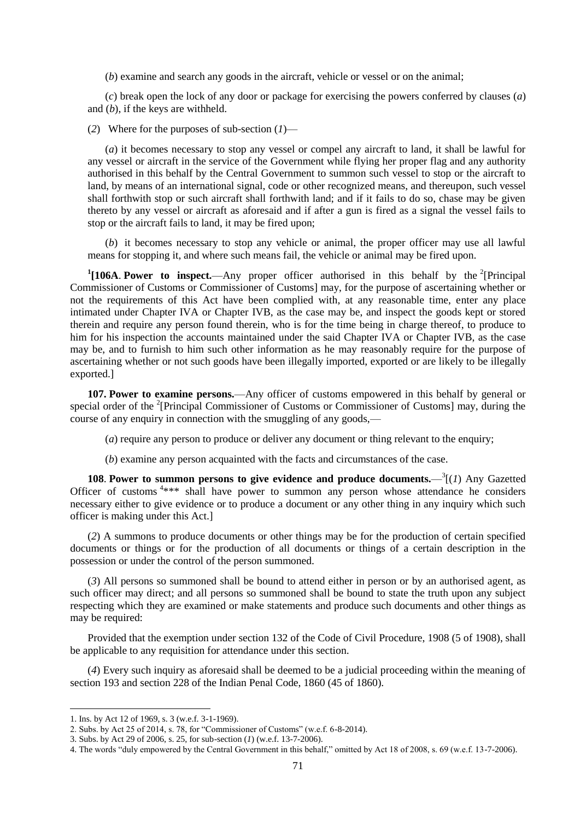(*b*) examine and search any goods in the aircraft, vehicle or vessel or on the animal;

(*c*) break open the lock of any door or package for exercising the powers conferred by clauses (*a*) and (*b*), if the keys are withheld.

(*2*) Where for the purposes of sub-section (*1*)—

(*a*) it becomes necessary to stop any vessel or compel any aircraft to land, it shall be lawful for any vessel or aircraft in the service of the Government while flying her proper flag and any authority authorised in this behalf by the Central Government to summon such vessel to stop or the aircraft to land, by means of an international signal, code or other recognized means, and thereupon, such vessel shall forthwith stop or such aircraft shall forthwith land; and if it fails to do so, chase may be given thereto by any vessel or aircraft as aforesaid and if after a gun is fired as a signal the vessel fails to stop or the aircraft fails to land, it may be fired upon;

(*b*) it becomes necessary to stop any vehicle or animal, the proper officer may use all lawful means for stopping it, and where such means fail, the vehicle or animal may be fired upon.

<sup>1</sup>[106A. Power to inspect.—Any proper officer authorised in this behalf by the <sup>2</sup>[Principal Commissioner of Customs or Commissioner of Customs] may, for the purpose of ascertaining whether or not the requirements of this Act have been complied with, at any reasonable time, enter any place intimated under Chapter IVA or Chapter IVB, as the case may be, and inspect the goods kept or stored therein and require any person found therein, who is for the time being in charge thereof, to produce to him for his inspection the accounts maintained under the said Chapter IVA or Chapter IVB, as the case may be, and to furnish to him such other information as he may reasonably require for the purpose of ascertaining whether or not such goods have been illegally imported, exported or are likely to be illegally exported.]

**107. Power to examine persons.**—Any officer of customs empowered in this behalf by general or special order of the <sup>2</sup>[Principal Commissioner of Customs or Commissioner of Customs] may, during the course of any enquiry in connection with the smuggling of any goods.—

(*a*) require any person to produce or deliver any document or thing relevant to the enquiry;

(*b*) examine any person acquainted with the facts and circumstances of the case.

**108. Power to summon persons to give evidence and produce documents.**  $-3(1)$  Any Gazetted Officer of customs<sup>4\*\*\*</sup> shall have power to summon any person whose attendance he considers necessary either to give evidence or to produce a document or any other thing in any inquiry which such officer is making under this Act.]

(*2*) A summons to produce documents or other things may be for the production of certain specified documents or things or for the production of all documents or things of a certain description in the possession or under the control of the person summoned.

(*3*) All persons so summoned shall be bound to attend either in person or by an authorised agent, as such officer may direct; and all persons so summoned shall be bound to state the truth upon any subject respecting which they are examined or make statements and produce such documents and other things as may be required:

Provided that the exemption under section 132 of the Code of Civil Procedure, 1908 (5 of 1908), shall be applicable to any requisition for attendance under this section.

(*4*) Every such inquiry as aforesaid shall be deemed to be a judicial proceeding within the meaning of section 193 and section 228 of the Indian Penal Code, 1860 (45 of 1860).

<sup>1.</sup> Ins. by Act 12 of 1969, s. 3 (w.e.f. 3-1-1969).

<sup>2.</sup> Subs. by Act 25 of 2014, s. 78, for "Commissioner of Customs" (w.e.f. 6-8-2014).

<sup>3.</sup> Subs. by Act 29 of 2006, s. 25, for sub-section (*1*) (w.e.f. 13-7-2006).

<sup>4.</sup> The words "duly empowered by the Central Government in this behalf," omitted by Act 18 of 2008, s. 69 (w.e.f. 13-7-2006).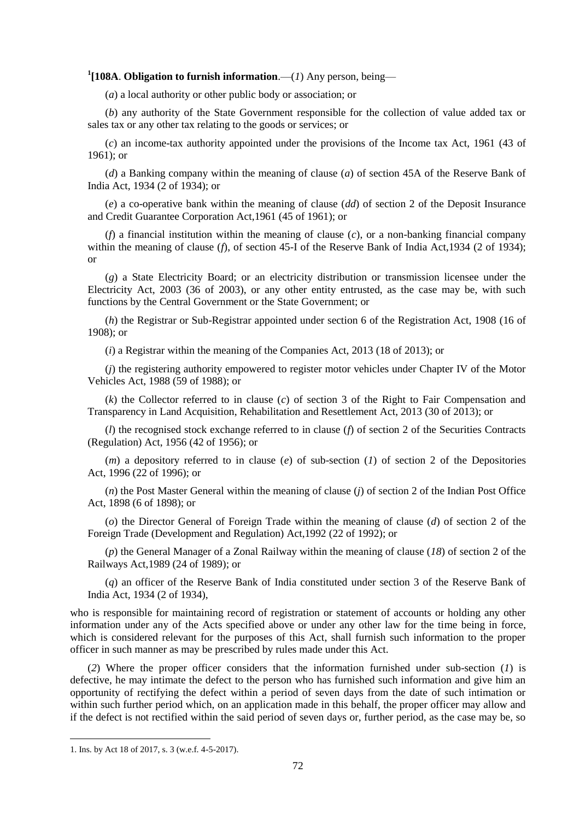# **1 [108A**. **Obligation to furnish information**.—(*1*) Any person, being—

(*a*) a local authority or other public body or association; or

(*b*) any authority of the State Government responsible for the collection of value added tax or sales tax or any other tax relating to the goods or services; or

(*c*) an income-tax authority appointed under the provisions of the Income tax Act, 1961 (43 of 1961); or

(*d*) a Banking company within the meaning of clause (*a*) of section 45A of the Reserve Bank of India Act, 1934 (2 of 1934); or

(*e*) a co-operative bank within the meaning of clause (*dd*) of section 2 of the Deposit Insurance and Credit Guarantee Corporation Act,1961 (45 of 1961); or

(*f*) a financial institution within the meaning of clause (*c*), or a non-banking financial company within the meaning of clause (*f*), of section 45-I of the Reserve Bank of India Act, 1934 (2 of 1934); or

(*g*) a State Electricity Board; or an electricity distribution or transmission licensee under the Electricity Act, 2003 (36 of 2003), or any other entity entrusted, as the case may be, with such functions by the Central Government or the State Government; or

(*h*) the Registrar or Sub-Registrar appointed under section 6 of the Registration Act, 1908 (16 of 1908); or

(*i*) a Registrar within the meaning of the Companies Act, 2013 (18 of 2013); or

(*j*) the registering authority empowered to register motor vehicles under Chapter IV of the Motor Vehicles Act, 1988 (59 of 1988); or

(*k*) the Collector referred to in clause (*c*) of section 3 of the Right to Fair Compensation and Transparency in Land Acquisition, Rehabilitation and Resettlement Act, 2013 (30 of 2013); or

(*l*) the recognised stock exchange referred to in clause (*f*) of section 2 of the Securities Contracts (Regulation) Act, 1956 (42 of 1956); or

(*m*) a depository referred to in clause (*e*) of sub-section (*1*) of section 2 of the Depositories Act, 1996 (22 of 1996); or

(*n*) the Post Master General within the meaning of clause (*j*) of section 2 of the Indian Post Office Act, 1898 (6 of 1898); or

(*o*) the Director General of Foreign Trade within the meaning of clause (*d*) of section 2 of the Foreign Trade (Development and Regulation) Act,1992 (22 of 1992); or

(*p*) the General Manager of a Zonal Railway within the meaning of clause (*18*) of section 2 of the Railways Act,1989 (24 of 1989); or

(*q*) an officer of the Reserve Bank of India constituted under section 3 of the Reserve Bank of India Act, 1934 (2 of 1934),

who is responsible for maintaining record of registration or statement of accounts or holding any other information under any of the Acts specified above or under any other law for the time being in force, which is considered relevant for the purposes of this Act, shall furnish such information to the proper officer in such manner as may be prescribed by rules made under this Act.

(*2*) Where the proper officer considers that the information furnished under sub-section (*1*) is defective, he may intimate the defect to the person who has furnished such information and give him an opportunity of rectifying the defect within a period of seven days from the date of such intimation or within such further period which, on an application made in this behalf, the proper officer may allow and if the defect is not rectified within the said period of seven days or, further period, as the case may be, so

<sup>1.</sup> Ins. by Act 18 of 2017, s. 3 (w.e.f. 4-5-2017).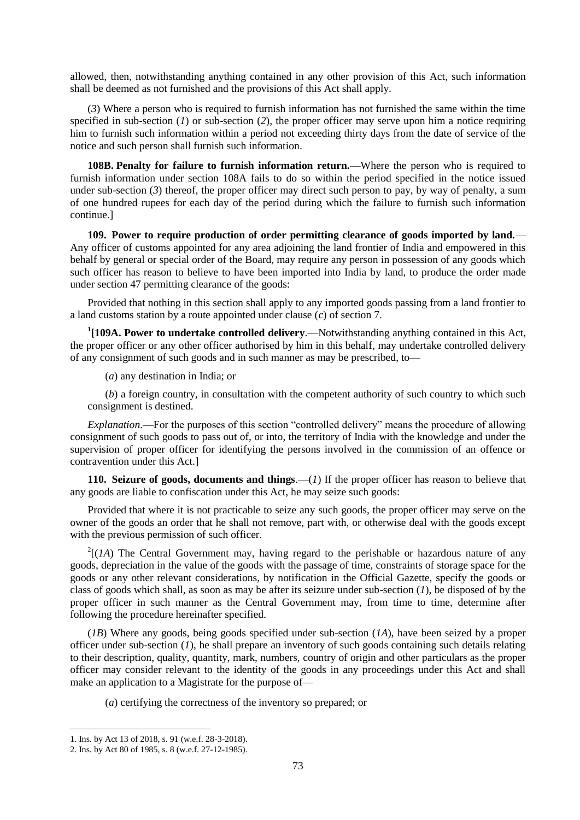allowed, then, notwithstanding anything contained in any other provision of this Act, such information shall be deemed as not furnished and the provisions of this Act shall apply.

(*3*) Where a person who is required to furnish information has not furnished the same within the time specified in sub-section (*1*) or sub-section (*2*), the proper officer may serve upon him a notice requiring him to furnish such information within a period not exceeding thirty days from the date of service of the notice and such person shall furnish such information.

**108B. Penalty for failure to furnish information return.**—Where the person who is required to furnish information under section 108A fails to do so within the period specified in the notice issued under sub-section (3) thereof, the proper officer may direct such person to pay, by way of penalty, a sum of one hundred rupees for each day of the period during which the failure to furnish such information continue.]

**109. Power to require production of order permitting clearance of goods imported by land.**— Any officer of customs appointed for any area adjoining the land frontier of India and empowered in this behalf by general or special order of the Board, may require any person in possession of any goods which such officer has reason to believe to have been imported into India by land, to produce the order made under section 47 permitting clearance of the goods:

Provided that nothing in this section shall apply to any imported goods passing from a land frontier to a land customs station by a route appointed under clause (*c*) of section 7.

**1 [109A. Power to undertake controlled delivery**.—Notwithstanding anything contained in this Act, the proper officer or any other officer authorised by him in this behalf, may undertake controlled delivery of any consignment of such goods and in such manner as may be prescribed, to—

(*a*) any destination in India; or

(*b*) a foreign country, in consultation with the competent authority of such country to which such consignment is destined.

*Explanation*.—For the purposes of this section "controlled delivery" means the procedure of allowing consignment of such goods to pass out of, or into, the territory of India with the knowledge and under the supervision of proper officer for identifying the persons involved in the commission of an offence or contravention under this Act.]

**110. Seizure of goods, documents and things**.—(*1*) If the proper officer has reason to believe that any goods are liable to confiscation under this Act, he may seize such goods:

Provided that where it is not practicable to seize any such goods, the proper officer may serve on the owner of the goods an order that he shall not remove, part with, or otherwise deal with the goods except with the previous permission of such officer.

 $2[(1A)$  The Central Government may, having regard to the perishable or hazardous nature of any goods, depreciation in the value of the goods with the passage of time, constraints of storage space for the goods or any other relevant considerations, by notification in the Official Gazette, specify the goods or class of goods which shall, as soon as may be after its seizure under sub-section (*1*), be disposed of by the proper officer in such manner as the Central Government may, from time to time, determine after following the procedure hereinafter specified.

(*1B*) Where any goods, being goods specified under sub-section (*1A*), have been seized by a proper officer under sub-section (*1*), he shall prepare an inventory of such goods containing such details relating to their description, quality, quantity, mark, numbers, country of origin and other particulars as the proper officer may consider relevant to the identity of the goods in any proceedings under this Act and shall make an application to a Magistrate for the purpose of—

(*a*) certifying the correctness of the inventory so prepared; or

<sup>1.</sup> Ins. by Act 13 of 2018, s. 91 (w.e.f. 28-3-2018).

<sup>2.</sup> Ins. by Act 80 of 1985, s. 8 (w.e.f. 27-12-1985).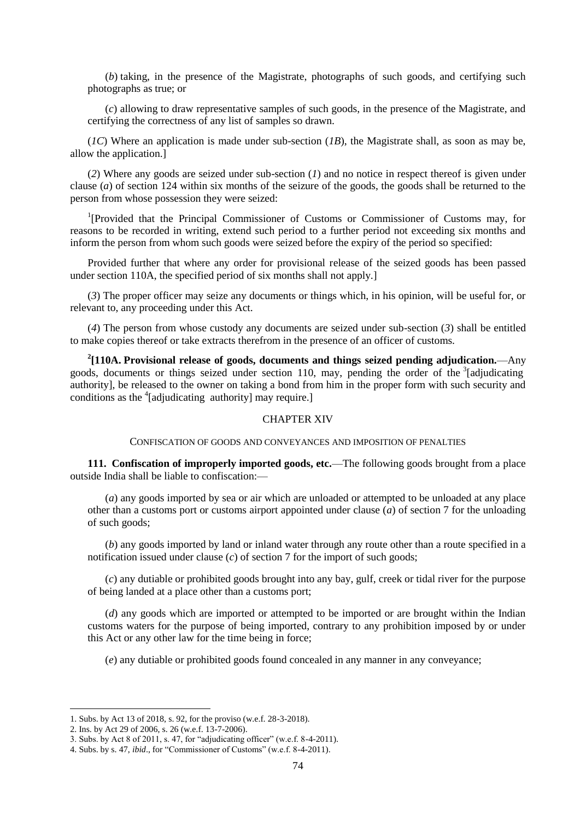(*b*) taking, in the presence of the Magistrate, photographs of such goods, and certifying such photographs as true; or

(*c*) allowing to draw representative samples of such goods, in the presence of the Magistrate, and certifying the correctness of any list of samples so drawn.

(*1C*) Where an application is made under sub-section (*1B*), the Magistrate shall, as soon as may be, allow the application.]

(*2*) Where any goods are seized under sub-section (*1*) and no notice in respect thereof is given under clause (*a*) of section 124 within six months of the seizure of the goods, the goods shall be returned to the person from whose possession they were seized:

<sup>1</sup>[Provided that the Principal Commissioner of Customs or Commissioner of Customs may, for reasons to be recorded in writing, extend such period to a further period not exceeding six months and inform the person from whom such goods were seized before the expiry of the period so specified:

Provided further that where any order for provisional release of the seized goods has been passed under section 110A, the specified period of six months shall not apply.]

(*3*) The proper officer may seize any documents or things which, in his opinion, will be useful for, or relevant to, any proceeding under this Act.

(*4*) The person from whose custody any documents are seized under sub-section (*3*) shall be entitled to make copies thereof or take extracts therefrom in the presence of an officer of customs.

**2 [110A. Provisional release of goods, documents and things seized pending adjudication.**—Any goods, documents or things seized under section 110, may, pending the order of the <sup>3</sup>[adjudicating authority], be released to the owner on taking a bond from him in the proper form with such security and conditions as the <sup>4</sup>[adjudicating authority] may require.]

### CHAPTER XIV

CONFISCATION OF GOODS AND CONVEYANCES AND IMPOSITION OF PENALTIES

**111. Confiscation of improperly imported goods, etc.**—The following goods brought from a place outside India shall be liable to confiscation:—

(*a*) any goods imported by sea or air which are unloaded or attempted to be unloaded at any place other than a customs port or customs airport appointed under clause (*a*) of section 7 for the unloading of such goods;

(*b*) any goods imported by land or inland water through any route other than a route specified in a notification issued under clause (*c*) of section 7 for the import of such goods;

(*c*) any dutiable or prohibited goods brought into any bay, gulf, creek or tidal river for the purpose of being landed at a place other than a customs port;

(*d*) any goods which are imported or attempted to be imported or are brought within the Indian customs waters for the purpose of being imported, contrary to any prohibition imposed by or under this Act or any other law for the time being in force;

(*e*) any dutiable or prohibited goods found concealed in any manner in any conveyance;

<sup>1.</sup> Subs. by Act 13 of 2018, s. 92, for the proviso (w.e.f. 28-3-2018).

<sup>2.</sup> Ins. by Act 29 of 2006, s. 26 (w.e.f. 13-7-2006).

<sup>3.</sup> Subs. by Act 8 of 2011, s. 47, for "adjudicating officer" (w.e.f. 8-4-2011).

<sup>4.</sup> Subs. by s. 47, *ibid.*, for "Commissioner of Customs" (w.e.f. 8-4-2011).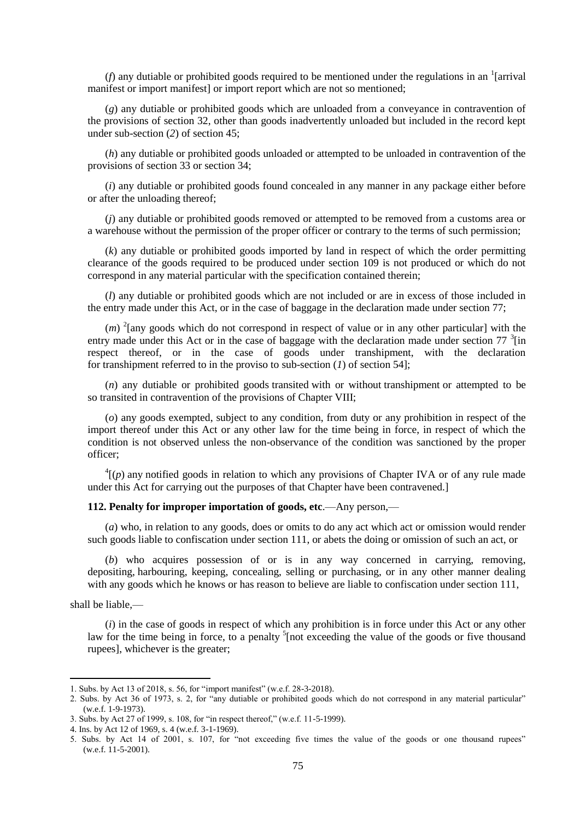( $f$ ) any dutiable or prohibited goods required to be mentioned under the regulations in an <sup>1</sup>[arrival manifest or import manifest] or import report which are not so mentioned;

(*g*) any dutiable or prohibited goods which are unloaded from a conveyance in contravention of the provisions of section 32, other than goods inadvertently unloaded but included in the record kept under sub-section (*2*) of section 45;

(*h*) any dutiable or prohibited goods unloaded or attempted to be unloaded in contravention of the provisions of section 33 or section 34;

(*i*) any dutiable or prohibited goods found concealed in any manner in any package either before or after the unloading thereof;

(*j*) any dutiable or prohibited goods removed or attempted to be removed from a customs area or a warehouse without the permission of the proper officer or contrary to the terms of such permission;

(*k*) any dutiable or prohibited goods imported by land in respect of which the order permitting clearance of the goods required to be produced under section 109 is not produced or which do not correspond in any material particular with the specification contained therein;

(*l*) any dutiable or prohibited goods which are not included or are in excess of those included in the entry made under this Act, or in the case of baggage in the declaration made under section 77;

(*m*)<sup>2</sup>[any goods which do not correspond in respect of value or in any other particular] with the entry made under this Act or in the case of baggage with the declaration made under section  $77 \frac{3}{1}$ [in respect thereof, or in the case of goods under transhipment, with the declaration for transhipment referred to in the proviso to sub-section (*1*) of section 54];

(*n*) any dutiable or prohibited goods transited with or without transhipment or attempted to be so transited in contravention of the provisions of Chapter VIII;

(*o*) any goods exempted, subject to any condition, from duty or any prohibition in respect of the import thereof under this Act or any other law for the time being in force, in respect of which the condition is not observed unless the non-observance of the condition was sanctioned by the proper officer;

 $^{4}$ [(*p*) any notified goods in relation to which any provisions of Chapter IVA or of any rule made under this Act for carrying out the purposes of that Chapter have been contravened.]

## **112. Penalty for improper importation of goods, etc**.—Any person,—

(*a*) who, in relation to any goods, does or omits to do any act which act or omission would render such goods liable to confiscation under section 111, or abets the doing or omission of such an act, or

(*b*) who acquires possession of or is in any way concerned in carrying, removing, depositing, harbouring, keeping, concealing, selling or purchasing, or in any other manner dealing with any goods which he knows or has reason to believe are liable to confiscation under section 111,

shall be liable,—

1

(*i*) in the case of goods in respect of which any prohibition is in force under this Act or any other law for the time being in force, to a penalty  $\frac{5}{1}$  [not exceeding the value of the goods or five thousand rupees], whichever is the greater;

<sup>1.</sup> Subs. by Act 13 of 2018, s. 56, for "import manifest" (w.e.f. 28-3-2018).

<sup>2.</sup> Subs. by Act 36 of 1973, s. 2, for "any dutiable or prohibited goods which do not correspond in any material particular" (w.e.f. 1-9-1973).

<sup>3.</sup> Subs. by Act 27 of 1999, s. 108, for "in respect thereof," (w.e.f. 11-5-1999).

<sup>4.</sup> Ins. by Act 12 of 1969, s. 4 (w.e.f. 3-1-1969).

<sup>5.</sup> Subs. by Act 14 of 2001, s. 107, for "not exceeding five times the value of the goods or one thousand rupees" (w.e.f. 11-5-2001).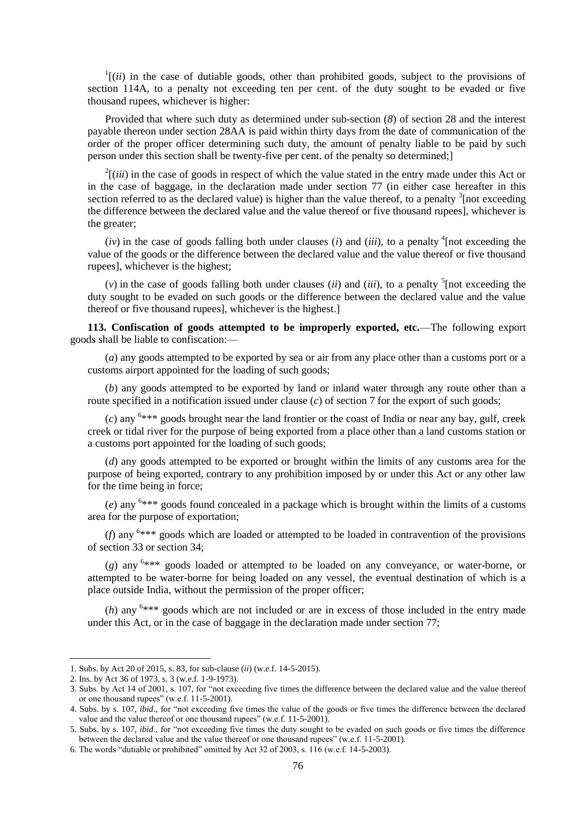$\frac{1}{i}$  (*ii*) in the case of dutiable goods, other than prohibited goods, subject to the provisions of section 114A, to a penalty not exceeding ten per cent. of the duty sought to be evaded or five thousand rupees, whichever is higher:

Provided that where such duty as determined under sub-section (*8*) of section 28 and the interest payable thereon under section 28AA is paid within thirty days from the date of communication of the order of the proper officer determining such duty, the amount of penalty liable to be paid by such person under this section shall be twenty-five per cent. of the penalty so determined;]

 $2$ [(*iii*) in the case of goods in respect of which the value stated in the entry made under this Act or in the case of baggage, in the declaration made under section 77 (in either case hereafter in this section referred to as the declared value) is higher than the value thereof, to a penalty  $\frac{3}{2}$  [not exceeding the difference between the declared value and the value thereof or five thousand rupees], whichever is the greater;

 $(iv)$  in the case of goods falling both under clauses (*i*) and (*iii*), to a penalty <sup>4</sup> [not exceeding the value of the goods or the difference between the declared value and the value thereof or five thousand rupees], whichever is the highest;

 $(v)$  in the case of goods falling both under clauses (*ii*) and (*iii*), to a penalty <sup>5</sup> [not exceeding the duty sought to be evaded on such goods or the difference between the declared value and the value thereof or five thousand rupees], whichever is the highest.]

**113. Confiscation of goods attempted to be improperly exported, etc.**—The following export goods shall be liable to confiscation:—

(*a*) any goods attempted to be exported by sea or air from any place other than a customs port or a customs airport appointed for the loading of such goods;

(*b*) any goods attempted to be exported by land or inland water through any route other than a route specified in a notification issued under clause (*c*) of section 7 for the export of such goods;

 $(c)$  any  $6***$  goods brought near the land frontier or the coast of India or near any bay, gulf, creek creek or tidal river for the purpose of being exported from a place other than a land customs station or a customs port appointed for the loading of such goods;

(*d*) any goods attempted to be exported or brought within the limits of any customs area for the purpose of being exported, contrary to any prohibition imposed by or under this Act or any other law for the time being in force;

(*e*) any <sup>6</sup> \*\*\* goods found concealed in a package which is brought within the limits of a customs area for the purpose of exportation;

(*f*) any  $6***$  goods which are loaded or attempted to be loaded in contravention of the provisions of section 33 or section 34;

(*g*) any <sup>6</sup> \*\*\* goods loaded or attempted to be loaded on any conveyance, or water-borne, or attempted to be water-borne for being loaded on any vessel, the eventual destination of which is a place outside India, without the permission of the proper officer;

 $(h)$  any  $6***$  goods which are not included or are in excess of those included in the entry made under this Act, or in the case of baggage in the declaration made under section 77;

<sup>1.</sup> Subs. by Act 20 of 2015, s. 83, for sub-clause (*ii*) (w.e.f. 14-5-2015).

<sup>2.</sup> Ins. by Act 36 of 1973, s. 3 (w.e.f. 1-9-1973).

<sup>3.</sup> Subs. by Act 14 of 2001, s. 107, for "not exceeding five times the difference between the declared value and the value thereof or one thousand rupees" (w.e.f.  $11-5-2001$ ).

<sup>4.</sup> Subs. by s. 107, *ibid.*, for "not exceeding five times the value of the goods or five times the difference between the declared value and the value thereof or one thousand rupees" (w.e.f.  $11-5-2001$ ).

<sup>5.</sup> Subs. by s. 107, *ibid.*, for "not exceeding five times the duty sought to be evaded on such goods or five times the difference between the declared value and the value thereof or one thousand rupees" (w.e.f. 11-5-2001).

<sup>6.</sup> The words "dutiable or prohibited" omitted by Act 32 of 2003, s.  $116$  (w.e.f. 14-5-2003).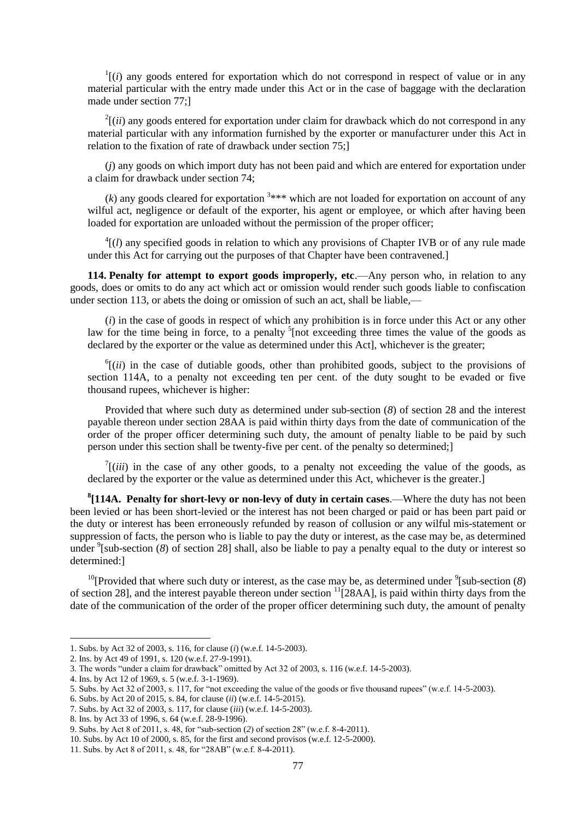$\frac{1}{i}$  (*i*) any goods entered for exportation which do not correspond in respect of value or in any material particular with the entry made under this Act or in the case of baggage with the declaration made under section 77;]

 $2[(ii)$  any goods entered for exportation under claim for drawback which do not correspond in any material particular with any information furnished by the exporter or manufacturer under this Act in relation to the fixation of rate of drawback under section 75;]

(*j*) any goods on which import duty has not been paid and which are entered for exportation under a claim for drawback under section 74;

 $(k)$  any goods cleared for exportation  $3***$  which are not loaded for exportation on account of any wilful act, negligence or default of the exporter, his agent or employee, or which after having been loaded for exportation are unloaded without the permission of the proper officer;

 $<sup>4</sup>$ [(*l*) any specified goods in relation to which any provisions of Chapter IVB or of any rule made</sup> under this Act for carrying out the purposes of that Chapter have been contravened.]

**114. Penalty for attempt to export goods improperly, etc**.—Any person who, in relation to any goods, does or omits to do any act which act or omission would render such goods liable to confiscation under section 113, or abets the doing or omission of such an act, shall be liable,—

(*i*) in the case of goods in respect of which any prohibition is in force under this Act or any other law for the time being in force, to a penalty  $5$  [not exceeding three times the value of the goods as declared by the exporter or the value as determined under this Act], whichever is the greater;

 $<sup>6</sup>$ [(*ii*) in the case of dutiable goods, other than prohibited goods, subject to the provisions of</sup> section 114A, to a penalty not exceeding ten per cent. of the duty sought to be evaded or five thousand rupees, whichever is higher:

Provided that where such duty as determined under sub-section (*8*) of section 28 and the interest payable thereon under section 28AA is paid within thirty days from the date of communication of the order of the proper officer determining such duty, the amount of penalty liable to be paid by such person under this section shall be twenty-five per cent. of the penalty so determined;]

 $\int$ <sup>7</sup>[(*iii*) in the case of any other goods, to a penalty not exceeding the value of the goods, as declared by the exporter or the value as determined under this Act, whichever is the greater.]

**8 [114A. Penalty for short-levy or non-levy of duty in certain cases**.—Where the duty has not been been levied or has been short-levied or the interest has not been charged or paid or has been part paid or the duty or interest has been erroneously refunded by reason of collusion or any wilful mis-statement or suppression of facts, the person who is liable to pay the duty or interest, as the case may be, as determined under <sup>9</sup>[sub-section (8) of section 28] shall, also be liable to pay a penalty equal to the duty or interest so determined:]

<sup>10</sup>[Provided that where such duty or interest, as the case may be, as determined under  $\frac{9}{5}$ [sub-section (8) of section 28], and the interest payable thereon under section <sup>11</sup>[28AA], is paid within thirty days from the date of the communication of the order of the proper officer determining such duty, the amount of penalty

<sup>1.</sup> Subs. by Act 32 of 2003, s. 116, for clause (*i*) (w.e.f. 14-5-2003).

<sup>2.</sup> Ins. by Act 49 of 1991, s. 120 (w.e.f. 27-9-1991).

<sup>3.</sup> The words "under a claim for drawback" omitted by Act 32 of 2003, s. 116 (w.e.f.  $14-5-2003$ ).

<sup>4.</sup> Ins. by Act 12 of 1969, s. 5 (w.e.f. 3-1-1969).

<sup>5.</sup> Subs. by Act 32 of 2003, s. 117, for "not exceeding the value of the goods or five thousand rupees" (w.e.f.  $14$ -5-2003).

<sup>6.</sup> Subs. by Act 20 of 2015, s. 84, for clause (*ii*) (w.e.f. 14-5-2015).

<sup>7.</sup> Subs. by Act 32 of 2003, s. 117, for clause (*iii*) (w.e.f. 14-5-2003).

<sup>8.</sup> Ins. by Act 33 of 1996, s. 64 (w.e.f. 28-9-1996).

<sup>9.</sup> Subs. by Act 8 of 2011, s. 48, for "sub-section (2) of section 28" (w.e.f. 8-4-2011).

<sup>10.</sup> Subs. by Act 10 of 2000, s. 85, for the first and second provisos (w.e.f. 12-5-2000).

<sup>11.</sup> Subs. by Act 8 of 2011, s. 48, for "28AB" (w.e.f. 8-4-2011).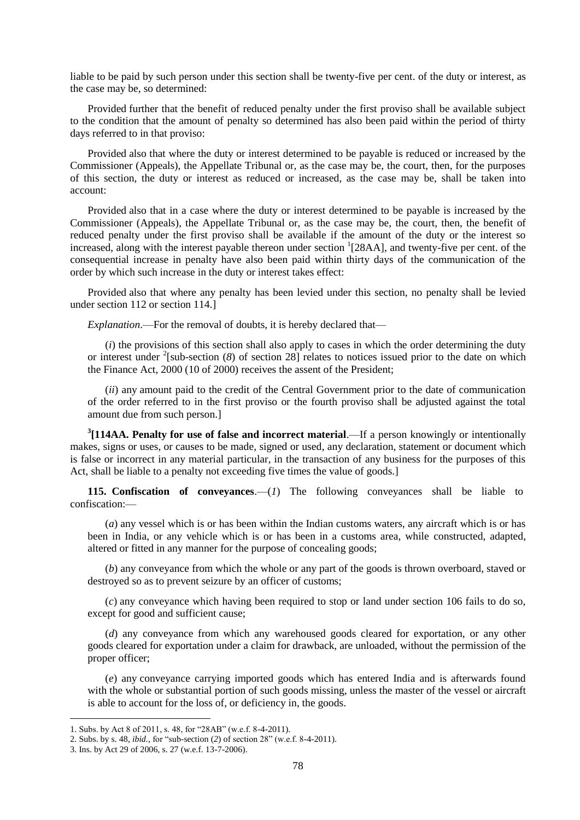liable to be paid by such person under this section shall be twenty-five per cent. of the duty or interest, as the case may be, so determined:

Provided further that the benefit of reduced penalty under the first proviso shall be available subject to the condition that the amount of penalty so determined has also been paid within the period of thirty days referred to in that proviso:

Provided also that where the duty or interest determined to be payable is reduced or increased by the Commissioner (Appeals), the Appellate Tribunal or, as the case may be, the court, then, for the purposes of this section, the duty or interest as reduced or increased, as the case may be, shall be taken into account:

Provided also that in a case where the duty or interest determined to be payable is increased by the Commissioner (Appeals), the Appellate Tribunal or, as the case may be, the court, then, the benefit of reduced penalty under the first proviso shall be available if the amount of the duty or the interest so increased, along with the interest payable thereon under section <sup>1</sup>[28AA], and twenty-five per cent. of the consequential increase in penalty have also been paid within thirty days of the communication of the order by which such increase in the duty or interest takes effect:

Provided also that where any penalty has been levied under this section, no penalty shall be levied under section 112 or section 114.]

*Explanation*.—For the removal of doubts, it is hereby declared that—

(*i*) the provisions of this section shall also apply to cases in which the order determining the duty or interest under <sup>2</sup>[sub-section (8) of section 28] relates to notices issued prior to the date on which the Finance Act, 2000 (10 of 2000) receives the assent of the President;

(*ii*) any amount paid to the credit of the Central Government prior to the date of communication of the order referred to in the first proviso or the fourth proviso shall be adjusted against the total amount due from such person.]

**3 [114AA. Penalty for use of false and incorrect material**.—If a person knowingly or intentionally makes, signs or uses, or causes to be made, signed or used, any declaration, statement or document which is false or incorrect in any material particular, in the transaction of any business for the purposes of this Act, shall be liable to a penalty not exceeding five times the value of goods.]

**115. Confiscation of conveyances**.—(*1*) The following conveyances shall be liable to confiscation:—

(*a*) any vessel which is or has been within the Indian customs waters, any aircraft which is or has been in India, or any vehicle which is or has been in a customs area, while constructed, adapted, altered or fitted in any manner for the purpose of concealing goods;

(*b*) any conveyance from which the whole or any part of the goods is thrown overboard, staved or destroyed so as to prevent seizure by an officer of customs;

(*c*) any conveyance which having been required to stop or land under section 106 fails to do so, except for good and sufficient cause;

(*d*) any conveyance from which any warehoused goods cleared for exportation, or any other goods cleared for exportation under a claim for drawback, are unloaded, without the permission of the proper officer;

(*e*) any conveyance carrying imported goods which has entered India and is afterwards found with the whole or substantial portion of such goods missing, unless the master of the vessel or aircraft is able to account for the loss of, or deficiency in, the goods.

<sup>1.</sup> Subs. by Act 8 of 2011, s. 48, for "28AB" (w.e.f. 8-4-2011).

<sup>2.</sup> Subs. by s. 48, *ibid.*, for "sub-section (2) of section 28" (w.e.f. 8-4-2011).

<sup>3.</sup> Ins. by Act 29 of 2006, s. 27 (w.e.f. 13-7-2006).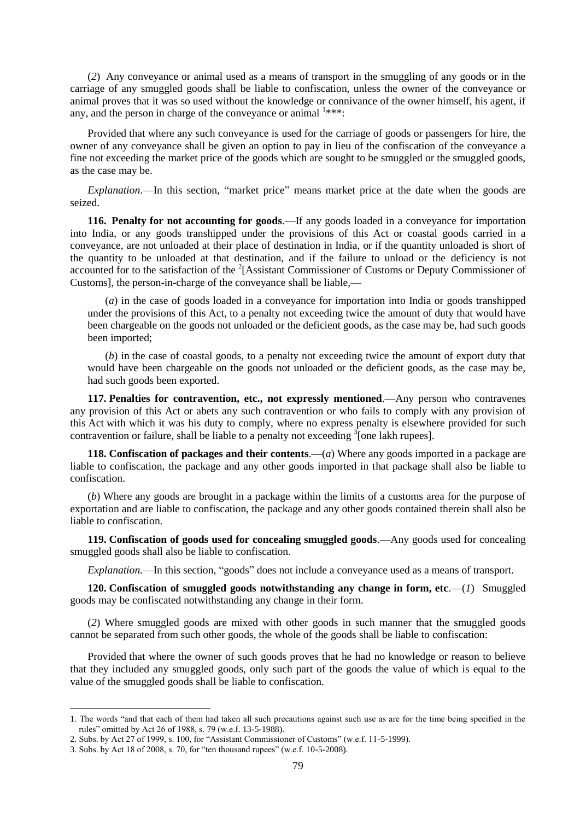(*2*) Any conveyance or animal used as a means of transport in the smuggling of any goods or in the carriage of any smuggled goods shall be liable to confiscation, unless the owner of the conveyance or animal proves that it was so used without the knowledge or connivance of the owner himself, his agent, if any, and the person in charge of the conveyance or animal  $1***$ :

Provided that where any such conveyance is used for the carriage of goods or passengers for hire, the owner of any conveyance shall be given an option to pay in lieu of the confiscation of the conveyance a fine not exceeding the market price of the goods which are sought to be smuggled or the smuggled goods, as the case may be.

*Explanation*.—In this section, "market price" means market price at the date when the goods are seized.

**116. Penalty for not accounting for goods**.—If any goods loaded in a conveyance for importation into India, or any goods transhipped under the provisions of this Act or coastal goods carried in a conveyance, are not unloaded at their place of destination in India, or if the quantity unloaded is short of the quantity to be unloaded at that destination, and if the failure to unload or the deficiency is not accounted for to the satisfaction of the <sup>2</sup>[Assistant Commissioner of Customs or Deputy Commissioner of Customs], the person-in-charge of the conveyance shall be liable,—

(*a*) in the case of goods loaded in a conveyance for importation into India or goods transhipped under the provisions of this Act, to a penalty not exceeding twice the amount of duty that would have been chargeable on the goods not unloaded or the deficient goods, as the case may be, had such goods been imported;

(*b*) in the case of coastal goods, to a penalty not exceeding twice the amount of export duty that would have been chargeable on the goods not unloaded or the deficient goods, as the case may be, had such goods been exported.

**117. Penalties for contravention, etc., not expressly mentioned**.—Any person who contravenes any provision of this Act or abets any such contravention or who fails to comply with any provision of this Act with which it was his duty to comply, where no express penalty is elsewhere provided for such contravention or failure, shall be liable to a penalty not exceeding  $\delta$  [one lakh rupees].

**118. Confiscation of packages and their contents**.—(*a*) Where any goods imported in a package are liable to confiscation, the package and any other goods imported in that package shall also be liable to confiscation.

(*b*) Where any goods are brought in a package within the limits of a customs area for the purpose of exportation and are liable to confiscation, the package and any other goods contained therein shall also be liable to confiscation.

**119. Confiscation of goods used for concealing smuggled goods**.—Any goods used for concealing smuggled goods shall also be liable to confiscation.

*Explanation.*—In this section, "goods" does not include a conveyance used as a means of transport.

**120.** Confiscation of smuggled goods notwithstanding any change in form, etc.— $(I)$  Smuggled goods may be confiscated notwithstanding any change in their form.

(*2*) Where smuggled goods are mixed with other goods in such manner that the smuggled goods cannot be separated from such other goods, the whole of the goods shall be liable to confiscation:

Provided that where the owner of such goods proves that he had no knowledge or reason to believe that they included any smuggled goods, only such part of the goods the value of which is equal to the value of the smuggled goods shall be liable to confiscation.

<sup>1.</sup> The words "and that each of them had taken all such precautions against such use as are for the time being specified in the rules" omitted by Act 26 of 1988, s. 79 (w.e.f. 13-5-1988).

<sup>2.</sup> Subs. by Act 27 of 1999, s. 100, for "Assistant Commissioner of Customs" (w.e.f. 11-5-1999).

<sup>3.</sup> Subs. by Act 18 of 2008, s. 70, for "ten thousand rupees" (w.e.f.  $10-5-2008$ ).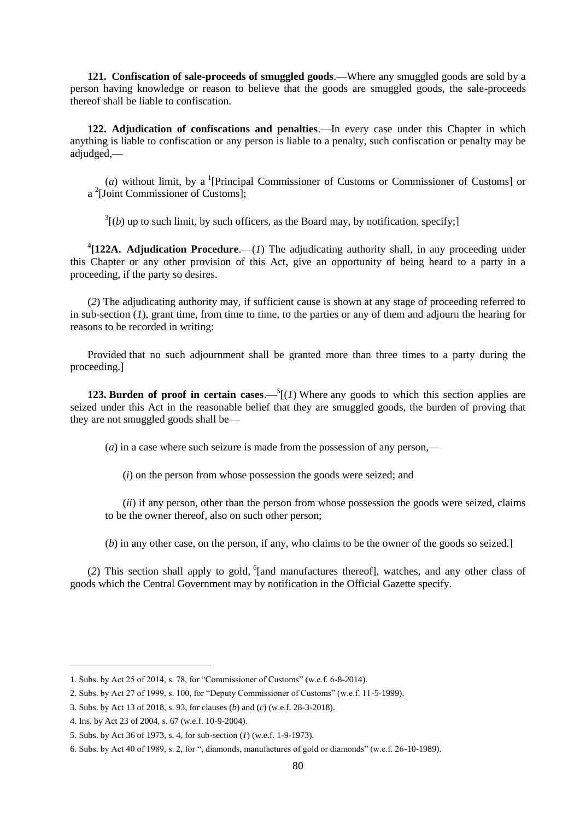**121. Confiscation of sale-proceeds of smuggled goods**.—Where any smuggled goods are sold by a person having knowledge or reason to believe that the goods are smuggled goods, the sale-proceeds thereof shall be liable to confiscation.

**122. Adjudication of confiscations and penalties**.—In every case under this Chapter in which anything is liable to confiscation or any person is liable to a penalty, such confiscation or penalty may be adjudged,—

(*a*) without limit, by a <sup>1</sup>[Principal Commissioner of Customs or Commissioner of Customs] or a 2 [Joint Commissioner of Customs];

 $3(1/6)$  up to such limit, by such officers, as the Board may, by notification, specify;

**4 [122A. Adjudication Procedure**.—(*1*) The adjudicating authority shall, in any proceeding under this Chapter or any other provision of this Act, give an opportunity of being heard to a party in a proceeding, if the party so desires.

(*2*) The adjudicating authority may, if sufficient cause is shown at any stage of proceeding referred to in sub-section (*1*), grant time, from time to time, to the parties or any of them and adjourn the hearing for reasons to be recorded in writing:

Provided that no such adjournment shall be granted more than three times to a party during the proceeding.]

**123. Burden of proof in certain cases.**— $^{5}$ [(*1*) Where any goods to which this section applies are seized under this Act in the reasonable belief that they are smuggled goods, the burden of proving that they are not smuggled goods shall be—

(*a*) in a case where such seizure is made from the possession of any person,—

(*i*) on the person from whose possession the goods were seized; and

(*ii*) if any person, other than the person from whose possession the goods were seized, claims to be the owner thereof, also on such other person;

(*b*) in any other case, on the person, if any, who claims to be the owner of the goods so seized.]

(2) This section shall apply to gold, <sup>6</sup>[and manufactures thereof], watches, and any other class of goods which the Central Government may by notification in the Official Gazette specify.

<sup>1.</sup> Subs. by Act 25 of 2014, s. 78, for "Commissioner of Customs" (w.e.f.  $6-8-2014$ ).

<sup>2.</sup> Subs. by Act 27 of 1999, s. 100, for "Deputy Commissioner of Customs" (w.e.f. 11-5-1999).

<sup>3.</sup> Subs. by Act 13 of 2018, s. 93, for clauses (*b*) and (*c*) (w.e.f. 28-3-2018).

<sup>4.</sup> Ins. by Act 23 of 2004, s. 67 (w.e.f. 10-9-2004).

<sup>5.</sup> Subs. by Act 36 of 1973, s. 4, for sub-section (*1*) (w.e.f. 1-9-1973).

<sup>6.</sup> Subs. by Act 40 of 1989, s. 2, for ", diamonds, manufactures of gold or diamonds" (w.e.f. 26-10-1989).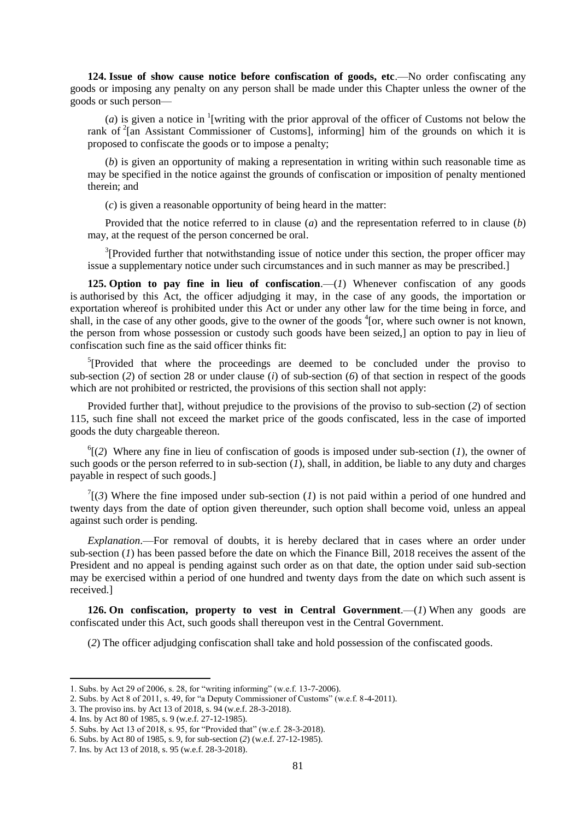**124. Issue of show cause notice before confiscation of goods, etc**.—No order confiscating any goods or imposing any penalty on any person shall be made under this Chapter unless the owner of the goods or such person—

(*a*) is given a notice in <sup>1</sup>[writing with the prior approval of the officer of Customs not below the rank of <sup>2</sup>[an Assistant Commissioner of Customs], informing] him of the grounds on which it is proposed to confiscate the goods or to impose a penalty;

(*b*) is given an opportunity of making a representation in writing within such reasonable time as may be specified in the notice against the grounds of confiscation or imposition of penalty mentioned therein; and

(*c*) is given a reasonable opportunity of being heard in the matter:

Provided that the notice referred to in clause (*a*) and the representation referred to in clause (*b*) may, at the request of the person concerned be oral.

 $3$ [Provided further that notwithstanding issue of notice under this section, the proper officer may issue a supplementary notice under such circumstances and in such manner as may be prescribed.]

**125. Option to pay fine in lieu of confiscation**.—(*1*) Whenever confiscation of any goods is authorised by this Act, the officer adjudging it may, in the case of any goods, the importation or exportation whereof is prohibited under this Act or under any other law for the time being in force, and shall, in the case of any other goods, give to the owner of the goods  ${}^{4}$  [or, where such owner is not known, the person from whose possession or custody such goods have been seized,] an option to pay in lieu of confiscation such fine as the said officer thinks fit:

<sup>5</sup>[Provided that where the proceedings are deemed to be concluded under the proviso to sub-section (*2*) of section 28 or under clause (*i*) of sub-section (*6*) of that section in respect of the goods which are not prohibited or restricted, the provisions of this section shall not apply:

Provided further that], without prejudice to the provisions of the proviso to sub-section (*2*) of section 115, such fine shall not exceed the market price of the goods confiscated, less in the case of imported goods the duty chargeable thereon.

 $^{6}$ [(2) Where any fine in lieu of confiscation of goods is imposed under sub-section (*1*), the owner of such goods or the person referred to in sub-section  $(I)$ , shall, in addition, be liable to any duty and charges payable in respect of such goods.]

 $T(\mathfrak{z})$  Where the fine imposed under sub-section (*1*) is not paid within a period of one hundred and twenty days from the date of option given thereunder, such option shall become void, unless an appeal against such order is pending.

*Explanation*.—For removal of doubts, it is hereby declared that in cases where an order under sub-section (*1*) has been passed before the date on which the Finance Bill, 2018 receives the assent of the President and no appeal is pending against such order as on that date, the option under said sub-section may be exercised within a period of one hundred and twenty days from the date on which such assent is received.]

**126. On confiscation, property to vest in Central Government**.—(*1*) When any goods are confiscated under this Act, such goods shall thereupon vest in the Central Government.

(*2*) The officer adjudging confiscation shall take and hold possession of the confiscated goods.

<sup>1.</sup> Subs. by Act 29 of 2006, s. 28, for "writing informing" (w.e.f. 13-7-2006).

<sup>2.</sup> Subs. by Act 8 of 2011, s. 49, for "a Deputy Commissioner of Customs" (w.e.f.  $8-4-2011$ ).

<sup>3.</sup> The proviso ins. by Act 13 of 2018, s. 94 (w.e.f. 28-3-2018).

<sup>4.</sup> Ins. by Act 80 of 1985, s. 9 (w.e.f. 27-12-1985).

<sup>5.</sup> Subs. by Act 13 of 2018, s. 95, for "Provided that" (w.e.f. 28-3-2018).

<sup>6.</sup> Subs. by Act 80 of 1985, s. 9, for sub-section (*2*) (w.e.f. 27-12-1985).

<sup>7.</sup> Ins. by Act 13 of 2018, s. 95 (w.e.f. 28-3-2018).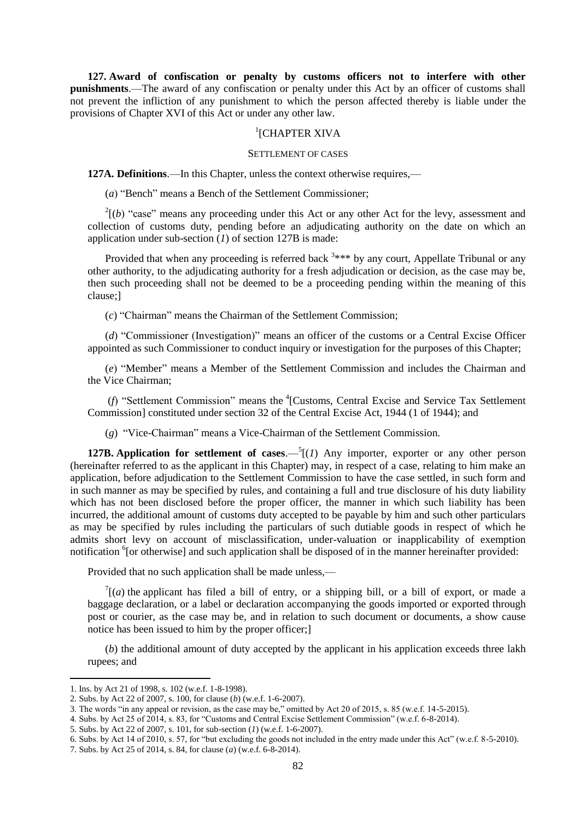**127. Award of confiscation or penalty by customs officers not to interfere with other punishments**.—The award of any confiscation or penalty under this Act by an officer of customs shall not prevent the infliction of any punishment to which the person affected thereby is liable under the provisions of Chapter XVI of this Act or under any other law.

# 1 [CHAPTER XIVA

#### SETTLEMENT OF CASES

**127A. Definitions**.—In this Chapter, unless the context otherwise requires,—

(*a*) "Bench" means a Bench of the Settlement Commissioner;

 $2^{2}$ [(*b*) "case" means any proceeding under this Act or any other Act for the levy, assessment and collection of customs duty, pending before an adjudicating authority on the date on which an application under sub-section (*1*) of section 127B is made:

Provided that when any proceeding is referred back  $3***$  by any court, Appellate Tribunal or any other authority, to the adjudicating authority for a fresh adjudication or decision, as the case may be, then such proceeding shall not be deemed to be a proceeding pending within the meaning of this clause;]

(c) "Chairman" means the Chairman of the Settlement Commission:

(*d*) "Commissioner (Investigation)" means an officer of the customs or a Central Excise Officer appointed as such Commissioner to conduct inquiry or investigation for the purposes of this Chapter;

(e) "Member" means a Member of the Settlement Commission and includes the Chairman and the Vice Chairman;

(*f*) "Settlement Commission" means the <sup>4</sup>[Customs, Central Excise and Service Tax Settlement Commission] constituted under section 32 of the Central Excise Act, 1944 (1 of 1944); and

(g) "Vice-Chairman" means a Vice-Chairman of the Settlement Commission.

**127B.** Application for settlement of cases.  $-\frac{5}{1}$  (*1*) Any importer, exporter or any other person (hereinafter referred to as the applicant in this Chapter) may, in respect of a case, relating to him make an application, before adjudication to the Settlement Commission to have the case settled, in such form and in such manner as may be specified by rules, and containing a full and true disclosure of his duty liability which has not been disclosed before the proper officer, the manner in which such liability has been incurred, the additional amount of customs duty accepted to be payable by him and such other particulars as may be specified by rules including the particulars of such dutiable goods in respect of which he admits short levy on account of misclassification, under-valuation or inapplicability of exemption notification <sup>6</sup>[or otherwise] and such application shall be disposed of in the manner hereinafter provided:

Provided that no such application shall be made unless,—

 $T(a)$  the applicant has filed a bill of entry, or a shipping bill, or a bill of export, or made a baggage declaration, or a label or declaration accompanying the goods imported or exported through post or courier, as the case may be, and in relation to such document or documents, a show cause notice has been issued to him by the proper officer;]

(*b*) the additional amount of duty accepted by the applicant in his application exceeds three lakh rupees; and

<sup>1.</sup> Ins. by Act 21 of 1998, s. 102 (w.e.f. 1-8-1998).

<sup>2.</sup> Subs. by Act 22 of 2007, s. 100, for clause (*b*) (w.e.f. 1-6-2007).

<sup>3.</sup> The words "in any appeal or revision, as the case may be," omitted by Act 20 of 2015, s. 85 (w.e.f. 14-5-2015).

<sup>4.</sup> Subs. by Act 25 of 2014, s. 83, for "Customs and Central Excise Settlement Commission" (w.e.f. 6-8-2014).

<sup>5.</sup> Subs. by Act 22 of 2007, s. 101, for sub-section (*1*) (w.e.f. 1-6-2007).

<sup>6.</sup> Subs. by Act 14 of 2010, s. 57, for "but excluding the goods not included in the entry made under this Act" (w.e.f. 8-5-2010).

<sup>7.</sup> Subs. by Act 25 of 2014, s. 84, for clause (*a*) (w.e.f. 6-8-2014).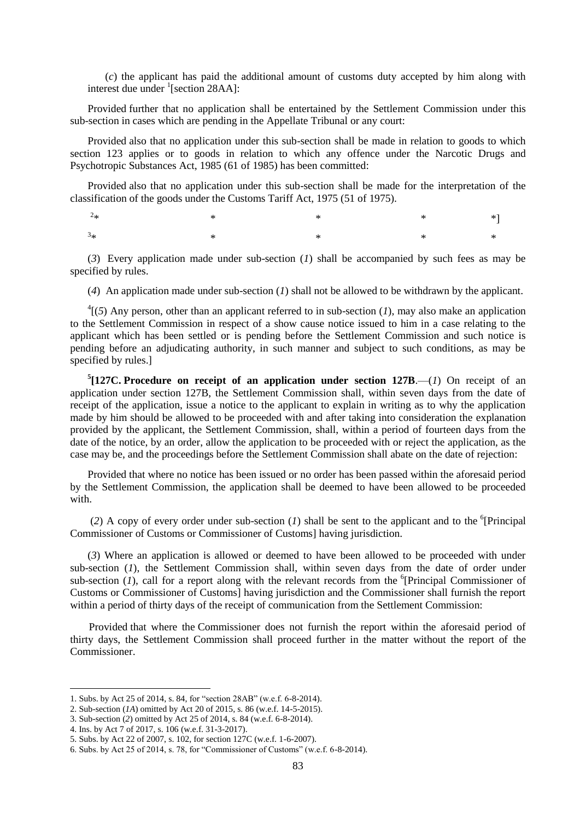(*c*) the applicant has paid the additional amount of customs duty accepted by him along with interest due under <sup>1</sup>[section 28AA]:

Provided further that no application shall be entertained by the Settlement Commission under this sub-section in cases which are pending in the Appellate Tribunal or any court:

Provided also that no application under this sub-section shall be made in relation to goods to which section 123 applies or to goods in relation to which any offence under the Narcotic Drugs and Psychotropic Substances Act, 1985 (61 of 1985) has been committed:

Provided also that no application under this sub-section shall be made for the interpretation of the classification of the goods under the Customs Tariff Act, 1975 (51 of 1975).

 $2*$  $*$   $*$   $*$   $*$   $*$   $*$  $3*$  $*$   $*$   $*$   $*$   $*$   $*$ 

(*3*) Every application made under sub-section (*1*) shall be accompanied by such fees as may be specified by rules.

(*4*) An application made under sub-section (*1*) shall not be allowed to be withdrawn by the applicant.

 ${}^{4}$ [(5) Any person, other than an applicant referred to in sub-section (*1*), may also make an application to the Settlement Commission in respect of a show cause notice issued to him in a case relating to the applicant which has been settled or is pending before the Settlement Commission and such notice is pending before an adjudicating authority, in such manner and subject to such conditions, as may be specified by rules.]

 $5$ [127C. Procedure on receipt of an application under section 127B.—(*1*) On receipt of an application under section 127B, the Settlement Commission shall, within seven days from the date of receipt of the application, issue a notice to the applicant to explain in writing as to why the application made by him should be allowed to be proceeded with and after taking into consideration the explanation provided by the applicant, the Settlement Commission, shall, within a period of fourteen days from the date of the notice, by an order, allow the application to be proceeded with or reject the application, as the case may be, and the proceedings before the Settlement Commission shall abate on the date of rejection:

Provided that where no notice has been issued or no order has been passed within the aforesaid period by the Settlement Commission, the application shall be deemed to have been allowed to be proceeded with.

(2) A copy of every order under sub-section  $(I)$  shall be sent to the applicant and to the <sup>6</sup>[Principal Commissioner of Customs or Commissioner of Customs] having jurisdiction.

(*3*) Where an application is allowed or deemed to have been allowed to be proceeded with under sub-section (*1*), the Settlement Commission shall, within seven days from the date of order under sub-section  $(I)$ , call for a report along with the relevant records from the <sup>6</sup>[Principal Commissioner of Customs or Commissioner of Customs] having jurisdiction and the Commissioner shall furnish the report within a period of thirty days of the receipt of communication from the Settlement Commission:

 Provided that where the Commissioner does not furnish the report within the aforesaid period of thirty days, the Settlement Commission shall proceed further in the matter without the report of the Commissioner.

<sup>1.</sup> Subs. by Act 25 of 2014, s. 84, for "section 28AB" (w.e.f. 6-8-2014).

<sup>2.</sup> Sub-section (*1A*) omitted by Act 20 of 2015, s. 86 (w.e.f. 14-5-2015).

<sup>3.</sup> Sub-section (*2*) omitted by Act 25 of 2014, s. 84 (w.e.f. 6-8-2014).

<sup>4.</sup> Ins. by Act 7 of 2017, s. 106 (w.e.f. 31-3-2017).

<sup>5.</sup> Subs. by Act 22 of 2007, s. 102, for section 127C (w.e.f. 1-6-2007).

<sup>6.</sup> Subs. by Act 25 of 2014, s. 78, for "Commissioner of Customs" (w.e.f.  $6-8-2014$ ).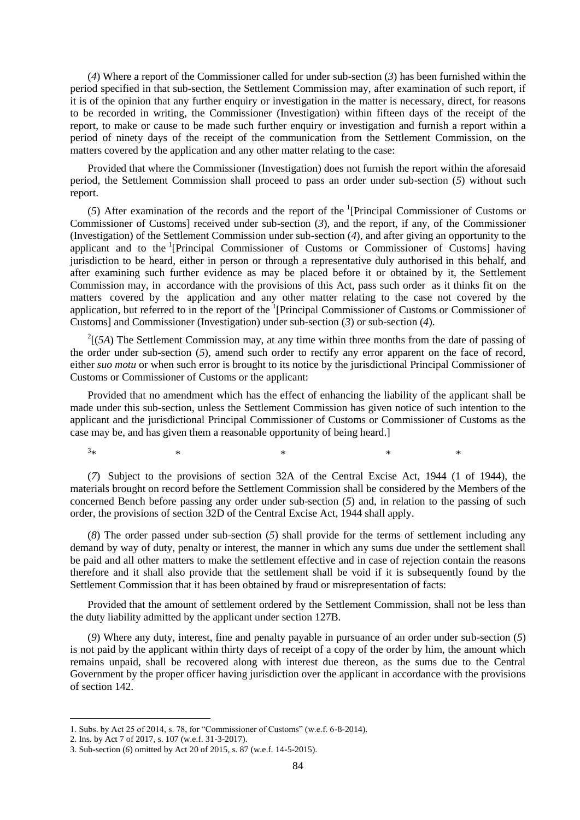(*4*) Where a report of the Commissioner called for under sub-section (*3*) has been furnished within the period specified in that sub-section, the Settlement Commission may, after examination of such report, if it is of the opinion that any further enquiry or investigation in the matter is necessary, direct, for reasons to be recorded in writing, the Commissioner (Investigation) within fifteen days of the receipt of the report, to make or cause to be made such further enquiry or investigation and furnish a report within a period of ninety days of the receipt of the communication from the Settlement Commission, on the matters covered by the application and any other matter relating to the case:

Provided that where the Commissioner (Investigation) does not furnish the report within the aforesaid period, the Settlement Commission shall proceed to pass an order under sub-section (*5*) without such report.

(5) After examination of the records and the report of the <sup>1</sup>[Principal Commissioner of Customs or Commissioner of Customs] received under sub-section (*3*), and the report, if any, of the Commissioner (Investigation) of the Settlement Commission under sub-section (*4*), and after giving an opportunity to the applicant and to the <sup>1</sup>[Principal Commissioner of Customs or Commissioner of Customs] having jurisdiction to be heard, either in person or through a representative duly authorised in this behalf, and after examining such further evidence as may be placed before it or obtained by it, the Settlement Commission may, in accordance with the provisions of this Act, pass such order as it thinks fit on the matters covered by the application and any other matter relating to the case not covered by the application, but referred to in the report of the <sup>1</sup>[Principal Commissioner of Customs or Commissioner of Customs] and Commissioner (Investigation) under sub-section (*3*) or sub-section (*4*).

 $2\left[\frac{5A}{A}\right]$  The Settlement Commission may, at any time within three months from the date of passing of the order under sub-section (*5*), amend such order to rectify any error apparent on the face of record, either *suo motu* or when such error is brought to its notice by the jurisdictional Principal Commissioner of Customs or Commissioner of Customs or the applicant:

Provided that no amendment which has the effect of enhancing the liability of the applicant shall be made under this sub-section, unless the Settlement Commission has given notice of such intention to the applicant and the jurisdictional Principal Commissioner of Customs or Commissioner of Customs as the case may be, and has given them a reasonable opportunity of being heard.]

 $3*$  $*$   $*$   $*$   $*$   $*$   $*$ 

**.** 

(*7*) Subject to the provisions of section 32A of the Central Excise Act, 1944 (1 of 1944), the materials brought on record before the Settlement Commission shall be considered by the Members of the concerned Bench before passing any order under sub-section (*5*) and, in relation to the passing of such order, the provisions of section 32D of the Central Excise Act, 1944 shall apply.

(*8*) The order passed under sub-section (*5*) shall provide for the terms of settlement including any demand by way of duty, penalty or interest, the manner in which any sums due under the settlement shall be paid and all other matters to make the settlement effective and in case of rejection contain the reasons therefore and it shall also provide that the settlement shall be void if it is subsequently found by the Settlement Commission that it has been obtained by fraud or misrepresentation of facts:

Provided that the amount of settlement ordered by the Settlement Commission, shall not be less than the duty liability admitted by the applicant under section 127B.

(*9*) Where any duty, interest, fine and penalty payable in pursuance of an order under sub-section (*5*) is not paid by the applicant within thirty days of receipt of a copy of the order by him, the amount which remains unpaid, shall be recovered along with interest due thereon, as the sums due to the Central Government by the proper officer having jurisdiction over the applicant in accordance with the provisions of section 142.

<sup>1.</sup> Subs. by Act 25 of 2014, s. 78, for "Commissioner of Customs" (w.e.f. 6-8-2014).

<sup>2.</sup> Ins. by Act 7 of 2017, s. 107 (w.e.f. 31-3-2017).

<sup>3.</sup> Sub-section (*6*) omitted by Act 20 of 2015, s. 87 (w.e.f. 14-5-2015).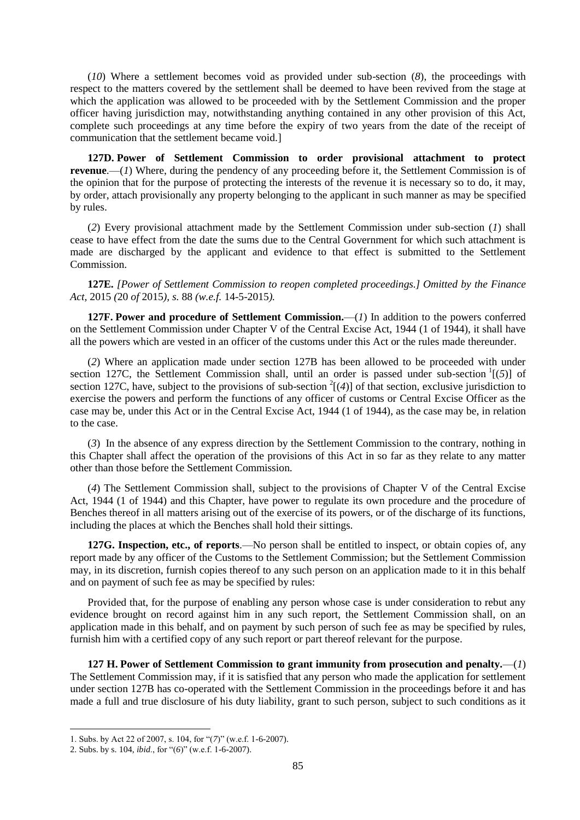(*10*) Where a settlement becomes void as provided under sub-section (*8*), the proceedings with respect to the matters covered by the settlement shall be deemed to have been revived from the stage at which the application was allowed to be proceeded with by the Settlement Commission and the proper officer having jurisdiction may, notwithstanding anything contained in any other provision of this Act, complete such proceedings at any time before the expiry of two years from the date of the receipt of communication that the settlement became void.]

**127D. Power of Settlement Commission to order provisional attachment to protect revenue.**—(*1*) Where, during the pendency of any proceeding before it, the Settlement Commission is of the opinion that for the purpose of protecting the interests of the revenue it is necessary so to do, it may, by order, attach provisionally any property belonging to the applicant in such manner as may be specified by rules.

(*2*) Every provisional attachment made by the Settlement Commission under sub-section (*1*) shall cease to have effect from the date the sums due to the Central Government for which such attachment is made are discharged by the applicant and evidence to that effect is submitted to the Settlement Commission.

**127E.** *[Power of Settlement Commission to reopen completed proceedings.] Omitted by the Finance Act,* 2015 *(*20 *of* 2015*), s.* 88 *(w.e.f.* 14-5-2015*).*

**127F. Power and procedure of Settlement Commission.**—(*1*) In addition to the powers conferred on the Settlement Commission under Chapter V of the Central Excise Act, 1944 (1 of 1944), it shall have all the powers which are vested in an officer of the customs under this Act or the rules made thereunder.

(*2*) Where an application made under section 127B has been allowed to be proceeded with under section 127C, the Settlement Commission shall, until an order is passed under sub-section <sup>1</sup>[(5)] of section 127C, have, subject to the provisions of sub-section  $^{2}[(4)]$  of that section, exclusive jurisdiction to exercise the powers and perform the functions of any officer of customs or Central Excise Officer as the case may be, under this Act or in the Central Excise Act, 1944 (1 of 1944), as the case may be, in relation to the case.

(*3*) In the absence of any express direction by the Settlement Commission to the contrary, nothing in this Chapter shall affect the operation of the provisions of this Act in so far as they relate to any matter other than those before the Settlement Commission.

(*4*) The Settlement Commission shall, subject to the provisions of Chapter V of the Central Excise Act, 1944 (1 of 1944) and this Chapter, have power to regulate its own procedure and the procedure of Benches thereof in all matters arising out of the exercise of its powers, or of the discharge of its functions, including the places at which the Benches shall hold their sittings.

**127G. Inspection, etc., of reports**.—No person shall be entitled to inspect, or obtain copies of, any report made by any officer of the Customs to the Settlement Commission; but the Settlement Commission may, in its discretion, furnish copies thereof to any such person on an application made to it in this behalf and on payment of such fee as may be specified by rules:

Provided that, for the purpose of enabling any person whose case is under consideration to rebut any evidence brought on record against him in any such report, the Settlement Commission shall, on an application made in this behalf, and on payment by such person of such fee as may be specified by rules, furnish him with a certified copy of any such report or part thereof relevant for the purpose.

**127 H. Power of Settlement Commission to grant immunity from prosecution and penalty.**—(*1*) The Settlement Commission may, if it is satisfied that any person who made the application for settlement under section 127B has co-operated with the Settlement Commission in the proceedings before it and has made a full and true disclosure of his duty liability, grant to such person, subject to such conditions as it

<sup>1.</sup> Subs. by Act 22 of 2007, s. 104, for "(7)" (w.e.f. 1-6-2007).

<sup>2.</sup> Subs. by s. 104, *ibid.*, for "(6)" (w.e.f. 1-6-2007).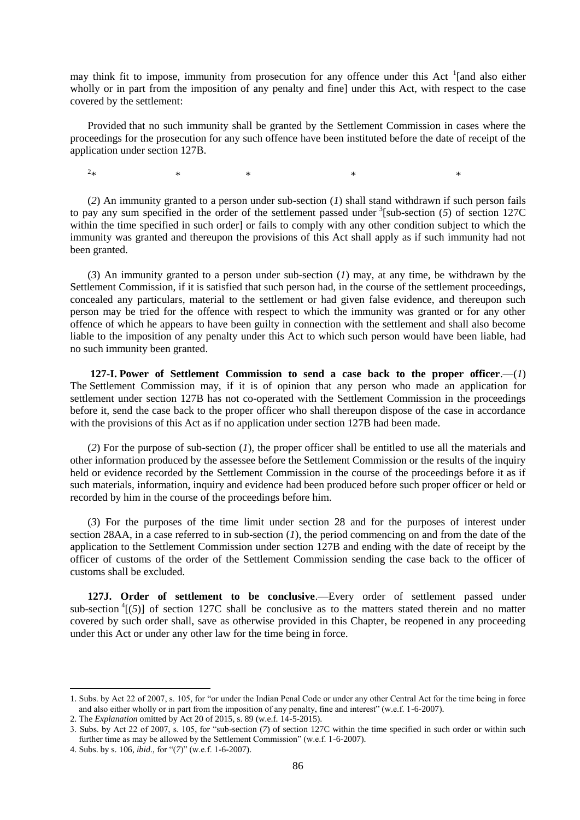may think fit to impose, immunity from prosecution for any offence under this Act <sup>1</sup>[and also either wholly or in part from the imposition of any penalty and fine] under this Act, with respect to the case covered by the settlement:

Provided that no such immunity shall be granted by the Settlement Commission in cases where the proceedings for the prosecution for any such offence have been instituted before the date of receipt of the application under section 127B.

 $2*$ 

 $*$   $*$   $*$   $*$   $*$   $*$ 

(*2*) An immunity granted to a person under sub-section (*1*) shall stand withdrawn if such person fails to pay any sum specified in the order of the settlement passed under  $\frac{3}{5}$ [sub-section (5) of section 127C within the time specified in such order] or fails to comply with any other condition subject to which the immunity was granted and thereupon the provisions of this Act shall apply as if such immunity had not been granted.

(*3*) An immunity granted to a person under sub-section (*1*) may, at any time, be withdrawn by the Settlement Commission, if it is satisfied that such person had, in the course of the settlement proceedings, concealed any particulars, material to the settlement or had given false evidence, and thereupon such person may be tried for the offence with respect to which the immunity was granted or for any other offence of which he appears to have been guilty in connection with the settlement and shall also become liable to the imposition of any penalty under this Act to which such person would have been liable, had no such immunity been granted.

**127-I. Power of Settlement Commission to send a case back to the proper officer**.—(*1*) The Settlement Commission may, if it is of opinion that any person who made an application for settlement under section 127B has not co-operated with the Settlement Commission in the proceedings before it, send the case back to the proper officer who shall thereupon dispose of the case in accordance with the provisions of this Act as if no application under section 127B had been made.

(*2*) For the purpose of sub-section (*1*), the proper officer shall be entitled to use all the materials and other information produced by the assessee before the Settlement Commission or the results of the inquiry held or evidence recorded by the Settlement Commission in the course of the proceedings before it as if such materials, information, inquiry and evidence had been produced before such proper officer or held or recorded by him in the course of the proceedings before him.

(*3*) For the purposes of the time limit under section 28 and for the purposes of interest under section 28AA, in a case referred to in sub-section (*1*), the period commencing on and from the date of the application to the Settlement Commission under section 127B and ending with the date of receipt by the officer of customs of the order of the Settlement Commission sending the case back to the officer of customs shall be excluded.

**127J. Order of settlement to be conclusive**.—Every order of settlement passed under sub-section  ${}^4$ [(5)] of section 127C shall be conclusive as to the matters stated therein and no matter covered by such order shall, save as otherwise provided in this Chapter, be reopened in any proceeding under this Act or under any other law for the time being in force.

<sup>1.</sup> Subs. by Act 22 of 2007, s. 105, for "or under the Indian Penal Code or under any other Central Act for the time being in force and also either wholly or in part from the imposition of any penalty, fine and interest" (w.e.f.  $1-6-2007$ ).

<sup>2.</sup> The *Explanation* omitted by Act 20 of 2015, s. 89 (w.e.f. 14-5-2015).

<sup>3.</sup> Subs. by Act 22 of 2007, s. 105, for "sub-section (7) of section 127C within the time specified in such order or within such further time as may be allowed by the Settlement Commission" (w.e.f. 1-6-2007).

<sup>4.</sup> Subs. by s. 106, *ibid.*, for "(7)" (w.e.f. 1-6-2007).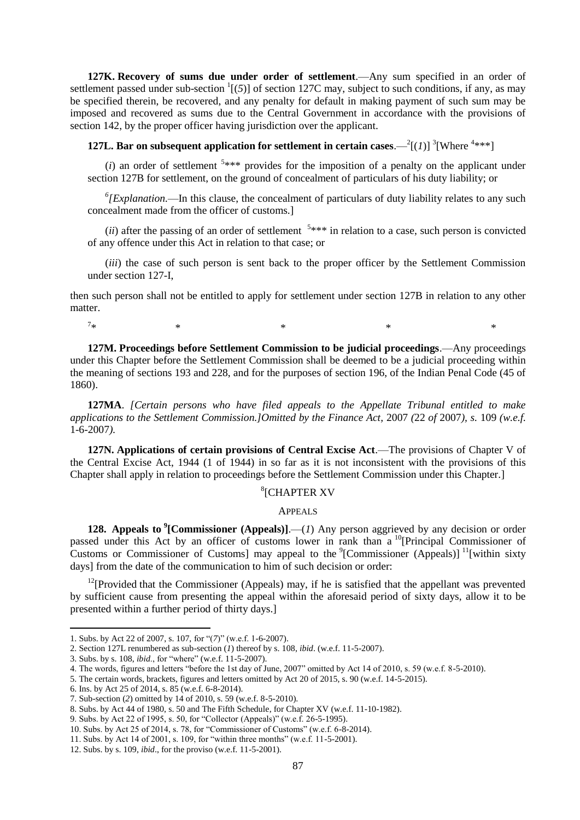**127K. Recovery of sums due under order of settlement**.—Any sum specified in an order of settlement passed under sub-section  $(5)$ ] of section 127C may, subject to such conditions, if any, as may be specified therein, be recovered, and any penalty for default in making payment of such sum may be imposed and recovered as sums due to the Central Government in accordance with the provisions of section 142, by the proper officer having jurisdiction over the applicant.

**127L. Bar on subsequent application for settlement in certain cases.**  $-^{2}$ [(1)] <sup>3</sup>[Where <sup>4\*\*\*</sup>]

 $(i)$  an order of settlement  $5***$  provides for the imposition of a penalty on the applicant under section 127B for settlement, on the ground of concealment of particulars of his duty liability; or

*6 [Explanation.*—In this clause, the concealment of particulars of duty liability relates to any such concealment made from the officer of customs.]

 $(ii)$  after the passing of an order of settlement  $5***$  in relation to a case, such person is convicted of any offence under this Act in relation to that case; or

(*iii*) the case of such person is sent back to the proper officer by the Settlement Commission under section 127-I,

then such person shall not be entitled to apply for settlement under section 127B in relation to any other matter.

 $7*$  $*$   $*$   $*$   $*$   $*$   $*$ 

**127M. Proceedings before Settlement Commission to be judicial proceedings**.—Any proceedings under this Chapter before the Settlement Commission shall be deemed to be a judicial proceeding within the meaning of sections 193 and 228, and for the purposes of section 196, of the Indian Penal Code (45 of 1860).

**127MA**. *[Certain persons who have filed appeals to the Appellate Tribunal entitled to make applications to the Settlement Commission.]Omitted by the Finance Act,* 2007 *(*22 *of* 2007*), s.* 109 *(w.e.f.*  1-6-2007*).*

**127N. Applications of certain provisions of Central Excise Act**.—The provisions of Chapter V of the Central Excise Act, 1944 (1 of 1944) in so far as it is not inconsistent with the provisions of this Chapter shall apply in relation to proceedings before the Settlement Commission under this Chapter.]

# 8 [CHAPTER XV

### APPEALS

**128. Appeals to <sup>9</sup> [Commissioner (Appeals)]**.—(*1*) Any person aggrieved by any decision or order passed under this Act by an officer of customs lower in rank than a <sup>10</sup>[Principal Commissioner of Customs or Commissioner of Customs] may appeal to the  ${}^9$ [Commissioner (Appeals)] <sup>11</sup>[within sixty days] from the date of the communication to him of such decision or order:

 $12$ <sup>12</sup>[Provided that the Commissioner (Appeals) may, if he is satisfied that the appellant was prevented by sufficient cause from presenting the appeal within the aforesaid period of sixty days, allow it to be presented within a further period of thirty days.]

<sup>1.</sup> Subs. by Act 22 of 2007, s. 107, for "(7)" (w.e.f. 1-6-2007).

<sup>2.</sup> Section 127L renumbered as sub-section (*1*) thereof by s. 108, *ibid*. (w.e.f. 11-5-2007).

<sup>3.</sup> Subs. by s. 108, *ibid.*, for "where" (w.e.f. 11-5-2007).

<sup>4.</sup> The words, figures and letters "before the 1st day of June, 2007" omitted by Act 14 of 2010, s. 59 (w.e.f. 8-5-2010).

<sup>5.</sup> The certain words, brackets, figures and letters omitted by Act 20 of 2015, s. 90 (w.e.f. 14-5-2015).

<sup>6.</sup> Ins. by Act 25 of 2014, s. 85 (w.e.f. 6-8-2014).

<sup>7.</sup> Sub-section (*2*) omitted by 14 of 2010, s. 59 (w.e.f. 8-5-2010).

<sup>8.</sup> Subs. by Act 44 of 1980, s. 50 and The Fifth Schedule, for Chapter XV (w.e.f. 11-10-1982).

<sup>9.</sup> Subs. by Act 22 of 1995, s. 50, for "Collector (Appeals)" (w.e.f. 26-5-1995).

<sup>10.</sup> Subs. by Act 25 of 2014, s. 78, for "Commissioner of Customs" (w.e.f. 6-8-2014).

<sup>11.</sup> Subs. by Act 14 of 2001, s. 109, for "within three months" (w.e.f. 11-5-2001).

<sup>12.</sup> Subs. by s. 109, *ibid*., for the proviso (w.e.f. 11-5-2001).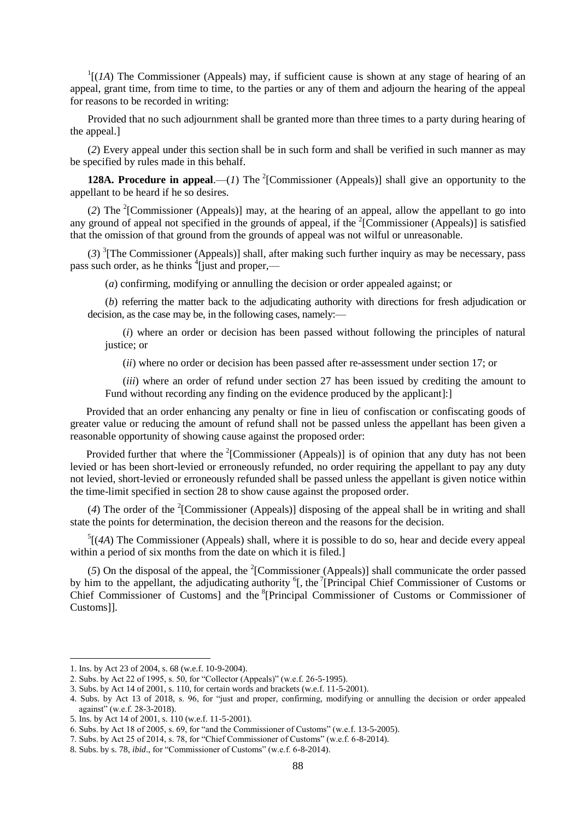$1[(1A)$  The Commissioner (Appeals) may, if sufficient cause is shown at any stage of hearing of an appeal, grant time, from time to time, to the parties or any of them and adjourn the hearing of the appeal for reasons to be recorded in writing:

Provided that no such adjournment shall be granted more than three times to a party during hearing of the appeal.]

(*2*) Every appeal under this section shall be in such form and shall be verified in such manner as may be specified by rules made in this behalf.

**128A. Procedure in appeal.**—(*1*) The <sup>2</sup>[Commissioner (Appeals)] shall give an opportunity to the appellant to be heard if he so desires.

(2) The <sup>2</sup>[Commissioner (Appeals)] may, at the hearing of an appeal, allow the appellant to go into any ground of appeal not specified in the grounds of appeal, if the <sup>2</sup>[Commissioner (Appeals)] is satisfied that the omission of that ground from the grounds of appeal was not wilful or unreasonable.

 $(3)$ <sup>3</sup>[The Commissioner (Appeals)] shall, after making such further inquiry as may be necessary, pass pass such order, as he thinks <sup>4</sup>[just and proper,—

(*a*) confirming, modifying or annulling the decision or order appealed against; or

(*b*) referring the matter back to the adjudicating authority with directions for fresh adjudication or decision, as the case may be, in the following cases, namely:—

(*i*) where an order or decision has been passed without following the principles of natural justice; or

(*ii*) where no order or decision has been passed after re-assessment under section 17; or

(*iii*) where an order of refund under section 27 has been issued by crediting the amount to Fund without recording any finding on the evidence produced by the applicant]:]

 Provided that an order enhancing any penalty or fine in lieu of confiscation or confiscating goods of greater value or reducing the amount of refund shall not be passed unless the appellant has been given a reasonable opportunity of showing cause against the proposed order:

Provided further that where the  $2$ [Commissioner (Appeals)] is of opinion that any duty has not been levied or has been short-levied or erroneously refunded, no order requiring the appellant to pay any duty not levied, short-levied or erroneously refunded shall be passed unless the appellant is given notice within the time-limit specified in section 28 to show cause against the proposed order.

(4) The order of the <sup>2</sup>[Commissioner (Appeals)] disposing of the appeal shall be in writing and shall state the points for determination, the decision thereon and the reasons for the decision.

 $<sup>5</sup>$ [(4A) The Commissioner (Appeals) shall, where it is possible to do so, hear and decide every appeal</sup> within a period of six months from the date on which it is filed.

 $(5)$  On the disposal of the appeal, the <sup>2</sup>[Commissioner (Appeals)] shall communicate the order passed by him to the appellant, the adjudicating authority  ${}^6$ [, the  ${}^7$ [Principal Chief Commissioner of Customs or Chief Commissioner of Customs] and the <sup>8</sup>[Principal Commissioner of Customs or Commissioner of Customs]].

<sup>1.</sup> Ins. by Act 23 of 2004, s. 68 (w.e.f. 10-9-2004).

<sup>2.</sup> Subs. by Act 22 of 1995, s. 50, for "Collector (Appeals)" (w.e.f. 26-5-1995).

<sup>3.</sup> Subs. by Act 14 of 2001, s. 110, for certain words and brackets (w.e.f. 11-5-2001).

<sup>4.</sup> Subs. by Act 13 of 2018, s. 96, for "just and proper, confirming, modifying or annulling the decision or order appealed against" (w.e.f. 28-3-2018).

<sup>5.</sup> Ins. by Act 14 of 2001, s. 110 (w.e.f. 11-5-2001).

<sup>6.</sup> Subs. by Act 18 of 2005, s.  $69$ , for "and the Commissioner of Customs" (w.e.f. 13-5-2005).

<sup>7.</sup> Subs. by Act 25 of 2014, s. 78, for "Chief Commissioner of Customs" (w.e.f. 6-8-2014).

<sup>8.</sup> Subs. by s. 78, *ibid.*, for "Commissioner of Customs" (w.e.f. 6-8-2014).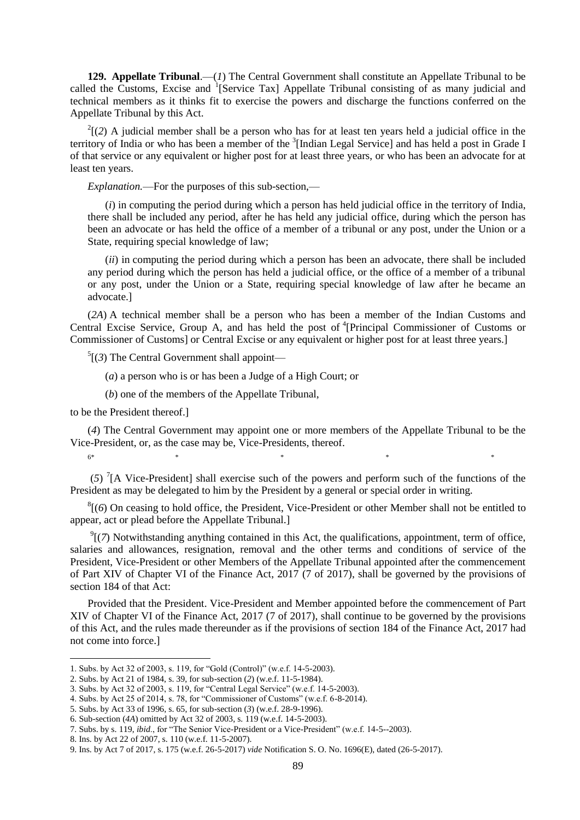**129. Appellate Tribunal**.—(*1*) The Central Government shall constitute an Appellate Tribunal to be called the Customs, Excise and <sup>1</sup>[Service Tax] Appellate Tribunal consisting of as many judicial and technical members as it thinks fit to exercise the powers and discharge the functions conferred on the Appellate Tribunal by this Act.

 $2(2)$  A judicial member shall be a person who has for at least ten years held a judicial office in the territory of India or who has been a member of the <sup>3</sup>[Indian Legal Service] and has held a post in Grade I of that service or any equivalent or higher post for at least three years, or who has been an advocate for at least ten years.

*Explanation.*—For the purposes of this sub-section,—

(*i*) in computing the period during which a person has held judicial office in the territory of India, there shall be included any period, after he has held any judicial office, during which the person has been an advocate or has held the office of a member of a tribunal or any post, under the Union or a State, requiring special knowledge of law;

(*ii*) in computing the period during which a person has been an advocate, there shall be included any period during which the person has held a judicial office, or the office of a member of a tribunal or any post, under the Union or a State, requiring special knowledge of law after he became an advocate.]

(*2A*) A technical member shall be a person who has been a member of the Indian Customs and Central Excise Service, Group A, and has held the post of <sup>4</sup>[Principal Commissioner of Customs or Commissioner of Customs] or Central Excise or any equivalent or higher post for at least three years.]

 $<sup>5</sup>$ [(3) The Central Government shall appoint—</sup>

(*a*) a person who is or has been a Judge of a High Court; or

(*b*) one of the members of the Appellate Tribunal,

to be the President thereof.]

(*4*) The Central Government may appoint one or more members of the Appellate Tribunal to be the Vice-President, or, as the case may be, Vice-Presidents, thereof.

6\* \* \* \* \*

(*5*) 7 [A Vice-President] shall exercise such of the powers and perform such of the functions of the President as may be delegated to him by the President by a general or special order in writing.

 ${}^{8}$ [(6) On ceasing to hold office, the President, Vice-President or other Member shall not be entitled to appear, act or plead before the Appellate Tribunal.]

 $\mathcal{P}$ [(7) Notwithstanding anything contained in this Act, the qualifications, appointment, term of office, salaries and allowances, resignation, removal and the other terms and conditions of service of the President, Vice-President or other Members of the Appellate Tribunal appointed after the commencement of Part XIV of Chapter VI of the Finance Act, 2017 (7 of 2017), shall be governed by the provisions of section 184 of that Act:

Provided that the President. Vice-President and Member appointed before the commencement of Part XIV of Chapter VI of the Finance Act, 2017 (7 of 2017), shall continue to be governed by the provisions of this Act, and the rules made thereunder as if the provisions of section 184 of the Finance Act, 2017 had not come into force.]

<sup>1.</sup> Subs. by Act 32 of 2003, s. 119, for "Gold (Control)" (w.e.f. 14-5-2003).

<sup>2.</sup> Subs. by Act 21 of 1984, s. 39, for sub-section (*2*) (w.e.f. 11-5-1984).

<sup>3.</sup> Subs. by Act 32 of 2003, s. 119, for "Central Legal Service" (w.e.f. 14-5-2003).

<sup>4.</sup> Subs. by Act 25 of 2014, s. 78, for "Commissioner of Customs" (w.e.f.  $6-8-2014$ ).

<sup>5.</sup> Subs. by Act 33 of 1996, s. 65, for sub-section (*3*) (w.e.f. 28-9-1996).

<sup>6.</sup> Sub-section (*4A*) omitted by Act 32 of 2003, s. 119 (w.e.f. 14-5-2003).

<sup>7.</sup> Subs. by s. 119, *ibid.*, for "The Senior Vice-President or a Vice-President" (w.e.f. 14-5--2003).

<sup>8.</sup> Ins. by Act 22 of 2007, s. 110 (w.e.f. 11-5-2007).

<sup>9.</sup> Ins. by Act 7 of 2017, s. 175 (w.e.f. 26-5-2017) *vide* Notification S. O. No. 1696(E), dated (26-5-2017).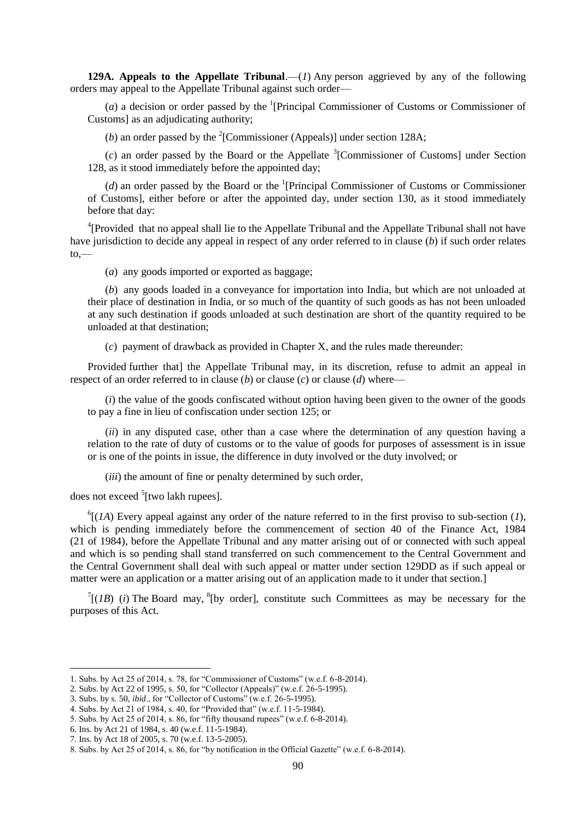**129A. Appeals to the Appellate Tribunal.**—(*I*) Any person aggrieved by any of the following orders may appeal to the Appellate Tribunal against such order—

 $(a)$  a decision or order passed by the <sup>1</sup>[Principal Commissioner of Customs or Commissioner of Customs] as an adjudicating authority;

(*b*) an order passed by the <sup>2</sup>[Commissioner (Appeals)] under section 128A;

 $(c)$  an order passed by the Board or the Appellate <sup>3</sup>[Commissioner of Customs] under Section 128, as it stood immediately before the appointed day;

 $(d)$  an order passed by the Board or the <sup>1</sup>[Principal Commissioner of Customs or Commissioner of Customs], either before or after the appointed day, under section 130, as it stood immediately before that day:

<sup>4</sup>[Provided that no appeal shall lie to the Appellate Tribunal and the Appellate Tribunal shall not have have jurisdiction to decide any appeal in respect of any order referred to in clause (*b*) if such order relates  $to$ .

(*a*) any goods imported or exported as baggage;

(*b*) any goods loaded in a conveyance for importation into India, but which are not unloaded at their place of destination in India, or so much of the quantity of such goods as has not been unloaded at any such destination if goods unloaded at such destination are short of the quantity required to be unloaded at that destination;

(*c*) payment of drawback as provided in Chapter X, and the rules made thereunder:

Provided further that] the Appellate Tribunal may, in its discretion, refuse to admit an appeal in respect of an order referred to in clause (*b*) or clause (*c*) or clause (*d*) where—

(*i*) the value of the goods confiscated without option having been given to the owner of the goods to pay a fine in lieu of confiscation under section 125; or

(*ii*) in any disputed case, other than a case where the determination of any question having a relation to the rate of duty of customs or to the value of goods for purposes of assessment is in issue or is one of the points in issue, the difference in duty involved or the duty involved; or

(*iii*) the amount of fine or penalty determined by such order,

does not exceed <sup>5</sup>[two lakh rupees].

 $^{6}$ [(*1A*) Every appeal against any order of the nature referred to in the first proviso to sub-section (*1*), which is pending immediately before the commencement of section 40 of the Finance Act, 1984 (21 of 1984), before the Appellate Tribunal and any matter arising out of or connected with such appeal and which is so pending shall stand transferred on such commencement to the Central Government and the Central Government shall deal with such appeal or matter under section 129DD as if such appeal or matter were an application or a matter arising out of an application made to it under that section.]

 $T[(IB)$  (*i*) The Board may, <sup>8</sup>[by order], constitute such Committees as may be necessary for the purposes of this Act.

<sup>1.</sup> Subs. by Act 25 of 2014, s. 78, for "Commissioner of Customs" (w.e.f. 6-8-2014).

<sup>2.</sup> Subs. by Act 22 of 1995, s. 50, for "Collector (Appeals)" (w.e.f.  $26-5-1995$ ).

<sup>3.</sup> Subs. by s. 50, *ibid.*, for "Collector of Customs" (w.e.f.  $26-5-1995$ ).

<sup>4.</sup> Subs. by Act 21 of 1984, s. 40, for "Provided that" (w.e.f. 11-5-1984).

<sup>5.</sup> Subs. by Act 25 of 2014, s. 86, for "fifty thousand rupees" (w.e.f.  $6-8-2014$ ).

<sup>6.</sup> Ins. by Act 21 of 1984, s. 40 (w.e.f. 11-5-1984).

<sup>7.</sup> Ins. by Act 18 of 2005, s. 70 (w.e.f. 13-5-2005).

<sup>8.</sup> Subs. by Act 25 of 2014, s. 86, for "by notification in the Official Gazette" (w.e.f. 6-8-2014).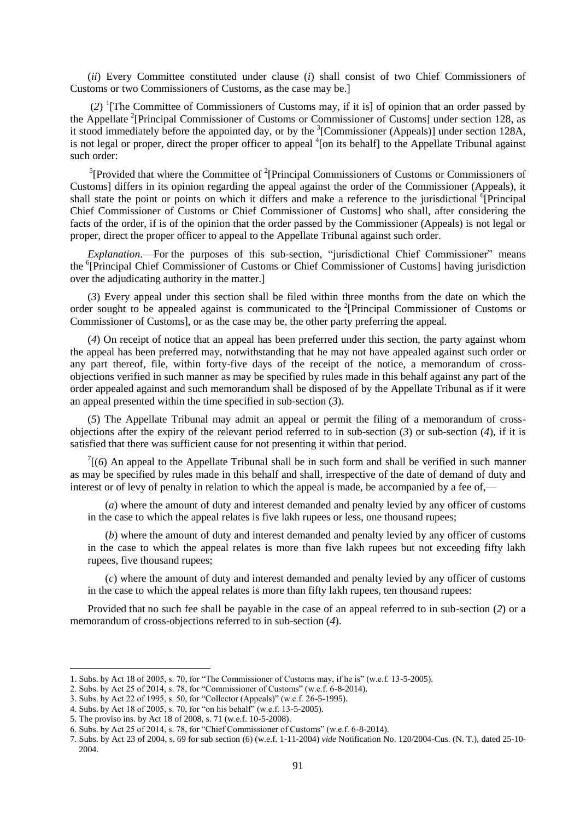(*ii*) Every Committee constituted under clause (*i*) shall consist of two Chief Commissioners of Customs or two Commissioners of Customs, as the case may be.]

(*2*) 1 [The Committee of Commissioners of Customs may, if it is] of opinion that an order passed by the Appellate <sup>2</sup>[Principal Commissioner of Customs or Commissioner of Customs] under section 128, as it stood immediately before the appointed day, or by the  ${}^{3}$ [Commissioner (Appeals)] under section 128A, is not legal or proper, direct the proper officer to appeal <sup>4</sup>[on its behalf] to the Appellate Tribunal against such order:

<sup>5</sup>[Provided that where the Committee of  $2$ <sup>2</sup>[Principal Commissioners of Customs or Commissioners of Customs] differs in its opinion regarding the appeal against the order of the Commissioner (Appeals), it shall state the point or points on which it differs and make a reference to the jurisdictional <sup>6</sup>[Principal Chief Commissioner of Customs or Chief Commissioner of Customs] who shall, after considering the facts of the order, if is of the opinion that the order passed by the Commissioner (Appeals) is not legal or proper, direct the proper officer to appeal to the Appellate Tribunal against such order.

*Explanation*.—For the purposes of this sub-section, "jurisdictional Chief Commissioner" means the <sup>6</sup>[Principal Chief Commissioner of Customs or Chief Commissioner of Customs] having jurisdiction over the adjudicating authority in the matter.]

(*3*) Every appeal under this section shall be filed within three months from the date on which the order sought to be appealed against is communicated to the <sup>2</sup>[Principal Commissioner of Customs or Commissioner of Customs], or as the case may be, the other party preferring the appeal.

(*4*) On receipt of notice that an appeal has been preferred under this section, the party against whom the appeal has been preferred may, notwithstanding that he may not have appealed against such order or any part thereof, file, within forty-five days of the receipt of the notice, a memorandum of crossobjections verified in such manner as may be specified by rules made in this behalf against any part of the order appealed against and such memorandum shall be disposed of by the Appellate Tribunal as if it were an appeal presented within the time specified in sub-section (*3*).

(*5*) The Appellate Tribunal may admit an appeal or permit the filing of a memorandum of crossobjections after the expiry of the relevant period referred to in sub-section (*3*) or sub-section (*4*), if it is satisfied that there was sufficient cause for not presenting it within that period.

 $\int$ <sup>7</sup>[(6) An appeal to the Appellate Tribunal shall be in such form and shall be verified in such manner as may be specified by rules made in this behalf and shall, irrespective of the date of demand of duty and interest or of levy of penalty in relation to which the appeal is made, be accompanied by a fee of,—

(*a*) where the amount of duty and interest demanded and penalty levied by any officer of customs in the case to which the appeal relates is five lakh rupees or less, one thousand rupees;

(*b*) where the amount of duty and interest demanded and penalty levied by any officer of customs in the case to which the appeal relates is more than five lakh rupees but not exceeding fifty lakh rupees, five thousand rupees;

(*c*) where the amount of duty and interest demanded and penalty levied by any officer of customs in the case to which the appeal relates is more than fifty lakh rupees, ten thousand rupees:

Provided that no such fee shall be payable in the case of an appeal referred to in sub-section (*2*) or a memorandum of cross-objections referred to in sub-section (*4*).

<sup>1.</sup> Subs. by Act 18 of 2005, s. 70, for "The Commissioner of Customs may, if he is" (w.e.f. 13-5-2005).

<sup>2.</sup> Subs. by Act 25 of 2014, s. 78, for "Commissioner of Customs" (w.e.f. 6-8-2014).

<sup>3.</sup> Subs. by Act 22 of 1995, s. 50, for "Collector (Appeals)" (w.e.f. 26-5-1995).

<sup>4.</sup> Subs. by Act 18 of 2005, s. 70, for "on his behalf" (w.e.f. 13-5-2005).

<sup>5.</sup> The proviso ins. by Act 18 of 2008, s. 71 (w.e.f. 10-5-2008).

<sup>6.</sup> Subs. by Act 25 of 2014, s. 78, for "Chief Commissioner of Customs" (w.e.f. 6-8-2014).

<sup>7.</sup> Subs. by Act 23 of 2004, s. 69 for sub section (6) (w.e.f. 1-11-2004) *vide* Notification No. 120/2004-Cus. (N. T.), dated 25-10- 2004.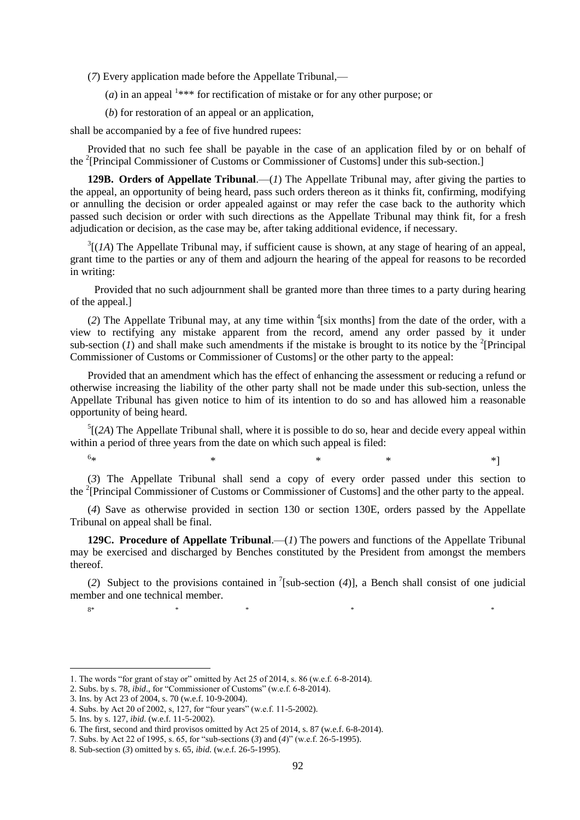(*7*) Every application made before the Appellate Tribunal,—

 $(a)$  in an appeal  $1***$  for rectification of mistake or for any other purpose; or

(*b*) for restoration of an appeal or an application,

shall be accompanied by a fee of five hundred rupees:

Provided that no such fee shall be payable in the case of an application filed by or on behalf of the <sup>2</sup>[Principal Commissioner of Customs or Commissioner of Customs] under this sub-section.]

**129B. Orders of Appellate Tribunal**.—(*1*) The Appellate Tribunal may, after giving the parties to the appeal, an opportunity of being heard, pass such orders thereon as it thinks fit, confirming, modifying or annulling the decision or order appealed against or may refer the case back to the authority which passed such decision or order with such directions as the Appellate Tribunal may think fit, for a fresh adjudication or decision, as the case may be, after taking additional evidence, if necessary.

 $3[(1A)$  The Appellate Tribunal may, if sufficient cause is shown, at any stage of hearing of an appeal, grant time to the parties or any of them and adjourn the hearing of the appeal for reasons to be recorded in writing:

 Provided that no such adjournment shall be granted more than three times to a party during hearing of the appeal.]

 $(2)$  The Appellate Tribunal may, at any time within <sup>4</sup>[six months] from the date of the order, with a view to rectifying any mistake apparent from the record, amend any order passed by it under sub-section  $(I)$  and shall make such amendments if the mistake is brought to its notice by the <sup>2</sup>[Principal Commissioner of Customs or Commissioner of Customs] or the other party to the appeal:

Provided that an amendment which has the effect of enhancing the assessment or reducing a refund or otherwise increasing the liability of the other party shall not be made under this sub-section, unless the Appellate Tribunal has given notice to him of its intention to do so and has allowed him a reasonable opportunity of being heard.

 $<sup>5</sup>$ [(2A) The Appellate Tribunal shall, where it is possible to do so, hear and decide every appeal within</sup> within a period of three years from the date on which such appeal is filed:

 $6<sub>3k</sub>$ 

**.** 

 $*$  \* \* \* \*  $*$  \*

(*3*) The Appellate Tribunal shall send a copy of every order passed under this section to the <sup>2</sup>[Principal Commissioner of Customs or Commissioner of Customs] and the other party to the appeal.

(*4*) Save as otherwise provided in section 130 or section 130E, orders passed by the Appellate Tribunal on appeal shall be final.

**129C. Procedure of Appellate Tribunal**.—(*1*) The powers and functions of the Appellate Tribunal may be exercised and discharged by Benches constituted by the President from amongst the members thereof.

(2) Subject to the provisions contained in <sup>7</sup>[sub-section (4)], a Bench shall consist of one judicial member and one technical member.

8\* \* \* \* \*

<sup>1.</sup> The words "for grant of stay or" omitted by Act 25 of 2014, s. 86 (w.e.f.  $6-8-2014$ ).

<sup>2.</sup> Subs. by s. 78, *ibid.*, for "Commissioner of Customs" (w.e.f. 6-8-2014).

<sup>3.</sup> Ins. by Act 23 of 2004, s. 70 (w.e.f. 10-9-2004).

<sup>4.</sup> Subs. by Act 20 of 2002, s, 127, for "four years" (w.e.f. 11-5-2002).

<sup>5.</sup> Ins. by s. 127, *ibid*. (w.e.f. 11-5-2002).

<sup>6.</sup> The first, second and third provisos omitted by Act 25 of 2014, s. 87 (w.e.f. 6-8-2014).

<sup>7.</sup> Subs. by Act 22 of 1995, s. 65, for "sub-sections (3) and (4)" (w.e.f. 26-5-1995).

<sup>8.</sup> Sub-section (*3*) omitted by s. 65, *ibid*. (w.e.f. 26-5-1995).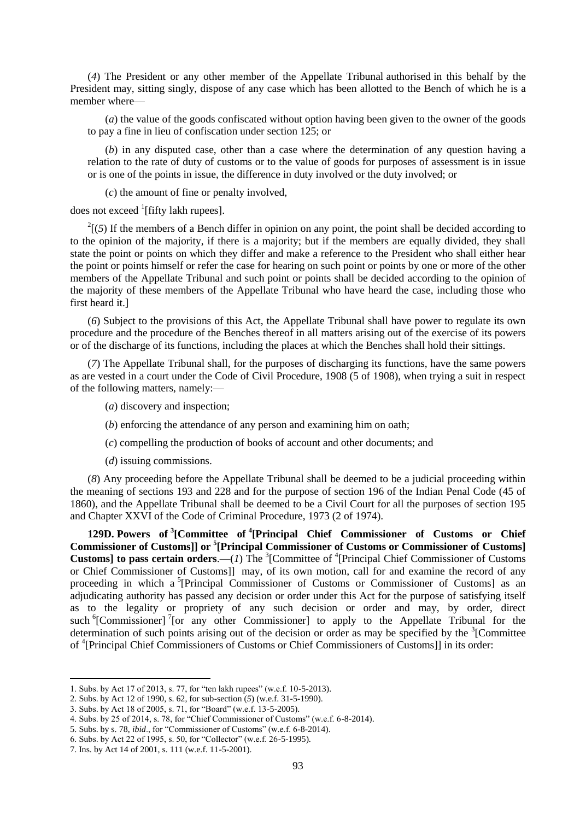(*4*) The President or any other member of the Appellate Tribunal authorised in this behalf by the President may, sitting singly, dispose of any case which has been allotted to the Bench of which he is a member where—

(*a*) the value of the goods confiscated without option having been given to the owner of the goods to pay a fine in lieu of confiscation under section 125; or

(*b*) in any disputed case, other than a case where the determination of any question having a relation to the rate of duty of customs or to the value of goods for purposes of assessment is in issue or is one of the points in issue, the difference in duty involved or the duty involved; or

(*c*) the amount of fine or penalty involved,

does not exceed <sup>1</sup>[fifty lakh rupees].

 $2(5)$  If the members of a Bench differ in opinion on any point, the point shall be decided according to to the opinion of the majority, if there is a majority; but if the members are equally divided, they shall state the point or points on which they differ and make a reference to the President who shall either hear the point or points himself or refer the case for hearing on such point or points by one or more of the other members of the Appellate Tribunal and such point or points shall be decided according to the opinion of the majority of these members of the Appellate Tribunal who have heard the case, including those who first heard it.]

(*6*) Subject to the provisions of this Act, the Appellate Tribunal shall have power to regulate its own procedure and the procedure of the Benches thereof in all matters arising out of the exercise of its powers or of the discharge of its functions, including the places at which the Benches shall hold their sittings.

(*7*) The Appellate Tribunal shall, for the purposes of discharging its functions, have the same powers as are vested in a court under the Code of Civil Procedure, 1908 (5 of 1908), when trying a suit in respect of the following matters, namely:—

(*a*) discovery and inspection;

(*b*) enforcing the attendance of any person and examining him on oath;

(*c*) compelling the production of books of account and other documents; and

(*d*) issuing commissions.

(*8*) Any proceeding before the Appellate Tribunal shall be deemed to be a judicial proceeding within the meaning of sections 193 and 228 and for the purpose of section 196 of the Indian Penal Code (45 of 1860), and the Appellate Tribunal shall be deemed to be a Civil Court for all the purposes of section 195 and Chapter XXVI of the Code of Criminal Procedure, 1973 (2 of 1974).

**129D. Powers of <sup>3</sup> [Committee of <sup>4</sup> [Principal Chief Commissioner of Customs or Chief Commissioner of Customs]] or <sup>5</sup> [Principal Commissioner of Customs or Commissioner of Customs] Customs] to pass certain orders.**—(1) The <sup>3</sup>[Committee of <sup>4</sup>[Principal Chief Commissioner of Customs or Chief Commissioner of Customs]] may, of its own motion, call for and examine the record of any proceeding in which a <sup>5</sup>[Principal Commissioner of Customs or Commissioner of Customs] as an adjudicating authority has passed any decision or order under this Act for the purpose of satisfying itself as to the legality or propriety of any such decision or order and may, by order, direct such <sup>6</sup>[Commissioner]<sup>7</sup>[or any other Commissioner] to apply to the Appellate Tribunal for the determination of such points arising out of the decision or order as may be specified by the  $\frac{3}{2}$ [Committee of <sup>4</sup>[Principal Chief Commissioners of Customs or Chief Commissioners of Customs]] in its order:

<sup>1.</sup> Subs. by Act 17 of 2013, s. 77, for "ten lakh rupees" (w.e.f. 10-5-2013).

<sup>2.</sup> Subs. by Act 12 of 1990, s. 62, for sub-section (*5*) (w.e.f. 31-5-1990).

<sup>3.</sup> Subs. by Act 18 of 2005, s. 71, for "Board" (w.e.f. 13-5-2005).

<sup>4.</sup> Subs. by 25 of 2014, s. 78, for "Chief Commissioner of Customs" (w.e.f. 6-8-2014).

<sup>5.</sup> Subs. by s. 78, *ibid.*, for "Commissioner of Customs" (w.e.f. 6-8-2014).

<sup>6.</sup> Subs. by Act 22 of 1995, s. 50, for "Collector" (w.e.f. 26-5-1995).

<sup>7.</sup> Ins. by Act 14 of 2001, s. 111 (w.e.f. 11-5-2001).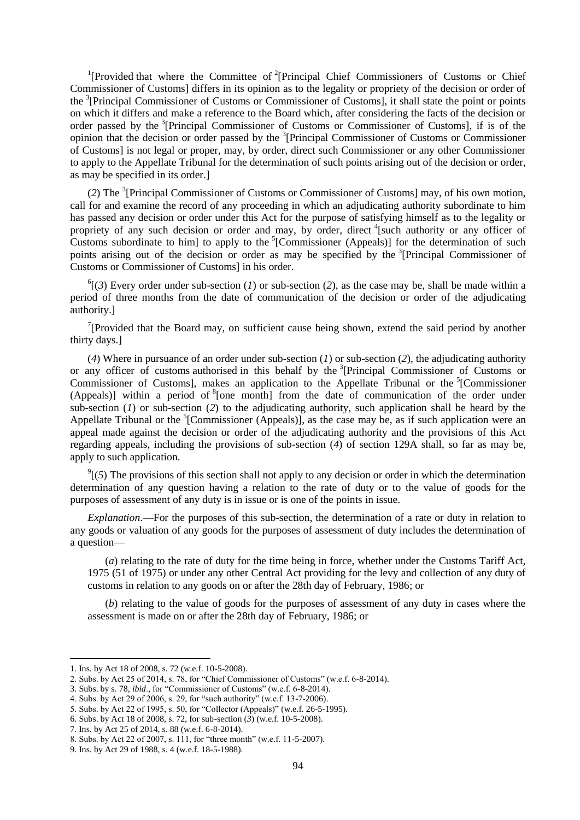<sup>1</sup>[Provided that where the Committee of <sup>2</sup>[Principal Chief Commissioners of Customs or Chief Commissioner of Customs] differs in its opinion as to the legality or propriety of the decision or order of the <sup>3</sup>[Principal Commissioner of Customs or Commissioner of Customs], it shall state the point or points on which it differs and make a reference to the Board which, after considering the facts of the decision or order passed by the <sup>3</sup>[Principal Commissioner of Customs or Commissioner of Customs], if is of the opinion that the decision or order passed by the <sup>3</sup>[Principal Commissioner of Customs or Commissioner of Customs] is not legal or proper, may, by order, direct such Commissioner or any other Commissioner to apply to the Appellate Tribunal for the determination of such points arising out of the decision or order, as may be specified in its order.]

(2) The <sup>3</sup>[Principal Commissioner of Customs or Commissioner of Customs] may, of his own motion, call for and examine the record of any proceeding in which an adjudicating authority subordinate to him has passed any decision or order under this Act for the purpose of satisfying himself as to the legality or propriety of any such decision or order and may, by order, direct <sup>4</sup>[such authority or any officer of Customs subordinate to him] to apply to the  ${}^{5}$ [Commissioner (Appeals)] for the determination of such points arising out of the decision or order as may be specified by the <sup>3</sup>[Principal Commissioner of Customs or Commissioner of Customs] in his order.

 $^{6}$ [(3) Every order under sub-section (*1*) or sub-section (2), as the case may be, shall be made within a period of three months from the date of communication of the decision or order of the adjudicating authority.]

<sup>7</sup>[Provided that the Board may, on sufficient cause being shown, extend the said period by another thirty days.]

(*4*) Where in pursuance of an order under sub-section (*1*) or sub-section (*2*), the adjudicating authority or any officer of customs authorised in this behalf by the <sup>3</sup>[Principal Commissioner of Customs or Commissioner of Customs], makes an application to the Appellate Tribunal or the <sup>5</sup>[Commissioner (Appeals)] within a period of  ${}^{8}$  [one month] from the date of communication of the order under sub-section (*1*) or sub-section (*2*) to the adjudicating authority, such application shall be heard by the Appellate Tribunal or the <sup>5</sup>[Commissioner (Appeals)], as the case may be, as if such application were an appeal made against the decision or order of the adjudicating authority and the provisions of this Act regarding appeals, including the provisions of sub-section (*4*) of section 129A shall, so far as may be, apply to such application.

 $\mathcal{P}$ <sup>9</sup>[(5) The provisions of this section shall not apply to any decision or order in which the determination determination of any question having a relation to the rate of duty or to the value of goods for the purposes of assessment of any duty is in issue or is one of the points in issue.

*Explanation*.—For the purposes of this sub-section, the determination of a rate or duty in relation to any goods or valuation of any goods for the purposes of assessment of duty includes the determination of a question—

(*a*) relating to the rate of duty for the time being in force, whether under the Customs Tariff Act, 1975 (51 of 1975) or under any other Central Act providing for the levy and collection of any duty of customs in relation to any goods on or after the 28th day of February, 1986; or

(*b*) relating to the value of goods for the purposes of assessment of any duty in cases where the assessment is made on or after the 28th day of February, 1986; or

<sup>1.</sup> Ins. by Act 18 of 2008, s. 72 (w.e.f. 10-5-2008).

<sup>2.</sup> Subs. by Act 25 of 2014, s. 78, for "Chief Commissioner of Customs" (w.e.f. 6-8-2014).

<sup>3.</sup> Subs. by s. 78, *ibid.*, for "Commissioner of Customs" (w.e.f. 6-8-2014).

<sup>4.</sup> Subs. by Act 29 of 2006, s. 29, for "such authority" (w.e.f. 13-7-2006).

<sup>5.</sup> Subs. by Act 22 of 1995, s. 50, for "Collector (Appeals)" (w.e.f. 26-5-1995).

<sup>6.</sup> Subs. by Act 18 of 2008, s. 72, for sub-section (*3*) (w.e.f. 10-5-2008).

<sup>7.</sup> Ins. by Act 25 of 2014, s. 88 (w.e.f. 6-8-2014).

<sup>8.</sup> Subs. by Act 22 of 2007, s. 111, for "three month" (w.e.f. 11-5-2007).

<sup>9.</sup> Ins. by Act 29 of 1988, s. 4 (w.e.f. 18-5-1988).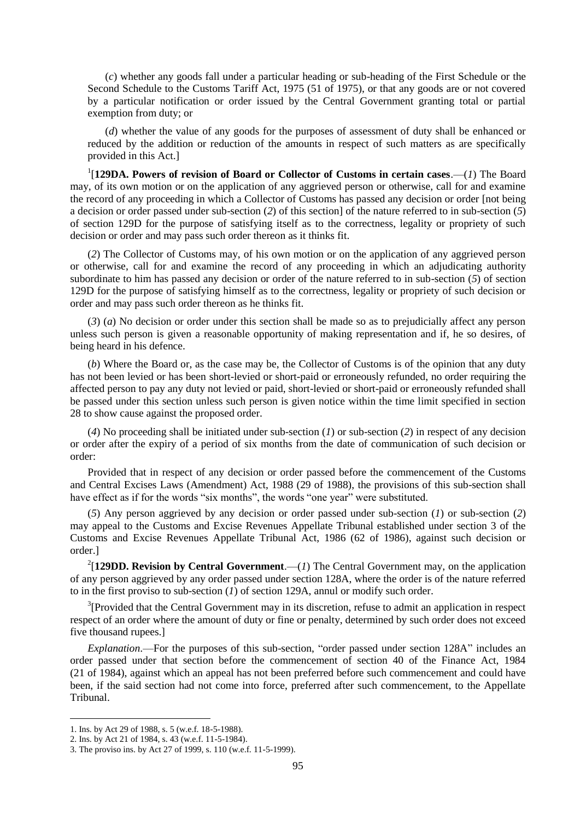(*c*) whether any goods fall under a particular heading or sub-heading of the First Schedule or the Second Schedule to the Customs Tariff Act, 1975 (51 of 1975), or that any goods are or not covered by a particular notification or order issued by the Central Government granting total or partial exemption from duty; or

(*d*) whether the value of any goods for the purposes of assessment of duty shall be enhanced or reduced by the addition or reduction of the amounts in respect of such matters as are specifically provided in this Act.]

1 [**129DA. Powers of revision of Board or Collector of Customs in certain cases**.—(*1*) The Board may, of its own motion or on the application of any aggrieved person or otherwise, call for and examine the record of any proceeding in which a Collector of Customs has passed any decision or order [not being a decision or order passed under sub-section (*2*) of this section] of the nature referred to in sub-section (*5*) of section 129D for the purpose of satisfying itself as to the correctness, legality or propriety of such decision or order and may pass such order thereon as it thinks fit.

(*2*) The Collector of Customs may, of his own motion or on the application of any aggrieved person or otherwise, call for and examine the record of any proceeding in which an adjudicating authority subordinate to him has passed any decision or order of the nature referred to in sub-section (*5*) of section 129D for the purpose of satisfying himself as to the correctness, legality or propriety of such decision or order and may pass such order thereon as he thinks fit.

(*3*) (*a*) No decision or order under this section shall be made so as to prejudicially affect any person unless such person is given a reasonable opportunity of making representation and if, he so desires, of being heard in his defence.

(*b*) Where the Board or, as the case may be, the Collector of Customs is of the opinion that any duty has not been levied or has been short-levied or short-paid or erroneously refunded, no order requiring the affected person to pay any duty not levied or paid, short-levied or short-paid or erroneously refunded shall be passed under this section unless such person is given notice within the time limit specified in section 28 to show cause against the proposed order.

(*4*) No proceeding shall be initiated under sub-section (*1*) or sub-section (*2*) in respect of any decision or order after the expiry of a period of six months from the date of communication of such decision or order:

Provided that in respect of any decision or order passed before the commencement of the Customs and Central Excises Laws (Amendment) Act, 1988 (29 of 1988), the provisions of this sub-section shall have effect as if for the words "six months", the words "one year" were substituted.

(*5*) Any person aggrieved by any decision or order passed under sub-section (*1*) or sub-section (*2*) may appeal to the Customs and Excise Revenues Appellate Tribunal established under section 3 of the Customs and Excise Revenues Appellate Tribunal Act, 1986 (62 of 1986), against such decision or order.]

<sup>2</sup>[129DD. Revision by Central Government.—(*1*) The Central Government may, on the application of any person aggrieved by any order passed under section 128A, where the order is of the nature referred to in the first proviso to sub-section (*1*) of section 129A, annul or modify such order.

 $3$ [Provided that the Central Government may in its discretion, refuse to admit an application in respect respect of an order where the amount of duty or fine or penalty, determined by such order does not exceed five thousand rupees.]

*Explanation*.—For the purposes of this sub-section, "order passed under section 128A" includes an order passed under that section before the commencement of section 40 of the Finance Act, 1984 (21 of 1984), against which an appeal has not been preferred before such commencement and could have been, if the said section had not come into force, preferred after such commencement, to the Appellate Tribunal.

<sup>1.</sup> Ins. by Act 29 of 1988, s. 5 (w.e.f. 18-5-1988).

<sup>2.</sup> Ins. by Act 21 of 1984, s. 43 (w.e.f. 11-5-1984).

<sup>3.</sup> The proviso ins. by Act 27 of 1999, s. 110 (w.e.f. 11-5-1999).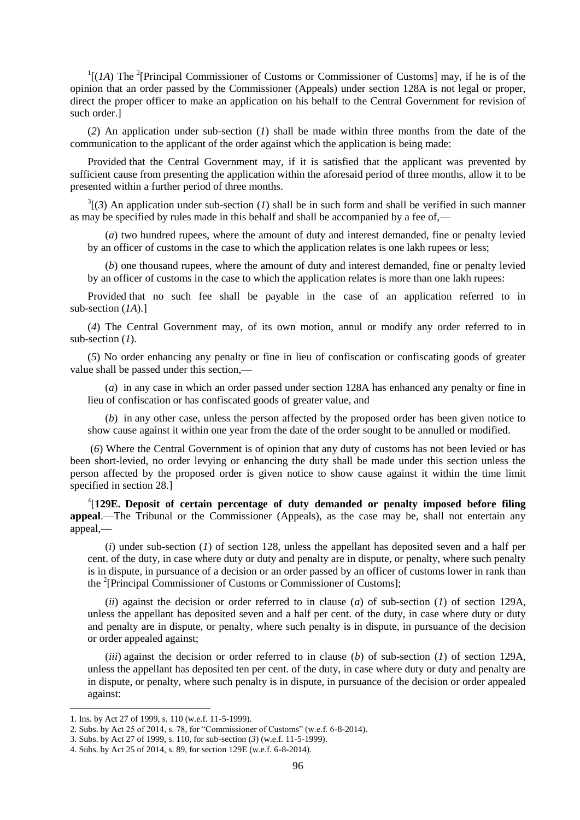$\Gamma$ [(*1A*) The <sup>2</sup>[Principal Commissioner of Customs or Commissioner of Customs] may, if he is of the opinion that an order passed by the Commissioner (Appeals) under section 128A is not legal or proper, direct the proper officer to make an application on his behalf to the Central Government for revision of such order.]

(*2*) An application under sub-section (*1*) shall be made within three months from the date of the communication to the applicant of the order against which the application is being made:

Provided that the Central Government may, if it is satisfied that the applicant was prevented by sufficient cause from presenting the application within the aforesaid period of three months, allow it to be presented within a further period of three months.

 $3(3)$  An application under sub-section (*1*) shall be in such form and shall be verified in such manner as may be specified by rules made in this behalf and shall be accompanied by a fee of,—

(*a*) two hundred rupees, where the amount of duty and interest demanded, fine or penalty levied by an officer of customs in the case to which the application relates is one lakh rupees or less;

(*b*) one thousand rupees, where the amount of duty and interest demanded, fine or penalty levied by an officer of customs in the case to which the application relates is more than one lakh rupees:

Provided that no such fee shall be payable in the case of an application referred to in sub-section (*1A*).]

(*4*) The Central Government may, of its own motion, annul or modify any order referred to in sub-section (*1*).

(*5*) No order enhancing any penalty or fine in lieu of confiscation or confiscating goods of greater value shall be passed under this section,—

(*a*) in any case in which an order passed under section 128A has enhanced any penalty or fine in lieu of confiscation or has confiscated goods of greater value, and

(*b*) in any other case, unless the person affected by the proposed order has been given notice to show cause against it within one year from the date of the order sought to be annulled or modified.

(*6*) Where the Central Government is of opinion that any duty of customs has not been levied or has been short-levied, no order levying or enhancing the duty shall be made under this section unless the person affected by the proposed order is given notice to show cause against it within the time limit specified in section 28.]

4 [**129E. Deposit of certain percentage of duty demanded or penalty imposed before filing appeal**.—The Tribunal or the Commissioner (Appeals), as the case may be, shall not entertain any appeal,—

(*i*) under sub-section (*1*) of section 128, unless the appellant has deposited seven and a half per cent. of the duty, in case where duty or duty and penalty are in dispute, or penalty, where such penalty is in dispute, in pursuance of a decision or an order passed by an officer of customs lower in rank than the <sup>2</sup>[Principal Commissioner of Customs or Commissioner of Customs];

(*ii*) against the decision or order referred to in clause (*a*) of sub-section (*1*) of section 129A, unless the appellant has deposited seven and a half per cent. of the duty, in case where duty or duty and penalty are in dispute, or penalty, where such penalty is in dispute, in pursuance of the decision or order appealed against;

(*iii*) against the decision or order referred to in clause (*b*) of sub-section (*1*) of section 129A, unless the appellant has deposited ten per cent. of the duty, in case where duty or duty and penalty are in dispute, or penalty, where such penalty is in dispute, in pursuance of the decision or order appealed against:

<sup>1.</sup> Ins. by Act 27 of 1999, s. 110 (w.e.f. 11-5-1999).

<sup>2.</sup> Subs. by Act 25 of 2014, s. 78, for "Commissioner of Customs" (w.e.f. 6-8-2014).

<sup>3.</sup> Subs. by Act 27 of 1999, s. 110, for sub-section (*3*) (w.e.f. 11-5-1999).

<sup>4.</sup> Subs. by Act 25 of 2014, s. 89, for section 129E (w.e.f. 6-8-2014).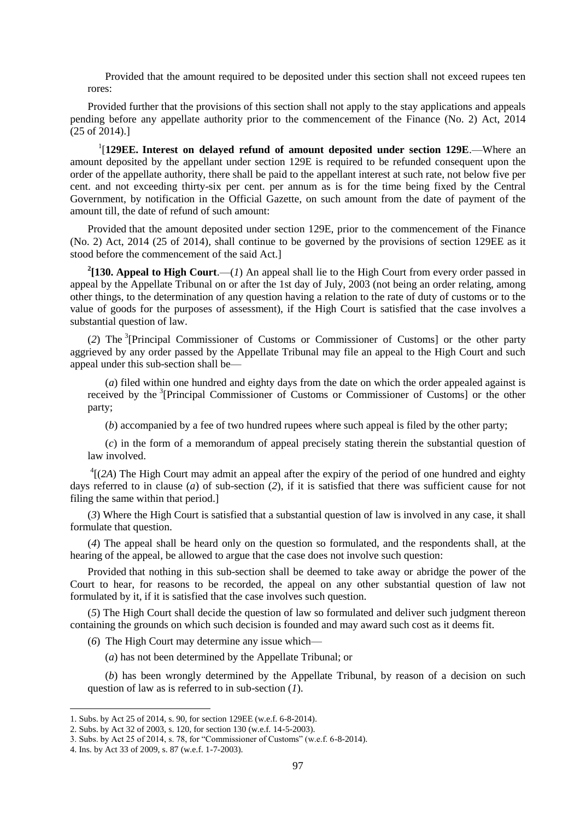Provided that the amount required to be deposited under this section shall not exceed rupees ten rores:

Provided further that the provisions of this section shall not apply to the stay applications and appeals pending before any appellate authority prior to the commencement of the Finance (No. 2) Act, 2014 (25 of 2014).]

1 [**129EE. Interest on delayed refund of amount deposited under section 129E**.—Where an amount deposited by the appellant under section 129E is required to be refunded consequent upon the order of the appellate authority, there shall be paid to the appellant interest at such rate, not below five per cent. and not exceeding thirty-six per cent. per annum as is for the time being fixed by the Central Government, by notification in the Official Gazette, on such amount from the date of payment of the amount till, the date of refund of such amount:

Provided that the amount deposited under section 129E, prior to the commencement of the Finance (No. 2) Act, 2014 (25 of 2014), shall continue to be governed by the provisions of section 129EE as it stood before the commencement of the said Act.]

<sup>2</sup>[130. Appeal to High Court.— $(I)$  An appeal shall lie to the High Court from every order passed in appeal by the Appellate Tribunal on or after the 1st day of July, 2003 (not being an order relating, among other things, to the determination of any question having a relation to the rate of duty of customs or to the value of goods for the purposes of assessment), if the High Court is satisfied that the case involves a substantial question of law.

(*2*) The <sup>3</sup> [Principal Commissioner of Customs or Commissioner of Customs] or the other party aggrieved by any order passed by the Appellate Tribunal may file an appeal to the High Court and such appeal under this sub-section shall be—

(*a*) filed within one hundred and eighty days from the date on which the order appealed against is received by the <sup>3</sup>[Principal Commissioner of Customs or Commissioner of Customs] or the other party;

(*b*) accompanied by a fee of two hundred rupees where such appeal is filed by the other party;

(*c*) in the form of a memorandum of appeal precisely stating therein the substantial question of law involved.

 $^{4}$ [(2A) The High Court may admit an appeal after the expiry of the period of one hundred and eighty days referred to in clause (*a*) of sub-section (2), if it is satisfied that there was sufficient cause for not filing the same within that period.]

(*3*) Where the High Court is satisfied that a substantial question of law is involved in any case, it shall formulate that question.

(*4*) The appeal shall be heard only on the question so formulated, and the respondents shall, at the hearing of the appeal, be allowed to argue that the case does not involve such question:

Provided that nothing in this sub-section shall be deemed to take away or abridge the power of the Court to hear, for reasons to be recorded, the appeal on any other substantial question of law not formulated by it, if it is satisfied that the case involves such question.

(*5*) The High Court shall decide the question of law so formulated and deliver such judgment thereon containing the grounds on which such decision is founded and may award such cost as it deems fit.

(*6*) The High Court may determine any issue which—

(*a*) has not been determined by the Appellate Tribunal; or

(*b*) has been wrongly determined by the Appellate Tribunal, by reason of a decision on such question of law as is referred to in sub-section (*1*).

<sup>1.</sup> Subs. by Act 25 of 2014, s. 90, for section 129EE (w.e.f. 6-8-2014).

<sup>2.</sup> Subs. by Act 32 of 2003, s. 120, for section 130 (w.e.f. 14-5-2003).

<sup>3.</sup> Subs. by Act 25 of 2014, s. 78, for "Commissioner of Customs" (w.e.f.  $6-8-2014$ ).

<sup>4.</sup> Ins. by Act 33 of 2009, s. 87 (w.e.f. 1-7-2003).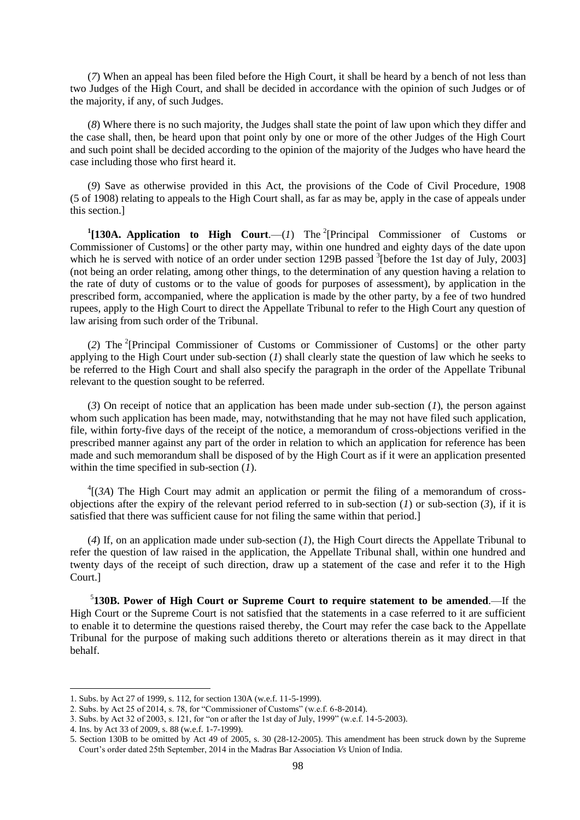(*7*) When an appeal has been filed before the High Court, it shall be heard by a bench of not less than two Judges of the High Court, and shall be decided in accordance with the opinion of such Judges or of the majority, if any, of such Judges.

(*8*) Where there is no such majority, the Judges shall state the point of law upon which they differ and the case shall, then, be heard upon that point only by one or more of the other Judges of the High Court and such point shall be decided according to the opinion of the majority of the Judges who have heard the case including those who first heard it.

(*9*) Save as otherwise provided in this Act, the provisions of the Code of Civil Procedure, 1908 (5 of 1908) relating to appeals to the High Court shall, as far as may be, apply in the case of appeals under this section.]

<sup>1</sup>[130A. Application to High Court.—(1) The <sup>2</sup>[Principal Commissioner of Customs or Commissioner of Customs] or the other party may, within one hundred and eighty days of the date upon which he is served with notice of an order under section 129B passed  $3$ [before the 1st day of July, 2003] (not being an order relating, among other things, to the determination of any question having a relation to the rate of duty of customs or to the value of goods for purposes of assessment), by application in the prescribed form, accompanied, where the application is made by the other party, by a fee of two hundred rupees, apply to the High Court to direct the Appellate Tribunal to refer to the High Court any question of law arising from such order of the Tribunal.

(*2*) The <sup>2</sup> [Principal Commissioner of Customs or Commissioner of Customs] or the other party applying to the High Court under sub-section (*1*) shall clearly state the question of law which he seeks to be referred to the High Court and shall also specify the paragraph in the order of the Appellate Tribunal relevant to the question sought to be referred.

(*3*) On receipt of notice that an application has been made under sub-section (*1*), the person against whom such application has been made, may, notwithstanding that he may not have filed such application, file, within forty-five days of the receipt of the notice, a memorandum of cross-objections verified in the prescribed manner against any part of the order in relation to which an application for reference has been made and such memorandum shall be disposed of by the High Court as if it were an application presented within the time specified in sub-section (*1*).

 ${}^{4}$ [(*3A*) The High Court may admit an application or permit the filing of a memorandum of crossobjections after the expiry of the relevant period referred to in sub-section (*1*) or sub-section (*3*), if it is satisfied that there was sufficient cause for not filing the same within that period.]

(*4*) If, on an application made under sub-section (*1*), the High Court directs the Appellate Tribunal to refer the question of law raised in the application, the Appellate Tribunal shall, within one hundred and twenty days of the receipt of such direction, draw up a statement of the case and refer it to the High Court.]

5 **130B. Power of High Court or Supreme Court to require statement to be amended**.—If the High Court or the Supreme Court is not satisfied that the statements in a case referred to it are sufficient to enable it to determine the questions raised thereby, the Court may refer the case back to the Appellate Tribunal for the purpose of making such additions thereto or alterations therein as it may direct in that behalf.

<sup>1.</sup> Subs. by Act 27 of 1999, s. 112, for section 130A (w.e.f. 11-5-1999).

<sup>2.</sup> Subs. by Act 25 of 2014, s. 78, for "Commissioner of Customs" (w.e.f. 6-8-2014).

<sup>3.</sup> Subs. by Act 32 of 2003, s. 121, for "on or after the 1st day of July, 1999" (w.e.f. 14-5-2003).

<sup>4.</sup> Ins. by Act 33 of 2009, s. 88 (w.e.f. 1-7-1999).

<sup>5.</sup> Section 130B to be omitted by Act 49 of 2005, s. 30 (28-12-2005). This amendment has been struck down by the Supreme Court's order dated 25th September, 2014 in the Madras Bar Association *Vs* Union of India.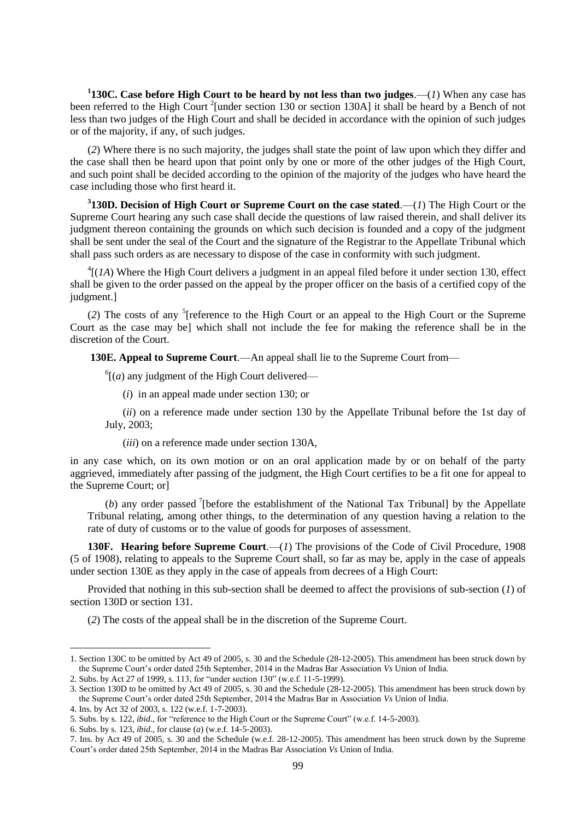**1 130C. Case before High Court to be heard by not less than two judges**.—(*1*) When any case has been referred to the High Court<sup>2</sup> [under section 130 or section 130A] it shall be heard by a Bench of not less than two judges of the High Court and shall be decided in accordance with the opinion of such judges or of the majority, if any, of such judges.

(*2*) Where there is no such majority, the judges shall state the point of law upon which they differ and the case shall then be heard upon that point only by one or more of the other judges of the High Court, and such point shall be decided according to the opinion of the majority of the judges who have heard the case including those who first heard it.

**3 130D. Decision of High Court or Supreme Court on the case stated**.—(*1*) The High Court or the Supreme Court hearing any such case shall decide the questions of law raised therein, and shall deliver its judgment thereon containing the grounds on which such decision is founded and a copy of the judgment shall be sent under the seal of the Court and the signature of the Registrar to the Appellate Tribunal which shall pass such orders as are necessary to dispose of the case in conformity with such judgment.

 ${}^{4}$ [(*1A*) Where the High Court delivers a judgment in an appeal filed before it under section 130, effect shall be given to the order passed on the appeal by the proper officer on the basis of a certified copy of the judgment.]

(2) The costs of any <sup>5</sup>[reference to the High Court or an appeal to the High Court or the Supreme Court as the case may be] which shall not include the fee for making the reference shall be in the discretion of the Court.

**130E. Appeal to Supreme Court**.—An appeal shall lie to the Supreme Court from—

 $^{6}$ [(*a*) any judgment of the High Court delivered—

(*i*) in an appeal made under section 130; or

(*ii*) on a reference made under section 130 by the Appellate Tribunal before the 1st day of July, 2003;

(*iii*) on a reference made under section 130A,

in any case which, on its own motion or on an oral application made by or on behalf of the party aggrieved, immediately after passing of the judgment, the High Court certifies to be a fit one for appeal to the Supreme Court; or]

(b) any order passed <sup>7</sup>[before the establishment of the National Tax Tribunal] by the Appellate Tribunal relating, among other things, to the determination of any question having a relation to the rate of duty of customs or to the value of goods for purposes of assessment.

**130F. Hearing before Supreme Court.**—(*1*) The provisions of the Code of Civil Procedure, 1908 (5 of 1908), relating to appeals to the Supreme Court shall, so far as may be, apply in the case of appeals under section 130E as they apply in the case of appeals from decrees of a High Court:

Provided that nothing in this sub-section shall be deemed to affect the provisions of sub-section (*1*) of section 130D or section 131.

(*2*) The costs of the appeal shall be in the discretion of the Supreme Court.

<sup>1.</sup> Section 130C to be omitted by Act 49 of 2005, s. 30 and the Schedule (28-12-2005). This amendment has been struck down by the Supreme Court's order dated 25th September, 2014 in the Madras Bar Association *Vs* Union of India.

<sup>2.</sup> Subs. by Act 27 of 1999, s. 113, for "under section 130" (w.e.f. 11-5-1999).

<sup>3.</sup> Section 130D to be omitted by Act 49 of 2005, s. 30 and the Schedule (28-12-2005). This amendment has been struck down by the Supreme Court's order dated 25th September, 2014 the Madras Bar in Association *Vs* Union of India.

<sup>4.</sup> Ins. by Act 32 of 2003, s. 122 (w.e.f. 1-7-2003).

<sup>5.</sup> Subs. by s. 122, *ibid.*, for "reference to the High Court or the Supreme Court" (w.e.f. 14-5-2003).

<sup>6.</sup> Subs. by s. 123, *ibid*., for clause (*a*) (w.e.f. 14-5-2003).

<sup>7.</sup> Ins. by Act 49 of 2005, s. 30 and the Schedule (w.e.f. 28-12-2005). This amendment has been struck down by the Supreme Court's order dated 25th September, 2014 in the Madras Bar Association *Vs* Union of India.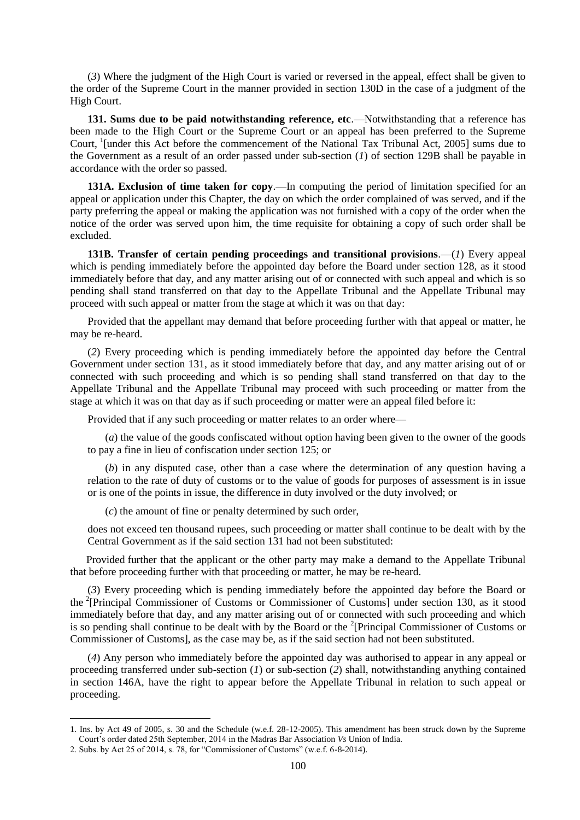(*3*) Where the judgment of the High Court is varied or reversed in the appeal, effect shall be given to the order of the Supreme Court in the manner provided in section 130D in the case of a judgment of the High Court.

**131. Sums due to be paid notwithstanding reference, etc.—Notwithstanding that a reference has** been made to the High Court or the Supreme Court or an appeal has been preferred to the Supreme Court, <sup>1</sup>[under this Act before the commencement of the National Tax Tribunal Act, 2005] sums due to the Government as a result of an order passed under sub-section (*1*) of section 129B shall be payable in accordance with the order so passed.

**131A. Exclusion of time taken for copy**.—In computing the period of limitation specified for an appeal or application under this Chapter, the day on which the order complained of was served, and if the party preferring the appeal or making the application was not furnished with a copy of the order when the notice of the order was served upon him, the time requisite for obtaining a copy of such order shall be excluded.

**131B. Transfer of certain pending proceedings and transitional provisions**.—(*1*) Every appeal which is pending immediately before the appointed day before the Board under section 128, as it stood immediately before that day, and any matter arising out of or connected with such appeal and which is so pending shall stand transferred on that day to the Appellate Tribunal and the Appellate Tribunal may proceed with such appeal or matter from the stage at which it was on that day:

Provided that the appellant may demand that before proceeding further with that appeal or matter, he may be re-heard.

(*2*) Every proceeding which is pending immediately before the appointed day before the Central Government under section 131, as it stood immediately before that day, and any matter arising out of or connected with such proceeding and which is so pending shall stand transferred on that day to the Appellate Tribunal and the Appellate Tribunal may proceed with such proceeding or matter from the stage at which it was on that day as if such proceeding or matter were an appeal filed before it:

Provided that if any such proceeding or matter relates to an order where—

(*a*) the value of the goods confiscated without option having been given to the owner of the goods to pay a fine in lieu of confiscation under section 125; or

(*b*) in any disputed case, other than a case where the determination of any question having a relation to the rate of duty of customs or to the value of goods for purposes of assessment is in issue or is one of the points in issue, the difference in duty involved or the duty involved; or

(*c*) the amount of fine or penalty determined by such order,

does not exceed ten thousand rupees, such proceeding or matter shall continue to be dealt with by the Central Government as if the said section 131 had not been substituted:

 Provided further that the applicant or the other party may make a demand to the Appellate Tribunal that before proceeding further with that proceeding or matter, he may be re-heard.

(*3*) Every proceeding which is pending immediately before the appointed day before the Board or the <sup>2</sup> [Principal Commissioner of Customs or Commissioner of Customs] under section 130, as it stood immediately before that day, and any matter arising out of or connected with such proceeding and which is so pending shall continue to be dealt with by the Board or the  $2$ [Principal Commissioner of Customs or Commissioner of Customs], as the case may be, as if the said section had not been substituted.

(*4*) Any person who immediately before the appointed day was authorised to appear in any appeal or proceeding transferred under sub-section (*1*) or sub-section (*2*) shall, notwithstanding anything contained in section 146A, have the right to appear before the Appellate Tribunal in relation to such appeal or proceeding.

<sup>1.</sup> Ins. by Act 49 of 2005, s. 30 and the Schedule (w.e.f. 28-12-2005). This amendment has been struck down by the Supreme Court's order dated 25th September, 2014 in the Madras Bar Association *Vs* Union of India.

<sup>2.</sup> Subs. by Act 25 of 2014, s.  $78$ , for "Commissioner of Customs" (w.e.f. 6-8-2014).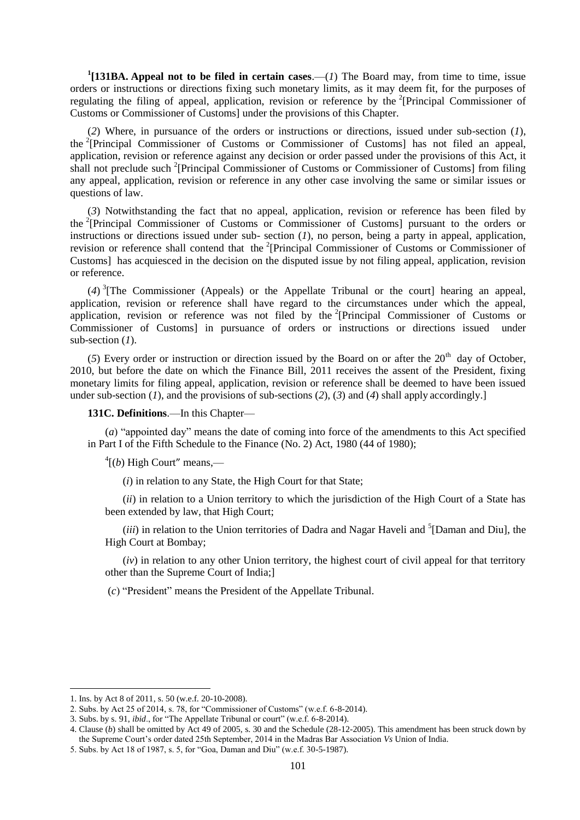<sup>1</sup>[131BA. Appeal not to be filed in certain cases.—(*1*) The Board may, from time to time, issue orders or instructions or directions fixing such monetary limits, as it may deem fit, for the purposes of regulating the filing of appeal, application, revision or reference by the <sup>2</sup>[Principal Commissioner of Customs or Commissioner of Customs] under the provisions of this Chapter.

(*2*) Where, in pursuance of the orders or instructions or directions, issued under sub-section (*1*), the <sup>2</sup>[Principal Commissioner of Customs or Commissioner of Customs] has not filed an appeal, application, revision or reference against any decision or order passed under the provisions of this Act, it shall not preclude such <sup>2</sup>[Principal Commissioner of Customs or Commissioner of Customs] from filing any appeal, application, revision or reference in any other case involving the same or similar issues or questions of law.

(*3*) Notwithstanding the fact that no appeal, application, revision or reference has been filed by the <sup>2</sup>[Principal Commissioner of Customs or Commissioner of Customs] pursuant to the orders or instructions or directions issued under sub- section  $(I)$ , no person, being a party in appeal, application, revision or reference shall contend that the <sup>2</sup>[Principal Commissioner of Customs or Commissioner of Customs] has acquiesced in the decision on the disputed issue by not filing appeal, application, revision or reference.

(*4*) 3 [The Commissioner (Appeals) or the Appellate Tribunal or the court] hearing an appeal, application, revision or reference shall have regard to the circumstances under which the appeal, application, revision or reference was not filed by the <sup>2</sup>[Principal Commissioner of Customs or Commissioner of Customs] in pursuance of orders or instructions or directions issued under sub-section (*1*).

(5) Every order or instruction or direction issued by the Board on or after the  $20<sup>th</sup>$  day of October. 2010, but before the date on which the Finance Bill, 2011 receives the assent of the President, fixing monetary limits for filing appeal, application, revision or reference shall be deemed to have been issued under sub-section (*1*), and the provisions of sub-sections (*2*), (*3*) and (*4*) shall apply accordingly.]

**131C. Definitions**.—In this Chapter—

 $(a)$  "appointed day" means the date of coming into force of the amendments to this Act specified in Part I of the Fifth Schedule to the Finance (No. 2) Act, 1980 (44 of 1980);

 $^{4}$ [(*b*) High Court" means,—

(*i*) in relation to any State, the High Court for that State;

(*ii*) in relation to a Union territory to which the jurisdiction of the High Court of a State has been extended by law, that High Court;

(*iii*) in relation to the Union territories of Dadra and Nagar Haveli and <sup>5</sup>[Daman and Diu], the High Court at Bombay;

(*iv*) in relation to any other Union territory, the highest court of civil appeal for that territory other than the Supreme Court of India;]

(*c*) "President" means the President of the Appellate Tribunal.

<sup>1.</sup> Ins. by Act 8 of 2011, s. 50 (w.e.f. 20-10-2008).

<sup>2.</sup> Subs. by Act 25 of 2014, s. 78, for "Commissioner of Customs" (w.e.f.  $6-8-2014$ ).

<sup>3.</sup> Subs. by s. 91, *ibid.*, for "The Appellate Tribunal or court" (w.e.f. 6-8-2014).

<sup>4.</sup> Clause (*b*) shall be omitted by Act 49 of 2005, s. 30 and the Schedule (28-12-2005). This amendment has been struck down by the Supreme Court's order dated 25th September, 2014 in the Madras Bar Association *Vs* Union of India.

<sup>5.</sup> Subs. by Act 18 of 1987, s. 5, for "Goa, Daman and Diu" (w.e.f. 30-5-1987).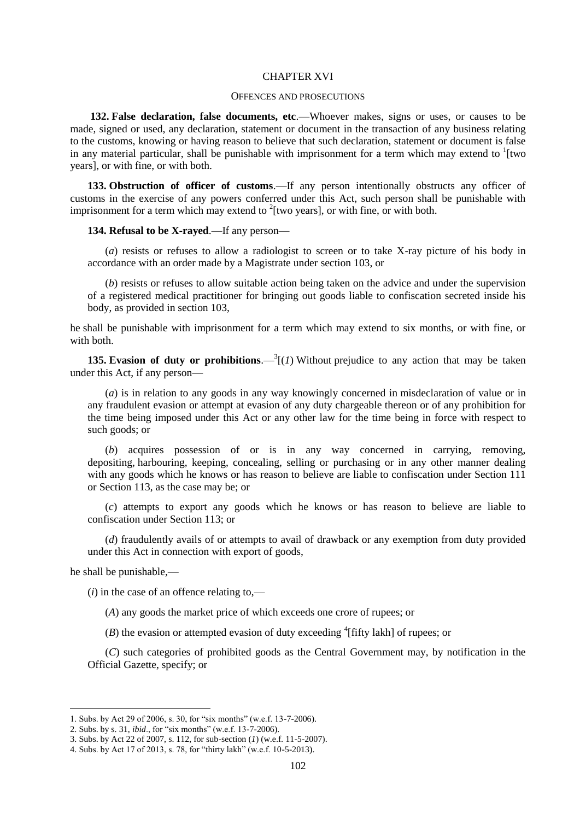#### CHAPTER XVI

### OFFENCES AND PROSECUTIONS

**132. False declaration, false documents, etc**.—Whoever makes, signs or uses, or causes to be made, signed or used, any declaration, statement or document in the transaction of any business relating to the customs, knowing or having reason to believe that such declaration, statement or document is false in any material particular, shall be punishable with imprisonment for a term which may extend to  $\frac{1}{1}$  [two years], or with fine, or with both.

**133. Obstruction of officer of customs**.—If any person intentionally obstructs any officer of customs in the exercise of any powers conferred under this Act, such person shall be punishable with imprisonment for a term which may extend to  $2$ [two years], or with fine, or with both.

**134. Refusal to be X-rayed**.—If any person—

(*a*) resists or refuses to allow a radiologist to screen or to take X-ray picture of his body in accordance with an order made by a Magistrate under section 103, or

(*b*) resists or refuses to allow suitable action being taken on the advice and under the supervision of a registered medical practitioner for bringing out goods liable to confiscation secreted inside his body, as provided in section 103,

he shall be punishable with imprisonment for a term which may extend to six months, or with fine, or with both.

**135. Evasion of duty or prohibitions.**  $-\frac{3}{1}$  (*1*) Without prejudice to any action that may be taken under this Act, if any person—

(*a*) is in relation to any goods in any way knowingly concerned in misdeclaration of value or in any fraudulent evasion or attempt at evasion of any duty chargeable thereon or of any prohibition for the time being imposed under this Act or any other law for the time being in force with respect to such goods; or

(*b*) acquires possession of or is in any way concerned in carrying, removing, depositing, harbouring, keeping, concealing, selling or purchasing or in any other manner dealing with any goods which he knows or has reason to believe are liable to confiscation under Section 111 or Section 113, as the case may be; or

(*c*) attempts to export any goods which he knows or has reason to believe are liable to confiscation under Section 113; or

(*d*) fraudulently avails of or attempts to avail of drawback or any exemption from duty provided under this Act in connection with export of goods,

he shall be punishable,—

**.** 

 $(i)$  in the case of an offence relating to,—

(*A*) any goods the market price of which exceeds one crore of rupees; or

 $(B)$  the evasion or attempted evasion of duty exceeding <sup>4</sup>[fifty lakh] of rupees; or

(*C*) such categories of prohibited goods as the Central Government may, by notification in the Official Gazette, specify; or

<sup>1.</sup> Subs. by Act 29 of 2006, s. 30, for "six months" (w.e.f. 13-7-2006).

<sup>2.</sup> Subs. by s. 31, *ibid.*, for "six months" (w.e.f. 13-7-2006).

<sup>3.</sup> Subs. by Act 22 of 2007, s. 112, for sub-section (*1*) (w.e.f. 11-5-2007).

<sup>4.</sup> Subs. by Act 17 of 2013, s. 78, for "thirty lakh" (w.e.f. 10-5-2013).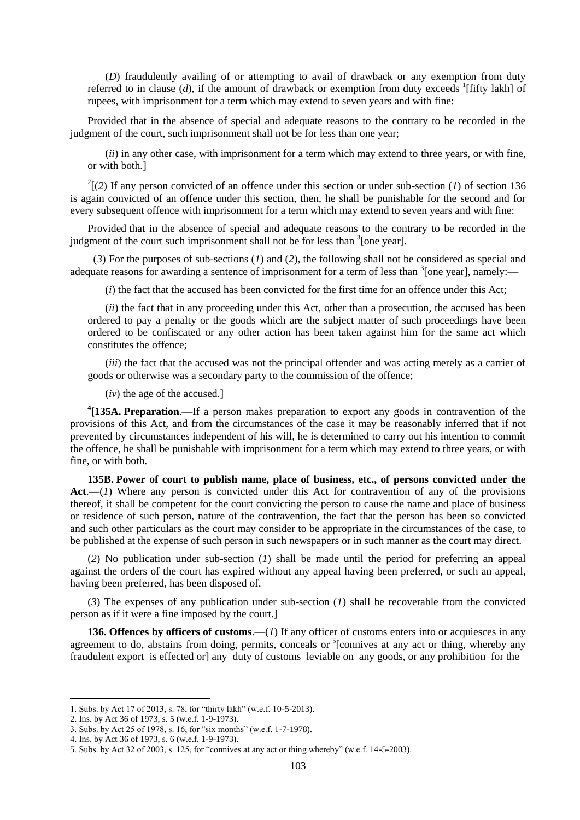(*D*) fraudulently availing of or attempting to avail of drawback or any exemption from duty referred to in clause  $(d)$ , if the amount of drawback or exemption from duty exceeds <sup>1</sup>[fifty lakh] of rupees, with imprisonment for a term which may extend to seven years and with fine:

Provided that in the absence of special and adequate reasons to the contrary to be recorded in the judgment of the court, such imprisonment shall not be for less than one year;

(*ii*) in any other case, with imprisonment for a term which may extend to three years, or with fine, or with both.]

 $2^{2}$ [(2) If any person convicted of an offence under this section or under sub-section (*1*) of section 136 is again convicted of an offence under this section, then, he shall be punishable for the second and for every subsequent offence with imprisonment for a term which may extend to seven years and with fine:

Provided that in the absence of special and adequate reasons to the contrary to be recorded in the judgment of the court such imprisonment shall not be for less than  $3$ [one year].

(*3*) For the purposes of sub-sections (*1*) and (*2*), the following shall not be considered as special and adequate reasons for awarding a sentence of imprisonment for a term of less than  $\delta$  [one year], namely:—

(*i*) the fact that the accused has been convicted for the first time for an offence under this Act;

(*ii*) the fact that in any proceeding under this Act, other than a prosecution, the accused has been ordered to pay a penalty or the goods which are the subject matter of such proceedings have been ordered to be confiscated or any other action has been taken against him for the same act which constitutes the offence;

(*iii*) the fact that the accused was not the principal offender and was acting merely as a carrier of goods or otherwise was a secondary party to the commission of the offence;

(*iv*) the age of the accused.]

**4 [135A. Preparation**.—If a person makes preparation to export any goods in contravention of the provisions of this Act, and from the circumstances of the case it may be reasonably inferred that if not prevented by circumstances independent of his will, he is determined to carry out his intention to commit the offence, he shall be punishable with imprisonment for a term which may extend to three years, or with fine, or with both.

**135B. Power of court to publish name, place of business, etc., of persons convicted under the Act**.—(*1*) Where any person is convicted under this Act for contravention of any of the provisions thereof, it shall be competent for the court convicting the person to cause the name and place of business or residence of such person, nature of the contravention, the fact that the person has been so convicted and such other particulars as the court may consider to be appropriate in the circumstances of the case, to be published at the expense of such person in such newspapers or in such manner as the court may direct.

(*2*) No publication under sub-section (*1*) shall be made until the period for preferring an appeal against the orders of the court has expired without any appeal having been preferred, or such an appeal, having been preferred, has been disposed of.

(*3*) The expenses of any publication under sub-section (*1*) shall be recoverable from the convicted person as if it were a fine imposed by the court.]

**136. Offences by officers of customs**.—(*1*) If any officer of customs enters into or acquiesces in any agreement to do, abstains from doing, permits, conceals or  ${}^{5}$ [connives at any act or thing, whereby any fraudulent export is effected or] any duty of customs leviable on any goods, or any prohibition for the

<sup>1.</sup> Subs. by Act 17 of 2013, s. 78, for "thirty lakh" (w.e.f. 10-5-2013).

<sup>2.</sup> Ins. by Act 36 of 1973, s. 5 (w.e.f. 1-9-1973).

<sup>3.</sup> Subs. by Act 25 of 1978, s. 16, for "six months" (w.e.f. 1-7-1978).

<sup>4.</sup> Ins. by Act 36 of 1973, s. 6 (w.e.f. 1-9-1973).

<sup>5.</sup> Subs. by Act 32 of 2003, s. 125, for "connives at any act or thing whereby" (w.e.f. 14-5-2003).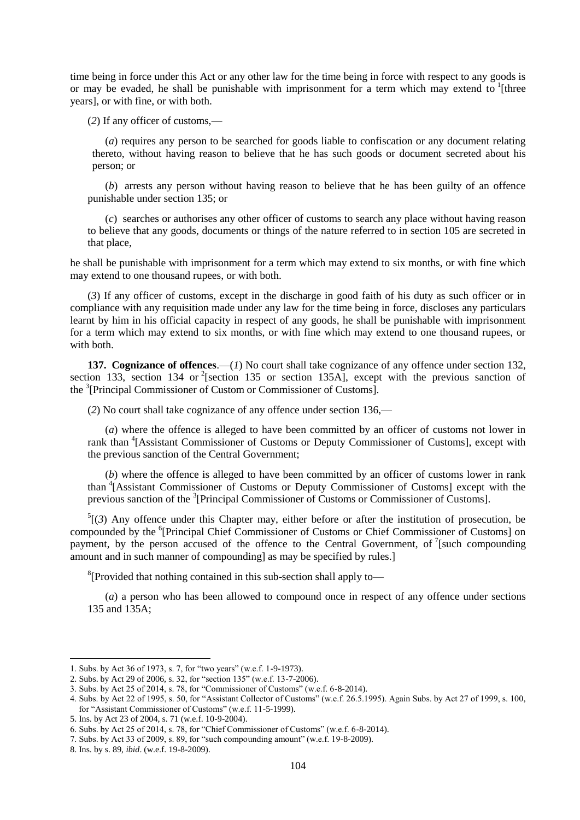time being in force under this Act or any other law for the time being in force with respect to any goods is or may be evaded, he shall be punishable with imprisonment for a term which may extend to <sup>1</sup>[three years], or with fine, or with both.

(*2*) If any officer of customs,—

(*a*) requires any person to be searched for goods liable to confiscation or any document relating thereto, without having reason to believe that he has such goods or document secreted about his person; or

(*b*) arrests any person without having reason to believe that he has been guilty of an offence punishable under section 135; or

(*c*) searches or authorises any other officer of customs to search any place without having reason to believe that any goods, documents or things of the nature referred to in section 105 are secreted in that place,

he shall be punishable with imprisonment for a term which may extend to six months, or with fine which may extend to one thousand rupees, or with both.

(*3*) If any officer of customs, except in the discharge in good faith of his duty as such officer or in compliance with any requisition made under any law for the time being in force, discloses any particulars learnt by him in his official capacity in respect of any goods, he shall be punishable with imprisonment for a term which may extend to six months, or with fine which may extend to one thousand rupees, or with both.

**137. Cognizance of offences**.—(*1*) No court shall take cognizance of any offence under section 132, section 133, section 134 or <sup>2</sup>[section 135 or section 135A], except with the previous sanction of the <sup>3</sup>[Principal Commissioner of Custom or Commissioner of Customs].

(*2*) No court shall take cognizance of any offence under section 136,—

(*a*) where the offence is alleged to have been committed by an officer of customs not lower in rank than <sup>4</sup>[Assistant Commissioner of Customs or Deputy Commissioner of Customs], except with the previous sanction of the Central Government;

(*b*) where the offence is alleged to have been committed by an officer of customs lower in rank than <sup>4</sup> [Assistant Commissioner of Customs or Deputy Commissioner of Customs] except with the previous sanction of the <sup>3</sup>[Principal Commissioner of Customs or Commissioner of Customs].

 ${}^5(3)$  Any offence under this Chapter may, either before or after the institution of prosecution, be compounded by the <sup>6</sup>[Principal Chief Commissioner of Customs or Chief Commissioner of Customs] on payment, by the person accused of the offence to the Central Government, of  $\frac{7}{1}$  [such compounding amount and in such manner of compounding] as may be specified by rules.]

<sup>8</sup>[Provided that nothing contained in this sub-section shall apply to—

(*a*) a person who has been allowed to compound once in respect of any offence under sections 135 and 135A;

<sup>1.</sup> Subs. by Act 36 of 1973, s. 7, for "two years" (w.e.f. 1-9-1973).

<sup>2.</sup> Subs. by Act 29 of 2006, s. 32, for "section 135" (w.e.f. 13-7-2006).

<sup>3.</sup> Subs. by Act 25 of 2014, s. 78, for "Commissioner of Customs" (w.e.f. 6-8-2014).

<sup>4.</sup> Subs. by Act 22 of 1995, s. 50, for "Assistant Collector of Customs" (w.e.f. 26.5.1995). Again Subs. by Act 27 of 1999, s. 100, for "Assistant Commissioner of Customs" (w.e.f. 11-5-1999).

<sup>5.</sup> Ins. by Act 23 of 2004, s. 71 (w.e.f. 10-9-2004).

<sup>6.</sup> Subs. by Act 25 of 2014, s. 78, for "Chief Commissioner of Customs" (w.e.f. 6-8-2014).

<sup>7.</sup> Subs. by Act 33 of 2009, s. 89, for "such compounding amount" (w.e.f. 19-8-2009).

<sup>8.</sup> Ins. by s. 89, *ibid*. (w.e.f. 19-8-2009).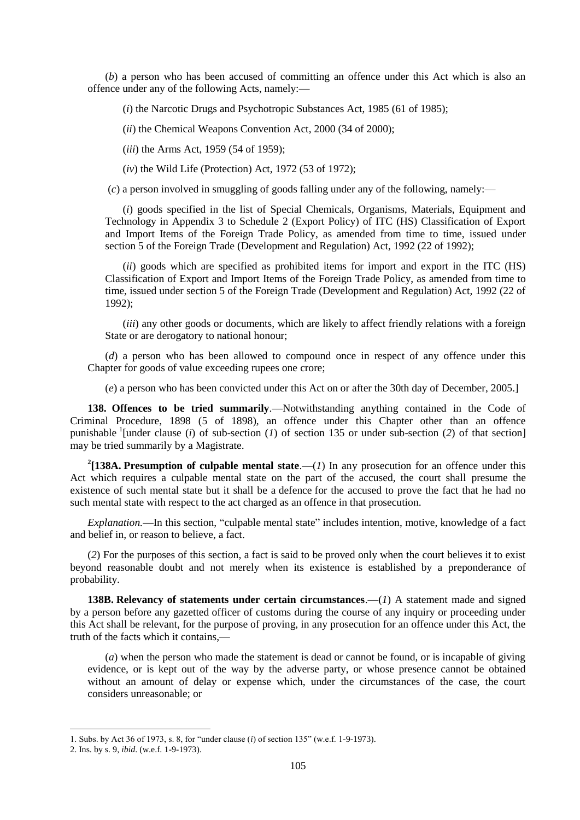(*b*) a person who has been accused of committing an offence under this Act which is also an offence under any of the following Acts, namely:—

(*i*) the Narcotic Drugs and Psychotropic Substances Act, 1985 (61 of 1985);

(*ii*) the Chemical Weapons Convention Act, 2000 (34 of 2000);

(*iii*) the Arms Act, 1959 (54 of 1959);

 $(iv)$  the Wild Life (Protection) Act, 1972 (53 of 1972);

(*c*) a person involved in smuggling of goods falling under any of the following, namely:—

(*i*) goods specified in the list of Special Chemicals, Organisms, Materials, Equipment and Technology in Appendix 3 to Schedule 2 (Export Policy) of ITC (HS) Classification of Export and Import Items of the Foreign Trade Policy, as amended from time to time, issued under section 5 of the Foreign Trade (Development and Regulation) Act, 1992 (22 of 1992);

(*ii*) goods which are specified as prohibited items for import and export in the ITC (HS) Classification of Export and Import Items of the Foreign Trade Policy, as amended from time to time, issued under section 5 of the Foreign Trade (Development and Regulation) Act, 1992 (22 of 1992);

(*iii*) any other goods or documents, which are likely to affect friendly relations with a foreign State or are derogatory to national honour;

(*d*) a person who has been allowed to compound once in respect of any offence under this Chapter for goods of value exceeding rupees one crore;

(*e*) a person who has been convicted under this Act on or after the 30th day of December, 2005.]

**138. Offences to be tried summarily**.—Notwithstanding anything contained in the Code of Criminal Procedure, 1898 (5 of 1898), an offence under this Chapter other than an offence punishable <sup>1</sup>[under clause (*i*) of sub-section (*1*) of section 135 or under sub-section (*2*) of that section] may be tried summarily by a Magistrate.

<sup>2</sup>[138A. Presumption of culpable mental state.—(*1*) In any prosecution for an offence under this Act which requires a culpable mental state on the part of the accused, the court shall presume the existence of such mental state but it shall be a defence for the accused to prove the fact that he had no such mental state with respect to the act charged as an offence in that prosecution.

*Explanation.*—In this section, "culpable mental state" includes intention, motive, knowledge of a fact and belief in, or reason to believe, a fact.

(*2*) For the purposes of this section, a fact is said to be proved only when the court believes it to exist beyond reasonable doubt and not merely when its existence is established by a preponderance of probability.

**138B. Relevancy of statements under certain circumstances**.—(*1*) A statement made and signed by a person before any gazetted officer of customs during the course of any inquiry or proceeding under this Act shall be relevant, for the purpose of proving, in any prosecution for an offence under this Act, the truth of the facts which it contains,—

(*a*) when the person who made the statement is dead or cannot be found, or is incapable of giving evidence, or is kept out of the way by the adverse party, or whose presence cannot be obtained without an amount of delay or expense which, under the circumstances of the case, the court considers unreasonable; or

<sup>1.</sup> Subs. by Act 36 of 1973, s. 8, for "under clause (*i*) of section 135" (w.e.f. 1-9-1973).

<sup>2.</sup> Ins. by s. 9, *ibid*. (w.e.f. 1-9-1973).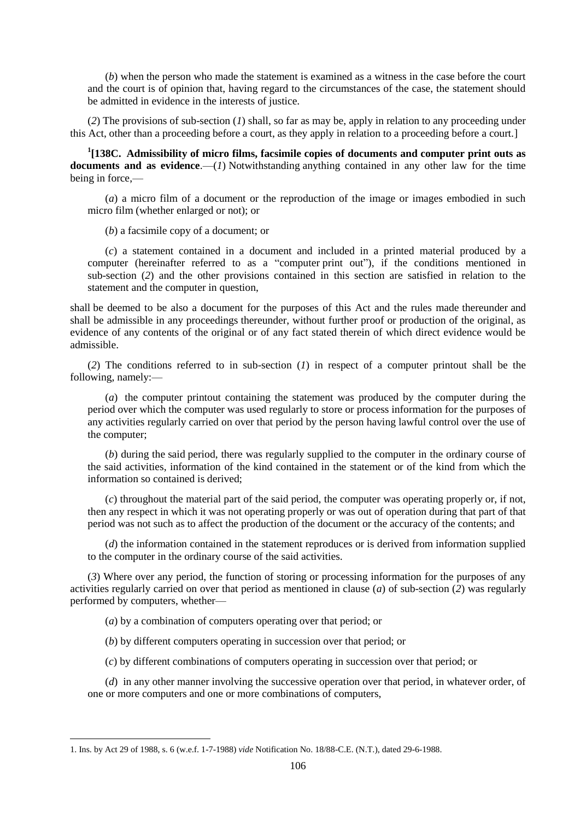(*b*) when the person who made the statement is examined as a witness in the case before the court and the court is of opinion that, having regard to the circumstances of the case, the statement should be admitted in evidence in the interests of justice.

(*2*) The provisions of sub-section (*1*) shall, so far as may be, apply in relation to any proceeding under this Act, other than a proceeding before a court, as they apply in relation to a proceeding before a court.]

<sup>1</sup>[138C. Admissibility of micro films, facsimile copies of documents and computer print outs as **documents and as evidence**.—(*1*) Notwithstanding anything contained in any other law for the time being in force,—

(*a*) a micro film of a document or the reproduction of the image or images embodied in such micro film (whether enlarged or not); or

(*b*) a facsimile copy of a document; or

(*c*) a statement contained in a document and included in a printed material produced by a computer (hereinafter referred to as a "computer print out"), if the conditions mentioned in sub-section (*2*) and the other provisions contained in this section are satisfied in relation to the statement and the computer in question,

shall be deemed to be also a document for the purposes of this Act and the rules made thereunder and shall be admissible in any proceedings thereunder, without further proof or production of the original, as evidence of any contents of the original or of any fact stated therein of which direct evidence would be admissible.

(*2*) The conditions referred to in sub-section (*1*) in respect of a computer printout shall be the following, namely:—

(*a*) the computer printout containing the statement was produced by the computer during the period over which the computer was used regularly to store or process information for the purposes of any activities regularly carried on over that period by the person having lawful control over the use of the computer;

(*b*) during the said period, there was regularly supplied to the computer in the ordinary course of the said activities, information of the kind contained in the statement or of the kind from which the information so contained is derived;

(*c*) throughout the material part of the said period, the computer was operating properly or, if not, then any respect in which it was not operating properly or was out of operation during that part of that period was not such as to affect the production of the document or the accuracy of the contents; and

(*d*) the information contained in the statement reproduces or is derived from information supplied to the computer in the ordinary course of the said activities.

(*3*) Where over any period, the function of storing or processing information for the purposes of any activities regularly carried on over that period as mentioned in clause (*a*) of sub-section (*2*) was regularly performed by computers, whether—

(*a*) by a combination of computers operating over that period; or

(*b*) by different computers operating in succession over that period; or

(*c*) by different combinations of computers operating in succession over that period; or

(*d*) in any other manner involving the successive operation over that period, in whatever order, of one or more computers and one or more combinations of computers,

<sup>1.</sup> Ins. by Act 29 of 1988, s. 6 (w.e.f. 1-7-1988) *vide* Notification No. 18/88-C.E. (N.T.), dated 29-6-1988.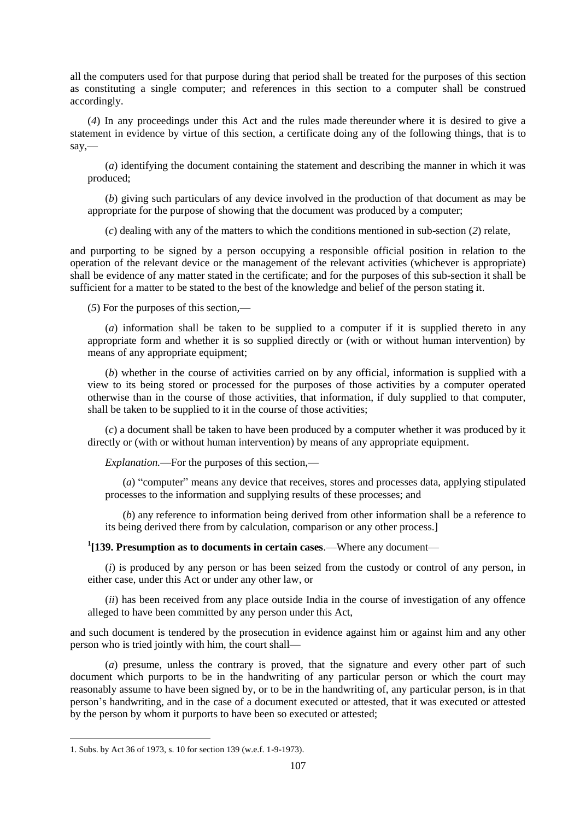all the computers used for that purpose during that period shall be treated for the purposes of this section as constituting a single computer; and references in this section to a computer shall be construed accordingly.

(*4*) In any proceedings under this Act and the rules made thereunder where it is desired to give a statement in evidence by virtue of this section, a certificate doing any of the following things, that is to say,—

(*a*) identifying the document containing the statement and describing the manner in which it was produced;

(*b*) giving such particulars of any device involved in the production of that document as may be appropriate for the purpose of showing that the document was produced by a computer;

(*c*) dealing with any of the matters to which the conditions mentioned in sub-section (*2*) relate,

and purporting to be signed by a person occupying a responsible official position in relation to the operation of the relevant device or the management of the relevant activities (whichever is appropriate) shall be evidence of any matter stated in the certificate; and for the purposes of this sub-section it shall be sufficient for a matter to be stated to the best of the knowledge and belief of the person stating it.

(*5*) For the purposes of this section,—

(*a*) information shall be taken to be supplied to a computer if it is supplied thereto in any appropriate form and whether it is so supplied directly or (with or without human intervention) by means of any appropriate equipment;

(*b*) whether in the course of activities carried on by any official, information is supplied with a view to its being stored or processed for the purposes of those activities by a computer operated otherwise than in the course of those activities, that information, if duly supplied to that computer, shall be taken to be supplied to it in the course of those activities;

(*c*) a document shall be taken to have been produced by a computer whether it was produced by it directly or (with or without human intervention) by means of any appropriate equipment.

*Explanation.*—For the purposes of this section,—

(*a*) "computer" means any device that receives, stores and processes data, applying stipulated processes to the information and supplying results of these processes; and

(*b*) any reference to information being derived from other information shall be a reference to its being derived there from by calculation, comparison or any other process.]

**1 [139. Presumption as to documents in certain cases**.—Where any document—

(*i*) is produced by any person or has been seized from the custody or control of any person, in either case, under this Act or under any other law, or

(*ii*) has been received from any place outside India in the course of investigation of any offence alleged to have been committed by any person under this Act,

and such document is tendered by the prosecution in evidence against him or against him and any other person who is tried jointly with him, the court shall—

(*a*) presume, unless the contrary is proved, that the signature and every other part of such document which purports to be in the handwriting of any particular person or which the court may reasonably assume to have been signed by, or to be in the handwriting of, any particular person, is in that person's handwriting, and in the case of a document executed or attested, that it was executed or attested by the person by whom it purports to have been so executed or attested;

<sup>1.</sup> Subs. by Act 36 of 1973, s. 10 for section 139 (w.e.f. 1-9-1973).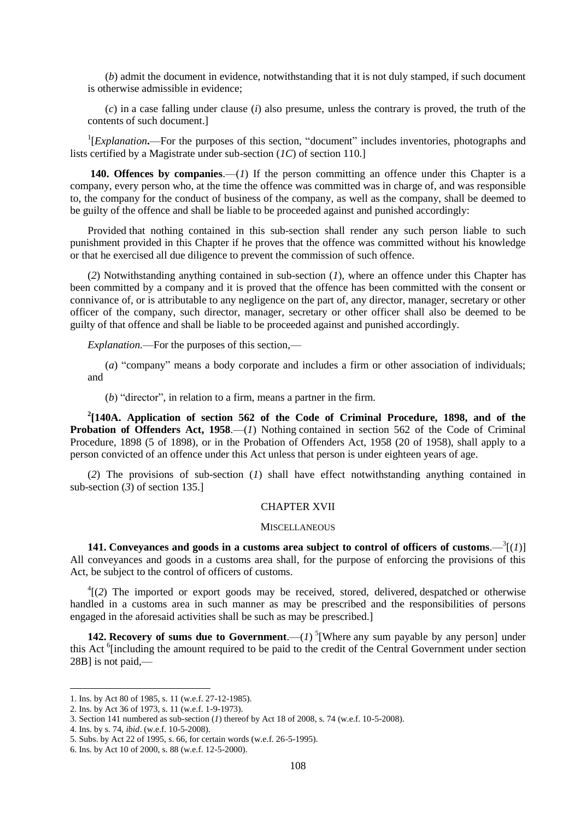(*b*) admit the document in evidence, notwithstanding that it is not duly stamped, if such document is otherwise admissible in evidence;

(*c*) in a case falling under clause (*i*) also presume, unless the contrary is proved, the truth of the contents of such document.]

<sup>1</sup>[*Explanation*.—For the purposes of this section, "document" includes inventories, photographs and lists certified by a Magistrate under sub-section (*1C*) of section 110.]

**140. Offences by companies**.—(*1*) If the person committing an offence under this Chapter is a company, every person who, at the time the offence was committed was in charge of, and was responsible to, the company for the conduct of business of the company, as well as the company, shall be deemed to be guilty of the offence and shall be liable to be proceeded against and punished accordingly:

Provided that nothing contained in this sub-section shall render any such person liable to such punishment provided in this Chapter if he proves that the offence was committed without his knowledge or that he exercised all due diligence to prevent the commission of such offence.

(*2*) Notwithstanding anything contained in sub-section (*1*), where an offence under this Chapter has been committed by a company and it is proved that the offence has been committed with the consent or connivance of, or is attributable to any negligence on the part of, any director, manager, secretary or other officer of the company, such director, manager, secretary or other officer shall also be deemed to be guilty of that offence and shall be liable to be proceeded against and punished accordingly.

*Explanation.*—For the purposes of this section,—

(*a*) "company" means a body corporate and includes a firm or other association of individuals; and

 $(b)$  "director", in relation to a firm, means a partner in the firm.

**2 [140A. Application of section 562 of the Code of Criminal Procedure, 1898, and of the Probation of Offenders Act, 1958.**—(*1*) Nothing contained in section 562 of the Code of Criminal Procedure, 1898 (5 of 1898), or in the Probation of Offenders Act, 1958 (20 of 1958), shall apply to a person convicted of an offence under this Act unless that person is under eighteen years of age.

(*2*) The provisions of sub-section (*1*) shall have effect notwithstanding anything contained in sub-section (*3*) of section 135.]

### CHAPTER XVII

#### **MISCELLANEOUS**

**141.** Conveyances and goods in a customs area subject to control of officers of customs. $-\frac{3}{2}(1)$ ] All conveyances and goods in a customs area shall, for the purpose of enforcing the provisions of this Act, be subject to the control of officers of customs.

<sup>4</sup>[(2) The imported or export goods may be received, stored, delivered, despatched or otherwise handled in a customs area in such manner as may be prescribed and the responsibilities of persons engaged in the aforesaid activities shall be such as may be prescribed.]

**142. Recovery of sums due to Government**.—(*1*)<sup>5</sup>[Where any sum payable by any person] under this Act <sup>6</sup>[including the amount required to be paid to the credit of the Central Government under section 28B] is not paid,—

4. Ins. by s. 74, *ibid*. (w.e.f. 10-5-2008).

<sup>1.</sup> Ins. by Act 80 of 1985, s. 11 (w.e.f. 27-12-1985).

<sup>2.</sup> Ins. by Act 36 of 1973, s. 11 (w.e.f. 1-9-1973).

<sup>3.</sup> Section 141 numbered as sub-section (*1*) thereof by Act 18 of 2008, s. 74 (w.e.f. 10-5-2008).

<sup>5.</sup> Subs. by Act 22 of 1995, s. 66, for certain words (w.e.f. 26-5-1995).

<sup>6.</sup> Ins. by Act 10 of 2000, s. 88 (w.e.f. 12-5-2000).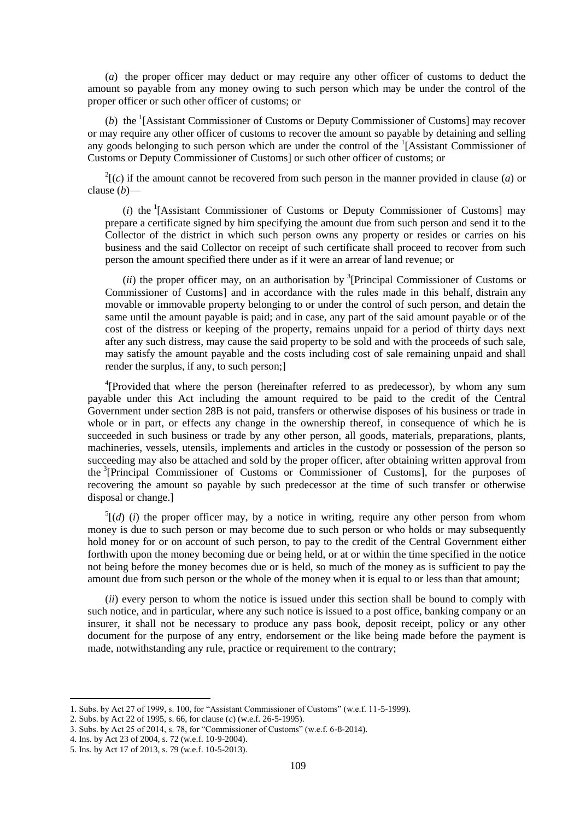(*a*) the proper officer may deduct or may require any other officer of customs to deduct the amount so payable from any money owing to such person which may be under the control of the proper officer or such other officer of customs; or

(b) the  $($ [Assistant Commissioner of Customs or Deputy Commissioner of Customs] may recover or may require any other officer of customs to recover the amount so payable by detaining and selling any goods belonging to such person which are under the control of the <sup>1</sup>[Assistant Commissioner of Customs or Deputy Commissioner of Customs] or such other officer of customs; or

 $2(c)$  if the amount cannot be recovered from such person in the manner provided in clause (*a*) or clause (*b*)—

 $(i)$  the <sup>1</sup>[Assistant Commissioner of Customs or Deputy Commissioner of Customs] may prepare a certificate signed by him specifying the amount due from such person and send it to the Collector of the district in which such person owns any property or resides or carries on his business and the said Collector on receipt of such certificate shall proceed to recover from such person the amount specified there under as if it were an arrear of land revenue; or

 $(ii)$  the proper officer may, on an authorisation by <sup>3</sup>[Principal Commissioner of Customs or Commissioner of Customs] and in accordance with the rules made in this behalf, distrain any movable or immovable property belonging to or under the control of such person, and detain the same until the amount payable is paid; and in case, any part of the said amount payable or of the cost of the distress or keeping of the property, remains unpaid for a period of thirty days next after any such distress, may cause the said property to be sold and with the proceeds of such sale, may satisfy the amount payable and the costs including cost of sale remaining unpaid and shall render the surplus, if any, to such person;]

<sup>4</sup>[Provided that where the person (hereinafter referred to as predecessor), by whom any sum payable under this Act including the amount required to be paid to the credit of the Central Government under section 28B is not paid, transfers or otherwise disposes of his business or trade in whole or in part, or effects any change in the ownership thereof, in consequence of which he is succeeded in such business or trade by any other person, all goods, materials, preparations, plants, machineries, vessels, utensils, implements and articles in the custody or possession of the person so succeeding may also be attached and sold by the proper officer, after obtaining written approval from the <sup>3</sup> [Principal Commissioner of Customs or Commissioner of Customs], for the purposes of recovering the amount so payable by such predecessor at the time of such transfer or otherwise disposal or change.]

 $<sup>5</sup>[(d)$  (*i*) the proper officer may, by a notice in writing, require any other person from whom</sup> money is due to such person or may become due to such person or who holds or may subsequently hold money for or on account of such person, to pay to the credit of the Central Government either forthwith upon the money becoming due or being held, or at or within the time specified in the notice not being before the money becomes due or is held, so much of the money as is sufficient to pay the amount due from such person or the whole of the money when it is equal to or less than that amount;

(*ii*) every person to whom the notice is issued under this section shall be bound to comply with such notice, and in particular, where any such notice is issued to a post office, banking company or an insurer, it shall not be necessary to produce any pass book, deposit receipt, policy or any other document for the purpose of any entry, endorsement or the like being made before the payment is made, notwithstanding any rule, practice or requirement to the contrary;

<sup>1.</sup> Subs. by Act 27 of 1999, s. 100, for "Assistant Commissioner of Customs" (w.e.f. 11-5-1999).

<sup>2.</sup> Subs. by Act 22 of 1995, s. 66, for clause (*c*) (w.e.f. 26-5-1995).

<sup>3.</sup> Subs. by Act 25 of 2014, s. 78, for "Commissioner of Customs" (w.e.f. 6-8-2014).

<sup>4.</sup> Ins. by Act 23 of 2004, s. 72 (w.e.f. 10-9-2004).

<sup>5.</sup> Ins. by Act 17 of 2013, s. 79 (w.e.f. 10-5-2013).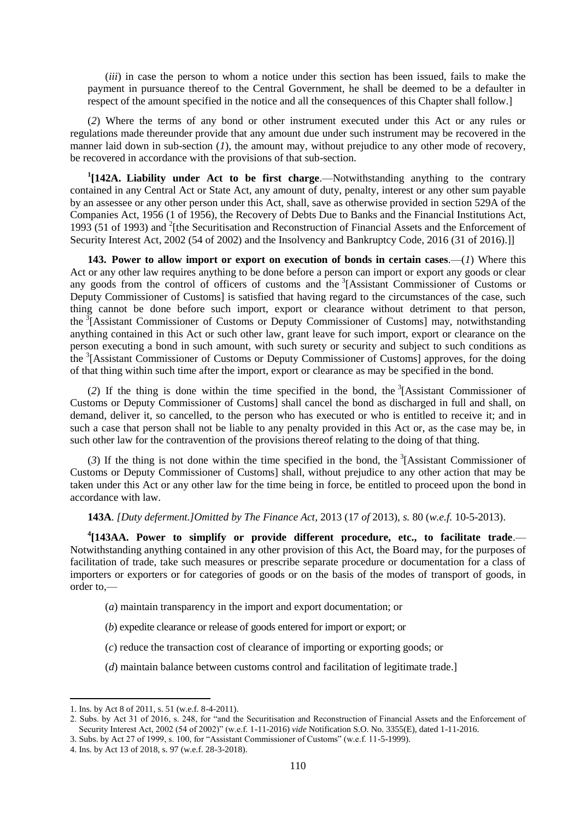(*iii*) in case the person to whom a notice under this section has been issued, fails to make the payment in pursuance thereof to the Central Government, he shall be deemed to be a defaulter in respect of the amount specified in the notice and all the consequences of this Chapter shall follow.]

(*2*) Where the terms of any bond or other instrument executed under this Act or any rules or regulations made thereunder provide that any amount due under such instrument may be recovered in the manner laid down in sub-section (*1*), the amount may, without prejudice to any other mode of recovery, be recovered in accordance with the provisions of that sub-section.

<sup>1</sup>[142A. Liability under Act to be first charge.—Notwithstanding anything to the contrary contained in any Central Act or State Act, any amount of duty, penalty, interest or any other sum payable by an assessee or any other person under this Act, shall, save as otherwise provided in section 529A of the Companies Act, 1956 (1 of 1956), the Recovery of Debts Due to Banks and the Financial Institutions Act, 1993 (51 of 1993) and <sup>2</sup>[the Securitisation and Reconstruction of Financial Assets and the Enforcement of Security Interest Act, 2002 (54 of 2002) and the Insolvency and Bankruptcy Code, 2016 (31 of 2016).]]

**143. Power to allow import or export on execution of bonds in certain cases**.—(*1*) Where this Act or any other law requires anything to be done before a person can import or export any goods or clear any goods from the control of officers of customs and the <sup>3</sup>[Assistant Commissioner of Customs or Deputy Commissioner of Customs] is satisfied that having regard to the circumstances of the case, such thing cannot be done before such import, export or clearance without detriment to that person, the <sup>3</sup>[Assistant Commissioner of Customs or Deputy Commissioner of Customs] may, notwithstanding anything contained in this Act or such other law, grant leave for such import, export or clearance on the person executing a bond in such amount, with such surety or security and subject to such conditions as the <sup>3</sup>[Assistant Commissioner of Customs or Deputy Commissioner of Customs] approves, for the doing of that thing within such time after the import, export or clearance as may be specified in the bond.

(2) If the thing is done within the time specified in the bond, the  ${}^{3}$ [Assistant Commissioner of Customs or Deputy Commissioner of Customs] shall cancel the bond as discharged in full and shall, on demand, deliver it, so cancelled, to the person who has executed or who is entitled to receive it; and in such a case that person shall not be liable to any penalty provided in this Act or, as the case may be, in such other law for the contravention of the provisions thereof relating to the doing of that thing.

 $(3)$  If the thing is not done within the time specified in the bond, the <sup>3</sup>[Assistant Commissioner of Customs or Deputy Commissioner of Customs] shall, without prejudice to any other action that may be taken under this Act or any other law for the time being in force, be entitled to proceed upon the bond in accordance with law.

**143A**. *[Duty deferment.]Omitted by The Finance Act,* 2013 (17 *of* 2013)*, s.* 80 (*w.e.f.* 10-5-2013).

<sup>4</sup>[143AA. Power to simplify or provide different procedure, etc., to facilitate trade. Notwithstanding anything contained in any other provision of this Act, the Board may, for the purposes of facilitation of trade, take such measures or prescribe separate procedure or documentation for a class of importers or exporters or for categories of goods or on the basis of the modes of transport of goods, in order to,—

- (*a*) maintain transparency in the import and export documentation; or
- (*b*) expedite clearance or release of goods entered for import or export; or
- (*c*) reduce the transaction cost of clearance of importing or exporting goods; or
- (*d*) maintain balance between customs control and facilitation of legitimate trade.]

<sup>1.</sup> Ins. by Act 8 of 2011, s. 51 (w.e.f. 8-4-2011).

<sup>2.</sup> Subs. by Act 31 of 2016, s. 248, for "and the Securitisation and Reconstruction of Financial Assets and the Enforcement of Security Interest Act, 2002 (54 of 2002)" (w.e.f. 1-11-2016) *vide* Notification S.O. No. 3355(E), dated 1-11-2016.

<sup>3.</sup> Subs. by Act 27 of 1999, s. 100, for "Assistant Commissioner of Customs" (w.e.f. 11-5-1999).

<sup>4.</sup> Ins. by Act 13 of 2018, s. 97 (w.e.f. 28-3-2018).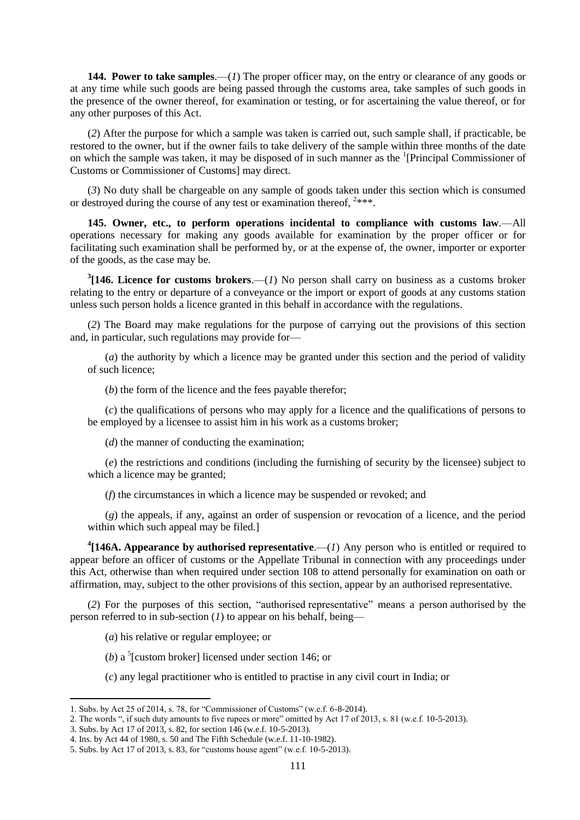**144. Power to take samples**.—(*1*) The proper officer may, on the entry or clearance of any goods or at any time while such goods are being passed through the customs area, take samples of such goods in the presence of the owner thereof, for examination or testing, or for ascertaining the value thereof, or for any other purposes of this Act.

(*2*) After the purpose for which a sample was taken is carried out, such sample shall, if practicable, be restored to the owner, but if the owner fails to take delivery of the sample within three months of the date on which the sample was taken, it may be disposed of in such manner as the <sup>1</sup>[Principal Commissioner of Customs or Commissioner of Customs] may direct.

(*3*) No duty shall be chargeable on any sample of goods taken under this section which is consumed or destroyed during the course of any test or examination thereof,  $2***$ .

**145. Owner, etc., to perform operations incidental to compliance with customs law**.—All operations necessary for making any goods available for examination by the proper officer or for facilitating such examination shall be performed by, or at the expense of, the owner, importer or exporter of the goods, as the case may be.

 $3$ [146. Licence for customs brokers.—(*1*) No person shall carry on business as a customs broker relating to the entry or departure of a conveyance or the import or export of goods at any customs station unless such person holds a licence granted in this behalf in accordance with the regulations.

(*2*) The Board may make regulations for the purpose of carrying out the provisions of this section and, in particular, such regulations may provide for—

(*a*) the authority by which a licence may be granted under this section and the period of validity of such licence;

(*b*) the form of the licence and the fees payable therefor;

(*c*) the qualifications of persons who may apply for a licence and the qualifications of persons to be employed by a licensee to assist him in his work as a customs broker;

(*d*) the manner of conducting the examination;

(*e*) the restrictions and conditions (including the furnishing of security by the licensee) subject to which a licence may be granted;

(*f*) the circumstances in which a licence may be suspended or revoked; and

(*g*) the appeals, if any, against an order of suspension or revocation of a licence, and the period within which such appeal may be filed.]

<sup>4</sup>[146A. Appearance by authorised representative.—(*1*) Any person who is entitled or required to appear before an officer of customs or the Appellate Tribunal in connection with any proceedings under this Act, otherwise than when required under section 108 to attend personally for examination on oath or affirmation, may, subject to the other provisions of this section, appear by an authorised representative.

(2) For the purposes of this section, "authorised representative" means a person authorised by the person referred to in sub-section (*1*) to appear on his behalf, being—

- (*a*) his relative or regular employee; or
- (*b*) a <sup>5</sup>[custom broker] licensed under section 146; or
- (*c*) any legal practitioner who is entitled to practise in any civil court in India; or

<sup>1.</sup> Subs. by Act 25 of 2014, s. 78, for "Commissioner of Customs" (w.e.f.  $6-8-2014$ ).

<sup>2.</sup> The words ", if such duty amounts to five rupees or more" omitted by Act 17 of 2013, s. 81 (w.e.f. 10-5-2013).

<sup>3.</sup> Subs. by Act 17 of 2013, s. 82, for section 146 (w.e.f. 10-5-2013).

<sup>4.</sup> Ins. by Act 44 of 1980, s. 50 and The Fifth Schedule (w.e.f. 11-10-1982).

<sup>5.</sup> Subs. by Act 17 of 2013, s. 83, for "customs house agent" (w.e.f. 10-5-2013).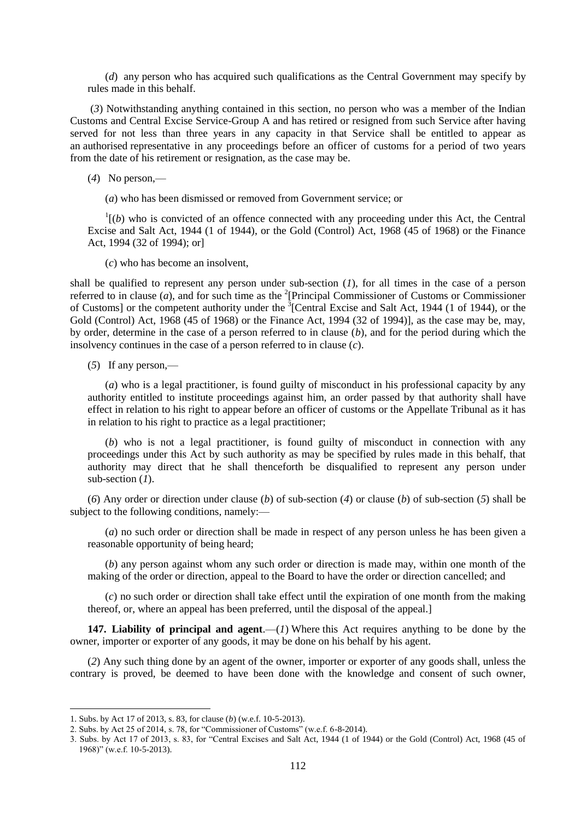(*d*) any person who has acquired such qualifications as the Central Government may specify by rules made in this behalf.

(*3*) Notwithstanding anything contained in this section, no person who was a member of the Indian Customs and Central Excise Service-Group A and has retired or resigned from such Service after having served for not less than three years in any capacity in that Service shall be entitled to appear as an authorised representative in any proceedings before an officer of customs for a period of two years from the date of his retirement or resignation, as the case may be.

(*4*) No person,—

(*a*) who has been dismissed or removed from Government service; or

 $\mathbf{1}$ <sup>1</sup> $(b)$  who is convicted of an offence connected with any proceeding under this Act, the Central Excise and Salt Act, 1944 (1 of 1944), or the Gold (Control) Act, 1968 (45 of 1968) or the Finance Act, 1994 (32 of 1994); or]

(*c*) who has become an insolvent,

shall be qualified to represent any person under sub-section (*1*), for all times in the case of a person referred to in clause  $(a)$ , and for such time as the <sup>2</sup>[Principal Commissioner of Customs or Commissioner of Customs] or the competent authority under the  ${}^{3}$ [Central Excise and Salt Act, 1944 (1 of 1944), or the Gold (Control) Act, 1968 (45 of 1968) or the Finance Act, 1994 (32 of 1994)], as the case may be, may, by order, determine in the case of a person referred to in clause (*b*), and for the period during which the insolvency continues in the case of a person referred to in clause (*c*).

(*5*) If any person,—

(*a*) who is a legal practitioner, is found guilty of misconduct in his professional capacity by any authority entitled to institute proceedings against him, an order passed by that authority shall have effect in relation to his right to appear before an officer of customs or the Appellate Tribunal as it has in relation to his right to practice as a legal practitioner;

(*b*) who is not a legal practitioner, is found guilty of misconduct in connection with any proceedings under this Act by such authority as may be specified by rules made in this behalf, that authority may direct that he shall thenceforth be disqualified to represent any person under sub-section (*1*).

(*6*) Any order or direction under clause (*b*) of sub-section (*4*) or clause (*b*) of sub-section (*5*) shall be subject to the following conditions, namely:—

(*a*) no such order or direction shall be made in respect of any person unless he has been given a reasonable opportunity of being heard;

(*b*) any person against whom any such order or direction is made may, within one month of the making of the order or direction, appeal to the Board to have the order or direction cancelled; and

(*c*) no such order or direction shall take effect until the expiration of one month from the making thereof, or, where an appeal has been preferred, until the disposal of the appeal.]

**147. Liability of principal and agent**.—(*1*) Where this Act requires anything to be done by the owner, importer or exporter of any goods, it may be done on his behalf by his agent.

(*2*) Any such thing done by an agent of the owner, importer or exporter of any goods shall, unless the contrary is proved, be deemed to have been done with the knowledge and consent of such owner,

<sup>1.</sup> Subs. by Act 17 of 2013, s. 83, for clause (*b*) (w.e.f. 10-5-2013).

<sup>2.</sup> Subs. by Act 25 of 2014, s. 78, for "Commissioner of Customs" (w.e.f. 6-8-2014).

<sup>3.</sup> Subs. by Act 17 of 2013, s. 83, for "Central Excises and Salt Act, 1944 (1 of 1944) or the Gold (Control) Act, 1968 (45 of  $1968$ )" (w.e.f. 10-5-2013).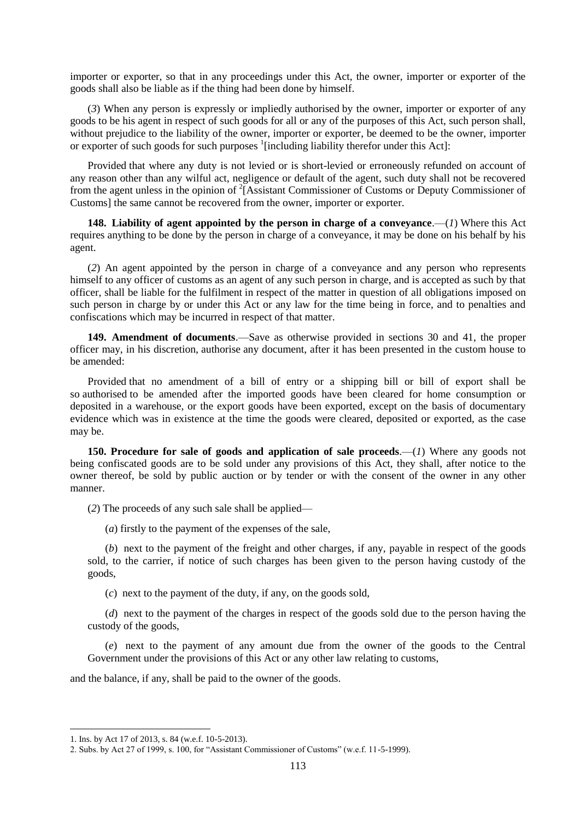importer or exporter, so that in any proceedings under this Act, the owner, importer or exporter of the goods shall also be liable as if the thing had been done by himself.

(*3*) When any person is expressly or impliedly authorised by the owner, importer or exporter of any goods to be his agent in respect of such goods for all or any of the purposes of this Act, such person shall, without prejudice to the liability of the owner, importer or exporter, be deemed to be the owner, importer or exporter of such goods for such purposes <sup>1</sup>[including liability therefor under this Act]:

Provided that where any duty is not levied or is short-levied or erroneously refunded on account of any reason other than any wilful act, negligence or default of the agent, such duty shall not be recovered from the agent unless in the opinion of <sup>2</sup>[Assistant Commissioner of Customs or Deputy Commissioner of Customs] the same cannot be recovered from the owner, importer or exporter.

**148. Liability of agent appointed by the person in charge of a conveyance.—(***1***) Where this Act** requires anything to be done by the person in charge of a conveyance, it may be done on his behalf by his agent.

(*2*) An agent appointed by the person in charge of a conveyance and any person who represents himself to any officer of customs as an agent of any such person in charge, and is accepted as such by that officer, shall be liable for the fulfilment in respect of the matter in question of all obligations imposed on such person in charge by or under this Act or any law for the time being in force, and to penalties and confiscations which may be incurred in respect of that matter.

**149. Amendment of documents**.—Save as otherwise provided in sections 30 and 41, the proper officer may, in his discretion, authorise any document, after it has been presented in the custom house to be amended:

Provided that no amendment of a bill of entry or a shipping bill or bill of export shall be so authorised to be amended after the imported goods have been cleared for home consumption or deposited in a warehouse, or the export goods have been exported, except on the basis of documentary evidence which was in existence at the time the goods were cleared, deposited or exported, as the case may be.

**150. Procedure for sale of goods and application of sale proceeds**.—(*1*) Where any goods not being confiscated goods are to be sold under any provisions of this Act, they shall, after notice to the owner thereof, be sold by public auction or by tender or with the consent of the owner in any other manner.

(*2*) The proceeds of any such sale shall be applied—

(*a*) firstly to the payment of the expenses of the sale,

(*b*) next to the payment of the freight and other charges, if any, payable in respect of the goods sold, to the carrier, if notice of such charges has been given to the person having custody of the goods,

(*c*) next to the payment of the duty, if any, on the goods sold,

(*d*) next to the payment of the charges in respect of the goods sold due to the person having the custody of the goods,

(*e*) next to the payment of any amount due from the owner of the goods to the Central Government under the provisions of this Act or any other law relating to customs,

and the balance, if any, shall be paid to the owner of the goods.

1

<sup>1.</sup> Ins. by Act 17 of 2013, s. 84 (w.e.f. 10-5-2013).

<sup>2.</sup> Subs. by Act 27 of 1999, s. 100, for "Assistant Commissioner of Customs" (w.e.f. 11-5-1999).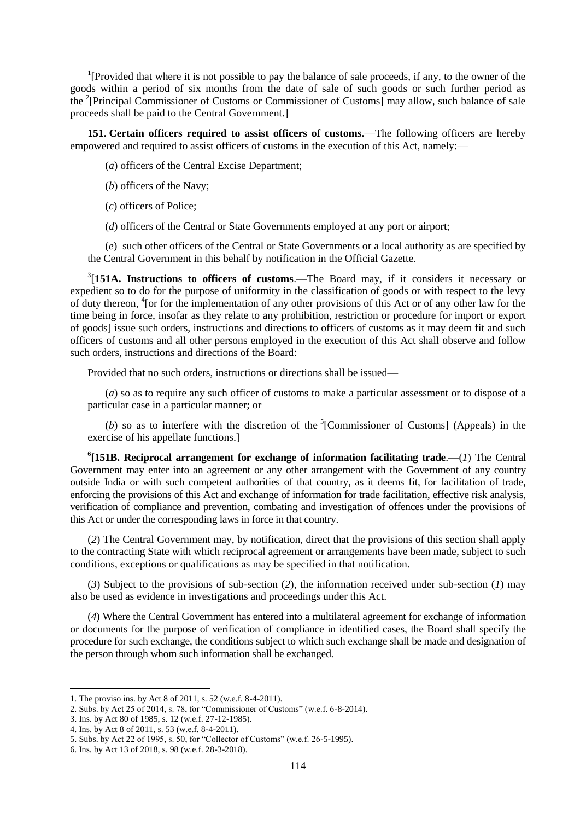<sup>1</sup>[Provided that where it is not possible to pay the balance of sale proceeds, if any, to the owner of the goods within a period of six months from the date of sale of such goods or such further period as the <sup>2</sup>[Principal Commissioner of Customs or Commissioner of Customs] may allow, such balance of sale proceeds shall be paid to the Central Government.]

**151. Certain officers required to assist officers of customs.**—The following officers are hereby empowered and required to assist officers of customs in the execution of this Act, namely:—

- (*a*) officers of the Central Excise Department;
- (*b*) officers of the Navy;
- (*c*) officers of Police;
- (*d*) officers of the Central or State Governments employed at any port or airport;

(*e*) such other officers of the Central or State Governments or a local authority as are specified by the Central Government in this behalf by notification in the Official Gazette.

3 [**151A. Instructions to officers of customs**.—The Board may, if it considers it necessary or expedient so to do for the purpose of uniformity in the classification of goods or with respect to the levy of duty thereon, <sup>4</sup> [or for the implementation of any other provisions of this Act or of any other law for the time being in force, insofar as they relate to any prohibition, restriction or procedure for import or export of goods] issue such orders, instructions and directions to officers of customs as it may deem fit and such officers of customs and all other persons employed in the execution of this Act shall observe and follow such orders, instructions and directions of the Board:

Provided that no such orders, instructions or directions shall be issued—

(*a*) so as to require any such officer of customs to make a particular assessment or to dispose of a particular case in a particular manner; or

(*b*) so as to interfere with the discretion of the  ${}^5$ [Commissioner of Customs] (Appeals) in the exercise of his appellate functions.]

**6 [151B. Reciprocal arrangement for exchange of information facilitating trade**.—(*1*) The Central Government may enter into an agreement or any other arrangement with the Government of any country outside India or with such competent authorities of that country, as it deems fit, for facilitation of trade, enforcing the provisions of this Act and exchange of information for trade facilitation, effective risk analysis, verification of compliance and prevention, combating and investigation of offences under the provisions of this Act or under the corresponding laws in force in that country.

(*2*) The Central Government may, by notification, direct that the provisions of this section shall apply to the contracting State with which reciprocal agreement or arrangements have been made, subject to such conditions, exceptions or qualifications as may be specified in that notification.

(*3*) Subject to the provisions of sub-section (*2*), the information received under sub-section (*1*) may also be used as evidence in investigations and proceedings under this Act.

(*4*) Where the Central Government has entered into a multilateral agreement for exchange of information or documents for the purpose of verification of compliance in identified cases, the Board shall specify the procedure for such exchange, the conditions subject to which such exchange shall be made and designation of the person through whom such information shall be exchanged.

<sup>1.</sup> The proviso ins. by Act 8 of 2011, s. 52 (w.e.f. 8-4-2011).

<sup>2.</sup> Subs. by Act 25 of 2014, s. 78, for "Commissioner of Customs" (w.e.f. 6-8-2014).

<sup>3.</sup> Ins. by Act 80 of 1985, s. 12 (w.e.f. 27-12-1985).

<sup>4.</sup> Ins. by Act 8 of 2011, s. 53 (w.e.f. 8-4-2011).

<sup>5.</sup> Subs. by Act 22 of 1995, s. 50, for "Collector of Customs" (w.e.f. 26-5-1995).

<sup>6.</sup> Ins. by Act 13 of 2018, s. 98 (w.e.f. 28-3-2018).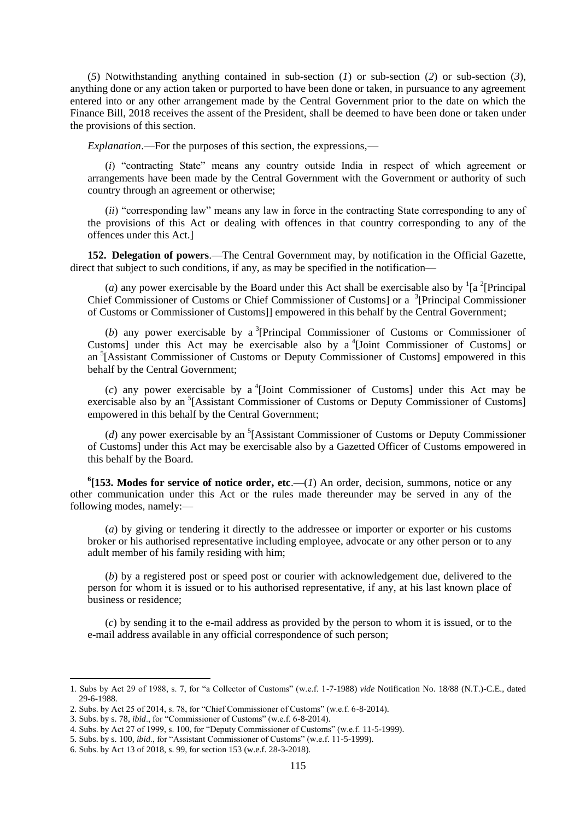(*5*) Notwithstanding anything contained in sub-section (*1*) or sub-section (*2*) or sub-section (*3*), anything done or any action taken or purported to have been done or taken, in pursuance to any agreement entered into or any other arrangement made by the Central Government prior to the date on which the Finance Bill, 2018 receives the assent of the President, shall be deemed to have been done or taken under the provisions of this section.

*Explanation*.—For the purposes of this section, the expressions,—

(*i*) "contracting State" means any country outside India in respect of which agreement or arrangements have been made by the Central Government with the Government or authority of such country through an agreement or otherwise;

*(ii)* "corresponding law" means any law in force in the contracting State corresponding to any of the provisions of this Act or dealing with offences in that country corresponding to any of the offences under this Act.]

**152. Delegation of powers**.—The Central Government may, by notification in the Official Gazette, direct that subject to such conditions, if any, as may be specified in the notification—

(*a*) any power exercisable by the Board under this Act shall be exercisable also by  $\frac{1}{a}$  [Principal Chief Commissioner of Customs or Chief Commissioner of Customs] or a 3 [Principal Commissioner of Customs or Commissioner of Customs]] empowered in this behalf by the Central Government;

(b) any power exercisable by a <sup>3</sup>[Principal Commissioner of Customs or Commissioner of Customs] under this Act may be exercisable also by a  $^{4}$ [Joint Commissioner of Customs] or an <sup>5</sup>[Assistant Commissioner of Customs or Deputy Commissioner of Customs] empowered in this behalf by the Central Government;

 $(c)$  any power exercisable by a <sup>4</sup>[Joint Commissioner of Customs] under this Act may be exercisable also by an<sup>5</sup>[Assistant Commissioner of Customs or Deputy Commissioner of Customs] empowered in this behalf by the Central Government;

( $d$ ) any power exercisable by an <sup>5</sup>[Assistant Commissioner of Customs or Deputy Commissioner of Customs] under this Act may be exercisable also by a Gazetted Officer of Customs empowered in this behalf by the Board.

 $\mathbf{6}$ [153. Modes for service of notice order, etc.— $(I)$  An order, decision, summons, notice or any other communication under this Act or the rules made thereunder may be served in any of the following modes, namely:—

(*a*) by giving or tendering it directly to the addressee or importer or exporter or his customs broker or his authorised representative including employee, advocate or any other person or to any adult member of his family residing with him;

(*b*) by a registered post or speed post or courier with acknowledgement due, delivered to the person for whom it is issued or to his authorised representative, if any, at his last known place of business or residence;

(*c*) by sending it to the e-mail address as provided by the person to whom it is issued, or to the e-mail address available in any official correspondence of such person;

1

<sup>1.</sup> Subs by Act 29 of 1988, s. 7, for ―a Collector of Customs‖ (w.e.f. 1-7-1988) *vide* Notification No. 18/88 (N.T.)-C.E., dated 29-6-1988.

<sup>2.</sup> Subs. by Act 25 of 2014, s. 78, for "Chief Commissioner of Customs" (w.e.f. 6-8-2014).

<sup>3.</sup> Subs. by s. 78, *ibid.*, for "Commissioner of Customs" (w.e.f. 6-8-2014).

<sup>4.</sup> Subs. by Act 27 of 1999, s. 100, for "Deputy Commissioner of Customs" (w.e.f. 11-5-1999).

<sup>5.</sup> Subs. by s. 100, *ibid.*, for "Assistant Commissioner of Customs" (w.e.f. 11-5-1999).

<sup>6.</sup> Subs. by Act 13 of 2018, s. 99, for section 153 (w.e.f. 28-3-2018).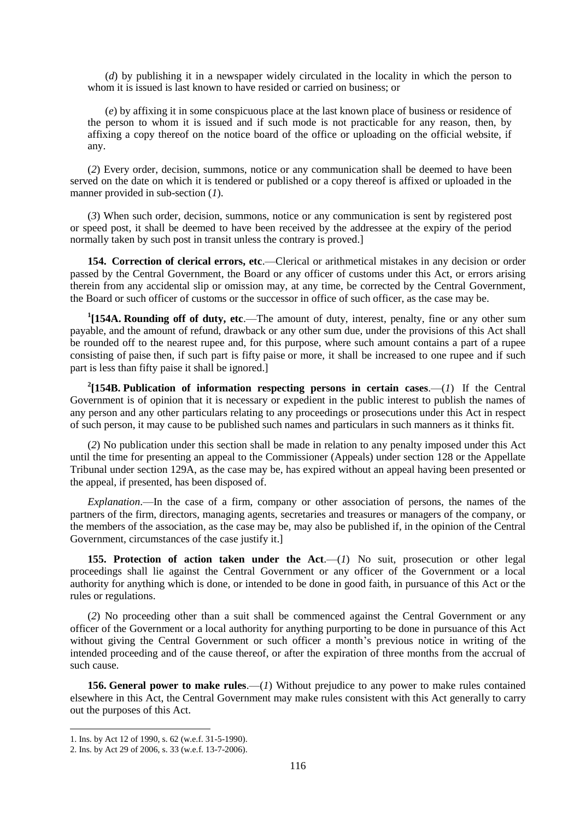(*d*) by publishing it in a newspaper widely circulated in the locality in which the person to whom it is issued is last known to have resided or carried on business; or

(*e*) by affixing it in some conspicuous place at the last known place of business or residence of the person to whom it is issued and if such mode is not practicable for any reason, then, by affixing a copy thereof on the notice board of the office or uploading on the official website, if any.

(*2*) Every order, decision, summons, notice or any communication shall be deemed to have been served on the date on which it is tendered or published or a copy thereof is affixed or uploaded in the manner provided in sub-section (*1*).

(*3*) When such order, decision, summons, notice or any communication is sent by registered post or speed post, it shall be deemed to have been received by the addressee at the expiry of the period normally taken by such post in transit unless the contrary is proved.]

**154. Correction of clerical errors, etc**.—Clerical or arithmetical mistakes in any decision or order passed by the Central Government, the Board or any officer of customs under this Act, or errors arising therein from any accidental slip or omission may, at any time, be corrected by the Central Government, the Board or such officer of customs or the successor in office of such officer, as the case may be.

<sup>1</sup>[154A. Rounding off of duty, etc.—The amount of duty, interest, penalty, fine or any other sum payable, and the amount of refund, drawback or any other sum due, under the provisions of this Act shall be rounded off to the nearest rupee and, for this purpose, where such amount contains a part of a rupee consisting of paise then, if such part is fifty paise or more, it shall be increased to one rupee and if such part is less than fifty paise it shall be ignored.]

<sup>2</sup>[154B. Publication of information respecting persons in certain cases.— $(1)$  If the Central Government is of opinion that it is necessary or expedient in the public interest to publish the names of any person and any other particulars relating to any proceedings or prosecutions under this Act in respect of such person, it may cause to be published such names and particulars in such manners as it thinks fit.

(*2*) No publication under this section shall be made in relation to any penalty imposed under this Act until the time for presenting an appeal to the Commissioner (Appeals) under section 128 or the Appellate Tribunal under section 129A, as the case may be, has expired without an appeal having been presented or the appeal, if presented, has been disposed of.

*Explanation*.—In the case of a firm, company or other association of persons, the names of the partners of the firm, directors, managing agents, secretaries and treasures or managers of the company, or the members of the association, as the case may be, may also be published if, in the opinion of the Central Government, circumstances of the case justify it.]

**155. Protection of action taken under the Act.—(***1***) No suit, prosecution or other legal** proceedings shall lie against the Central Government or any officer of the Government or a local authority for anything which is done, or intended to be done in good faith, in pursuance of this Act or the rules or regulations.

(*2*) No proceeding other than a suit shall be commenced against the Central Government or any officer of the Government or a local authority for anything purporting to be done in pursuance of this Act without giving the Central Government or such officer a month's previous notice in writing of the intended proceeding and of the cause thereof, or after the expiration of three months from the accrual of such cause.

**156. General power to make rules**.—(*1*) Without prejudice to any power to make rules contained elsewhere in this Act, the Central Government may make rules consistent with this Act generally to carry out the purposes of this Act.

1

<sup>1.</sup> Ins. by Act 12 of 1990, s. 62 (w.e.f. 31-5-1990).

<sup>2.</sup> Ins. by Act 29 of 2006, s. 33 (w.e.f. 13-7-2006).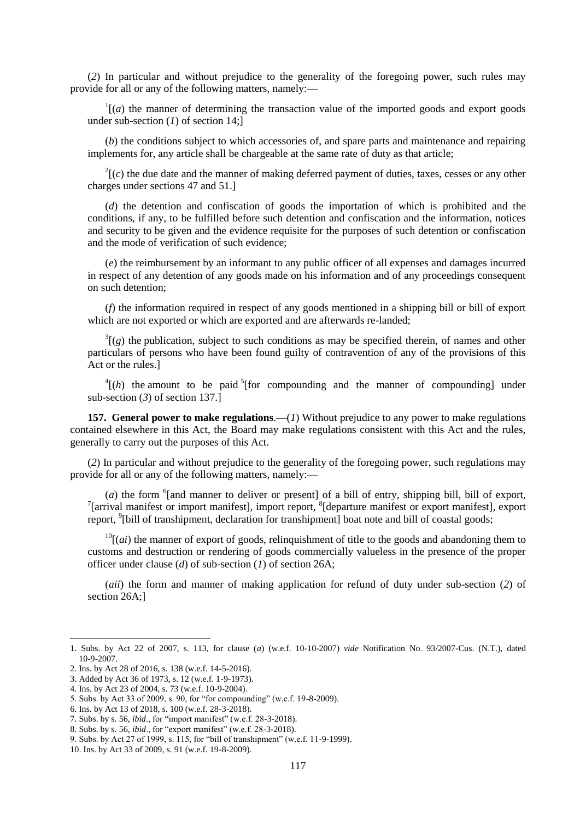(*2*) In particular and without prejudice to the generality of the foregoing power, such rules may provide for all or any of the following matters, namely:—

 $\Gamma$ <sup>1</sup>[(*a*) the manner of determining the transaction value of the imported goods and export goods under sub-section (*1*) of section 14;]

(*b*) the conditions subject to which accessories of, and spare parts and maintenance and repairing implements for, any article shall be chargeable at the same rate of duty as that article;

 $2\Gamma(c)$  the due date and the manner of making deferred payment of duties, taxes, cesses or any other charges under sections 47 and 51.]

(*d*) the detention and confiscation of goods the importation of which is prohibited and the conditions, if any, to be fulfilled before such detention and confiscation and the information, notices and security to be given and the evidence requisite for the purposes of such detention or confiscation and the mode of verification of such evidence;

(*e*) the reimbursement by an informant to any public officer of all expenses and damages incurred in respect of any detention of any goods made on his information and of any proceedings consequent on such detention;

(*f*) the information required in respect of any goods mentioned in a shipping bill or bill of export which are not exported or which are exported and are afterwards re-landed;

 $3\vert (g)$  the publication, subject to such conditions as may be specified therein, of names and other particulars of persons who have been found guilty of contravention of any of the provisions of this Act or the rules.]

 $^{4}$ [(*h*) the amount to be paid <sup>5</sup>[for compounding and the manner of compounding] under sub-section (*3*) of section 137.]

**157. General power to make regulations.**—(*1*) Without prejudice to any power to make regulations contained elsewhere in this Act, the Board may make regulations consistent with this Act and the rules, generally to carry out the purposes of this Act.

(*2*) In particular and without prejudice to the generality of the foregoing power, such regulations may provide for all or any of the following matters, namely:—

 $(a)$  the form  $\delta$ [and manner to deliver or present] of a bill of entry, shipping bill, bill of export, <sup>7</sup>[arrival manifest or import manifest], import report, <sup>8</sup>[departure manifest or export manifest], export report, <sup>9</sup>[bill of transhipment, declaration for transhipment] boat note and bill of coastal goods;

 $^{10}$ [(*ai*) the manner of export of goods, relinquishment of title to the goods and abandoning them to customs and destruction or rendering of goods commercially valueless in the presence of the proper officer under clause (*d*) of sub-section (*1*) of section 26A;

(*aii*) the form and manner of making application for refund of duty under sub-section (*2*) of section 26A;]

<sup>1.</sup> Subs. by Act 22 of 2007, s. 113, for clause (*a*) (w.e.f. 10-10-2007) *vide* Notification No. 93/2007-Cus. (N.T.), dated 10-9-2007.

<sup>2.</sup> Ins. by Act 28 of 2016, s. 138 (w.e.f. 14-5-2016).

<sup>3.</sup> Added by Act 36 of 1973, s. 12 (w.e.f. 1-9-1973). 4. Ins. by Act 23 of 2004, s. 73 (w.e.f. 10-9-2004).

<sup>5.</sup> Subs. by Act 33 of 2009, s. 90, for "for compounding" (w.e.f. 19-8-2009).

<sup>6.</sup> Ins. by Act 13 of 2018, s. 100 (w.e.f. 28-3-2018).

<sup>7.</sup> Subs. by s. 56, *ibid.*, for "import manifest" (w.e.f. 28-3-2018).

<sup>8.</sup> Subs. by s. 56, *ibid.*, for "export manifest" (w.e.f. 28-3-2018).

<sup>9.</sup> Subs. by Act 27 of 1999, s. 115, for "bill of transhipment" (w.e.f. 11-9-1999).

<sup>10.</sup> Ins. by Act 33 of 2009, s. 91 (w.e.f. 19-8-2009).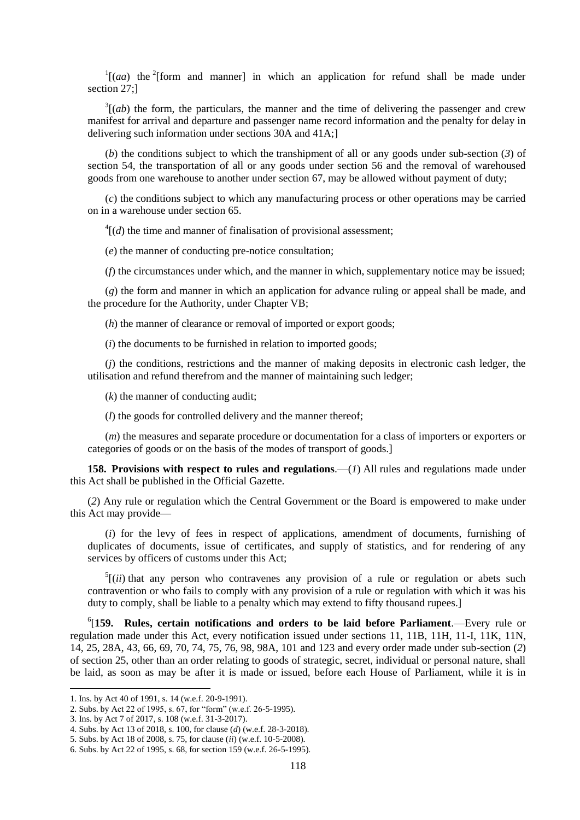$\int$ <sup>1</sup>[(*aa*) the <sup>2</sup>[form and manner] in which an application for refund shall be made under section 27;]

 $3[(ab)$  the form, the particulars, the manner and the time of delivering the passenger and crew manifest for arrival and departure and passenger name record information and the penalty for delay in delivering such information under sections 30A and 41A;]

(*b*) the conditions subject to which the transhipment of all or any goods under sub-section (*3*) of section 54, the transportation of all or any goods under section 56 and the removal of warehoused goods from one warehouse to another under section 67, may be allowed without payment of duty;

(*c*) the conditions subject to which any manufacturing process or other operations may be carried on in a warehouse under section 65.

 $^{4}$ [(*d*) the time and manner of finalisation of provisional assessment;

(*e*) the manner of conducting pre-notice consultation;

(*f*) the circumstances under which, and the manner in which, supplementary notice may be issued;

(*g*) the form and manner in which an application for advance ruling or appeal shall be made, and the procedure for the Authority, under Chapter VB;

(*h*) the manner of clearance or removal of imported or export goods;

(*i*) the documents to be furnished in relation to imported goods;

(*j*) the conditions, restrictions and the manner of making deposits in electronic cash ledger, the utilisation and refund therefrom and the manner of maintaining such ledger;

(*k*) the manner of conducting audit;

(*l*) the goods for controlled delivery and the manner thereof;

(*m*) the measures and separate procedure or documentation for a class of importers or exporters or categories of goods or on the basis of the modes of transport of goods.]

**158. Provisions with respect to rules and regulations**.—(*1*) All rules and regulations made under this Act shall be published in the Official Gazette.

(*2*) Any rule or regulation which the Central Government or the Board is empowered to make under this Act may provide—

(*i*) for the levy of fees in respect of applications, amendment of documents, furnishing of duplicates of documents, issue of certificates, and supply of statistics, and for rendering of any services by officers of customs under this Act;

 $<sup>5</sup>$ [(*ii*) that any person who contravenes any provision of a rule or regulation or abets such</sup> contravention or who fails to comply with any provision of a rule or regulation with which it was his duty to comply, shall be liable to a penalty which may extend to fifty thousand rupees.]

6 [**159. Rules, certain notifications and orders to be laid before Parliament**.—Every rule or regulation made under this Act, every notification issued under sections 11, 11B, 11H, 11-I, 11K, 11N, 14, 25, 28A, 43, 66, 69, 70, 74, 75, 76, 98, 98A, 101 and 123 and every order made under sub-section (*2*) of section 25, other than an order relating to goods of strategic, secret, individual or personal nature, shall be laid, as soon as may be after it is made or issued, before each House of Parliament, while it is in

<sup>1.</sup> Ins. by Act 40 of 1991, s. 14 (w.e.f. 20-9-1991).

<sup>2.</sup> Subs. by Act 22 of 1995, s. 67, for "form" (w.e.f. 26-5-1995).

<sup>3.</sup> Ins. by Act 7 of 2017, s. 108 (w.e.f. 31-3-2017).

<sup>4.</sup> Subs. by Act 13 of 2018, s. 100, for clause (*d*) (w.e.f. 28-3-2018).

<sup>5.</sup> Subs. by Act 18 of 2008, s. 75, for clause (*ii*) (w.e.f. 10-5-2008).

<sup>6.</sup> Subs. by Act 22 of 1995, s. 68, for section 159 (w.e.f. 26-5-1995).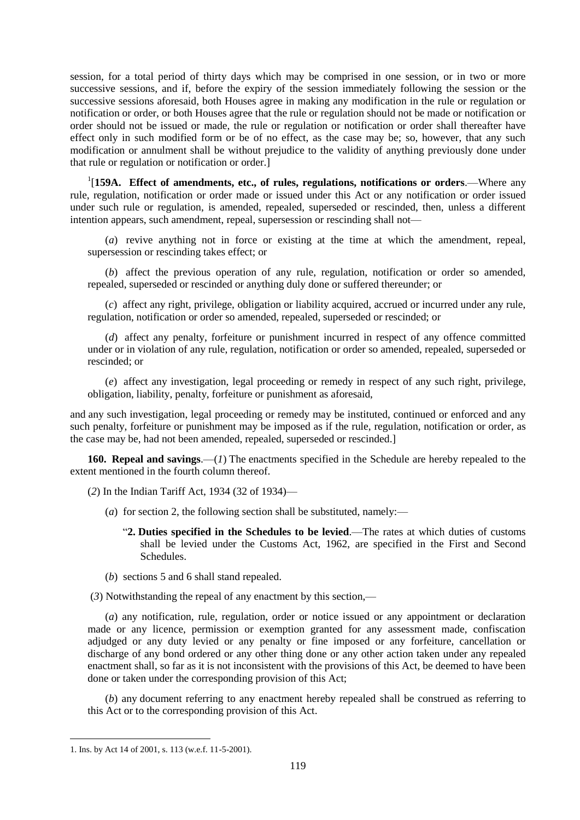session, for a total period of thirty days which may be comprised in one session, or in two or more successive sessions, and if, before the expiry of the session immediately following the session or the successive sessions aforesaid, both Houses agree in making any modification in the rule or regulation or notification or order, or both Houses agree that the rule or regulation should not be made or notification or order should not be issued or made, the rule or regulation or notification or order shall thereafter have effect only in such modified form or be of no effect, as the case may be; so, however, that any such modification or annulment shall be without prejudice to the validity of anything previously done under that rule or regulation or notification or order.]

1 [**159A. Effect of amendments, etc., of rules, regulations, notifications or orders**.—Where any rule, regulation, notification or order made or issued under this Act or any notification or order issued under such rule or regulation, is amended, repealed, superseded or rescinded, then, unless a different intention appears, such amendment, repeal, supersession or rescinding shall not—

(*a*) revive anything not in force or existing at the time at which the amendment, repeal, supersession or rescinding takes effect; or

(*b*) affect the previous operation of any rule, regulation, notification or order so amended, repealed, superseded or rescinded or anything duly done or suffered thereunder; or

(*c*) affect any right, privilege, obligation or liability acquired, accrued or incurred under any rule, regulation, notification or order so amended, repealed, superseded or rescinded; or

(*d*) affect any penalty, forfeiture or punishment incurred in respect of any offence committed under or in violation of any rule, regulation, notification or order so amended, repealed, superseded or rescinded; or

(*e*) affect any investigation, legal proceeding or remedy in respect of any such right, privilege, obligation, liability, penalty, forfeiture or punishment as aforesaid,

and any such investigation, legal proceeding or remedy may be instituted, continued or enforced and any such penalty, forfeiture or punishment may be imposed as if the rule, regulation, notification or order, as the case may be, had not been amended, repealed, superseded or rescinded.]

**160. Repeal and savings**.—(*1*) The enactments specified in the Schedule are hereby repealed to the extent mentioned in the fourth column thereof.

(*2*) In the Indian Tariff Act, 1934 (32 of 1934)—

- (*a*) for section 2, the following section shall be substituted, namely:—
	- ―**2. Duties specified in the Schedules to be levied**.—The rates at which duties of customs shall be levied under the Customs Act, 1962, are specified in the First and Second Schedules.
- (*b*) sections 5 and 6 shall stand repealed.
- (*3*) Notwithstanding the repeal of any enactment by this section,—

(*a*) any notification, rule, regulation, order or notice issued or any appointment or declaration made or any licence, permission or exemption granted for any assessment made, confiscation adjudged or any duty levied or any penalty or fine imposed or any forfeiture, cancellation or discharge of any bond ordered or any other thing done or any other action taken under any repealed enactment shall, so far as it is not inconsistent with the provisions of this Act, be deemed to have been done or taken under the corresponding provision of this Act;

(*b*) any document referring to any enactment hereby repealed shall be construed as referring to this Act or to the corresponding provision of this Act.

<sup>1.</sup> Ins. by Act 14 of 2001, s. 113 (w.e.f. 11-5-2001).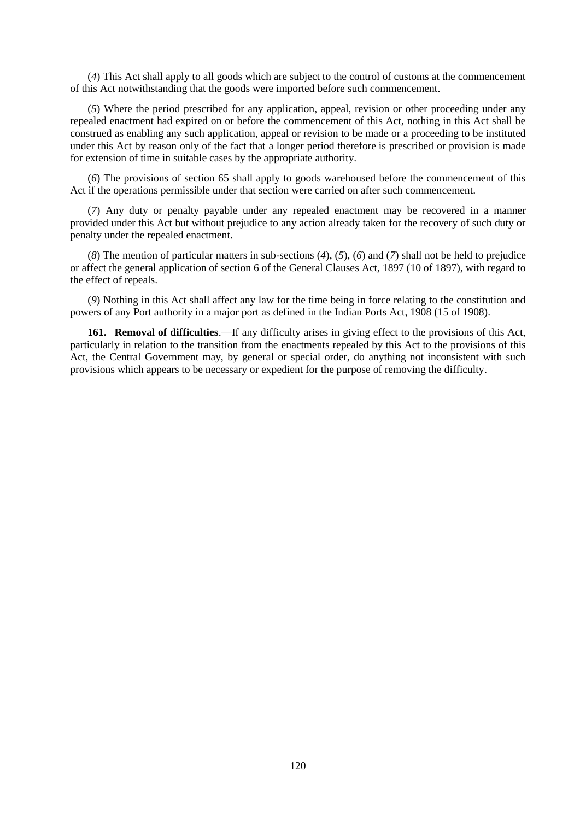(*4*) This Act shall apply to all goods which are subject to the control of customs at the commencement of this Act notwithstanding that the goods were imported before such commencement.

(*5*) Where the period prescribed for any application, appeal, revision or other proceeding under any repealed enactment had expired on or before the commencement of this Act, nothing in this Act shall be construed as enabling any such application, appeal or revision to be made or a proceeding to be instituted under this Act by reason only of the fact that a longer period therefore is prescribed or provision is made for extension of time in suitable cases by the appropriate authority.

(*6*) The provisions of section 65 shall apply to goods warehoused before the commencement of this Act if the operations permissible under that section were carried on after such commencement.

(*7*) Any duty or penalty payable under any repealed enactment may be recovered in a manner provided under this Act but without prejudice to any action already taken for the recovery of such duty or penalty under the repealed enactment.

(*8*) The mention of particular matters in sub-sections (*4*), (*5*), (*6*) and (*7*) shall not be held to prejudice or affect the general application of section 6 of the General Clauses Act, 1897 (10 of 1897), with regard to the effect of repeals.

(*9*) Nothing in this Act shall affect any law for the time being in force relating to the constitution and powers of any Port authority in a major port as defined in the Indian Ports Act, 1908 (15 of 1908).

**161. Removal of difficulties**.—If any difficulty arises in giving effect to the provisions of this Act, particularly in relation to the transition from the enactments repealed by this Act to the provisions of this Act, the Central Government may, by general or special order, do anything not inconsistent with such provisions which appears to be necessary or expedient for the purpose of removing the difficulty.